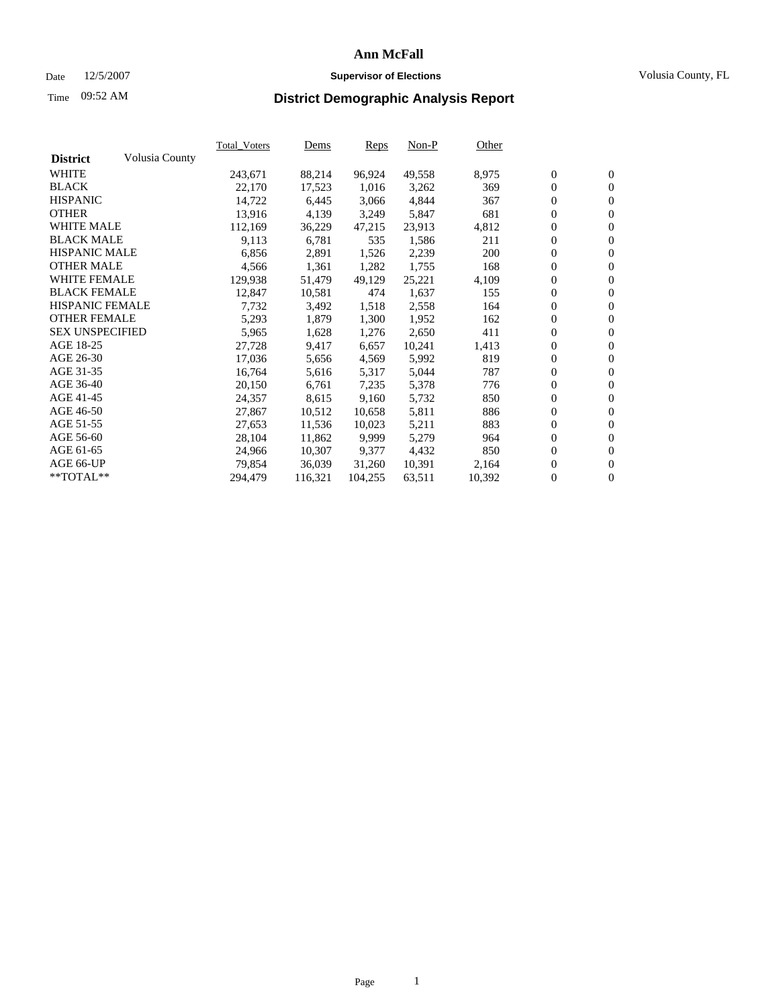### Date 12/5/2007 **Supervisor of Elections Supervisor of Elections** Volusia County, FL

# Time **District Demographic Analysis Report** 09:52 AM

|                        |                | <b>Total Voters</b> | Dems    | Reps    | $Non-P$ | Other  |                  |                  |  |
|------------------------|----------------|---------------------|---------|---------|---------|--------|------------------|------------------|--|
| <b>District</b>        | Volusia County |                     |         |         |         |        |                  |                  |  |
| <b>WHITE</b>           |                | 243,671             | 88,214  | 96,924  | 49,558  | 8,975  | $\boldsymbol{0}$ | $\mathbf{0}$     |  |
| <b>BLACK</b>           |                | 22,170              | 17,523  | 1,016   | 3,262   | 369    | $\mathbf{0}$     | $\mathbf{0}$     |  |
| <b>HISPANIC</b>        |                | 14,722              | 6,445   | 3,066   | 4,844   | 367    | $\mathbf{0}$     | $\mathbf{0}$     |  |
| <b>OTHER</b>           |                | 13,916              | 4,139   | 3,249   | 5,847   | 681    | $\boldsymbol{0}$ | $\boldsymbol{0}$ |  |
| <b>WHITE MALE</b>      |                | 112,169             | 36,229  | 47,215  | 23,913  | 4,812  | 0                | $\mathbf{0}$     |  |
| <b>BLACK MALE</b>      |                | 9,113               | 6,781   | 535     | 1,586   | 211    | 0                | $\boldsymbol{0}$ |  |
| <b>HISPANIC MALE</b>   |                | 6,856               | 2,891   | 1,526   | 2,239   | 200    | 0                | $\overline{0}$   |  |
| <b>OTHER MALE</b>      |                | 4,566               | 1,361   | 1,282   | 1,755   | 168    | $\boldsymbol{0}$ | $\boldsymbol{0}$ |  |
| <b>WHITE FEMALE</b>    |                | 129,938             | 51,479  | 49,129  | 25,221  | 4,109  | 0                | $\mathbf{0}$     |  |
| <b>BLACK FEMALE</b>    |                | 12,847              | 10,581  | 474     | 1,637   | 155    | $\mathbf{0}$     | $\mathbf{0}$     |  |
| <b>HISPANIC FEMALE</b> |                | 7,732               | 3,492   | 1,518   | 2,558   | 164    | $\boldsymbol{0}$ | $\boldsymbol{0}$ |  |
| <b>OTHER FEMALE</b>    |                | 5,293               | 1,879   | 1,300   | 1,952   | 162    | 0                | $\mathbf{0}$     |  |
| <b>SEX UNSPECIFIED</b> |                | 5,965               | 1,628   | 1,276   | 2,650   | 411    | $\overline{0}$   | $\mathbf{0}$     |  |
| AGE 18-25              |                | 27,728              | 9,417   | 6,657   | 10,241  | 1,413  | 0                | $\mathbf{0}$     |  |
| AGE 26-30              |                | 17,036              | 5,656   | 4,569   | 5,992   | 819    | $\boldsymbol{0}$ | $\boldsymbol{0}$ |  |
| AGE 31-35              |                | 16,764              | 5,616   | 5,317   | 5,044   | 787    | 0                | $\boldsymbol{0}$ |  |
| AGE 36-40              |                | 20,150              | 6,761   | 7,235   | 5,378   | 776    | $\boldsymbol{0}$ | $\mathbf{0}$     |  |
| AGE 41-45              |                | 24,357              | 8,615   | 9,160   | 5,732   | 850    | 0                | $\boldsymbol{0}$ |  |
| AGE 46-50              |                | 27,867              | 10,512  | 10,658  | 5,811   | 886    | 0                | $\overline{0}$   |  |
| AGE 51-55              |                | 27,653              | 11,536  | 10,023  | 5,211   | 883    | $\boldsymbol{0}$ | $\mathbf{0}$     |  |
| AGE 56-60              |                | 28,104              | 11,862  | 9,999   | 5,279   | 964    | 0                | $\mathbf{0}$     |  |
| AGE 61-65              |                | 24,966              | 10,307  | 9,377   | 4,432   | 850    | $\mathbf{0}$     | $\boldsymbol{0}$ |  |
| AGE 66-UP              |                | 79,854              | 36,039  | 31,260  | 10,391  | 2,164  | 0                | $\boldsymbol{0}$ |  |
| **TOTAL**              |                | 294,479             | 116,321 | 104,255 | 63,511  | 10,392 | 0                | $\mathbf{0}$     |  |
|                        |                |                     |         |         |         |        |                  |                  |  |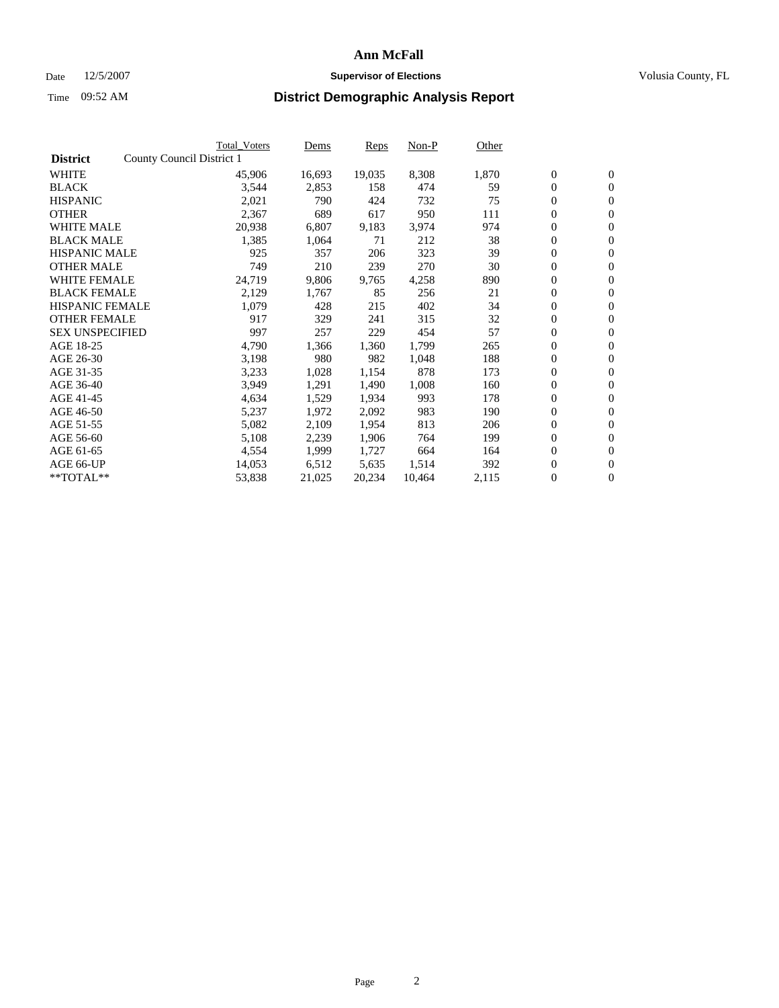#### Date  $12/5/2007$  **Supervisor of Elections** Volusia County, FL

|                        |                           | <b>Total Voters</b> | Dems   | <b>Reps</b> | Non-P  | Other |                  |                |  |
|------------------------|---------------------------|---------------------|--------|-------------|--------|-------|------------------|----------------|--|
| <b>District</b>        | County Council District 1 |                     |        |             |        |       |                  |                |  |
| <b>WHITE</b>           |                           | 45,906              | 16,693 | 19,035      | 8,308  | 1,870 | $\boldsymbol{0}$ | $\mathbf{0}$   |  |
| <b>BLACK</b>           |                           | 3,544               | 2,853  | 158         | 474    | 59    | $\overline{0}$   | $\mathbf{0}$   |  |
| <b>HISPANIC</b>        |                           | 2,021               | 790    | 424         | 732    | 75    | $\boldsymbol{0}$ | $\mathbf{0}$   |  |
| <b>OTHER</b>           |                           | 2,367               | 689    | 617         | 950    | 111   | $\boldsymbol{0}$ | $\mathbf{0}$   |  |
| <b>WHITE MALE</b>      |                           | 20,938              | 6,807  | 9,183       | 3,974  | 974   | 0                | $\mathbf{0}$   |  |
| <b>BLACK MALE</b>      |                           | 1,385               | 1,064  | 71          | 212    | 38    | $\boldsymbol{0}$ | $\mathbf{0}$   |  |
| <b>HISPANIC MALE</b>   |                           | 925                 | 357    | 206         | 323    | 39    | $\overline{0}$   | $\mathbf{0}$   |  |
| <b>OTHER MALE</b>      |                           | 749                 | 210    | 239         | 270    | 30    | $\overline{0}$   | $\mathbf{0}$   |  |
| <b>WHITE FEMALE</b>    |                           | 24,719              | 9,806  | 9,765       | 4,258  | 890   | $\mathbf{0}$     | $\mathbf{0}$   |  |
| <b>BLACK FEMALE</b>    |                           | 2,129               | 1,767  | 85          | 256    | 21    | $\boldsymbol{0}$ | $\mathbf{0}$   |  |
| <b>HISPANIC FEMALE</b> |                           | 1,079               | 428    | 215         | 402    | 34    | $\boldsymbol{0}$ | $\mathbf{0}$   |  |
| <b>OTHER FEMALE</b>    |                           | 917                 | 329    | 241         | 315    | 32    | 0                | $\mathbf{0}$   |  |
| <b>SEX UNSPECIFIED</b> |                           | 997                 | 257    | 229         | 454    | 57    | $\boldsymbol{0}$ | $\mathbf{0}$   |  |
| AGE 18-25              |                           | 4,790               | 1,366  | 1,360       | 1,799  | 265   | $\boldsymbol{0}$ | $\mathbf{0}$   |  |
| AGE 26-30              |                           | 3,198               | 980    | 982         | 1,048  | 188   | $\overline{0}$   | $\mathbf{0}$   |  |
| AGE 31-35              |                           | 3,233               | 1,028  | 1,154       | 878    | 173   | $\overline{0}$   | $\mathbf{0}$   |  |
| AGE 36-40              |                           | 3,949               | 1,291  | 1,490       | 1,008  | 160   | $\boldsymbol{0}$ | $\mathbf{0}$   |  |
| AGE 41-45              |                           | 4,634               | 1,529  | 1,934       | 993    | 178   | $\boldsymbol{0}$ | $\mathbf{0}$   |  |
| AGE 46-50              |                           | 5,237               | 1,972  | 2,092       | 983    | 190   | 0                | $\mathbf{0}$   |  |
| AGE 51-55              |                           | 5,082               | 2,109  | 1,954       | 813    | 206   | $\boldsymbol{0}$ | $\mathbf{0}$   |  |
| AGE 56-60              |                           | 5,108               | 2,239  | 1,906       | 764    | 199   | $\overline{0}$   | $\mathbf{0}$   |  |
| AGE 61-65              |                           | 4,554               | 1,999  | 1,727       | 664    | 164   | $\mathbf{0}$     | $\mathbf{0}$   |  |
| AGE 66-UP              |                           | 14,053              | 6,512  | 5,635       | 1,514  | 392   | $\boldsymbol{0}$ | $\mathbf{0}$   |  |
| **TOTAL**              |                           | 53,838              | 21,025 | 20,234      | 10,464 | 2,115 | $\boldsymbol{0}$ | $\overline{0}$ |  |
|                        |                           |                     |        |             |        |       |                  |                |  |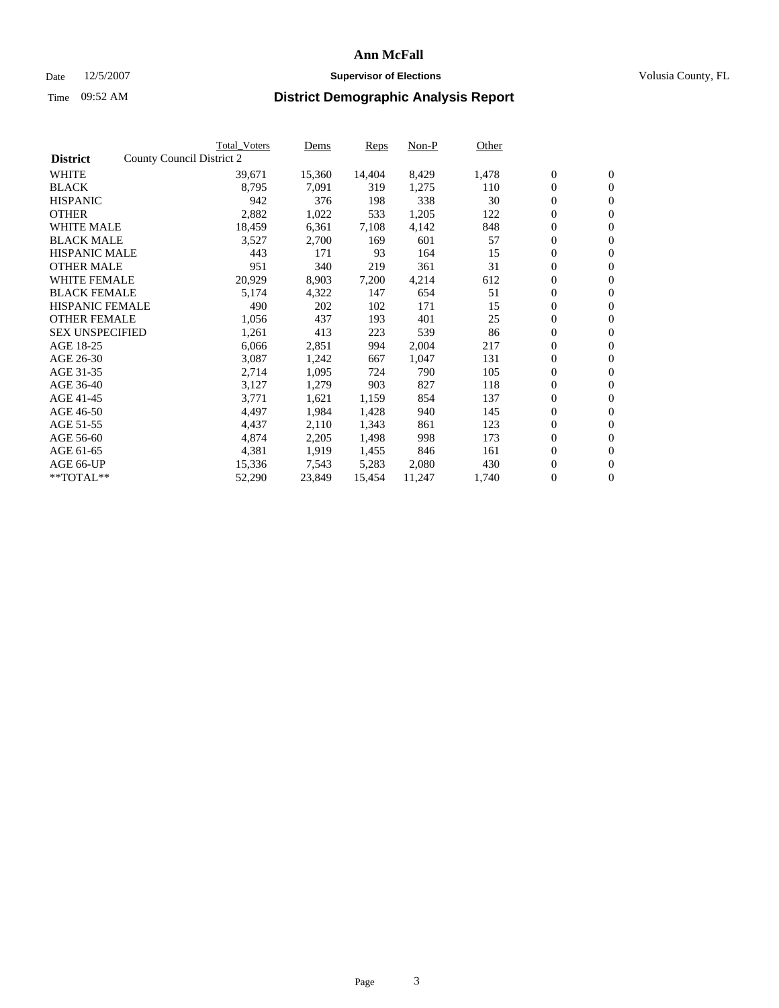#### Date  $12/5/2007$  **Supervisor of Elections** Volusia County, FL

|                        | Total_Voters              | Dems             | <b>Reps</b> | Non-P  | Other |                  |                  |  |
|------------------------|---------------------------|------------------|-------------|--------|-------|------------------|------------------|--|
| <b>District</b>        | County Council District 2 |                  |             |        |       |                  |                  |  |
| <b>WHITE</b>           | 39,671                    | 15,360           | 14,404      | 8,429  | 1,478 | $\boldsymbol{0}$ | $\mathbf{0}$     |  |
| <b>BLACK</b>           |                           | 8,795<br>7,091   | 319         | 1,275  | 110   | $\boldsymbol{0}$ | $\mathbf{0}$     |  |
| <b>HISPANIC</b>        |                           | 942<br>376       | 198         | 338    | 30    | $\boldsymbol{0}$ | $\mathbf{0}$     |  |
| <b>OTHER</b>           |                           | 1,022<br>2,882   | 533         | 1,205  | 122   | $\boldsymbol{0}$ | $\mathbf{0}$     |  |
| <b>WHITE MALE</b>      |                           | 18,459<br>6,361  | 7,108       | 4,142  | 848   | $\boldsymbol{0}$ | $\mathbf{0}$     |  |
| <b>BLACK MALE</b>      |                           | 3,527<br>2,700   | 169         | 601    | 57    | $\boldsymbol{0}$ | $\boldsymbol{0}$ |  |
| <b>HISPANIC MALE</b>   |                           | 443<br>171       | 93          | 164    | 15    | $\overline{0}$   | $\mathbf{0}$     |  |
| <b>OTHER MALE</b>      |                           | 951<br>340       | 219         | 361    | 31    | $\boldsymbol{0}$ | $\mathbf{0}$     |  |
| <b>WHITE FEMALE</b>    |                           | 20,929<br>8,903  | 7,200       | 4,214  | 612   | $\mathbf{0}$     | $\mathbf{0}$     |  |
| <b>BLACK FEMALE</b>    |                           | 5,174<br>4,322   | 147         | 654    | 51    | $\boldsymbol{0}$ | $\mathbf{0}$     |  |
| <b>HISPANIC FEMALE</b> |                           | 490<br>202       | 102         | 171    | 15    | $\boldsymbol{0}$ | $\boldsymbol{0}$ |  |
| <b>OTHER FEMALE</b>    |                           | 1,056<br>437     | 193         | 401    | 25    | 0                | $\mathbf{0}$     |  |
| <b>SEX UNSPECIFIED</b> |                           | 413<br>1,261     | 223         | 539    | 86    | $\boldsymbol{0}$ | $\mathbf{0}$     |  |
| AGE 18-25              |                           | 6,066<br>2,851   | 994         | 2,004  | 217   | $\boldsymbol{0}$ | $\mathbf{0}$     |  |
| AGE 26-30              |                           | 3,087<br>1,242   | 667         | 1,047  | 131   | $\overline{0}$   | $\mathbf{0}$     |  |
| AGE 31-35              |                           | 2,714<br>1,095   | 724         | 790    | 105   | $\boldsymbol{0}$ | $\mathbf{0}$     |  |
| AGE 36-40              |                           | 3,127<br>1,279   | 903         | 827    | 118   | $\boldsymbol{0}$ | $\boldsymbol{0}$ |  |
| AGE 41-45              |                           | 3,771<br>1,621   | 1,159       | 854    | 137   | $\boldsymbol{0}$ | $\mathbf{0}$     |  |
| AGE 46-50              |                           | 4,497<br>1,984   | 1,428       | 940    | 145   | $\boldsymbol{0}$ | $\mathbf{0}$     |  |
| AGE 51-55              |                           | 4,437<br>2,110   | 1,343       | 861    | 123   | $\boldsymbol{0}$ | $\boldsymbol{0}$ |  |
| AGE 56-60              |                           | 4,874<br>2,205   | 1,498       | 998    | 173   | $\overline{0}$   | $\mathbf{0}$     |  |
| AGE 61-65              |                           | 4,381<br>1,919   | 1,455       | 846    | 161   | $\mathbf{0}$     | $\mathbf{0}$     |  |
| AGE 66-UP              |                           | 15,336<br>7,543  | 5,283       | 2,080  | 430   | $\boldsymbol{0}$ | $\boldsymbol{0}$ |  |
| **TOTAL**              |                           | 52,290<br>23,849 | 15,454      | 11,247 | 1,740 | $\boldsymbol{0}$ | $\overline{0}$   |  |
|                        |                           |                  |             |        |       |                  |                  |  |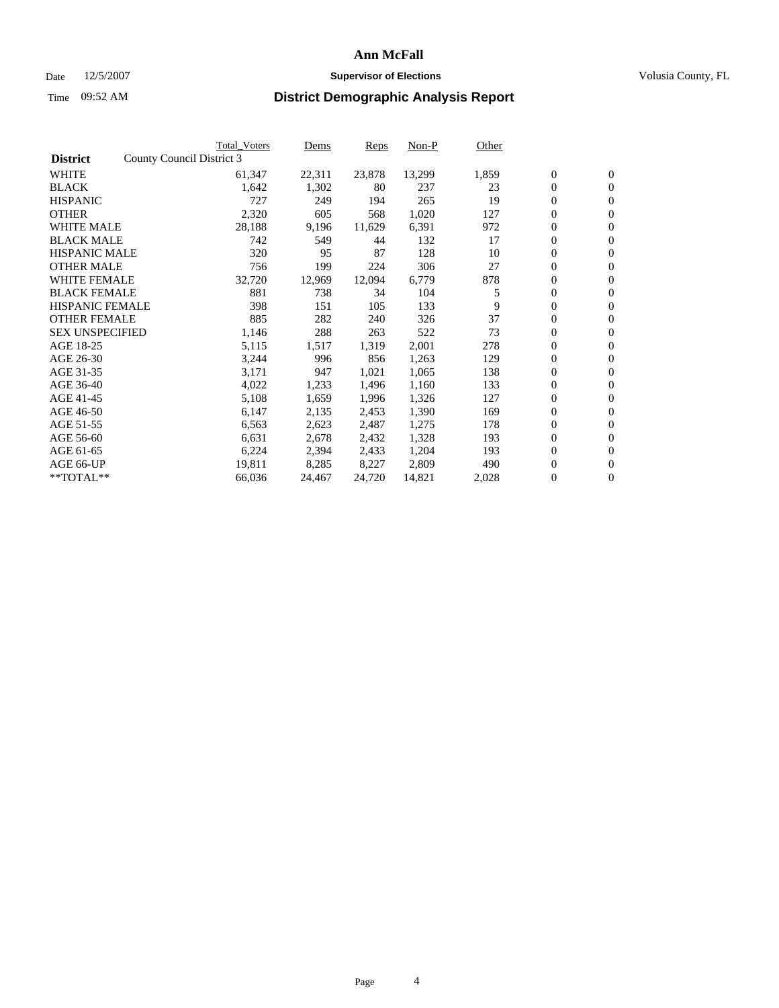#### Date  $12/5/2007$  **Supervisor of Elections** Volusia County, FL

|                        |                           | <b>Total_Voters</b> | Dems   | <b>Reps</b> | Non-P  | Other |                  |                  |  |
|------------------------|---------------------------|---------------------|--------|-------------|--------|-------|------------------|------------------|--|
| <b>District</b>        | County Council District 3 |                     |        |             |        |       |                  |                  |  |
| <b>WHITE</b>           |                           | 61,347              | 22,311 | 23,878      | 13,299 | 1,859 | $\overline{0}$   | $\mathbf{0}$     |  |
| <b>BLACK</b>           |                           | 1,642               | 1,302  | 80          | 237    | 23    | $\overline{0}$   | $\mathbf{0}$     |  |
| <b>HISPANIC</b>        |                           | 727                 | 249    | 194         | 265    | 19    | $\boldsymbol{0}$ | $\mathbf{0}$     |  |
| <b>OTHER</b>           |                           | 2,320               | 605    | 568         | 1,020  | 127   | $\boldsymbol{0}$ | $\mathbf{0}$     |  |
| <b>WHITE MALE</b>      |                           | 28,188              | 9,196  | 11,629      | 6,391  | 972   | 0                | $\mathbf{0}$     |  |
| <b>BLACK MALE</b>      |                           | 742                 | 549    | 44          | 132    | 17    | $\boldsymbol{0}$ | $\boldsymbol{0}$ |  |
| <b>HISPANIC MALE</b>   |                           | 320                 | 95     | 87          | 128    | 10    | $\overline{0}$   | $\mathbf{0}$     |  |
| <b>OTHER MALE</b>      |                           | 756                 | 199    | 224         | 306    | 27    | $\overline{0}$   | $\mathbf{0}$     |  |
| <b>WHITE FEMALE</b>    |                           | 32,720              | 12,969 | 12,094      | 6,779  | 878   | $\overline{0}$   | $\mathbf{0}$     |  |
| <b>BLACK FEMALE</b>    |                           | 881                 | 738    | 34          | 104    | 5     | $\boldsymbol{0}$ | $\mathbf{0}$     |  |
| <b>HISPANIC FEMALE</b> |                           | 398                 | 151    | 105         | 133    | 9     | $\boldsymbol{0}$ | $\boldsymbol{0}$ |  |
| <b>OTHER FEMALE</b>    |                           | 885                 | 282    | 240         | 326    | 37    | 0                | $\mathbf{0}$     |  |
| <b>SEX UNSPECIFIED</b> |                           | 1,146               | 288    | 263         | 522    | 73    | $\boldsymbol{0}$ | $\mathbf{0}$     |  |
| AGE 18-25              |                           | 5,115               | 1,517  | 1,319       | 2,001  | 278   | $\boldsymbol{0}$ | $\mathbf{0}$     |  |
| AGE 26-30              |                           | 3,244               | 996    | 856         | 1,263  | 129   | $\overline{0}$   | $\mathbf{0}$     |  |
| AGE 31-35              |                           | 3,171               | 947    | 1,021       | 1,065  | 138   | $\boldsymbol{0}$ | $\mathbf{0}$     |  |
| AGE 36-40              |                           | 4,022               | 1,233  | 1,496       | 1,160  | 133   | $\boldsymbol{0}$ | $\mathbf{0}$     |  |
| AGE 41-45              |                           | 5,108               | 1,659  | 1,996       | 1,326  | 127   | $\boldsymbol{0}$ | $\mathbf{0}$     |  |
| AGE 46-50              |                           | 6,147               | 2,135  | 2,453       | 1,390  | 169   | 0                | $\mathbf{0}$     |  |
| AGE 51-55              |                           | 6,563               | 2,623  | 2,487       | 1,275  | 178   | $\boldsymbol{0}$ | $\mathbf{0}$     |  |
| AGE 56-60              |                           | 6,631               | 2,678  | 2,432       | 1,328  | 193   | $\overline{0}$   | $\mathbf{0}$     |  |
| AGE 61-65              |                           | 6,224               | 2,394  | 2,433       | 1,204  | 193   | $\mathbf{0}$     | $\mathbf{0}$     |  |
| AGE 66-UP              |                           | 19,811              | 8,285  | 8,227       | 2,809  | 490   | $\boldsymbol{0}$ | $\mathbf{0}$     |  |
| **TOTAL**              |                           | 66,036              | 24,467 | 24,720      | 14,821 | 2,028 | 0                | $\overline{0}$   |  |
|                        |                           |                     |        |             |        |       |                  |                  |  |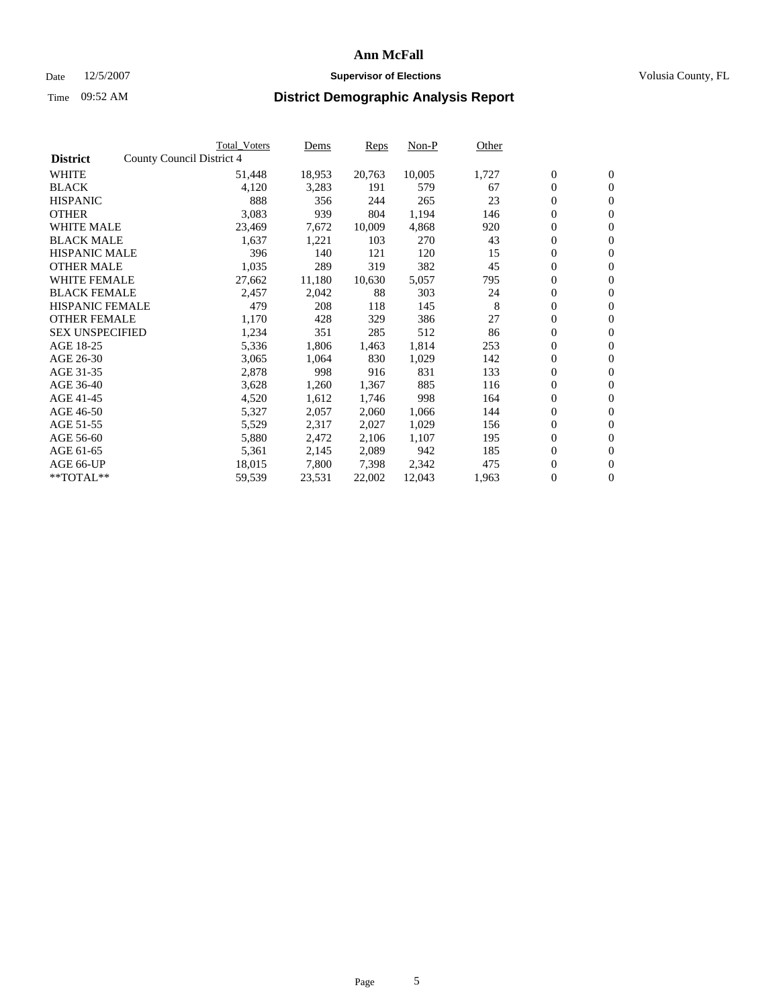#### Date  $12/5/2007$  **Supervisor of Elections** Volusia County, FL

|                        | Total_Voters              | Dems       | <b>Reps</b> | Non-P  | Other |                  |                  |  |
|------------------------|---------------------------|------------|-------------|--------|-------|------------------|------------------|--|
| <b>District</b>        | County Council District 4 |            |             |        |       |                  |                  |  |
| <b>WHITE</b>           | 51,448                    | 18,953     | 20,763      | 10,005 | 1,727 | $\boldsymbol{0}$ | $\mathbf{0}$     |  |
| <b>BLACK</b>           | 4,120                     | 3,283      | 191         | 579    | 67    | $\overline{0}$   | $\mathbf{0}$     |  |
| <b>HISPANIC</b>        |                           | 888<br>356 | 244         | 265    | 23    | $\boldsymbol{0}$ | $\mathbf{0}$     |  |
| <b>OTHER</b>           | 3,083                     | 939        | 804         | 1,194  | 146   | $\boldsymbol{0}$ | $\mathbf{0}$     |  |
| <b>WHITE MALE</b>      | 23,469                    | 7,672      | 10,009      | 4,868  | 920   | $\boldsymbol{0}$ | $\mathbf{0}$     |  |
| <b>BLACK MALE</b>      | 1,637                     | 1,221      | 103         | 270    | 43    | $\boldsymbol{0}$ | $\mathbf{0}$     |  |
| <b>HISPANIC MALE</b>   |                           | 396<br>140 | 121         | 120    | 15    | $\overline{0}$   | $\mathbf{0}$     |  |
| <b>OTHER MALE</b>      | 1,035                     | 289        | 319         | 382    | 45    | $\overline{0}$   | $\mathbf{0}$     |  |
| <b>WHITE FEMALE</b>    | 27,662                    | 11,180     | 10,630      | 5,057  | 795   | $\mathbf{0}$     | $\mathbf{0}$     |  |
| <b>BLACK FEMALE</b>    | 2,457                     | 2,042      | 88          | 303    | 24    | $\boldsymbol{0}$ | $\mathbf{0}$     |  |
| <b>HISPANIC FEMALE</b> |                           | 479<br>208 | 118         | 145    | 8     | $\boldsymbol{0}$ | $\mathbf{0}$     |  |
| <b>OTHER FEMALE</b>    | 1,170                     | 428        | 329         | 386    | 27    | 0                | $\mathbf{0}$     |  |
| <b>SEX UNSPECIFIED</b> | 1,234                     | 351        | 285         | 512    | 86    | $\boldsymbol{0}$ | $\mathbf{0}$     |  |
| AGE 18-25              | 5,336                     | 1,806      | 1,463       | 1,814  | 253   | $\boldsymbol{0}$ | $\mathbf{0}$     |  |
| AGE 26-30              | 3,065                     | 1,064      | 830         | 1,029  | 142   | $\overline{0}$   | $\mathbf{0}$     |  |
| AGE 31-35              | 2,878                     | 998        | 916         | 831    | 133   | $\boldsymbol{0}$ | $\mathbf{0}$     |  |
| AGE 36-40              | 3,628                     | 1,260      | 1,367       | 885    | 116   | $\boldsymbol{0}$ | $\mathbf{0}$     |  |
| AGE 41-45              | 4,520                     | 1,612      | 1,746       | 998    | 164   | $\boldsymbol{0}$ | $\mathbf{0}$     |  |
| AGE 46-50              | 5,327                     | 2,057      | 2,060       | 1,066  | 144   | 0                | $\mathbf{0}$     |  |
| AGE 51-55              | 5,529                     | 2,317      | 2,027       | 1,029  | 156   | $\boldsymbol{0}$ | $\boldsymbol{0}$ |  |
| AGE 56-60              | 5,880                     | 2,472      | 2,106       | 1,107  | 195   | $\overline{0}$   | $\mathbf{0}$     |  |
| AGE 61-65              | 5,361                     | 2,145      | 2,089       | 942    | 185   | $\mathbf{0}$     | $\mathbf{0}$     |  |
| AGE 66-UP              | 18,015                    | 7,800      | 7,398       | 2,342  | 475   | $\boldsymbol{0}$ | $\boldsymbol{0}$ |  |
| **TOTAL**              | 59,539                    | 23,531     | 22,002      | 12,043 | 1,963 | 0                | $\overline{0}$   |  |
|                        |                           |            |             |        |       |                  |                  |  |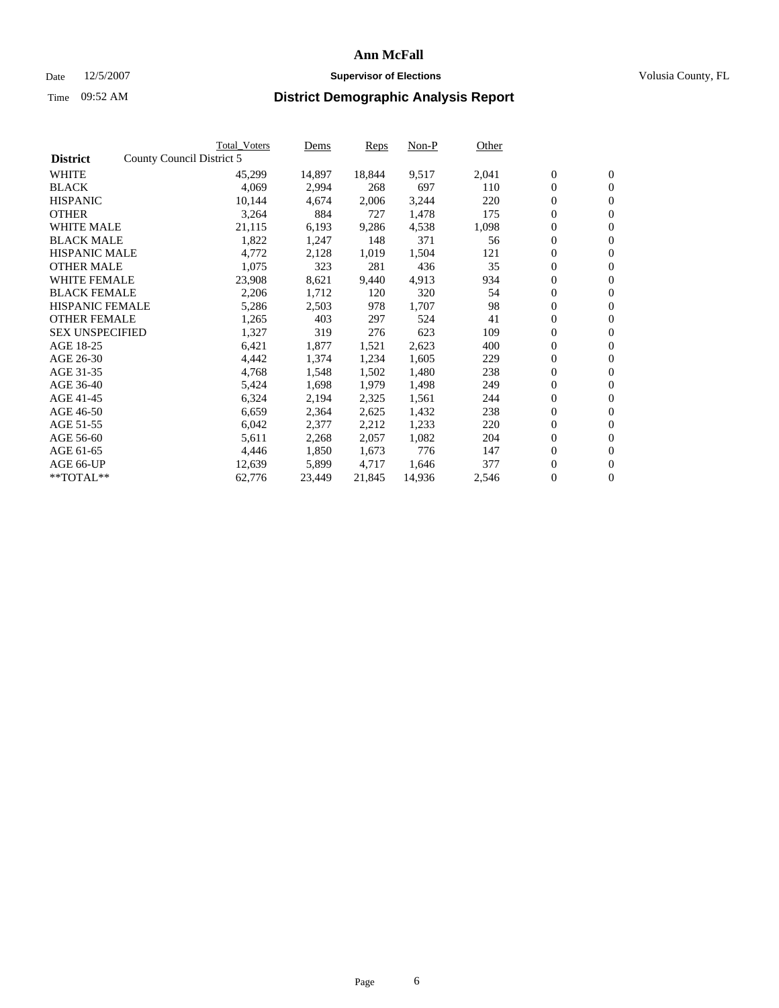#### Date  $12/5/2007$  **Supervisor of Elections** Volusia County, FL

|                        |                           | <b>Total Voters</b> | Dems   | <b>Reps</b> | Non-P  | Other |                  |                  |  |
|------------------------|---------------------------|---------------------|--------|-------------|--------|-------|------------------|------------------|--|
| <b>District</b>        | County Council District 5 |                     |        |             |        |       |                  |                  |  |
| <b>WHITE</b>           |                           | 45,299              | 14,897 | 18,844      | 9,517  | 2,041 | $\boldsymbol{0}$ | $\mathbf{0}$     |  |
| <b>BLACK</b>           |                           | 4,069               | 2,994  | 268         | 697    | 110   | $\overline{0}$   | $\mathbf{0}$     |  |
| <b>HISPANIC</b>        |                           | 10,144              | 4,674  | 2,006       | 3,244  | 220   | $\boldsymbol{0}$ | $\mathbf{0}$     |  |
| <b>OTHER</b>           |                           | 3,264               | 884    | 727         | 1,478  | 175   | $\boldsymbol{0}$ | $\mathbf{0}$     |  |
| <b>WHITE MALE</b>      |                           | 21,115              | 6,193  | 9,286       | 4,538  | 1,098 | $\boldsymbol{0}$ | $\mathbf{0}$     |  |
| <b>BLACK MALE</b>      |                           | 1,822               | 1,247  | 148         | 371    | 56    | $\boldsymbol{0}$ | $\boldsymbol{0}$ |  |
| <b>HISPANIC MALE</b>   |                           | 4,772               | 2,128  | 1,019       | 1,504  | 121   | $\overline{0}$   | $\mathbf{0}$     |  |
| <b>OTHER MALE</b>      |                           | 1,075               | 323    | 281         | 436    | 35    | $\overline{0}$   | $\mathbf{0}$     |  |
| <b>WHITE FEMALE</b>    |                           | 23,908              | 8,621  | 9,440       | 4,913  | 934   | $\mathbf{0}$     | $\mathbf{0}$     |  |
| <b>BLACK FEMALE</b>    |                           | 2,206               | 1,712  | 120         | 320    | 54    | $\boldsymbol{0}$ | $\mathbf{0}$     |  |
| <b>HISPANIC FEMALE</b> |                           | 5,286               | 2,503  | 978         | 1,707  | 98    | $\boldsymbol{0}$ | $\boldsymbol{0}$ |  |
| <b>OTHER FEMALE</b>    |                           | 1,265               | 403    | 297         | 524    | 41    | 0                | $\mathbf{0}$     |  |
| <b>SEX UNSPECIFIED</b> |                           | 1,327               | 319    | 276         | 623    | 109   | $\boldsymbol{0}$ | $\mathbf{0}$     |  |
| AGE 18-25              |                           | 6,421               | 1,877  | 1,521       | 2,623  | 400   | $\boldsymbol{0}$ | $\mathbf{0}$     |  |
| AGE 26-30              |                           | 4,442               | 1,374  | 1,234       | 1,605  | 229   | $\mathbf{0}$     | $\mathbf{0}$     |  |
| AGE 31-35              |                           | 4,768               | 1,548  | 1,502       | 1,480  | 238   | $\boldsymbol{0}$ | $\mathbf{0}$     |  |
| AGE 36-40              |                           | 5,424               | 1,698  | 1,979       | 1,498  | 249   | $\boldsymbol{0}$ | $\boldsymbol{0}$ |  |
| AGE 41-45              |                           | 6,324               | 2,194  | 2,325       | 1,561  | 244   | $\boldsymbol{0}$ | $\mathbf{0}$     |  |
| AGE 46-50              |                           | 6,659               | 2,364  | 2,625       | 1,432  | 238   | $\boldsymbol{0}$ | $\mathbf{0}$     |  |
| AGE 51-55              |                           | 6,042               | 2,377  | 2,212       | 1,233  | 220   | $\boldsymbol{0}$ | $\boldsymbol{0}$ |  |
| AGE 56-60              |                           | 5,611               | 2,268  | 2,057       | 1,082  | 204   | $\overline{0}$   | $\mathbf{0}$     |  |
| AGE 61-65              |                           | 4,446               | 1,850  | 1,673       | 776    | 147   | $\mathbf{0}$     | $\boldsymbol{0}$ |  |
| AGE 66-UP              |                           | 12,639              | 5,899  | 4,717       | 1,646  | 377   | $\boldsymbol{0}$ | $\boldsymbol{0}$ |  |
| **TOTAL**              |                           | 62,776              | 23,449 | 21,845      | 14,936 | 2,546 | $\boldsymbol{0}$ | $\overline{0}$   |  |
|                        |                           |                     |        |             |        |       |                  |                  |  |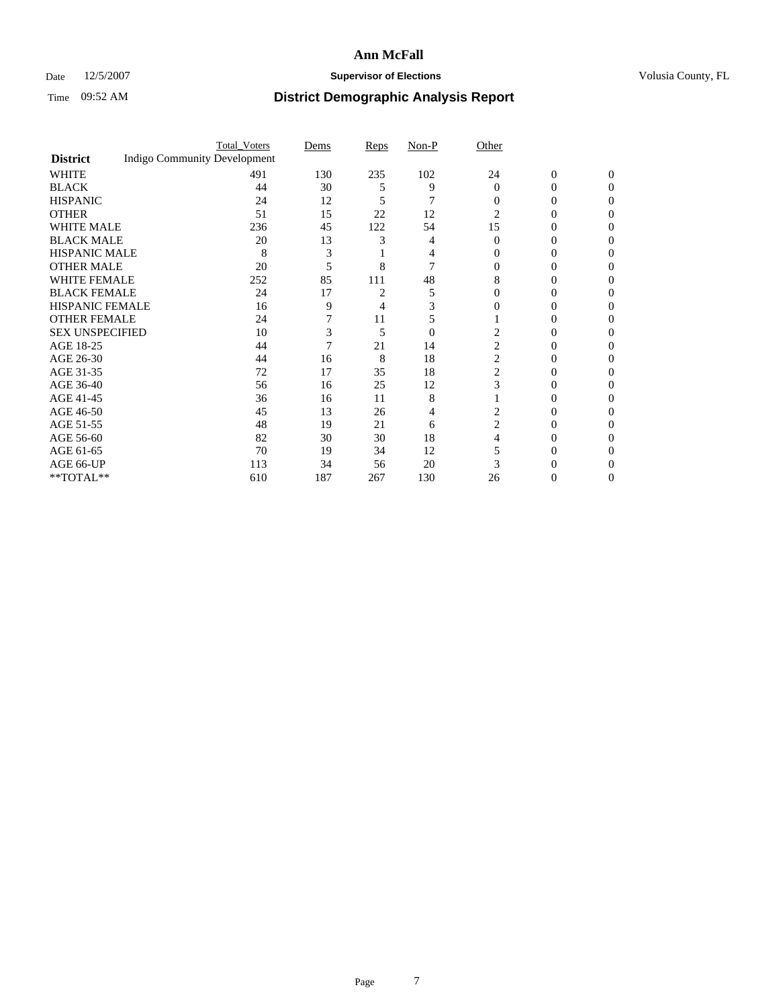### Date 12/5/2007 **Supervisor of Elections Supervisor of Elections** Volusia County, FL

|                        |                                     | <b>Total_Voters</b> | Dems | <b>Reps</b>    | Non-P    | Other          |                  |              |  |
|------------------------|-------------------------------------|---------------------|------|----------------|----------|----------------|------------------|--------------|--|
| <b>District</b>        | <b>Indigo Community Development</b> |                     |      |                |          |                |                  |              |  |
| <b>WHITE</b>           |                                     | 491                 | 130  | 235            | 102      | 24             | $\boldsymbol{0}$ | $\mathbf{0}$ |  |
| <b>BLACK</b>           |                                     | 44                  | 30   | 5              | 9        | $\Omega$       | 0                | $\Omega$     |  |
| <b>HISPANIC</b>        |                                     | 24                  | 12   | 5              |          | $\Omega$       | 0                | 0            |  |
| <b>OTHER</b>           |                                     | 51                  | 15   | 22             | 12       | 2              |                  |              |  |
| <b>WHITE MALE</b>      |                                     | 236                 | 45   | 122            | 54       | 15             | 0                |              |  |
| <b>BLACK MALE</b>      |                                     | 20                  | 13   |                | 4        | $\Omega$       | 0                | 0            |  |
| HISPANIC MALE          |                                     | 8                   | 3    |                |          |                | $_{0}$           |              |  |
| <b>OTHER MALE</b>      |                                     | 20                  | 5    | 8              |          |                | 0                |              |  |
| WHITE FEMALE           |                                     | 252                 | 85   | 111            | 48       | 8              |                  | 0            |  |
| <b>BLACK FEMALE</b>    |                                     | 24                  | 17   | $\overline{c}$ | 5        | $\Omega$       | 0                | 0            |  |
| <b>HISPANIC FEMALE</b> |                                     | 16                  | 9    | 4              |          |                |                  | 0            |  |
| <b>OTHER FEMALE</b>    |                                     | 24                  |      | 11             | 5        |                | $_{0}$           | 0            |  |
| <b>SEX UNSPECIFIED</b> |                                     | 10                  | 3    | 5              | $\theta$ |                |                  |              |  |
| AGE 18-25              |                                     | 44                  | 7    | 21             | 14       | 2              | 0                |              |  |
| AGE 26-30              |                                     | 44                  | 16   | 8              | 18       | $\overline{c}$ | 0                |              |  |
| AGE 31-35              |                                     | 72                  | 17   | 35             | 18       | 2              | 0                |              |  |
| AGE 36-40              |                                     | 56                  | 16   | 25             | 12       | 3              | 0                | 0            |  |
| AGE 41-45              |                                     | 36                  | 16   | 11             | 8        |                |                  | 0            |  |
| AGE 46-50              |                                     | 45                  | 13   | 26             | 4        | 2              | 0                | 0            |  |
| AGE 51-55              |                                     | 48                  | 19   | 21             | 6        | $\overline{c}$ |                  | 0            |  |
| AGE 56-60              |                                     | 82                  | 30   | 30             | 18       |                | 0                | 0            |  |
| AGE 61-65              |                                     | 70                  | 19   | 34             | 12       |                |                  |              |  |
| AGE 66-UP              |                                     | 113                 | 34   | 56             | 20       |                |                  |              |  |
| **TOTAL**              |                                     | 610                 | 187  | 267            | 130      | 26             | 0                | 0            |  |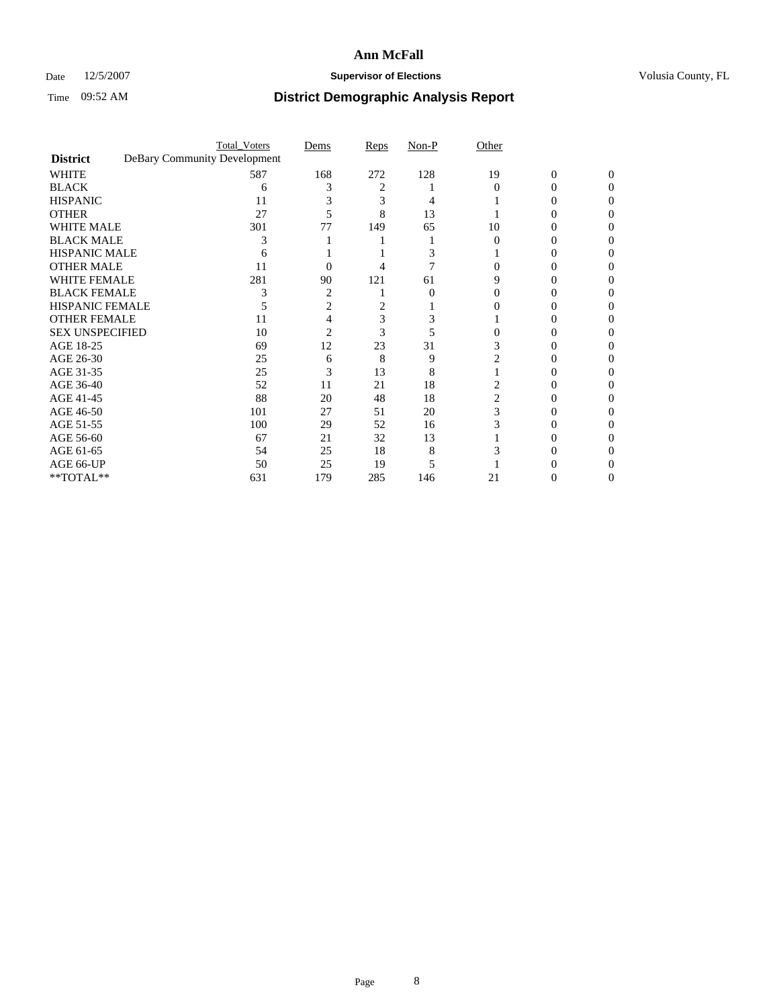### Date 12/5/2007 **Supervisor of Elections Supervisor of Elections** Volusia County, FL

|                        |                              | <b>Total_Voters</b> | Dems | Reps | Non-P | Other |                |          |  |
|------------------------|------------------------------|---------------------|------|------|-------|-------|----------------|----------|--|
| <b>District</b>        | DeBary Community Development |                     |      |      |       |       |                |          |  |
| <b>WHITE</b>           |                              | 587                 | 168  | 272  | 128   | 19    | $\overline{0}$ | $\Omega$ |  |
| <b>BLACK</b>           |                              | 6                   |      | 2    |       | 0     | 0              | 0        |  |
| <b>HISPANIC</b>        |                              | 11                  |      | 3    |       |       |                |          |  |
| <b>OTHER</b>           |                              | 27                  |      | 8    | 13    |       |                |          |  |
| <b>WHITE MALE</b>      |                              | 301                 | 77   | 149  | 65    | 10    |                |          |  |
| <b>BLACK MALE</b>      |                              | 3                   |      |      |       |       |                |          |  |
| HISPANIC MALE          |                              |                     |      |      |       |       |                |          |  |
| <b>OTHER MALE</b>      |                              | 11                  | 0    |      |       |       |                |          |  |
| WHITE FEMALE           |                              | 281                 | 90   | 121  | 61    |       |                |          |  |
| <b>BLACK FEMALE</b>    |                              |                     | 2    |      | 0     |       |                |          |  |
| <b>HISPANIC FEMALE</b> |                              |                     | 2    |      |       |       |                |          |  |
| <b>OTHER FEMALE</b>    |                              | 11                  |      | 3    |       |       |                |          |  |
| <b>SEX UNSPECIFIED</b> |                              | 10                  | 2    | 3    |       |       |                |          |  |
| AGE 18-25              |                              | 69                  | 12   | 23   | 31    |       |                |          |  |
| AGE 26-30              |                              | 25                  | 6    | 8    | 9     |       |                |          |  |
| AGE 31-35              |                              | 25                  | 3    | 13   | 8     |       |                |          |  |
| AGE 36-40              |                              | 52                  | 11   | 21   | 18    |       | $\theta$       |          |  |
| AGE 41-45              |                              | 88                  | 20   | 48   | 18    |       |                |          |  |
| AGE 46-50              |                              | 101                 | 27   | 51   | 20    | 3     |                |          |  |
| AGE 51-55              |                              | 100                 | 29   | 52   | 16    |       |                |          |  |
| AGE 56-60              |                              | 67                  | 21   | 32   | 13    |       |                |          |  |
| AGE 61-65              |                              | 54                  | 25   | 18   | 8     |       |                |          |  |
| AGE 66-UP              |                              | 50                  | 25   | 19   |       |       |                |          |  |
| **TOTAL**              |                              | 631                 | 179  | 285  | 146   | 21    | 0              | 0        |  |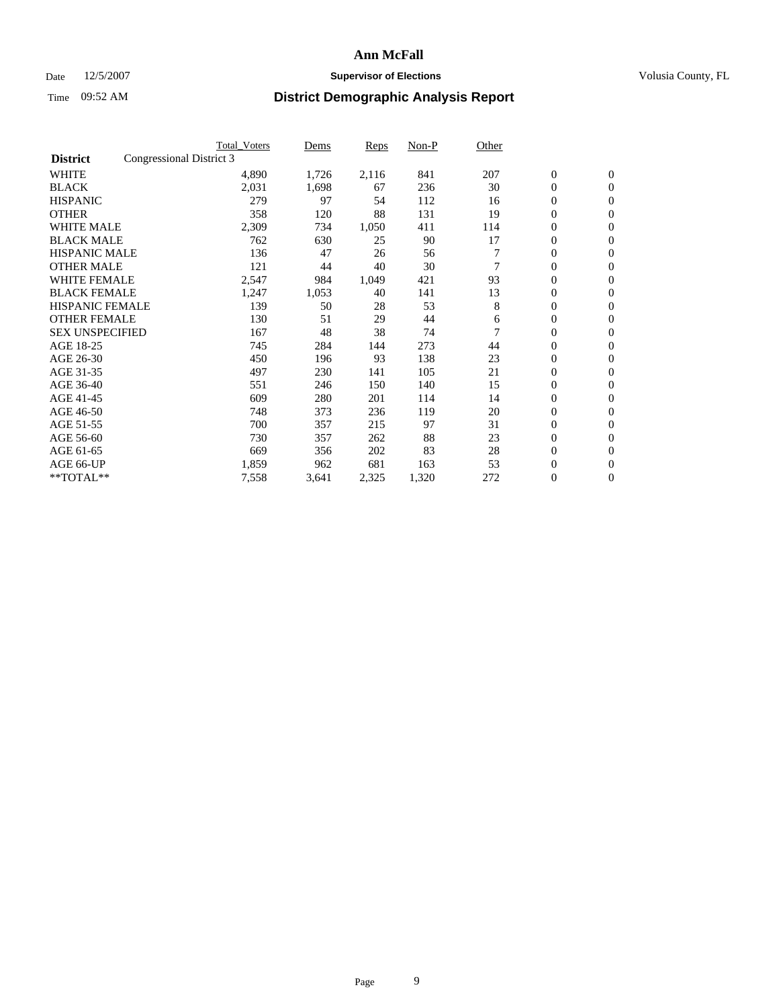#### Date  $12/5/2007$  **Supervisor of Elections** Volusia County, FL

| Congressional District 3<br>1,726<br>2,116<br>841<br>207<br>$\boldsymbol{0}$<br>$\mathbf{0}$<br>4,890<br>2,031<br>30<br>$\mathbf{0}$<br>1,698<br>236<br>$\mathbf{0}$<br>67<br>279<br>97<br>54<br>112<br>0<br>$\overline{0}$<br>16<br>358<br>131<br>19<br>0<br>120<br>88<br>$\mathbf{0}$<br>2,309<br>411<br>0<br>734<br>1,050<br>114<br>$\mathbf{0}$<br>90<br>17<br>0<br>762<br>630<br>25<br>$\boldsymbol{0}$<br><b>HISPANIC MALE</b><br>0<br>136<br>47<br>26<br>$\mathbf{0}$<br>56<br>$\mathbf{0}$<br>121<br>44<br>40<br>30<br>$\mathbf{0}$<br>93<br><b>WHITE FEMALE</b><br>2,547<br>421<br>0<br>$\mathbf{0}$<br>984<br>1,049<br><b>BLACK FEMALE</b><br>13<br>141<br>$\boldsymbol{0}$<br>1,247<br>1,053<br>40<br>$\mathbf{0}$<br><b>HISPANIC FEMALE</b><br>53<br>8<br>0<br>139<br>28<br>50<br>$\mathbf{0}$<br><b>OTHER FEMALE</b><br>29<br>0<br>130<br>51<br>44<br>$\mathbf{0}$<br>6<br><b>SEX UNSPECIFIED</b><br>38<br>0<br>167<br>48<br>74<br>$\mathbf{0}$<br>273<br>44<br>0<br>745<br>284<br>144<br>$\mathbf{0}$<br>93<br>138<br>23<br>$\mathbf{0}$<br>$\mathbf{0}$<br>450<br>196<br>105<br>21<br>0<br>497<br>230<br>141<br>$\mathbf{0}$<br>551<br>140<br>15<br>0<br>246<br>150<br>$\mathbf{0}$<br>0<br>609<br>280<br>114<br>14<br>201<br>$\mathbf{0}$<br>20<br>0<br>748<br>373<br>236<br>119<br>$\mathbf{0}$<br>31<br>97<br>$\boldsymbol{0}$<br>700<br>357<br>215<br>$\mathbf{0}$<br>23<br>357<br>88<br>0<br>730<br>262<br>$\mathbf{0}$<br>83<br>28<br>$\mathbf{0}$<br>669<br>$\mathbf{0}$<br>356<br>202<br>163<br>53<br>$\boldsymbol{0}$<br>1,859<br>962<br>681<br>$\mathbf{0}$<br>7,558<br>272<br>0<br>$\overline{0}$<br>3,641<br>2,325<br>1,320 |                   | <b>Total Voters</b> | Dems | Reps | Non-P | Other |  |  |
|--------------------------------------------------------------------------------------------------------------------------------------------------------------------------------------------------------------------------------------------------------------------------------------------------------------------------------------------------------------------------------------------------------------------------------------------------------------------------------------------------------------------------------------------------------------------------------------------------------------------------------------------------------------------------------------------------------------------------------------------------------------------------------------------------------------------------------------------------------------------------------------------------------------------------------------------------------------------------------------------------------------------------------------------------------------------------------------------------------------------------------------------------------------------------------------------------------------------------------------------------------------------------------------------------------------------------------------------------------------------------------------------------------------------------------------------------------------------------------------------------------------------------------------------------------------------------------------------------------------------------------------------------------|-------------------|---------------------|------|------|-------|-------|--|--|
|                                                                                                                                                                                                                                                                                                                                                                                                                                                                                                                                                                                                                                                                                                                                                                                                                                                                                                                                                                                                                                                                                                                                                                                                                                                                                                                                                                                                                                                                                                                                                                                                                                                        | <b>District</b>   |                     |      |      |       |       |  |  |
|                                                                                                                                                                                                                                                                                                                                                                                                                                                                                                                                                                                                                                                                                                                                                                                                                                                                                                                                                                                                                                                                                                                                                                                                                                                                                                                                                                                                                                                                                                                                                                                                                                                        | <b>WHITE</b>      |                     |      |      |       |       |  |  |
|                                                                                                                                                                                                                                                                                                                                                                                                                                                                                                                                                                                                                                                                                                                                                                                                                                                                                                                                                                                                                                                                                                                                                                                                                                                                                                                                                                                                                                                                                                                                                                                                                                                        | <b>BLACK</b>      |                     |      |      |       |       |  |  |
|                                                                                                                                                                                                                                                                                                                                                                                                                                                                                                                                                                                                                                                                                                                                                                                                                                                                                                                                                                                                                                                                                                                                                                                                                                                                                                                                                                                                                                                                                                                                                                                                                                                        | <b>HISPANIC</b>   |                     |      |      |       |       |  |  |
|                                                                                                                                                                                                                                                                                                                                                                                                                                                                                                                                                                                                                                                                                                                                                                                                                                                                                                                                                                                                                                                                                                                                                                                                                                                                                                                                                                                                                                                                                                                                                                                                                                                        | <b>OTHER</b>      |                     |      |      |       |       |  |  |
|                                                                                                                                                                                                                                                                                                                                                                                                                                                                                                                                                                                                                                                                                                                                                                                                                                                                                                                                                                                                                                                                                                                                                                                                                                                                                                                                                                                                                                                                                                                                                                                                                                                        | <b>WHITE MALE</b> |                     |      |      |       |       |  |  |
|                                                                                                                                                                                                                                                                                                                                                                                                                                                                                                                                                                                                                                                                                                                                                                                                                                                                                                                                                                                                                                                                                                                                                                                                                                                                                                                                                                                                                                                                                                                                                                                                                                                        | <b>BLACK MALE</b> |                     |      |      |       |       |  |  |
|                                                                                                                                                                                                                                                                                                                                                                                                                                                                                                                                                                                                                                                                                                                                                                                                                                                                                                                                                                                                                                                                                                                                                                                                                                                                                                                                                                                                                                                                                                                                                                                                                                                        |                   |                     |      |      |       |       |  |  |
|                                                                                                                                                                                                                                                                                                                                                                                                                                                                                                                                                                                                                                                                                                                                                                                                                                                                                                                                                                                                                                                                                                                                                                                                                                                                                                                                                                                                                                                                                                                                                                                                                                                        | <b>OTHER MALE</b> |                     |      |      |       |       |  |  |
|                                                                                                                                                                                                                                                                                                                                                                                                                                                                                                                                                                                                                                                                                                                                                                                                                                                                                                                                                                                                                                                                                                                                                                                                                                                                                                                                                                                                                                                                                                                                                                                                                                                        |                   |                     |      |      |       |       |  |  |
|                                                                                                                                                                                                                                                                                                                                                                                                                                                                                                                                                                                                                                                                                                                                                                                                                                                                                                                                                                                                                                                                                                                                                                                                                                                                                                                                                                                                                                                                                                                                                                                                                                                        |                   |                     |      |      |       |       |  |  |
|                                                                                                                                                                                                                                                                                                                                                                                                                                                                                                                                                                                                                                                                                                                                                                                                                                                                                                                                                                                                                                                                                                                                                                                                                                                                                                                                                                                                                                                                                                                                                                                                                                                        |                   |                     |      |      |       |       |  |  |
|                                                                                                                                                                                                                                                                                                                                                                                                                                                                                                                                                                                                                                                                                                                                                                                                                                                                                                                                                                                                                                                                                                                                                                                                                                                                                                                                                                                                                                                                                                                                                                                                                                                        |                   |                     |      |      |       |       |  |  |
|                                                                                                                                                                                                                                                                                                                                                                                                                                                                                                                                                                                                                                                                                                                                                                                                                                                                                                                                                                                                                                                                                                                                                                                                                                                                                                                                                                                                                                                                                                                                                                                                                                                        |                   |                     |      |      |       |       |  |  |
|                                                                                                                                                                                                                                                                                                                                                                                                                                                                                                                                                                                                                                                                                                                                                                                                                                                                                                                                                                                                                                                                                                                                                                                                                                                                                                                                                                                                                                                                                                                                                                                                                                                        | AGE 18-25         |                     |      |      |       |       |  |  |
|                                                                                                                                                                                                                                                                                                                                                                                                                                                                                                                                                                                                                                                                                                                                                                                                                                                                                                                                                                                                                                                                                                                                                                                                                                                                                                                                                                                                                                                                                                                                                                                                                                                        | AGE 26-30         |                     |      |      |       |       |  |  |
|                                                                                                                                                                                                                                                                                                                                                                                                                                                                                                                                                                                                                                                                                                                                                                                                                                                                                                                                                                                                                                                                                                                                                                                                                                                                                                                                                                                                                                                                                                                                                                                                                                                        | AGE 31-35         |                     |      |      |       |       |  |  |
|                                                                                                                                                                                                                                                                                                                                                                                                                                                                                                                                                                                                                                                                                                                                                                                                                                                                                                                                                                                                                                                                                                                                                                                                                                                                                                                                                                                                                                                                                                                                                                                                                                                        | AGE 36-40         |                     |      |      |       |       |  |  |
|                                                                                                                                                                                                                                                                                                                                                                                                                                                                                                                                                                                                                                                                                                                                                                                                                                                                                                                                                                                                                                                                                                                                                                                                                                                                                                                                                                                                                                                                                                                                                                                                                                                        | AGE 41-45         |                     |      |      |       |       |  |  |
|                                                                                                                                                                                                                                                                                                                                                                                                                                                                                                                                                                                                                                                                                                                                                                                                                                                                                                                                                                                                                                                                                                                                                                                                                                                                                                                                                                                                                                                                                                                                                                                                                                                        | AGE 46-50         |                     |      |      |       |       |  |  |
|                                                                                                                                                                                                                                                                                                                                                                                                                                                                                                                                                                                                                                                                                                                                                                                                                                                                                                                                                                                                                                                                                                                                                                                                                                                                                                                                                                                                                                                                                                                                                                                                                                                        | AGE 51-55         |                     |      |      |       |       |  |  |
|                                                                                                                                                                                                                                                                                                                                                                                                                                                                                                                                                                                                                                                                                                                                                                                                                                                                                                                                                                                                                                                                                                                                                                                                                                                                                                                                                                                                                                                                                                                                                                                                                                                        | AGE 56-60         |                     |      |      |       |       |  |  |
|                                                                                                                                                                                                                                                                                                                                                                                                                                                                                                                                                                                                                                                                                                                                                                                                                                                                                                                                                                                                                                                                                                                                                                                                                                                                                                                                                                                                                                                                                                                                                                                                                                                        | AGE 61-65         |                     |      |      |       |       |  |  |
|                                                                                                                                                                                                                                                                                                                                                                                                                                                                                                                                                                                                                                                                                                                                                                                                                                                                                                                                                                                                                                                                                                                                                                                                                                                                                                                                                                                                                                                                                                                                                                                                                                                        | AGE 66-UP         |                     |      |      |       |       |  |  |
|                                                                                                                                                                                                                                                                                                                                                                                                                                                                                                                                                                                                                                                                                                                                                                                                                                                                                                                                                                                                                                                                                                                                                                                                                                                                                                                                                                                                                                                                                                                                                                                                                                                        | **TOTAL**         |                     |      |      |       |       |  |  |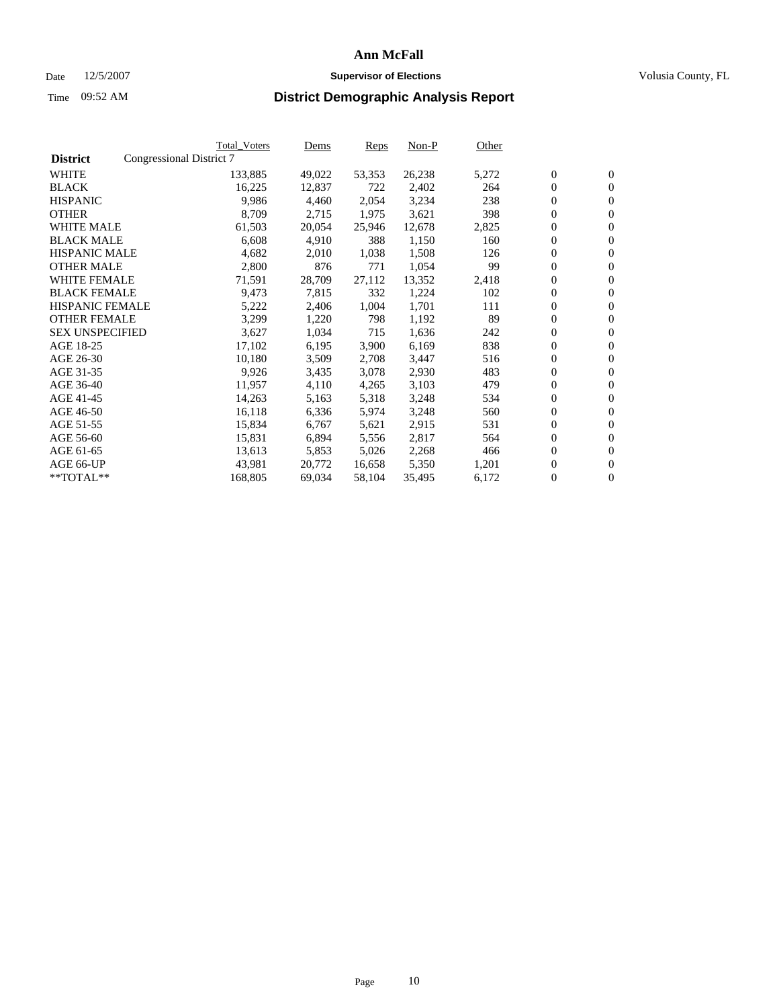#### Date  $12/5/2007$  **Supervisor of Elections** Volusia County, FL

|                        |                          | <b>Total_Voters</b> | Dems   | <b>Reps</b> | Non-P  | Other |                  |                  |  |
|------------------------|--------------------------|---------------------|--------|-------------|--------|-------|------------------|------------------|--|
| <b>District</b>        | Congressional District 7 |                     |        |             |        |       |                  |                  |  |
| <b>WHITE</b>           |                          | 133,885             | 49,022 | 53,353      | 26,238 | 5,272 | $\boldsymbol{0}$ | $\mathbf{0}$     |  |
| <b>BLACK</b>           |                          | 16,225              | 12,837 | 722         | 2,402  | 264   | $\overline{0}$   | $\mathbf{0}$     |  |
| <b>HISPANIC</b>        |                          | 9,986               | 4,460  | 2,054       | 3,234  | 238   | $\boldsymbol{0}$ | $\mathbf{0}$     |  |
| <b>OTHER</b>           |                          | 8,709               | 2,715  | 1,975       | 3,621  | 398   | $\boldsymbol{0}$ | $\mathbf{0}$     |  |
| <b>WHITE MALE</b>      |                          | 61,503              | 20,054 | 25,946      | 12,678 | 2,825 | 0                | $\mathbf{0}$     |  |
| <b>BLACK MALE</b>      |                          | 6,608               | 4,910  | 388         | 1,150  | 160   | $\boldsymbol{0}$ | $\boldsymbol{0}$ |  |
| <b>HISPANIC MALE</b>   |                          | 4,682               | 2,010  | 1,038       | 1,508  | 126   | $\overline{0}$   | $\mathbf{0}$     |  |
| <b>OTHER MALE</b>      |                          | 2,800               | 876    | 771         | 1,054  | 99    | $\overline{0}$   | $\mathbf{0}$     |  |
| <b>WHITE FEMALE</b>    |                          | 71,591              | 28,709 | 27,112      | 13,352 | 2,418 | $\mathbf{0}$     | $\mathbf{0}$     |  |
| <b>BLACK FEMALE</b>    |                          | 9,473               | 7,815  | 332         | 1,224  | 102   | $\boldsymbol{0}$ | $\mathbf{0}$     |  |
| <b>HISPANIC FEMALE</b> |                          | 5,222               | 2,406  | 1,004       | 1,701  | 111   | $\boldsymbol{0}$ | $\boldsymbol{0}$ |  |
| <b>OTHER FEMALE</b>    |                          | 3,299               | 1,220  | 798         | 1,192  | 89    | 0                | $\mathbf{0}$     |  |
| <b>SEX UNSPECIFIED</b> |                          | 3,627               | 1,034  | 715         | 1,636  | 242   | $\boldsymbol{0}$ | $\mathbf{0}$     |  |
| AGE 18-25              |                          | 17,102              | 6,195  | 3,900       | 6,169  | 838   | $\boldsymbol{0}$ | $\mathbf{0}$     |  |
| AGE 26-30              |                          | 10,180              | 3,509  | 2,708       | 3,447  | 516   | $\overline{0}$   | $\mathbf{0}$     |  |
| AGE 31-35              |                          | 9,926               | 3,435  | 3,078       | 2,930  | 483   | $\overline{0}$   | $\mathbf{0}$     |  |
| AGE 36-40              |                          | 11,957              | 4,110  | 4,265       | 3,103  | 479   | $\boldsymbol{0}$ | $\boldsymbol{0}$ |  |
| AGE 41-45              |                          | 14,263              | 5,163  | 5,318       | 3,248  | 534   | $\boldsymbol{0}$ | $\mathbf{0}$     |  |
| AGE 46-50              |                          | 16,118              | 6,336  | 5,974       | 3,248  | 560   | 0                | $\mathbf{0}$     |  |
| AGE 51-55              |                          | 15,834              | 6,767  | 5,621       | 2,915  | 531   | $\boldsymbol{0}$ | $\boldsymbol{0}$ |  |
| AGE 56-60              |                          | 15,831              | 6,894  | 5,556       | 2,817  | 564   | $\overline{0}$   | $\mathbf{0}$     |  |
| AGE 61-65              |                          | 13,613              | 5,853  | 5,026       | 2,268  | 466   | $\mathbf{0}$     | $\boldsymbol{0}$ |  |
| AGE 66-UP              |                          | 43,981              | 20,772 | 16,658      | 5,350  | 1,201 | $\boldsymbol{0}$ | $\boldsymbol{0}$ |  |
| **TOTAL**              |                          | 168,805             | 69,034 | 58,104      | 35,495 | 6,172 | 0                | $\overline{0}$   |  |
|                        |                          |                     |        |             |        |       |                  |                  |  |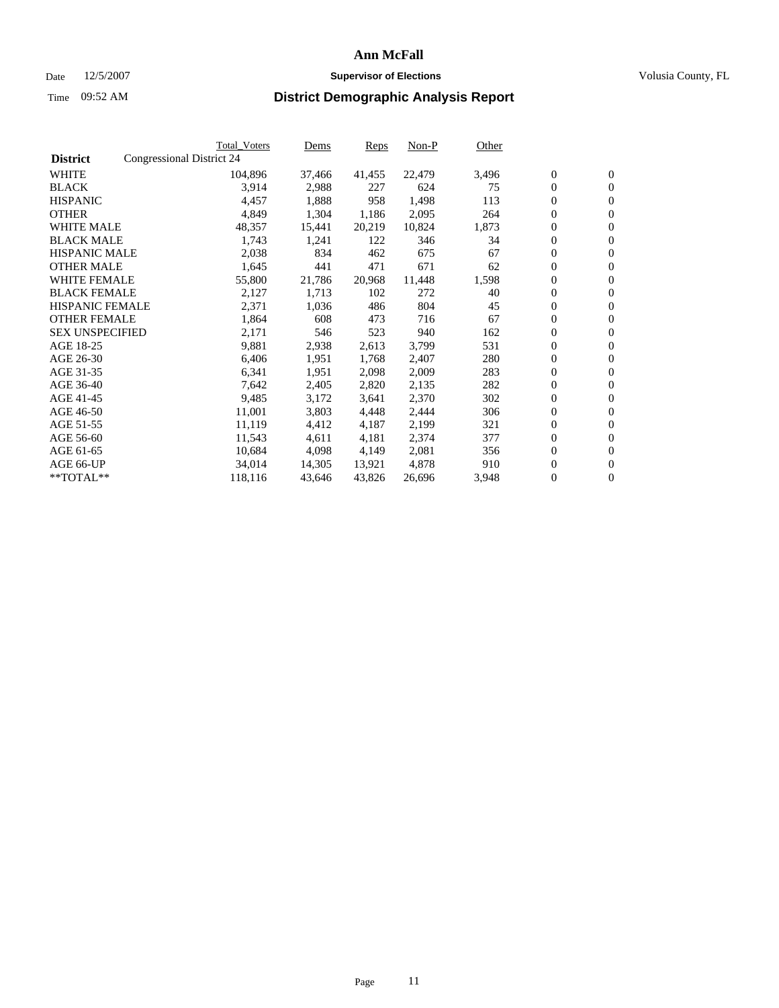#### Date  $12/5/2007$  **Supervisor of Elections** Volusia County, FL

|                        |                           | Total_Voters | Dems   | <b>Reps</b> | Non-P  | Other |                  |                  |  |
|------------------------|---------------------------|--------------|--------|-------------|--------|-------|------------------|------------------|--|
| <b>District</b>        | Congressional District 24 |              |        |             |        |       |                  |                  |  |
| <b>WHITE</b>           |                           | 104,896      | 37,466 | 41,455      | 22,479 | 3,496 | $\boldsymbol{0}$ | $\mathbf{0}$     |  |
| <b>BLACK</b>           |                           | 3,914        | 2,988  | 227         | 624    | 75    | $\mathbf{0}$     | $\mathbf{0}$     |  |
| <b>HISPANIC</b>        |                           | 4,457        | 1,888  | 958         | 1,498  | 113   | $\overline{0}$   | $\mathbf{0}$     |  |
| <b>OTHER</b>           |                           | 4,849        | 1,304  | 1,186       | 2,095  | 264   | $\overline{0}$   | $\overline{0}$   |  |
| <b>WHITE MALE</b>      |                           | 48,357       | 15,441 | 20,219      | 10,824 | 1,873 | $\overline{0}$   | $\mathbf{0}$     |  |
| <b>BLACK MALE</b>      |                           | 1,743        | 1,241  | 122         | 346    | 34    | $\boldsymbol{0}$ | $\boldsymbol{0}$ |  |
| <b>HISPANIC MALE</b>   |                           | 2,038        | 834    | 462         | 675    | 67    | 0                | $\mathbf{0}$     |  |
| <b>OTHER MALE</b>      |                           | 1,645        | 441    | 471         | 671    | 62    | $\boldsymbol{0}$ | $\boldsymbol{0}$ |  |
| <b>WHITE FEMALE</b>    |                           | 55,800       | 21,786 | 20,968      | 11,448 | 1,598 | 0                | $\mathbf{0}$     |  |
| <b>BLACK FEMALE</b>    |                           | 2,127        | 1,713  | 102         | 272    | 40    | $\overline{0}$   | $\mathbf{0}$     |  |
| <b>HISPANIC FEMALE</b> |                           | 2,371        | 1,036  | 486         | 804    | 45    | 0                | $\mathbf{0}$     |  |
| <b>OTHER FEMALE</b>    |                           | 1,864        | 608    | 473         | 716    | 67    | $\mathbf{0}$     | $\mathbf{0}$     |  |
| <b>SEX UNSPECIFIED</b> |                           | 2,171        | 546    | 523         | 940    | 162   | $\boldsymbol{0}$ | $\boldsymbol{0}$ |  |
| AGE 18-25              |                           | 9,881        | 2,938  | 2,613       | 3,799  | 531   | $\overline{0}$   | $\mathbf{0}$     |  |
| AGE 26-30              |                           | 6,406        | 1,951  | 1,768       | 2,407  | 280   | $\boldsymbol{0}$ | $\boldsymbol{0}$ |  |
| AGE 31-35              |                           | 6,341        | 1,951  | 2,098       | 2,009  | 283   | 0                | $\mathbf{0}$     |  |
| AGE 36-40              |                           | 7,642        | 2,405  | 2,820       | 2,135  | 282   | $\boldsymbol{0}$ | $\mathbf{0}$     |  |
| AGE 41-45              |                           | 9,485        | 3,172  | 3,641       | 2,370  | 302   | 0                | $\mathbf{0}$     |  |
| AGE 46-50              |                           | 11,001       | 3,803  | 4,448       | 2,444  | 306   | $\overline{0}$   | $\mathbf{0}$     |  |
| AGE 51-55              |                           | 11,119       | 4,412  | 4,187       | 2,199  | 321   | 0                | $\mathbf{0}$     |  |
| AGE 56-60              |                           | 11,543       | 4,611  | 4,181       | 2,374  | 377   | $\overline{0}$   | $\mathbf{0}$     |  |
| AGE 61-65              |                           | 10,684       | 4,098  | 4,149       | 2,081  | 356   | 0                | $\boldsymbol{0}$ |  |
| AGE 66-UP              |                           | 34,014       | 14,305 | 13,921      | 4,878  | 910   | 0                | $\mathbf{0}$     |  |
| $*$ TOTAL $**$         |                           | 118,116      | 43,646 | 43,826      | 26,696 | 3,948 | 0                | $\boldsymbol{0}$ |  |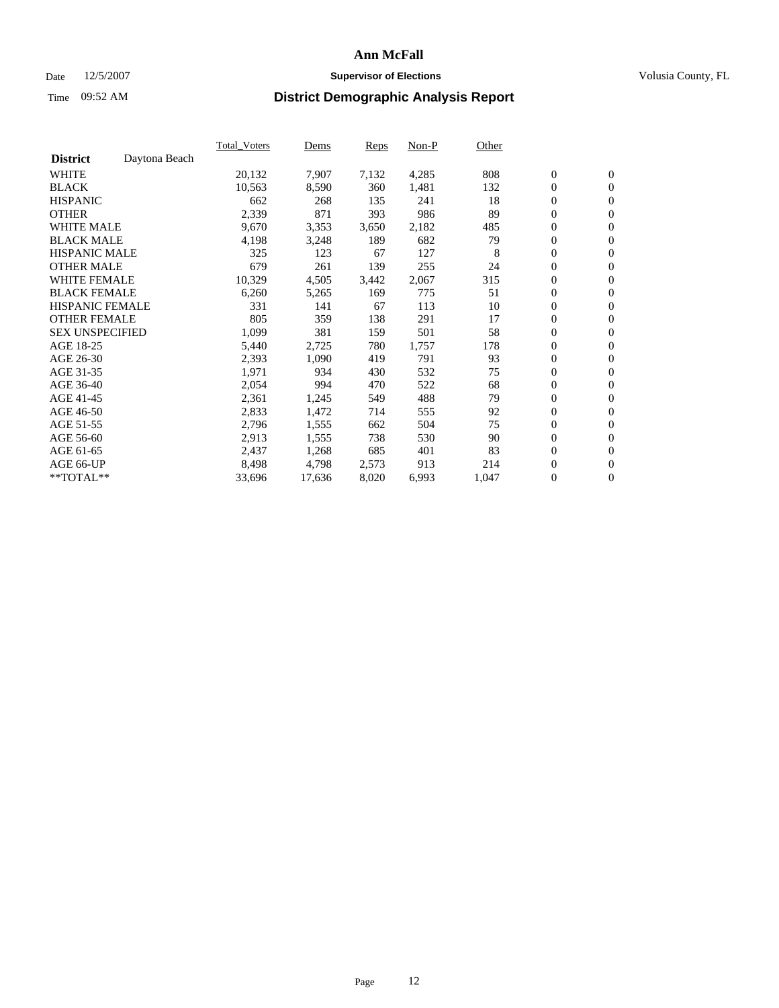#### Date  $12/5/2007$  **Supervisor of Elections** Volusia County, FL

|                        |               | Total Voters | Dems   | <b>Reps</b> | Non-P | Other |                  |                  |  |
|------------------------|---------------|--------------|--------|-------------|-------|-------|------------------|------------------|--|
| <b>District</b>        | Daytona Beach |              |        |             |       |       |                  |                  |  |
| <b>WHITE</b>           |               | 20,132       | 7,907  | 7,132       | 4,285 | 808   | $\boldsymbol{0}$ | $\mathbf{0}$     |  |
| <b>BLACK</b>           |               | 10,563       | 8,590  | 360         | 1,481 | 132   | $\overline{0}$   | $\mathbf{0}$     |  |
| <b>HISPANIC</b>        |               | 662          | 268    | 135         | 241   | 18    | $\boldsymbol{0}$ | $\mathbf{0}$     |  |
| <b>OTHER</b>           |               | 2,339        | 871    | 393         | 986   | 89    | $\boldsymbol{0}$ | $\mathbf{0}$     |  |
| <b>WHITE MALE</b>      |               | 9,670        | 3,353  | 3,650       | 2,182 | 485   | 0                | $\mathbf{0}$     |  |
| <b>BLACK MALE</b>      |               | 4,198        | 3,248  | 189         | 682   | 79    | $\boldsymbol{0}$ | $\boldsymbol{0}$ |  |
| <b>HISPANIC MALE</b>   |               | 325          | 123    | 67          | 127   | 8     | $\overline{0}$   | $\mathbf{0}$     |  |
| <b>OTHER MALE</b>      |               | 679          | 261    | 139         | 255   | 24    | $\overline{0}$   | $\mathbf{0}$     |  |
| <b>WHITE FEMALE</b>    |               | 10,329       | 4,505  | 3,442       | 2,067 | 315   | $\mathbf{0}$     | $\mathbf{0}$     |  |
| <b>BLACK FEMALE</b>    |               | 6,260        | 5,265  | 169         | 775   | 51    | $\boldsymbol{0}$ | $\mathbf{0}$     |  |
| <b>HISPANIC FEMALE</b> |               | 331          | 141    | 67          | 113   | 10    | $\boldsymbol{0}$ | $\boldsymbol{0}$ |  |
| <b>OTHER FEMALE</b>    |               | 805          | 359    | 138         | 291   | 17    | 0                | $\mathbf{0}$     |  |
| <b>SEX UNSPECIFIED</b> |               | 1,099        | 381    | 159         | 501   | 58    | $\boldsymbol{0}$ | $\mathbf{0}$     |  |
| AGE 18-25              |               | 5,440        | 2,725  | 780         | 1,757 | 178   | $\boldsymbol{0}$ | $\mathbf{0}$     |  |
| AGE 26-30              |               | 2,393        | 1,090  | 419         | 791   | 93    | $\overline{0}$   | $\mathbf{0}$     |  |
| AGE 31-35              |               | 1,971        | 934    | 430         | 532   | 75    | $\overline{0}$   | $\mathbf{0}$     |  |
| AGE 36-40              |               | 2,054        | 994    | 470         | 522   | 68    | $\boldsymbol{0}$ | $\mathbf{0}$     |  |
| AGE 41-45              |               | 2,361        | 1,245  | 549         | 488   | 79    | $\boldsymbol{0}$ | $\mathbf{0}$     |  |
| AGE 46-50              |               | 2,833        | 1,472  | 714         | 555   | 92    | 0                | $\mathbf{0}$     |  |
| AGE 51-55              |               | 2,796        | 1,555  | 662         | 504   | 75    | $\boldsymbol{0}$ | $\boldsymbol{0}$ |  |
| AGE 56-60              |               | 2,913        | 1,555  | 738         | 530   | 90    | $\overline{0}$   | $\mathbf{0}$     |  |
| AGE 61-65              |               | 2,437        | 1,268  | 685         | 401   | 83    | $\mathbf{0}$     | $\mathbf{0}$     |  |
| AGE 66-UP              |               | 8,498        | 4,798  | 2,573       | 913   | 214   | $\boldsymbol{0}$ | $\boldsymbol{0}$ |  |
| **TOTAL**              |               | 33,696       | 17,636 | 8,020       | 6,993 | 1,047 | $\boldsymbol{0}$ | $\overline{0}$   |  |
|                        |               |              |        |             |       |       |                  |                  |  |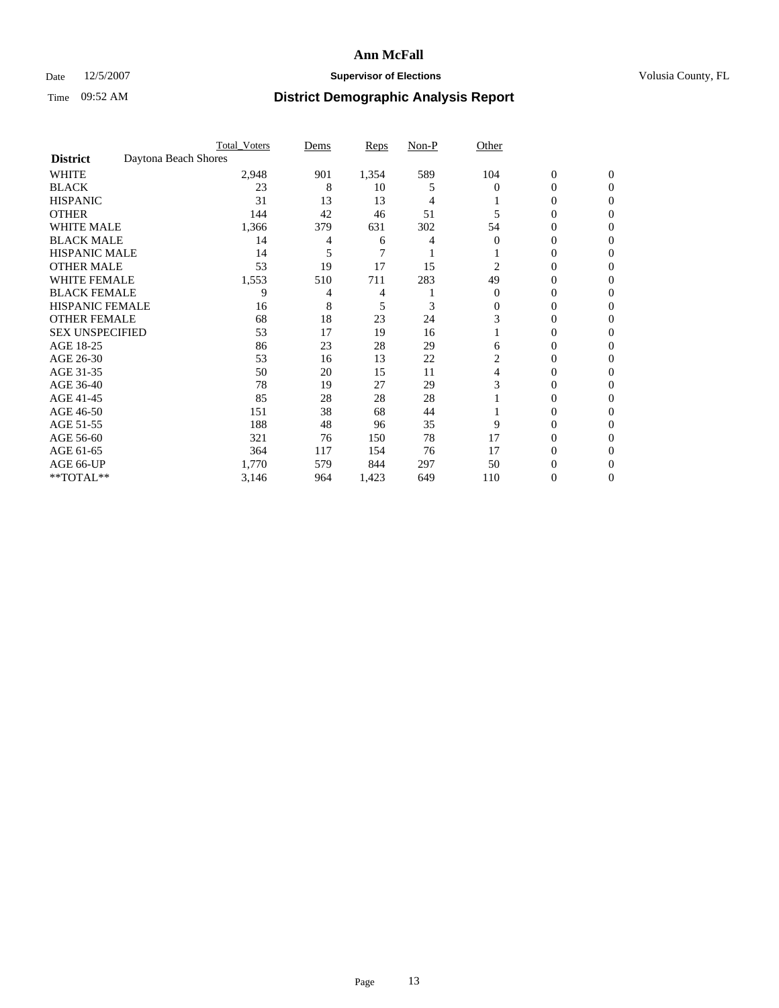### Date 12/5/2007 **Supervisor of Elections Supervisor of Elections** Volusia County, FL

|                        | <b>Total Voters</b>  | Dems | Reps  | Non-P | Other    |                  |              |  |
|------------------------|----------------------|------|-------|-------|----------|------------------|--------------|--|
| <b>District</b>        | Daytona Beach Shores |      |       |       |          |                  |              |  |
| <b>WHITE</b>           | 2,948                | 901  | 1,354 | 589   | 104      | $\boldsymbol{0}$ | $\mathbf{0}$ |  |
| <b>BLACK</b>           | 23                   | 8    | 10    | 5     | $\Omega$ | 0                | $\mathbf{0}$ |  |
| <b>HISPANIC</b>        | 31                   | 13   | 13    | 4     |          | 0                | $\Omega$     |  |
| <b>OTHER</b>           | 144                  | 42   | 46    | 51    |          | $\overline{0}$   | $\theta$     |  |
| <b>WHITE MALE</b>      | 1,366                | 379  | 631   | 302   | 54       | 0                | 0            |  |
| <b>BLACK MALE</b>      | 14                   | 4    | 6     |       | 0        | 0                | 0            |  |
| <b>HISPANIC MALE</b>   | 14                   |      | 7     |       |          | 0                |              |  |
| <b>OTHER MALE</b>      | 53                   | 19   | 17    | 15    | 2        | 0                | 0            |  |
| <b>WHITE FEMALE</b>    | 1,553                | 510  | 711   | 283   | 49       | 0                | 0            |  |
| <b>BLACK FEMALE</b>    | 9                    | 4    | 4     |       | $\Omega$ | 0                | 0            |  |
| <b>HISPANIC FEMALE</b> | 16                   | 8    | 5     | 3     | 0        | 0                | $\Omega$     |  |
| <b>OTHER FEMALE</b>    | 68                   | 18   | 23    | 24    | 3        | 0                | $\theta$     |  |
| <b>SEX UNSPECIFIED</b> | 53                   | 17   | 19    | 16    |          | 0                | $\theta$     |  |
| AGE 18-25              | 86                   | 23   | 28    | 29    | 6        | 0                | $_{0}$       |  |
| AGE 26-30              | 53                   | 16   | 13    | 22    | 2        | 0                | 0            |  |
| AGE 31-35              | 50                   | 20   | 15    | 11    | 4        | 0                | 0            |  |
| AGE 36-40              | 78                   | 19   | 27    | 29    | 3        | 0                | 0            |  |
| AGE 41-45              | 85                   | 28   | 28    | 28    |          | 0                | 0            |  |
| AGE 46-50              | 151                  | 38   | 68    | 44    |          | 0                | $\Omega$     |  |
| AGE 51-55              | 188                  | 48   | 96    | 35    | 9        | 0                | $\theta$     |  |
| AGE 56-60              | 321                  | 76   | 150   | 78    | 17       | 0                | $\theta$     |  |
| AGE 61-65              | 364                  | 117  | 154   | 76    | 17       | 0                | 0            |  |
| AGE 66-UP              | 1,770                | 579  | 844   | 297   | 50       | 0                |              |  |
| **TOTAL**              | 3,146                | 964  | 1,423 | 649   | 110      | 0                | 0            |  |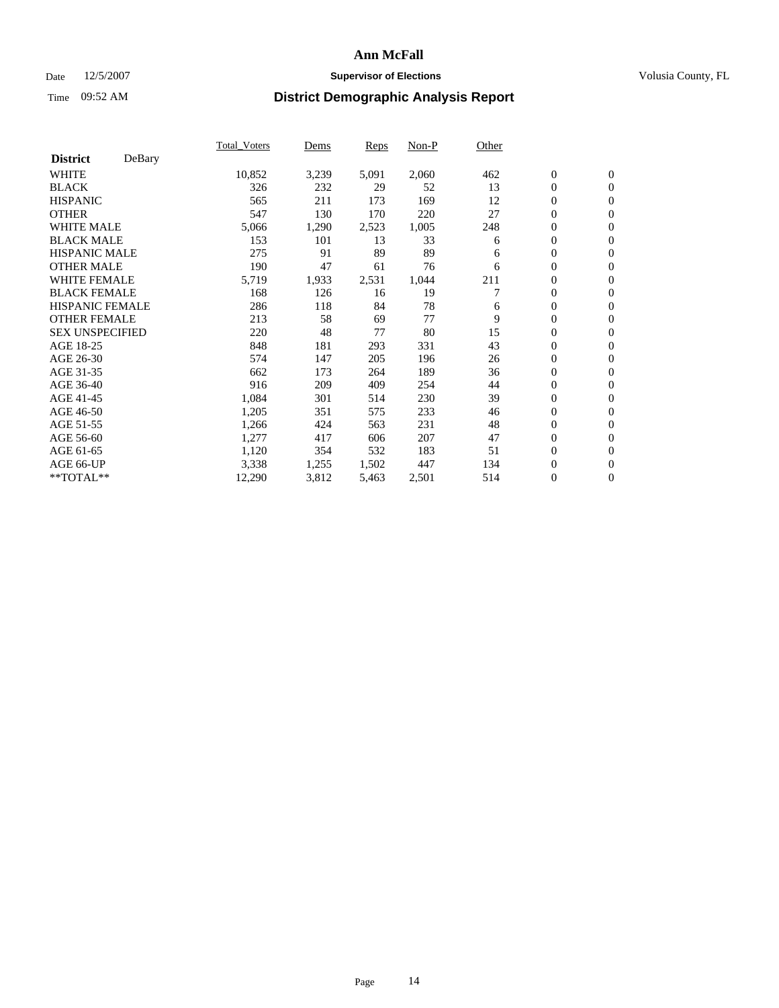### Date 12/5/2007 **Supervisor of Elections Supervisor of Elections** Volusia County, FL

|                        |        | Total Voters | Dems  | <b>Reps</b> | Non-P | Other |                  |                  |
|------------------------|--------|--------------|-------|-------------|-------|-------|------------------|------------------|
| <b>District</b>        | DeBary |              |       |             |       |       |                  |                  |
| <b>WHITE</b>           |        | 10,852       | 3,239 | 5,091       | 2,060 | 462   | $\boldsymbol{0}$ | $\boldsymbol{0}$ |
| <b>BLACK</b>           |        | 326          | 232   | 29          | 52    | 13    | $\boldsymbol{0}$ | $\mathbf{0}$     |
| <b>HISPANIC</b>        |        | 565          | 211   | 173         | 169   | 12    | $\overline{0}$   | $\mathbf{0}$     |
| <b>OTHER</b>           |        | 547          | 130   | 170         | 220   | 27    | $\boldsymbol{0}$ | $\mathbf{0}$     |
| <b>WHITE MALE</b>      |        | 5,066        | 1,290 | 2,523       | 1,005 | 248   | $\boldsymbol{0}$ | $\boldsymbol{0}$ |
| <b>BLACK MALE</b>      |        | 153          | 101   | 13          | 33    | 6     | 0                | $\mathbf{0}$     |
| <b>HISPANIC MALE</b>   |        | 275          | 91    | 89          | 89    | 6     | 0                | $\boldsymbol{0}$ |
| <b>OTHER MALE</b>      |        | 190          | 47    | 61          | 76    | 6     | 0                | $\mathbf{0}$     |
| WHITE FEMALE           |        | 5,719        | 1,933 | 2,531       | 1,044 | 211   | $\overline{0}$   | $\mathbf{0}$     |
| <b>BLACK FEMALE</b>    |        | 168          | 126   | 16          | 19    |       | $\overline{0}$   | $\mathbf{0}$     |
| <b>HISPANIC FEMALE</b> |        | 286          | 118   | 84          | 78    | 6     | $\boldsymbol{0}$ | $\boldsymbol{0}$ |
| <b>OTHER FEMALE</b>    |        | 213          | 58    | 69          | 77    | 9     | 0                | $\mathbf{0}$     |
| <b>SEX UNSPECIFIED</b> |        | 220          | 48    | 77          | 80    | 15    | 0                | $\mathbf{0}$     |
| AGE 18-25              |        | 848          | 181   | 293         | 331   | 43    | $\boldsymbol{0}$ | $\mathbf{0}$     |
| AGE 26-30              |        | 574          | 147   | 205         | 196   | 26    | $\overline{0}$   | $\mathbf{0}$     |
| AGE 31-35              |        | 662          | 173   | 264         | 189   | 36    | $\overline{0}$   | $\mathbf{0}$     |
| AGE 36-40              |        | 916          | 209   | 409         | 254   | 44    | $\boldsymbol{0}$ | $\boldsymbol{0}$ |
| AGE 41-45              |        | 1,084        | 301   | 514         | 230   | 39    | 0                | $\mathbf{0}$     |
| AGE 46-50              |        | 1,205        | 351   | 575         | 233   | 46    | $\boldsymbol{0}$ | $\mathbf{0}$     |
| AGE 51-55              |        | 1,266        | 424   | 563         | 231   | 48    | $\overline{0}$   | $\mathbf{0}$     |
| AGE 56-60              |        | 1,277        | 417   | 606         | 207   | 47    | $\overline{0}$   | $\mathbf{0}$     |
| AGE 61-65              |        | 1,120        | 354   | 532         | 183   | 51    | $\boldsymbol{0}$ | $\mathbf{0}$     |
| AGE 66-UP              |        | 3,338        | 1,255 | 1,502       | 447   | 134   | 0                | $\boldsymbol{0}$ |
| $*$ TOTAL $**$         |        | 12,290       | 3,812 | 5,463       | 2,501 | 514   | 0                | $\boldsymbol{0}$ |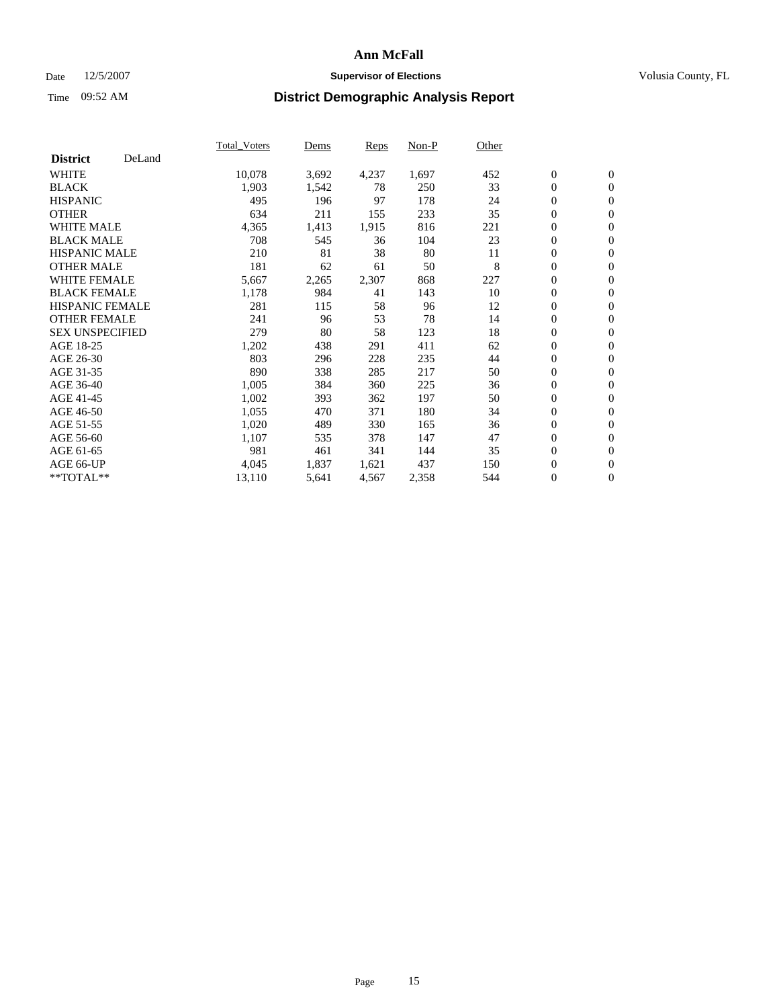### Date 12/5/2007 **Supervisor of Elections Supervisor of Elections** Volusia County, FL

|                        |        | Total_Voters | Dems  | <b>Reps</b> | Non-P | Other |                  |                  |  |
|------------------------|--------|--------------|-------|-------------|-------|-------|------------------|------------------|--|
| <b>District</b>        | DeLand |              |       |             |       |       |                  |                  |  |
| <b>WHITE</b>           |        | 10,078       | 3,692 | 4,237       | 1,697 | 452   | $\boldsymbol{0}$ | $\boldsymbol{0}$ |  |
| <b>BLACK</b>           |        | 1,903        | 1,542 | 78          | 250   | 33    | $\overline{0}$   | $\mathbf{0}$     |  |
| <b>HISPANIC</b>        |        | 495          | 196   | 97          | 178   | 24    | $\overline{0}$   | $\mathbf{0}$     |  |
| <b>OTHER</b>           |        | 634          | 211   | 155         | 233   | 35    | $\overline{0}$   | $\mathbf{0}$     |  |
| <b>WHITE MALE</b>      |        | 4,365        | 1,413 | 1,915       | 816   | 221   | $\overline{0}$   | $\mathbf{0}$     |  |
| <b>BLACK MALE</b>      |        | 708          | 545   | 36          | 104   | 23    | $\boldsymbol{0}$ | $\boldsymbol{0}$ |  |
| <b>HISPANIC MALE</b>   |        | 210          | 81    | 38          | 80    | 11    | 0                | $\mathbf{0}$     |  |
| <b>OTHER MALE</b>      |        | 181          | 62    | 61          | 50    | 8     | $\boldsymbol{0}$ | $\boldsymbol{0}$ |  |
| <b>WHITE FEMALE</b>    |        | 5,667        | 2,265 | 2,307       | 868   | 227   | $\overline{0}$   | $\mathbf{0}$     |  |
| <b>BLACK FEMALE</b>    |        | 1,178        | 984   | 41          | 143   | 10    | $\boldsymbol{0}$ | $\mathbf{0}$     |  |
| <b>HISPANIC FEMALE</b> |        | 281          | 115   | 58          | 96    | 12    | $\mathbf{0}$     | $\mathbf{0}$     |  |
| <b>OTHER FEMALE</b>    |        | 241          | 96    | 53          | 78    | 14    | $\overline{0}$   | $\mathbf{0}$     |  |
| <b>SEX UNSPECIFIED</b> |        | 279          | 80    | 58          | 123   | 18    | $\boldsymbol{0}$ | $\boldsymbol{0}$ |  |
| AGE 18-25              |        | 1,202        | 438   | 291         | 411   | 62    | $\overline{0}$   | $\mathbf{0}$     |  |
| AGE 26-30              |        | 803          | 296   | 228         | 235   | 44    | $\boldsymbol{0}$ | $\mathbf{0}$     |  |
| AGE 31-35              |        | 890          | 338   | 285         | 217   | 50    | 0                | $\mathbf{0}$     |  |
| AGE 36-40              |        | 1,005        | 384   | 360         | 225   | 36    | $\boldsymbol{0}$ | $\mathbf{0}$     |  |
| AGE 41-45              |        | 1,002        | 393   | 362         | 197   | 50    | $\mathbf{0}$     | $\mathbf{0}$     |  |
| AGE 46-50              |        | 1,055        | 470   | 371         | 180   | 34    | $\overline{0}$   | $\mathbf{0}$     |  |
| AGE 51-55              |        | 1,020        | 489   | 330         | 165   | 36    | $\mathbf{0}$     | $\mathbf{0}$     |  |
| AGE 56-60              |        | 1,107        | 535   | 378         | 147   | 47    | $\boldsymbol{0}$ | $\mathbf{0}$     |  |
| AGE 61-65              |        | 981          | 461   | 341         | 144   | 35    | $\boldsymbol{0}$ | $\boldsymbol{0}$ |  |
| AGE 66-UP              |        | 4,045        | 1,837 | 1,621       | 437   | 150   | 0                | $\mathbf{0}$     |  |
| $*$ TOTAL $**$         |        | 13,110       | 5,641 | 4,567       | 2,358 | 544   | 0                | $\boldsymbol{0}$ |  |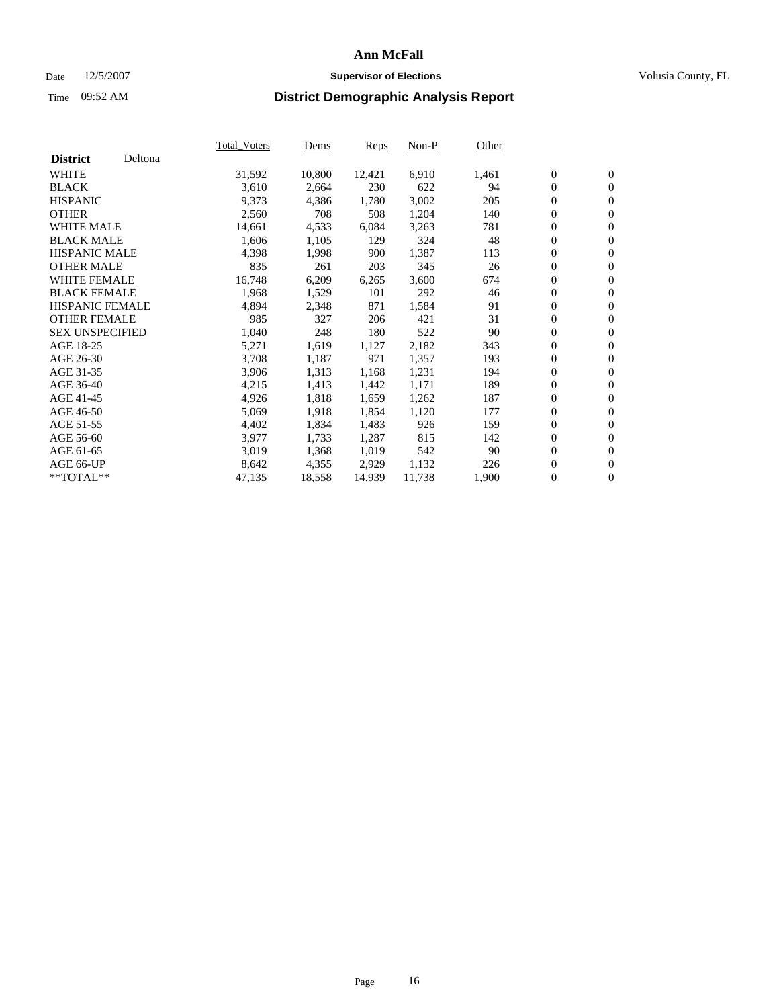### Date 12/5/2007 **Supervisor of Elections Supervisor of Elections** Volusia County, FL

|                        |         | <b>Total_Voters</b> | Dems   | <b>Reps</b> | Non-P  | Other |                  |                  |  |
|------------------------|---------|---------------------|--------|-------------|--------|-------|------------------|------------------|--|
| <b>District</b>        | Deltona |                     |        |             |        |       |                  |                  |  |
| <b>WHITE</b>           |         | 31,592              | 10,800 | 12,421      | 6,910  | 1,461 | $\boldsymbol{0}$ | $\mathbf{0}$     |  |
| <b>BLACK</b>           |         | 3,610               | 2,664  | 230         | 622    | 94    | $\boldsymbol{0}$ | $\mathbf{0}$     |  |
| <b>HISPANIC</b>        |         | 9,373               | 4,386  | 1,780       | 3,002  | 205   | $\overline{0}$   | $\mathbf{0}$     |  |
| <b>OTHER</b>           |         | 2,560               | 708    | 508         | 1,204  | 140   | 0                | $\overline{0}$   |  |
| <b>WHITE MALE</b>      |         | 14,661              | 4,533  | 6,084       | 3,263  | 781   | 0                | $\mathbf{0}$     |  |
| <b>BLACK MALE</b>      |         | 1,606               | 1,105  | 129         | 324    | 48    | 0                | $\boldsymbol{0}$ |  |
| <b>HISPANIC MALE</b>   |         | 4,398               | 1,998  | 900         | 1,387  | 113   | 0                | $\overline{0}$   |  |
| <b>OTHER MALE</b>      |         | 835                 | 261    | 203         | 345    | 26    | 0                | $\boldsymbol{0}$ |  |
| <b>WHITE FEMALE</b>    |         | 16,748              | 6,209  | 6,265       | 3,600  | 674   | 0                | $\mathbf{0}$     |  |
| <b>BLACK FEMALE</b>    |         | 1,968               | 1,529  | 101         | 292    | 46    | $\overline{0}$   | $\mathbf{0}$     |  |
| <b>HISPANIC FEMALE</b> |         | 4,894               | 2,348  | 871         | 1,584  | 91    | 0                | $\mathbf{0}$     |  |
| <b>OTHER FEMALE</b>    |         | 985                 | 327    | 206         | 421    | 31    | $\overline{0}$   | $\overline{0}$   |  |
| <b>SEX UNSPECIFIED</b> |         | 1,040               | 248    | 180         | 522    | 90    | 0                | $\boldsymbol{0}$ |  |
| AGE 18-25              |         | 5,271               | 1,619  | 1,127       | 2,182  | 343   | 0                | $\mathbf{0}$     |  |
| AGE 26-30              |         | 3,708               | 1,187  | 971         | 1,357  | 193   | 0                | $\boldsymbol{0}$ |  |
| AGE 31-35              |         | 3,906               | 1,313  | 1,168       | 1,231  | 194   | 0                | $\overline{0}$   |  |
| AGE 36-40              |         | 4,215               | 1,413  | 1,442       | 1,171  | 189   | 0                | $\mathbf{0}$     |  |
| AGE 41-45              |         | 4,926               | 1,818  | 1,659       | 1,262  | 187   | 0                | $\mathbf{0}$     |  |
| AGE 46-50              |         | 5,069               | 1,918  | 1,854       | 1,120  | 177   | $\overline{0}$   | $\mathbf{0}$     |  |
| AGE 51-55              |         | 4,402               | 1,834  | 1,483       | 926    | 159   | $\overline{0}$   | $\overline{0}$   |  |
| AGE 56-60              |         | 3,977               | 1,733  | 1,287       | 815    | 142   | 0                | $\overline{0}$   |  |
| AGE 61-65              |         | 3,019               | 1,368  | 1,019       | 542    | 90    | 0                | $\boldsymbol{0}$ |  |
| AGE 66-UP              |         | 8,642               | 4,355  | 2,929       | 1,132  | 226   | 0                | $\mathbf{0}$     |  |
| $*$ TOTAL $**$         |         | 47,135              | 18,558 | 14,939      | 11,738 | 1,900 | 0                | $\boldsymbol{0}$ |  |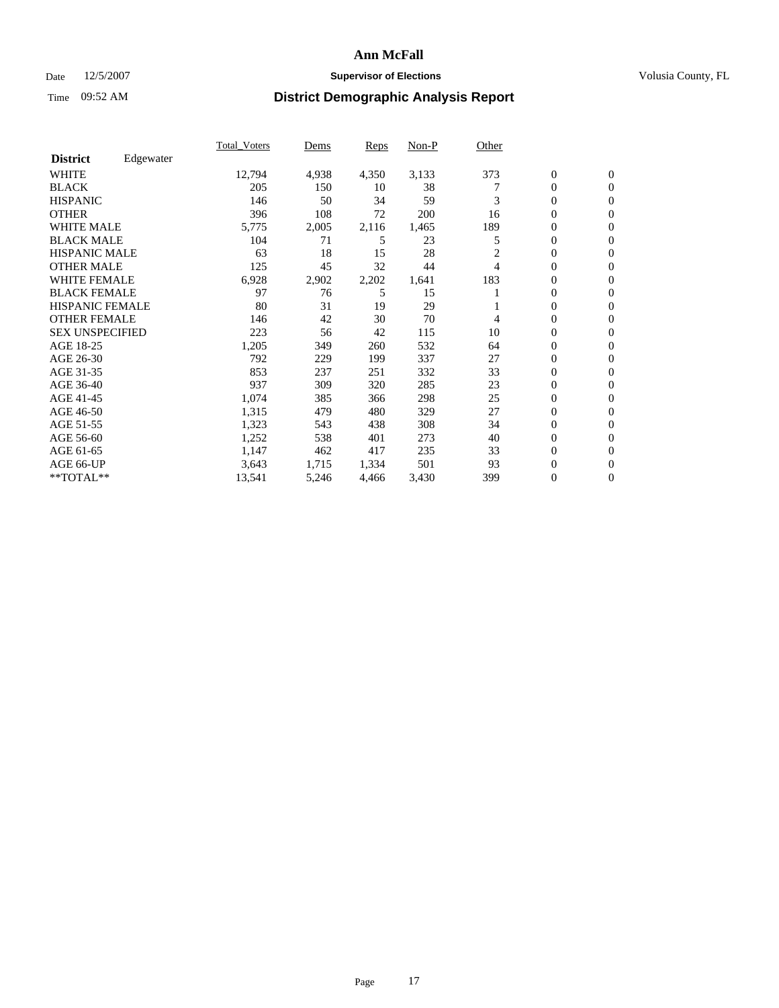### Date 12/5/2007 **Supervisor of Elections Supervisor of Elections** Volusia County, FL

|                        |           | <b>Total Voters</b> | Dems  | Reps  | Non-P | Other          |                  |                  |  |
|------------------------|-----------|---------------------|-------|-------|-------|----------------|------------------|------------------|--|
| <b>District</b>        | Edgewater |                     |       |       |       |                |                  |                  |  |
| <b>WHITE</b>           |           | 12,794              | 4,938 | 4,350 | 3,133 | 373            | $\boldsymbol{0}$ | $\mathbf{0}$     |  |
| <b>BLACK</b>           |           | 205                 | 150   | 10    | 38    |                | $\mathbf{0}$     | $\mathbf{0}$     |  |
| <b>HISPANIC</b>        |           | 146                 | 50    | 34    | 59    | 3              | $\mathbf{0}$     | $\mathbf{0}$     |  |
| <b>OTHER</b>           |           | 396                 | 108   | 72    | 200   | 16             | 0                | $\mathbf{0}$     |  |
| <b>WHITE MALE</b>      |           | 5,775               | 2,005 | 2,116 | 1,465 | 189            | 0                | $\mathbf{0}$     |  |
| <b>BLACK MALE</b>      |           | 104                 | 71    | 5     | 23    | 5              | 0                | $\boldsymbol{0}$ |  |
| <b>HISPANIC MALE</b>   |           | 63                  | 18    | 15    | 28    | $\overline{c}$ | 0                | $\mathbf{0}$     |  |
| <b>OTHER MALE</b>      |           | 125                 | 45    | 32    | 44    | 4              | 0                | $\mathbf{0}$     |  |
| <b>WHITE FEMALE</b>    |           | 6,928               | 2,902 | 2,202 | 1,641 | 183            | 0                | $\mathbf{0}$     |  |
| <b>BLACK FEMALE</b>    |           | 97                  | 76    | 5     | 15    |                | $\mathbf{0}$     | $\mathbf{0}$     |  |
| <b>HISPANIC FEMALE</b> |           | 80                  | 31    | 19    | 29    |                | 0                | $\mathbf{0}$     |  |
| <b>OTHER FEMALE</b>    |           | 146                 | 42    | 30    | 70    | 4              | $\overline{0}$   | $\mathbf{0}$     |  |
| <b>SEX UNSPECIFIED</b> |           | 223                 | 56    | 42    | 115   | 10             | $\boldsymbol{0}$ | $\mathbf{0}$     |  |
| AGE 18-25              |           | 1,205               | 349   | 260   | 532   | 64             | 0                | $\mathbf{0}$     |  |
| AGE 26-30              |           | 792                 | 229   | 199   | 337   | 27             | 0                | $\mathbf{0}$     |  |
| AGE 31-35              |           | 853                 | 237   | 251   | 332   | 33             | 0                | $\mathbf{0}$     |  |
| AGE 36-40              |           | 937                 | 309   | 320   | 285   | 23             | $\boldsymbol{0}$ | $\mathbf{0}$     |  |
| AGE 41-45              |           | 1,074               | 385   | 366   | 298   | 25             | 0                | $\mathbf{0}$     |  |
| AGE 46-50              |           | 1,315               | 479   | 480   | 329   | 27             | $\mathbf{0}$     | $\mathbf{0}$     |  |
| AGE 51-55              |           | 1,323               | 543   | 438   | 308   | 34             | $\overline{0}$   | $\mathbf{0}$     |  |
| AGE 56-60              |           | 1,252               | 538   | 401   | 273   | 40             | $\mathbf{0}$     | $\mathbf{0}$     |  |
| AGE 61-65              |           | 1,147               | 462   | 417   | 235   | 33             | 0                | $\mathbf{0}$     |  |
| AGE 66-UP              |           | 3,643               | 1,715 | 1,334 | 501   | 93             | 0                | 0                |  |
| **TOTAL**              |           | 13,541              | 5,246 | 4,466 | 3,430 | 399            | $\boldsymbol{0}$ | $\boldsymbol{0}$ |  |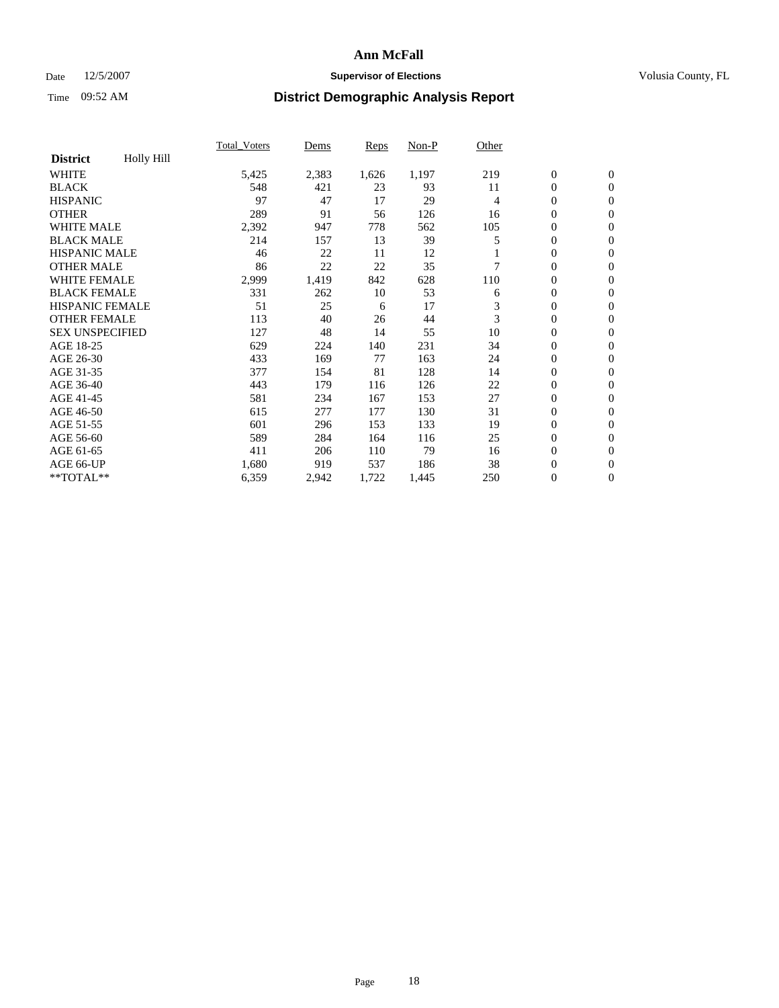### Date 12/5/2007 **Supervisor of Elections Supervisor of Elections** Volusia County, FL

|                        |                   | <b>Total Voters</b> | Dems  | Reps  | Non-P | Other |                  |                  |  |
|------------------------|-------------------|---------------------|-------|-------|-------|-------|------------------|------------------|--|
| <b>District</b>        | <b>Holly Hill</b> |                     |       |       |       |       |                  |                  |  |
| <b>WHITE</b>           |                   | 5,425               | 2,383 | 1,626 | 1,197 | 219   | $\boldsymbol{0}$ | $\boldsymbol{0}$ |  |
| <b>BLACK</b>           |                   | 548                 | 421   | 23    | 93    | 11    | $\mathbf{0}$     | $\mathbf{0}$     |  |
| <b>HISPANIC</b>        |                   | 97                  | 47    | 17    | 29    | 4     | $\mathbf{0}$     | $\mathbf{0}$     |  |
| <b>OTHER</b>           |                   | 289                 | 91    | 56    | 126   | 16    | 0                | $\mathbf{0}$     |  |
| <b>WHITE MALE</b>      |                   | 2,392               | 947   | 778   | 562   | 105   | 0                | $\mathbf{0}$     |  |
| <b>BLACK MALE</b>      |                   | 214                 | 157   | 13    | 39    | 5     | 0                | $\boldsymbol{0}$ |  |
| <b>HISPANIC MALE</b>   |                   | 46                  | 22    | 11    | 12    |       | 0                | $\mathbf{0}$     |  |
| <b>OTHER MALE</b>      |                   | 86                  | 22    | 22    | 35    |       | 0                | $\mathbf{0}$     |  |
| <b>WHITE FEMALE</b>    |                   | 2,999               | 1,419 | 842   | 628   | 110   | 0                | $\mathbf{0}$     |  |
| <b>BLACK FEMALE</b>    |                   | 331                 | 262   | 10    | 53    | 6     | $\boldsymbol{0}$ | $\mathbf{0}$     |  |
| <b>HISPANIC FEMALE</b> |                   | 51                  | 25    | 6     | 17    | 3     | $\overline{0}$   | $\mathbf{0}$     |  |
| <b>OTHER FEMALE</b>    |                   | 113                 | 40    | 26    | 44    | 3     | $\overline{0}$   | $\mathbf{0}$     |  |
| <b>SEX UNSPECIFIED</b> |                   | 127                 | 48    | 14    | 55    | 10    | $\boldsymbol{0}$ | $\boldsymbol{0}$ |  |
| AGE 18-25              |                   | 629                 | 224   | 140   | 231   | 34    | 0                | $\mathbf{0}$     |  |
| AGE 26-30              |                   | 433                 | 169   | 77    | 163   | 24    | 0                | $\mathbf{0}$     |  |
| AGE 31-35              |                   | 377                 | 154   | 81    | 128   | 14    | 0                | $\mathbf{0}$     |  |
| AGE 36-40              |                   | 443                 | 179   | 116   | 126   | 22    | $\boldsymbol{0}$ | $\mathbf{0}$     |  |
| AGE 41-45              |                   | 581                 | 234   | 167   | 153   | 27    | 0                | $\mathbf{0}$     |  |
| AGE 46-50              |                   | 615                 | 277   | 177   | 130   | 31    | $\mathbf{0}$     | $\mathbf{0}$     |  |
| AGE 51-55              |                   | 601                 | 296   | 153   | 133   | 19    | $\overline{0}$   | $\mathbf{0}$     |  |
| AGE 56-60              |                   | 589                 | 284   | 164   | 116   | 25    | $\boldsymbol{0}$ | $\mathbf{0}$     |  |
| AGE 61-65              |                   | 411                 | 206   | 110   | 79    | 16    | 0                | $\mathbf{0}$     |  |
| AGE 66-UP              |                   | 1,680               | 919   | 537   | 186   | 38    | 0                | 0                |  |
| $*$ TOTAL $**$         |                   | 6,359               | 2,942 | 1,722 | 1,445 | 250   | $\boldsymbol{0}$ | $\boldsymbol{0}$ |  |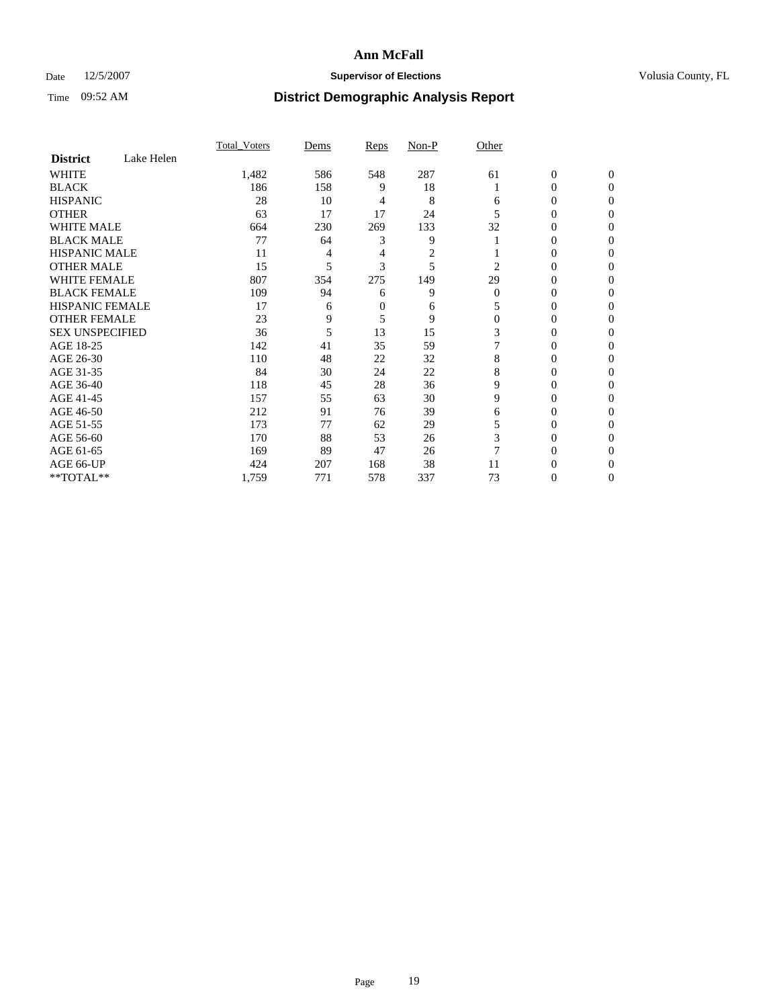### Date 12/5/2007 **Supervisor of Elections Supervisor of Elections** Volusia County, FL

|                        |            | <b>Total Voters</b> | Dems | Reps | Non-P | Other    |                  |                |  |
|------------------------|------------|---------------------|------|------|-------|----------|------------------|----------------|--|
| <b>District</b>        | Lake Helen |                     |      |      |       |          |                  |                |  |
| <b>WHITE</b>           |            | 1,482               | 586  | 548  | 287   | 61       | $\boldsymbol{0}$ | $\mathbf{0}$   |  |
| <b>BLACK</b>           |            | 186                 | 158  | 9    | 18    |          | 0                | $\overline{0}$ |  |
| <b>HISPANIC</b>        |            | 28                  | 10   | 4    | 8     | 6        | 0                | $\Omega$       |  |
| <b>OTHER</b>           |            | 63                  | 17   | 17   | 24    |          | $\overline{0}$   | $\theta$       |  |
| <b>WHITE MALE</b>      |            | 664                 | 230  | 269  | 133   | 32       | 0                | 0              |  |
| <b>BLACK MALE</b>      |            | 77                  | 64   | 3    | 9     |          | 0                | 0              |  |
| <b>HISPANIC MALE</b>   |            | 11                  | 4    | 4    | 2     |          | 0                |                |  |
| <b>OTHER MALE</b>      |            | 15                  | 5    | 3    | 5     | 2        | 0                | 0              |  |
| <b>WHITE FEMALE</b>    |            | 807                 | 354  | 275  | 149   | 29       | 0                | 0              |  |
| <b>BLACK FEMALE</b>    |            | 109                 | 94   | 6    | 9     | $\Omega$ | 0                | 0              |  |
| <b>HISPANIC FEMALE</b> |            | 17                  | 6    | 0    | 6     |          | 0                | $\Omega$       |  |
| <b>OTHER FEMALE</b>    |            | 23                  | 9    | 5    | 9     | $\Omega$ | 0                | $\theta$       |  |
| <b>SEX UNSPECIFIED</b> |            | 36                  | 5    | 13   | 15    | 3        | 0                | $\theta$       |  |
| AGE 18-25              |            | 142                 | 41   | 35   | 59    |          | 0                | $_{0}$         |  |
| AGE 26-30              |            | 110                 | 48   | 22   | 32    | 8        | 0                | 0              |  |
| AGE 31-35              |            | 84                  | 30   | 24   | 22    | 8        | 0                |                |  |
| AGE 36-40              |            | 118                 | 45   | 28   | 36    | 9        | 0                | 0              |  |
| AGE 41-45              |            | 157                 | 55   | 63   | 30    | 9        | 0                | 0              |  |
| AGE 46-50              |            | 212                 | 91   | 76   | 39    | 6        | 0                | $\Omega$       |  |
| AGE 51-55              |            | 173                 | 77   | 62   | 29    |          | 0                | $\theta$       |  |
| AGE 56-60              |            | 170                 | 88   | 53   | 26    | 3        | 0                | 0              |  |
| AGE 61-65              |            | 169                 | 89   | 47   | 26    |          | 0                | 0              |  |
| AGE 66-UP              |            | 424                 | 207  | 168  | 38    | 11       | 0                |                |  |
| **TOTAL**              |            | 1,759               | 771  | 578  | 337   | 73       | 0                | 0              |  |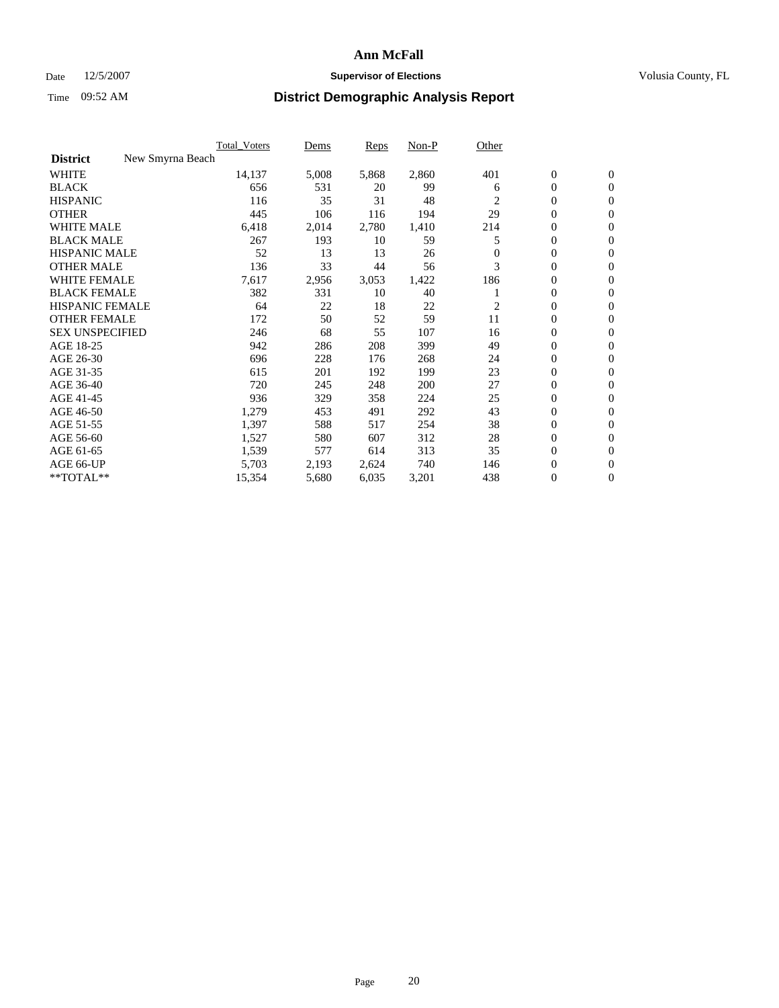#### Date  $12/5/2007$  **Supervisor of Elections** Volusia County, FL

|                                     | <b>Total Voters</b> | Dems  | Reps  | Non-P | Other          |                  |                  |  |
|-------------------------------------|---------------------|-------|-------|-------|----------------|------------------|------------------|--|
| New Smyrna Beach<br><b>District</b> |                     |       |       |       |                |                  |                  |  |
| <b>WHITE</b>                        | 14,137              | 5,008 | 5,868 | 2,860 | 401            | $\boldsymbol{0}$ | $\mathbf{0}$     |  |
| <b>BLACK</b>                        | 656                 | 531   | 20    | 99    | 6              | $\mathbf{0}$     | $\mathbf{0}$     |  |
| <b>HISPANIC</b>                     | 116                 | 35    | 31    | 48    | $\overline{c}$ | $\mathbf{0}$     | $\overline{0}$   |  |
| <b>OTHER</b>                        | 445                 | 106   | 116   | 194   | 29             | 0                | $\mathbf{0}$     |  |
| <b>WHITE MALE</b>                   | 6,418               | 2,014 | 2,780 | 1,410 | 214            | 0                | $\mathbf{0}$     |  |
| <b>BLACK MALE</b>                   | 267                 | 193   | 10    | 59    | 5              | 0                | $\boldsymbol{0}$ |  |
| <b>HISPANIC MALE</b>                | 52                  | 13    | 13    | 26    | $\Omega$       | 0                | $\mathbf{0}$     |  |
| <b>OTHER MALE</b>                   | 136                 | 33    | 44    | 56    | 3              | $\mathbf{0}$     | $\mathbf{0}$     |  |
| <b>WHITE FEMALE</b>                 | 7,617               | 2,956 | 3,053 | 1,422 | 186            | 0                | $\mathbf{0}$     |  |
| <b>BLACK FEMALE</b>                 | 382                 | 331   | 10    | 40    |                | $\boldsymbol{0}$ | $\mathbf{0}$     |  |
| <b>HISPANIC FEMALE</b>              | 64                  | 22    | 18    | 22    | 2              | $\boldsymbol{0}$ | $\boldsymbol{0}$ |  |
| <b>OTHER FEMALE</b>                 | 172                 | 50    | 52    | 59    | 11             | 0                | $\mathbf{0}$     |  |
| <b>SEX UNSPECIFIED</b>              | 246                 | 68    | 55    | 107   | 16             | 0                | $\mathbf{0}$     |  |
| AGE 18-25                           | 942                 | 286   | 208   | 399   | 49             | 0                | $\mathbf{0}$     |  |
| AGE 26-30                           | 696                 | 228   | 176   | 268   | 24             | $\mathbf{0}$     | $\mathbf{0}$     |  |
| AGE 31-35                           | 615                 | 201   | 192   | 199   | 23             | 0                | $\mathbf{0}$     |  |
| AGE 36-40                           | 720                 | 245   | 248   | 200   | 27             | $\boldsymbol{0}$ | $\mathbf{0}$     |  |
| AGE 41-45                           | 936                 | 329   | 358   | 224   | 25             | $\boldsymbol{0}$ | $\mathbf{0}$     |  |
| AGE 46-50                           | 1,279               | 453   | 491   | 292   | 43             | 0                | $\mathbf{0}$     |  |
| AGE 51-55                           | 1,397               | 588   | 517   | 254   | 38             | $\boldsymbol{0}$ | $\boldsymbol{0}$ |  |
| AGE 56-60                           | 1,527               | 580   | 607   | 312   | 28             | $\mathbf{0}$     | $\mathbf{0}$     |  |
| AGE 61-65                           | 1,539               | 577   | 614   | 313   | 35             | $\mathbf{0}$     | $\mathbf{0}$     |  |
| AGE 66-UP                           | 5,703               | 2,193 | 2,624 | 740   | 146            | 0                | $\boldsymbol{0}$ |  |
| **TOTAL**                           | 15,354              | 5,680 | 6,035 | 3,201 | 438            | 0                | $\mathbf{0}$     |  |
|                                     |                     |       |       |       |                |                  |                  |  |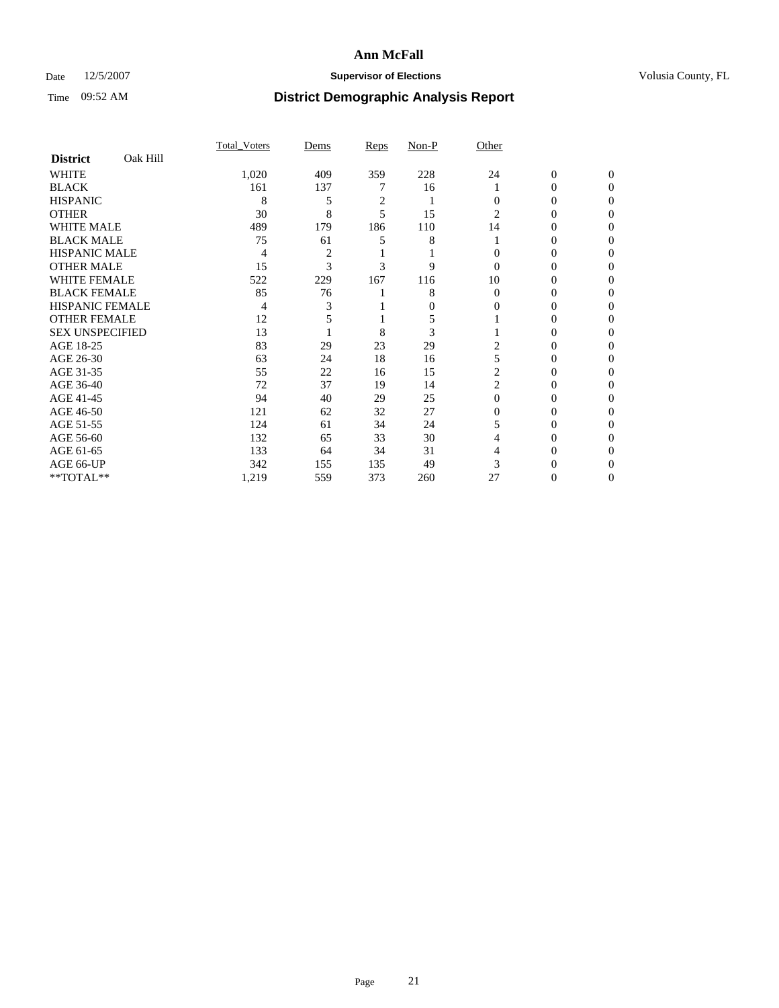### Date 12/5/2007 **Supervisor of Elections Supervisor of Elections** Volusia County, FL

|                        |          | <b>Total Voters</b> | Dems           | Reps           | Non-P | Other    |                  |              |  |
|------------------------|----------|---------------------|----------------|----------------|-------|----------|------------------|--------------|--|
| <b>District</b>        | Oak Hill |                     |                |                |       |          |                  |              |  |
| <b>WHITE</b>           |          | 1,020               | 409            | 359            | 228   | 24       | $\boldsymbol{0}$ | $\mathbf{0}$ |  |
| <b>BLACK</b>           |          | 161                 | 137            |                | 16    |          | 0                | $\Omega$     |  |
| <b>HISPANIC</b>        |          | 8                   | 5              | $\overline{c}$ |       | 0        | 0                | $\theta$     |  |
| <b>OTHER</b>           |          | 30                  | 8              | 5              | 15    | 2        | 0                | 0            |  |
| <b>WHITE MALE</b>      |          | 489                 | 179            | 186            | 110   | 14       | 0                |              |  |
| <b>BLACK MALE</b>      |          | 75                  | 61             | 5              | 8     |          | 0                | 0            |  |
| <b>HISPANIC MALE</b>   |          | 4                   | $\overline{c}$ |                |       |          | 0                |              |  |
| <b>OTHER MALE</b>      |          | 15                  | 3              | 3              | 9     | $\Omega$ | 0                | 0            |  |
| <b>WHITE FEMALE</b>    |          | 522                 | 229            | 167            | 116   | 10       | 0                | 0            |  |
| <b>BLACK FEMALE</b>    |          | 85                  | 76             |                | 8     | $\Omega$ | 0                | 0            |  |
| <b>HISPANIC FEMALE</b> |          | 4                   |                |                | 0     | 0        | 0                | 0            |  |
| <b>OTHER FEMALE</b>    |          | 12                  |                |                | 5     |          | 0                | 0            |  |
| <b>SEX UNSPECIFIED</b> |          | 13                  |                | 8              | 3     |          | 0                | 0            |  |
| AGE 18-25              |          | 83                  | 29             | 23             | 29    | 2        | 0                |              |  |
| AGE 26-30              |          | 63                  | 24             | 18             | 16    |          | 0                |              |  |
| AGE 31-35              |          | 55                  | 22             | 16             | 15    | 2        | 0                |              |  |
| AGE 36-40              |          | 72                  | 37             | 19             | 14    | 2        | 0                | 0            |  |
| AGE 41-45              |          | 94                  | 40             | 29             | 25    | $\Omega$ | 0                | 0            |  |
| AGE 46-50              |          | 121                 | 62             | 32             | 27    | 0        | 0                | 0            |  |
| AGE 51-55              |          | 124                 | 61             | 34             | 24    |          | 0                | $\theta$     |  |
| AGE 56-60              |          | 132                 | 65             | 33             | 30    | 4        | 0                | 0            |  |
| AGE 61-65              |          | 133                 | 64             | 34             | 31    |          | 0                |              |  |
| AGE 66-UP              |          | 342                 | 155            | 135            | 49    |          |                  |              |  |
| **TOTAL**              |          | 1,219               | 559            | 373            | 260   | 27       | 0                | 0            |  |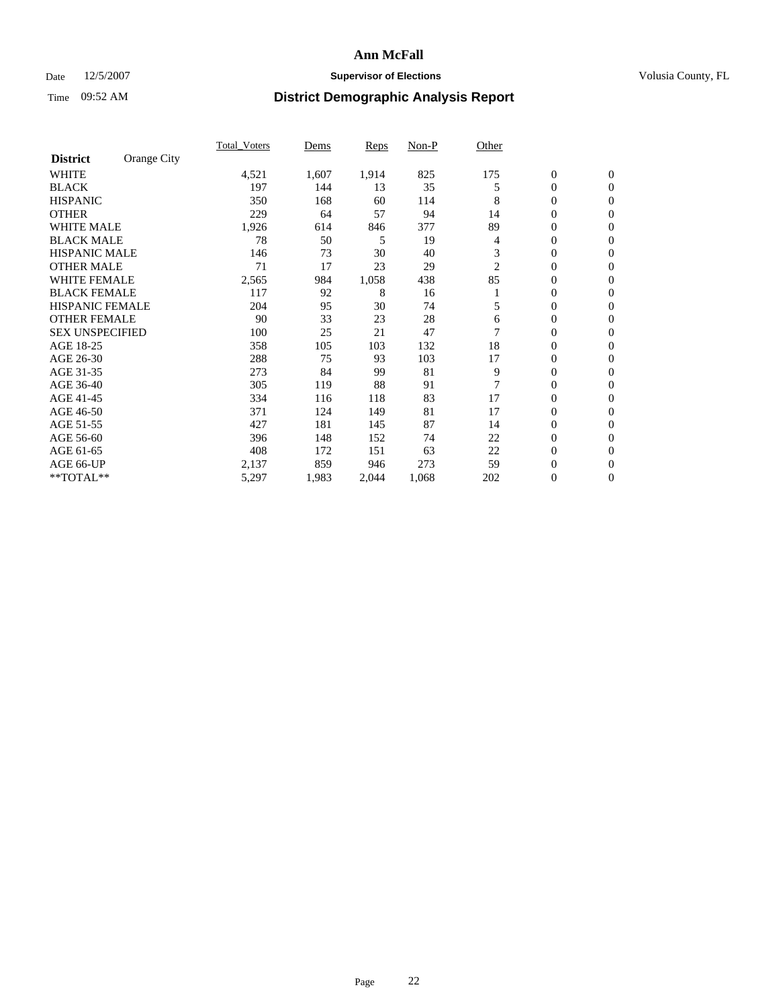### Date 12/5/2007 **Supervisor of Elections Supervisor of Elections** Volusia County, FL

| Orange City<br><b>District</b><br><b>WHITE</b><br>4,521<br>1,607<br>1,914<br>825<br>175<br>$\boldsymbol{0}$<br>$\mathbf{0}$<br>35<br>0<br><b>BLACK</b><br>197<br>144<br>$\mathbf{0}$<br>13<br>5<br><b>HISPANIC</b><br>350<br>168<br>114<br>8<br>0<br>60<br>$\mathbf{0}$<br><b>OTHER</b><br>229<br>57<br>94<br>0<br>14<br>64<br>$\mathbf{0}$<br><b>WHITE MALE</b><br>377<br>89<br>1,926<br>0<br>614<br>846<br>$\mathbf{0}$<br><b>BLACK MALE</b><br>78<br>50<br>5<br>19<br>0<br>4<br>$\mathbf{0}$<br>3<br><b>HISPANIC MALE</b><br>30<br>0<br>146<br>73<br>40<br>$\mathbf{0}$<br><b>OTHER MALE</b><br>71<br>17<br>23<br>29<br>2<br>$\mathbf{0}$<br>$\mathbf{0}$<br><b>WHITE FEMALE</b><br>85<br>1,058<br>438<br>0<br>2,565<br>984<br>$\mathbf{0}$<br><b>BLACK FEMALE</b><br>117<br>92<br>8<br>$\mathbf{0}$<br>16<br>$\mathbf{0}$<br><b>HISPANIC FEMALE</b><br>95<br>74<br>204<br>30<br>5<br>0<br>$\mathbf{0}$<br><b>OTHER FEMALE</b><br>90<br>33<br>23<br>28<br>0<br>$\mathbf{0}$<br>6<br><b>SEX UNSPECIFIED</b><br>0<br>100<br>25<br>21<br>47<br>0<br>18<br>AGE 18-25<br>358<br>105<br>132<br>0<br>103<br>$\Omega$<br>103<br>17<br>AGE 26-30<br>288<br>$\mathbf{0}$<br>75<br>93<br>$\mathbf{0}$<br>AGE 31-35<br>81<br>273<br>84<br>99<br>9<br>0<br>$\mathbf{0}$<br>7<br>AGE 36-40<br>305<br>119<br>88<br>91<br>0<br>$\mathbf{0}$<br>AGE 41-45<br>83<br>17<br>0<br>334<br>116<br>118<br>$\mathbf{0}$<br>AGE 46-50<br>371<br>81<br>17<br>0<br>124<br>149<br>$\Omega$<br>87<br>AGE 51-55<br>$\boldsymbol{0}$<br>427<br>181<br>145<br>14<br>$\mathbf{0}$<br>AGE 56-60<br>74<br>22<br>0<br>396<br>148<br>152<br>$\mathbf{0}$<br>408<br>63<br>22<br>$\overline{0}$<br>AGE 61-65<br>$\mathbf{0}$<br>172<br>151<br>AGE 66-UP<br>2,137<br>859<br>273<br>59<br>$\boldsymbol{0}$<br>946<br>$\boldsymbol{0}$ |           | <b>Total Voters</b> | Dems  | Reps  | Non-P | Other |   |                  |  |
|------------------------------------------------------------------------------------------------------------------------------------------------------------------------------------------------------------------------------------------------------------------------------------------------------------------------------------------------------------------------------------------------------------------------------------------------------------------------------------------------------------------------------------------------------------------------------------------------------------------------------------------------------------------------------------------------------------------------------------------------------------------------------------------------------------------------------------------------------------------------------------------------------------------------------------------------------------------------------------------------------------------------------------------------------------------------------------------------------------------------------------------------------------------------------------------------------------------------------------------------------------------------------------------------------------------------------------------------------------------------------------------------------------------------------------------------------------------------------------------------------------------------------------------------------------------------------------------------------------------------------------------------------------------------------------------------------------------------------------------------------------------------------------------------|-----------|---------------------|-------|-------|-------|-------|---|------------------|--|
|                                                                                                                                                                                                                                                                                                                                                                                                                                                                                                                                                                                                                                                                                                                                                                                                                                                                                                                                                                                                                                                                                                                                                                                                                                                                                                                                                                                                                                                                                                                                                                                                                                                                                                                                                                                                |           |                     |       |       |       |       |   |                  |  |
|                                                                                                                                                                                                                                                                                                                                                                                                                                                                                                                                                                                                                                                                                                                                                                                                                                                                                                                                                                                                                                                                                                                                                                                                                                                                                                                                                                                                                                                                                                                                                                                                                                                                                                                                                                                                |           |                     |       |       |       |       |   |                  |  |
|                                                                                                                                                                                                                                                                                                                                                                                                                                                                                                                                                                                                                                                                                                                                                                                                                                                                                                                                                                                                                                                                                                                                                                                                                                                                                                                                                                                                                                                                                                                                                                                                                                                                                                                                                                                                |           |                     |       |       |       |       |   |                  |  |
|                                                                                                                                                                                                                                                                                                                                                                                                                                                                                                                                                                                                                                                                                                                                                                                                                                                                                                                                                                                                                                                                                                                                                                                                                                                                                                                                                                                                                                                                                                                                                                                                                                                                                                                                                                                                |           |                     |       |       |       |       |   |                  |  |
|                                                                                                                                                                                                                                                                                                                                                                                                                                                                                                                                                                                                                                                                                                                                                                                                                                                                                                                                                                                                                                                                                                                                                                                                                                                                                                                                                                                                                                                                                                                                                                                                                                                                                                                                                                                                |           |                     |       |       |       |       |   |                  |  |
|                                                                                                                                                                                                                                                                                                                                                                                                                                                                                                                                                                                                                                                                                                                                                                                                                                                                                                                                                                                                                                                                                                                                                                                                                                                                                                                                                                                                                                                                                                                                                                                                                                                                                                                                                                                                |           |                     |       |       |       |       |   |                  |  |
|                                                                                                                                                                                                                                                                                                                                                                                                                                                                                                                                                                                                                                                                                                                                                                                                                                                                                                                                                                                                                                                                                                                                                                                                                                                                                                                                                                                                                                                                                                                                                                                                                                                                                                                                                                                                |           |                     |       |       |       |       |   |                  |  |
|                                                                                                                                                                                                                                                                                                                                                                                                                                                                                                                                                                                                                                                                                                                                                                                                                                                                                                                                                                                                                                                                                                                                                                                                                                                                                                                                                                                                                                                                                                                                                                                                                                                                                                                                                                                                |           |                     |       |       |       |       |   |                  |  |
|                                                                                                                                                                                                                                                                                                                                                                                                                                                                                                                                                                                                                                                                                                                                                                                                                                                                                                                                                                                                                                                                                                                                                                                                                                                                                                                                                                                                                                                                                                                                                                                                                                                                                                                                                                                                |           |                     |       |       |       |       |   |                  |  |
|                                                                                                                                                                                                                                                                                                                                                                                                                                                                                                                                                                                                                                                                                                                                                                                                                                                                                                                                                                                                                                                                                                                                                                                                                                                                                                                                                                                                                                                                                                                                                                                                                                                                                                                                                                                                |           |                     |       |       |       |       |   |                  |  |
|                                                                                                                                                                                                                                                                                                                                                                                                                                                                                                                                                                                                                                                                                                                                                                                                                                                                                                                                                                                                                                                                                                                                                                                                                                                                                                                                                                                                                                                                                                                                                                                                                                                                                                                                                                                                |           |                     |       |       |       |       |   |                  |  |
|                                                                                                                                                                                                                                                                                                                                                                                                                                                                                                                                                                                                                                                                                                                                                                                                                                                                                                                                                                                                                                                                                                                                                                                                                                                                                                                                                                                                                                                                                                                                                                                                                                                                                                                                                                                                |           |                     |       |       |       |       |   |                  |  |
|                                                                                                                                                                                                                                                                                                                                                                                                                                                                                                                                                                                                                                                                                                                                                                                                                                                                                                                                                                                                                                                                                                                                                                                                                                                                                                                                                                                                                                                                                                                                                                                                                                                                                                                                                                                                |           |                     |       |       |       |       |   |                  |  |
|                                                                                                                                                                                                                                                                                                                                                                                                                                                                                                                                                                                                                                                                                                                                                                                                                                                                                                                                                                                                                                                                                                                                                                                                                                                                                                                                                                                                                                                                                                                                                                                                                                                                                                                                                                                                |           |                     |       |       |       |       |   |                  |  |
|                                                                                                                                                                                                                                                                                                                                                                                                                                                                                                                                                                                                                                                                                                                                                                                                                                                                                                                                                                                                                                                                                                                                                                                                                                                                                                                                                                                                                                                                                                                                                                                                                                                                                                                                                                                                |           |                     |       |       |       |       |   |                  |  |
|                                                                                                                                                                                                                                                                                                                                                                                                                                                                                                                                                                                                                                                                                                                                                                                                                                                                                                                                                                                                                                                                                                                                                                                                                                                                                                                                                                                                                                                                                                                                                                                                                                                                                                                                                                                                |           |                     |       |       |       |       |   |                  |  |
|                                                                                                                                                                                                                                                                                                                                                                                                                                                                                                                                                                                                                                                                                                                                                                                                                                                                                                                                                                                                                                                                                                                                                                                                                                                                                                                                                                                                                                                                                                                                                                                                                                                                                                                                                                                                |           |                     |       |       |       |       |   |                  |  |
|                                                                                                                                                                                                                                                                                                                                                                                                                                                                                                                                                                                                                                                                                                                                                                                                                                                                                                                                                                                                                                                                                                                                                                                                                                                                                                                                                                                                                                                                                                                                                                                                                                                                                                                                                                                                |           |                     |       |       |       |       |   |                  |  |
|                                                                                                                                                                                                                                                                                                                                                                                                                                                                                                                                                                                                                                                                                                                                                                                                                                                                                                                                                                                                                                                                                                                                                                                                                                                                                                                                                                                                                                                                                                                                                                                                                                                                                                                                                                                                |           |                     |       |       |       |       |   |                  |  |
|                                                                                                                                                                                                                                                                                                                                                                                                                                                                                                                                                                                                                                                                                                                                                                                                                                                                                                                                                                                                                                                                                                                                                                                                                                                                                                                                                                                                                                                                                                                                                                                                                                                                                                                                                                                                |           |                     |       |       |       |       |   |                  |  |
|                                                                                                                                                                                                                                                                                                                                                                                                                                                                                                                                                                                                                                                                                                                                                                                                                                                                                                                                                                                                                                                                                                                                                                                                                                                                                                                                                                                                                                                                                                                                                                                                                                                                                                                                                                                                |           |                     |       |       |       |       |   |                  |  |
|                                                                                                                                                                                                                                                                                                                                                                                                                                                                                                                                                                                                                                                                                                                                                                                                                                                                                                                                                                                                                                                                                                                                                                                                                                                                                                                                                                                                                                                                                                                                                                                                                                                                                                                                                                                                |           |                     |       |       |       |       |   |                  |  |
|                                                                                                                                                                                                                                                                                                                                                                                                                                                                                                                                                                                                                                                                                                                                                                                                                                                                                                                                                                                                                                                                                                                                                                                                                                                                                                                                                                                                                                                                                                                                                                                                                                                                                                                                                                                                |           |                     |       |       |       |       |   |                  |  |
|                                                                                                                                                                                                                                                                                                                                                                                                                                                                                                                                                                                                                                                                                                                                                                                                                                                                                                                                                                                                                                                                                                                                                                                                                                                                                                                                                                                                                                                                                                                                                                                                                                                                                                                                                                                                |           |                     |       |       |       |       |   |                  |  |
|                                                                                                                                                                                                                                                                                                                                                                                                                                                                                                                                                                                                                                                                                                                                                                                                                                                                                                                                                                                                                                                                                                                                                                                                                                                                                                                                                                                                                                                                                                                                                                                                                                                                                                                                                                                                | **TOTAL** | 5,297               | 1,983 | 2,044 | 1,068 | 202   | 0 | $\boldsymbol{0}$ |  |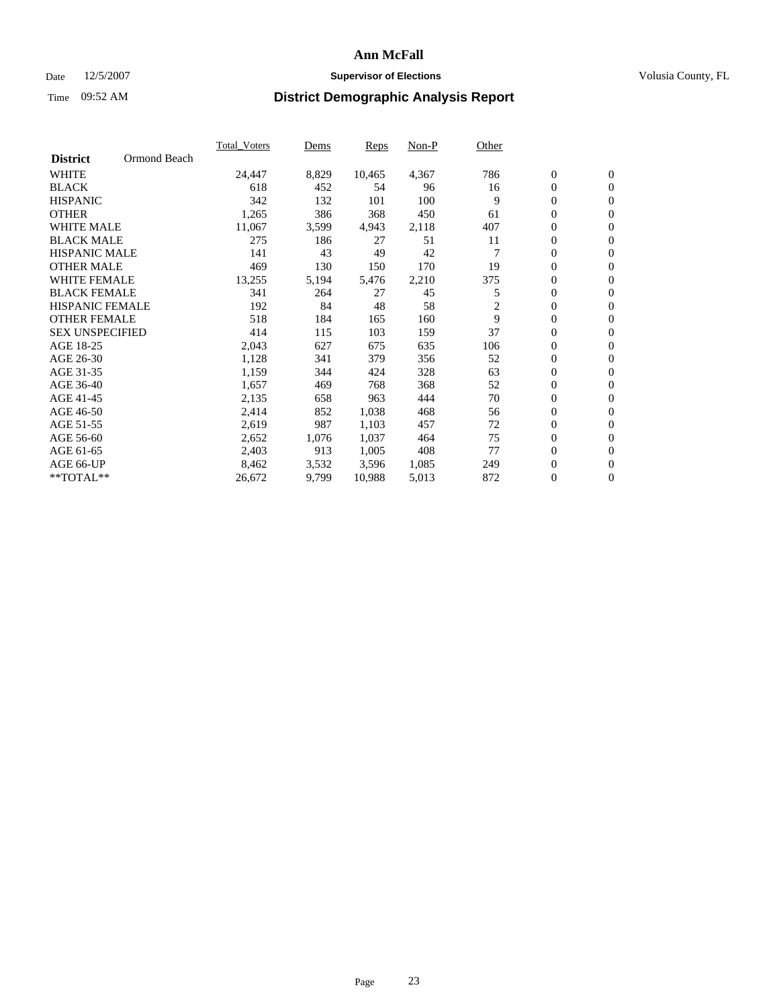### Date 12/5/2007 **Supervisor of Elections Supervisor of Elections** Volusia County, FL

|                                 | <b>Total Voters</b> | Dems  | Reps   | Non-P | Other |                  |                  |  |
|---------------------------------|---------------------|-------|--------|-------|-------|------------------|------------------|--|
| Ormond Beach<br><b>District</b> |                     |       |        |       |       |                  |                  |  |
| <b>WHITE</b>                    | 24,447              | 8,829 | 10,465 | 4,367 | 786   | $\mathbf{0}$     | $\mathbf{0}$     |  |
| <b>BLACK</b>                    | 618                 | 452   | 54     | 96    | 16    | 0                | $\mathbf{0}$     |  |
| <b>HISPANIC</b>                 | 342                 | 132   | 101    | 100   | 9     | 0                | $\overline{0}$   |  |
| <b>OTHER</b>                    | 1,265               | 386   | 368    | 450   | 61    | 0                | $\mathbf{0}$     |  |
| <b>WHITE MALE</b>               | 11,067              | 3,599 | 4,943  | 2,118 | 407   | 0                | $\mathbf{0}$     |  |
| <b>BLACK MALE</b>               | 275                 | 186   | 27     | 51    | 11    | 0                | $\boldsymbol{0}$ |  |
| <b>HISPANIC MALE</b>            | 141                 | 43    | 49     | 42    |       | 0                | $\mathbf{0}$     |  |
| <b>OTHER MALE</b>               | 469                 | 130   | 150    | 170   | 19    | $\mathbf{0}$     | $\mathbf{0}$     |  |
| <b>WHITE FEMALE</b>             | 13,255              | 5,194 | 5,476  | 2,210 | 375   | 0                | $\mathbf{0}$     |  |
| <b>BLACK FEMALE</b>             | 341                 | 264   | 27     | 45    | 5     | $\boldsymbol{0}$ | $\mathbf{0}$     |  |
| <b>HISPANIC FEMALE</b>          | 192                 | 84    | 48     | 58    | 2     | $\boldsymbol{0}$ | $\boldsymbol{0}$ |  |
| <b>OTHER FEMALE</b>             | 518                 | 184   | 165    | 160   | 9     | 0                | $\mathbf{0}$     |  |
| <b>SEX UNSPECIFIED</b>          | 414                 | 115   | 103    | 159   | 37    | 0                | $\mathbf{0}$     |  |
| AGE 18-25                       | 2,043               | 627   | 675    | 635   | 106   | 0                | $\mathbf{0}$     |  |
| AGE 26-30                       | 1,128               | 341   | 379    | 356   | 52    | $\mathbf{0}$     | $\mathbf{0}$     |  |
| AGE 31-35                       | 1,159               | 344   | 424    | 328   | 63    | 0                | $\mathbf{0}$     |  |
| AGE 36-40                       | 1,657               | 469   | 768    | 368   | 52    | 0                | $\mathbf{0}$     |  |
| AGE 41-45                       | 2,135               | 658   | 963    | 444   | 70    | 0                | $\mathbf{0}$     |  |
| AGE 46-50                       | 2,414               | 852   | 1,038  | 468   | 56    | 0                | $\mathbf{0}$     |  |
| AGE 51-55                       | 2,619               | 987   | 1,103  | 457   | 72    | $\boldsymbol{0}$ | $\boldsymbol{0}$ |  |
| AGE 56-60                       | 2,652               | 1,076 | 1,037  | 464   | 75    | 0                | $\mathbf{0}$     |  |
| AGE 61-65                       | 2,403               | 913   | 1,005  | 408   | 77    | $\mathbf{0}$     | $\mathbf{0}$     |  |
| AGE 66-UP                       | 8,462               | 3,532 | 3,596  | 1,085 | 249   | 0                | $\boldsymbol{0}$ |  |
| **TOTAL**                       | 26,672              | 9,799 | 10,988 | 5,013 | 872   | 0                | $\overline{0}$   |  |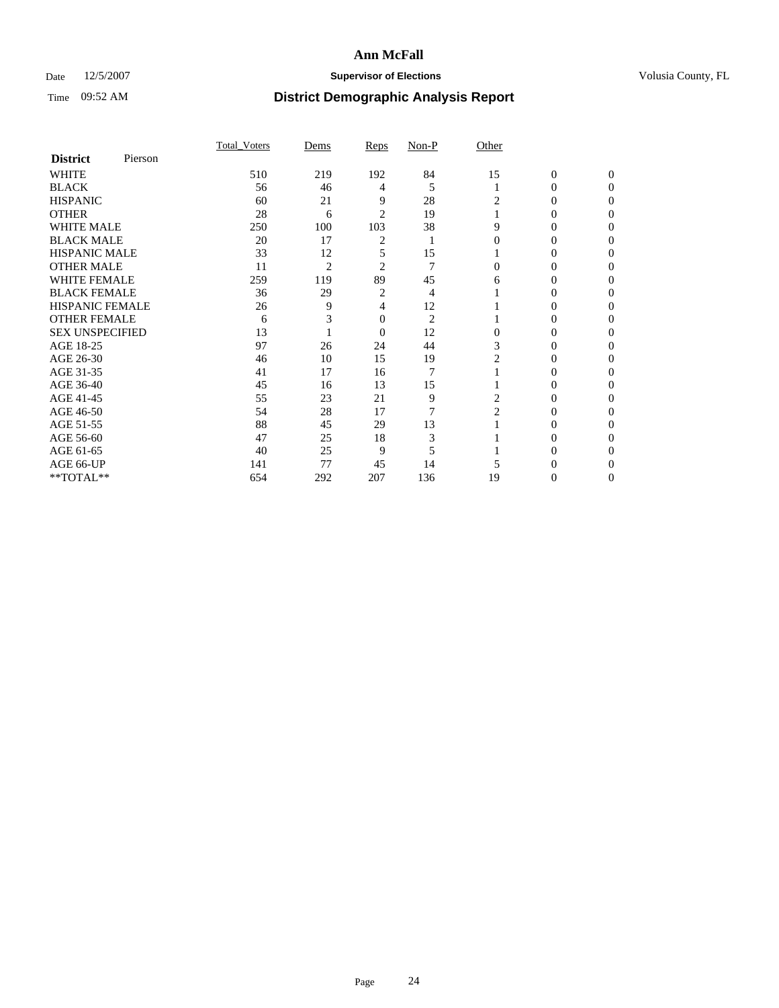### Date 12/5/2007 **Supervisor of Elections Supervisor of Elections** Volusia County, FL

|                        |         | Total Voters | Dems           | Reps           | $Non-P$        | Other          |              |              |
|------------------------|---------|--------------|----------------|----------------|----------------|----------------|--------------|--------------|
| <b>District</b>        | Pierson |              |                |                |                |                |              |              |
| <b>WHITE</b>           |         | 510          | 219            | 192            | 84             | 15             | $\mathbf{0}$ | $\mathbf{0}$ |
| <b>BLACK</b>           |         | 56           | 46             | 4              | 5              |                | 0            | $\theta$     |
| <b>HISPANIC</b>        |         | 60           | 21             | 9              | 28             | 2              | 0            | $\Omega$     |
| <b>OTHER</b>           |         | 28           | 6              | $\overline{2}$ | 19             |                | 0            | 0            |
| WHITE MALE             |         | 250          | 100            | 103            | 38             | 9              | 0            | $\theta$     |
| <b>BLACK MALE</b>      |         | 20           | 17             | 2              |                |                | 0            |              |
| <b>HISPANIC MALE</b>   |         | 33           | 12             | 5              | 15             |                | 0            | 0            |
| <b>OTHER MALE</b>      |         | 11           | $\overline{2}$ | $\overline{c}$ | 7              | 0              | 0            | 0            |
| <b>WHITE FEMALE</b>    |         | 259          | 119            | 89             | 45             | 6              | 0            | 0            |
| <b>BLACK FEMALE</b>    |         | 36           | 29             | 2              | 4              |                | 0            | $\theta$     |
| <b>HISPANIC FEMALE</b> |         | 26           | 9              | 4              | 12             |                | 0            | 0            |
| <b>OTHER FEMALE</b>    |         | 6            |                | 0              | $\overline{2}$ |                | 0            | 0            |
| <b>SEX UNSPECIFIED</b> |         | 13           |                | $\overline{0}$ | 12             | $\theta$       | 0            | 0            |
| AGE 18-25              |         | 97           | 26             | 24             | 44             | 3              | 0            | $\Omega$     |
| AGE 26-30              |         | 46           | 10             | 15             | 19             | 2              | 0            | $\theta$     |
| AGE 31-35              |         | 41           | 17             | 16             | $\overline{7}$ |                | 0            | 0            |
| AGE 36-40              |         | 45           | 16             | 13             | 15             |                | 0            | 0            |
| AGE 41-45              |         | 55           | 23             | 21             | 9              | 2              | 0            | $\theta$     |
| AGE 46-50              |         | 54           | 28             | 17             | 7              | $\overline{2}$ | 0            | 0            |
| AGE 51-55              |         | 88           | 45             | 29             | 13             |                | 0            | 0            |
| AGE 56-60              |         | 47           | 25             | 18             | 3              |                | 0            | $\Omega$     |
| AGE 61-65              |         | 40           | 25             | 9              | 5              |                | 0            | 0            |
| AGE 66-UP              |         | 141          | 77             | 45             | 14             |                |              |              |
| **TOTAL**              |         | 654          | 292            | 207            | 136            | 19             | 0            | 0            |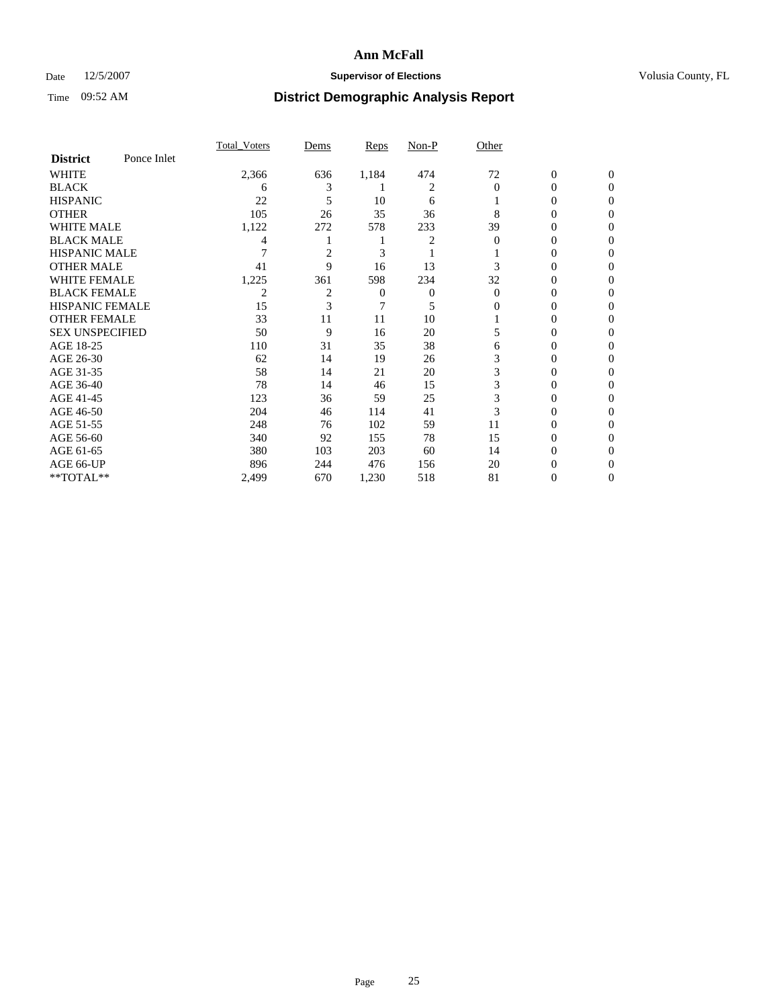### Date 12/5/2007 **Supervisor of Elections Supervisor of Elections** Volusia County, FL

|                        |             | Total Voters | Dems           | Reps  | Non-P          | Other    |                  |                  |
|------------------------|-------------|--------------|----------------|-------|----------------|----------|------------------|------------------|
| <b>District</b>        | Ponce Inlet |              |                |       |                |          |                  |                  |
| <b>WHITE</b>           |             | 2,366        | 636            | 1,184 | 474            | 72       | $\boldsymbol{0}$ | $\mathbf{0}$     |
| <b>BLACK</b>           |             | 6            | 3              |       | $\overline{c}$ | $\Omega$ | $\theta$         | $\Omega$         |
| <b>HISPANIC</b>        |             | 22           | 5              | 10    | 6              |          | 0                | $\overline{0}$   |
| <b>OTHER</b>           |             | 105          | 26             | 35    | 36             | 8        | $\theta$         | $\theta$         |
| WHITE MALE             |             | 1,122        | 272            | 578   | 233            | 39       | 0                | $\theta$         |
| <b>BLACK MALE</b>      |             | 4            |                |       | 2              | 0        | 0                | 0                |
| <b>HISPANIC MALE</b>   |             |              | 2              | 3     |                |          | $\theta$         | 0                |
| <b>OTHER MALE</b>      |             | 41           | 9              | 16    | 13             | 3        | 0                | 0                |
| <b>WHITE FEMALE</b>    |             | 1,225        | 361            | 598   | 234            | 32       | 0                | $\Omega$         |
| <b>BLACK FEMALE</b>    |             | 2            | $\overline{2}$ | 0     | 0              | $\Omega$ | 0                | $\theta$         |
| <b>HISPANIC FEMALE</b> |             | 15           | 3              | 7     | 5              | 0        | 0                | 0                |
| <b>OTHER FEMALE</b>    |             | 33           | 11             | 11    | 10             |          | 0                | 0                |
| <b>SEX UNSPECIFIED</b> |             | 50           | 9              | 16    | 20             | 5        | 0                | 0                |
| AGE 18-25              |             | 110          | 31             | 35    | 38             | 6        | 0                | $\overline{0}$   |
| AGE 26-30              |             | 62           | 14             | 19    | 26             | 3        | 0                | $\Omega$         |
| AGE 31-35              |             | 58           | 14             | 21    | 20             | 3        | $\overline{0}$   | $\theta$         |
| AGE 36-40              |             | 78           | 14             | 46    | 15             | 3        | 0                | $\overline{0}$   |
| AGE 41-45              |             | 123          | 36             | 59    | 25             | 3        | 0                | 0                |
| AGE 46-50              |             | 204          | 46             | 114   | 41             | 3        | 0                | $\overline{0}$   |
| AGE 51-55              |             | 248          | 76             | 102   | 59             | 11       | 0                | $\Omega$         |
| AGE 56-60              |             | 340          | 92             | 155   | 78             | 15       | 0                | $\overline{0}$   |
| AGE 61-65              |             | 380          | 103            | 203   | 60             | 14       | 0                | $\boldsymbol{0}$ |
| AGE 66-UP              |             | 896          | 244            | 476   | 156            | 20       | 0                | 0                |
| **TOTAL**              |             | 2,499        | 670            | 1,230 | 518            | 81       | 0                | $\overline{0}$   |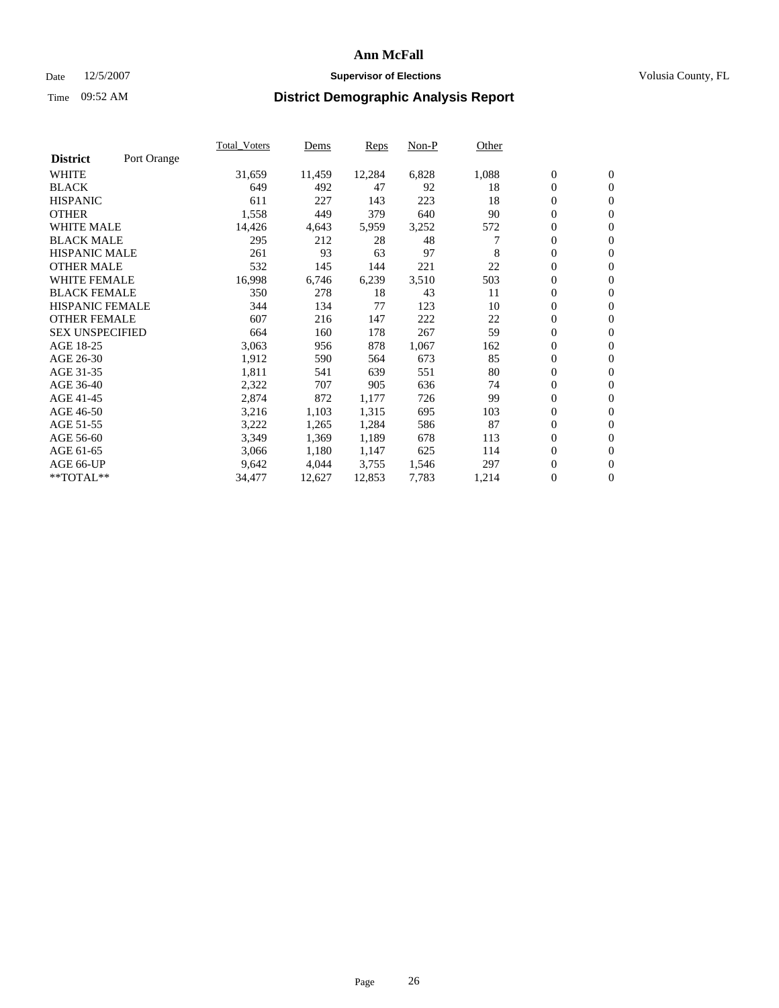#### Date  $12/5/2007$  **Supervisor of Elections** Volusia County, FL

|                        |             | Total Voters | Dems   | <b>Reps</b> | Non-P | Other |                  |                  |  |
|------------------------|-------------|--------------|--------|-------------|-------|-------|------------------|------------------|--|
| <b>District</b>        | Port Orange |              |        |             |       |       |                  |                  |  |
| <b>WHITE</b>           |             | 31,659       | 11,459 | 12,284      | 6,828 | 1,088 | $\boldsymbol{0}$ | $\mathbf{0}$     |  |
| <b>BLACK</b>           |             | 649          | 492    | 47          | 92    | 18    | $\overline{0}$   | $\mathbf{0}$     |  |
| <b>HISPANIC</b>        |             | 611          | 227    | 143         | 223   | 18    | $\boldsymbol{0}$ | $\mathbf{0}$     |  |
| <b>OTHER</b>           |             | 1,558        | 449    | 379         | 640   | 90    | $\boldsymbol{0}$ | $\mathbf{0}$     |  |
| <b>WHITE MALE</b>      |             | 14,426       | 4,643  | 5,959       | 3,252 | 572   | 0                | $\mathbf{0}$     |  |
| <b>BLACK MALE</b>      |             | 295          | 212    | 28          | 48    |       | $\boldsymbol{0}$ | $\boldsymbol{0}$ |  |
| <b>HISPANIC MALE</b>   |             | 261          | 93     | 63          | 97    | 8     | $\overline{0}$   | $\mathbf{0}$     |  |
| <b>OTHER MALE</b>      |             | 532          | 145    | 144         | 221   | 22    | $\overline{0}$   | $\mathbf{0}$     |  |
| <b>WHITE FEMALE</b>    |             | 16,998       | 6,746  | 6,239       | 3,510 | 503   | $\overline{0}$   | $\mathbf{0}$     |  |
| <b>BLACK FEMALE</b>    |             | 350          | 278    | 18          | 43    | 11    | $\overline{0}$   | $\mathbf{0}$     |  |
| <b>HISPANIC FEMALE</b> |             | 344          | 134    | 77          | 123   | 10    | $\boldsymbol{0}$ | $\boldsymbol{0}$ |  |
| <b>OTHER FEMALE</b>    |             | 607          | 216    | 147         | 222   | 22    | 0                | $\mathbf{0}$     |  |
| <b>SEX UNSPECIFIED</b> |             | 664          | 160    | 178         | 267   | 59    | $\boldsymbol{0}$ | $\mathbf{0}$     |  |
| AGE 18-25              |             | 3,063        | 956    | 878         | 1,067 | 162   | $\boldsymbol{0}$ | $\mathbf{0}$     |  |
| AGE 26-30              |             | 1,912        | 590    | 564         | 673   | 85    | $\overline{0}$   | $\mathbf{0}$     |  |
| AGE 31-35              |             | 1,811        | 541    | 639         | 551   | 80    | $\overline{0}$   | $\mathbf{0}$     |  |
| AGE 36-40              |             | 2,322        | 707    | 905         | 636   | 74    | $\boldsymbol{0}$ | $\mathbf{0}$     |  |
| AGE 41-45              |             | 2,874        | 872    | 1,177       | 726   | 99    | $\boldsymbol{0}$ | $\mathbf{0}$     |  |
| AGE 46-50              |             | 3,216        | 1,103  | 1,315       | 695   | 103   | 0                | $\mathbf{0}$     |  |
| AGE 51-55              |             | 3,222        | 1,265  | 1,284       | 586   | 87    | $\boldsymbol{0}$ | $\boldsymbol{0}$ |  |
| AGE 56-60              |             | 3,349        | 1,369  | 1,189       | 678   | 113   | $\overline{0}$   | $\mathbf{0}$     |  |
| AGE 61-65              |             | 3,066        | 1,180  | 1,147       | 625   | 114   | $\mathbf{0}$     | $\mathbf{0}$     |  |
| AGE 66-UP              |             | 9,642        | 4,044  | 3,755       | 1,546 | 297   | $\boldsymbol{0}$ | $\boldsymbol{0}$ |  |
| **TOTAL**              |             | 34,477       | 12,627 | 12,853      | 7,783 | 1,214 | 0                | $\overline{0}$   |  |
|                        |             |              |        |             |       |       |                  |                  |  |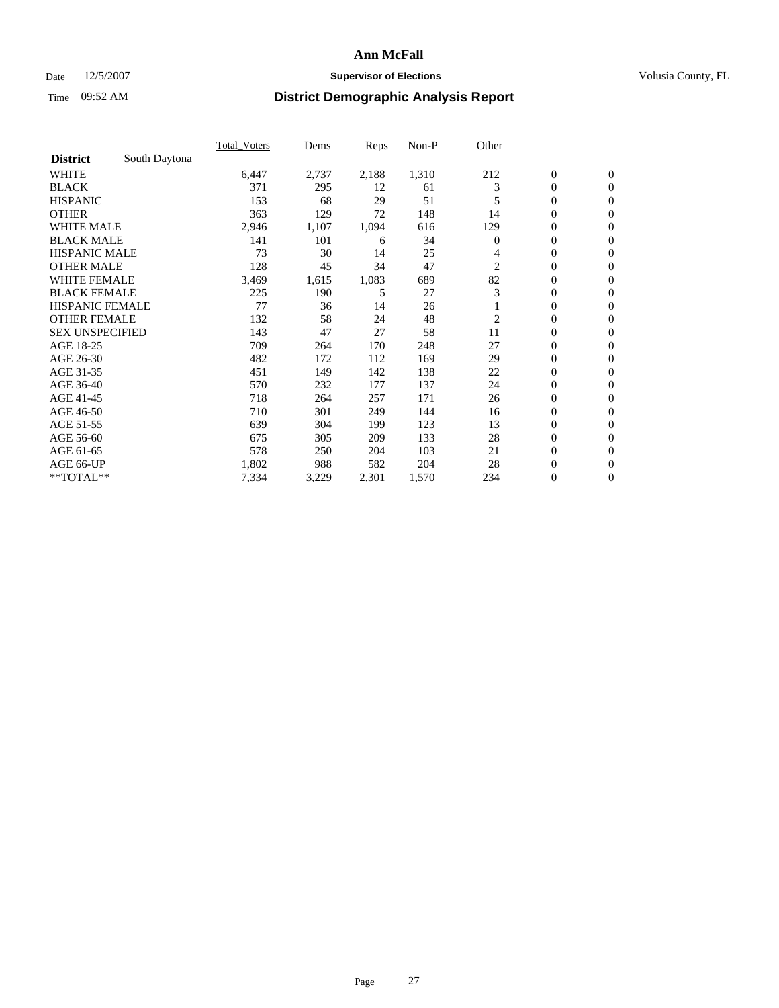### Date 12/5/2007 **Supervisor of Elections Supervisor of Elections** Volusia County, FL

|                        |               | Total Voters | Dems  | <b>Reps</b> | Non-P | Other    |                  |                  |  |
|------------------------|---------------|--------------|-------|-------------|-------|----------|------------------|------------------|--|
| <b>District</b>        | South Daytona |              |       |             |       |          |                  |                  |  |
| <b>WHITE</b>           |               | 6,447        | 2,737 | 2,188       | 1,310 | 212      | $\boldsymbol{0}$ | $\mathbf{0}$     |  |
| <b>BLACK</b>           |               | 371          | 295   | 12          | 61    | 3        | $\overline{0}$   | $\mathbf{0}$     |  |
| <b>HISPANIC</b>        |               | 153          | 68    | 29          | 51    | 5        | $\overline{0}$   | $\mathbf{0}$     |  |
| <b>OTHER</b>           |               | 363          | 129   | 72          | 148   | 14       | $\boldsymbol{0}$ | $\mathbf{0}$     |  |
| <b>WHITE MALE</b>      |               | 2,946        | 1,107 | 1,094       | 616   | 129      | $\boldsymbol{0}$ | $\overline{0}$   |  |
| <b>BLACK MALE</b>      |               | 141          | 101   | 6           | 34    | $\Omega$ | $\boldsymbol{0}$ | $\mathbf{0}$     |  |
| <b>HISPANIC MALE</b>   |               | 73           | 30    | 14          | 25    | 4        | $\overline{0}$   | $\mathbf{0}$     |  |
| <b>OTHER MALE</b>      |               | 128          | 45    | 34          | 47    | 2        | $\mathbf{0}$     | $\mathbf{0}$     |  |
| <b>WHITE FEMALE</b>    |               | 3,469        | 1,615 | 1,083       | 689   | 82       | $\overline{0}$   | $\mathbf{0}$     |  |
| <b>BLACK FEMALE</b>    |               | 225          | 190   | 5           | 27    | 3        | $\overline{0}$   | $\mathbf{0}$     |  |
| <b>HISPANIC FEMALE</b> |               | 77           | 36    | 14          | 26    |          | $\boldsymbol{0}$ | $\mathbf{0}$     |  |
| <b>OTHER FEMALE</b>    |               | 132          | 58    | 24          | 48    | 2        | $\overline{0}$   | $\mathbf{0}$     |  |
| <b>SEX UNSPECIFIED</b> |               | 143          | 47    | 27          | 58    | 11       | $\boldsymbol{0}$ | $\mathbf{0}$     |  |
| AGE 18-25              |               | 709          | 264   | 170         | 248   | 27       | $\overline{0}$   | $\mathbf{0}$     |  |
| AGE 26-30              |               | 482          | 172   | 112         | 169   | 29       | $\overline{0}$   | $\mathbf{0}$     |  |
| AGE 31-35              |               | 451          | 149   | 142         | 138   | 22       | $\overline{0}$   | $\mathbf{0}$     |  |
| AGE 36-40              |               | 570          | 232   | 177         | 137   | 24       | $\boldsymbol{0}$ | $\mathbf{0}$     |  |
| AGE 41-45              |               | 718          | 264   | 257         | 171   | 26       | $\boldsymbol{0}$ | $\mathbf{0}$     |  |
| AGE 46-50              |               | 710          | 301   | 249         | 144   | 16       | $\boldsymbol{0}$ | $\mathbf{0}$     |  |
| AGE 51-55              |               | 639          | 304   | 199         | 123   | 13       | $\boldsymbol{0}$ | $\boldsymbol{0}$ |  |
| AGE 56-60              |               | 675          | 305   | 209         | 133   | 28       | $\overline{0}$   | $\mathbf{0}$     |  |
| AGE 61-65              |               | 578          | 250   | 204         | 103   | 21       | $\mathbf{0}$     | $\mathbf{0}$     |  |
| AGE 66-UP              |               | 1,802        | 988   | 582         | 204   | 28       | $\boldsymbol{0}$ | $\boldsymbol{0}$ |  |
| **TOTAL**              |               | 7,334        | 3,229 | 2,301       | 1,570 | 234      | $\boldsymbol{0}$ | $\mathbf{0}$     |  |
|                        |               |              |       |             |       |          |                  |                  |  |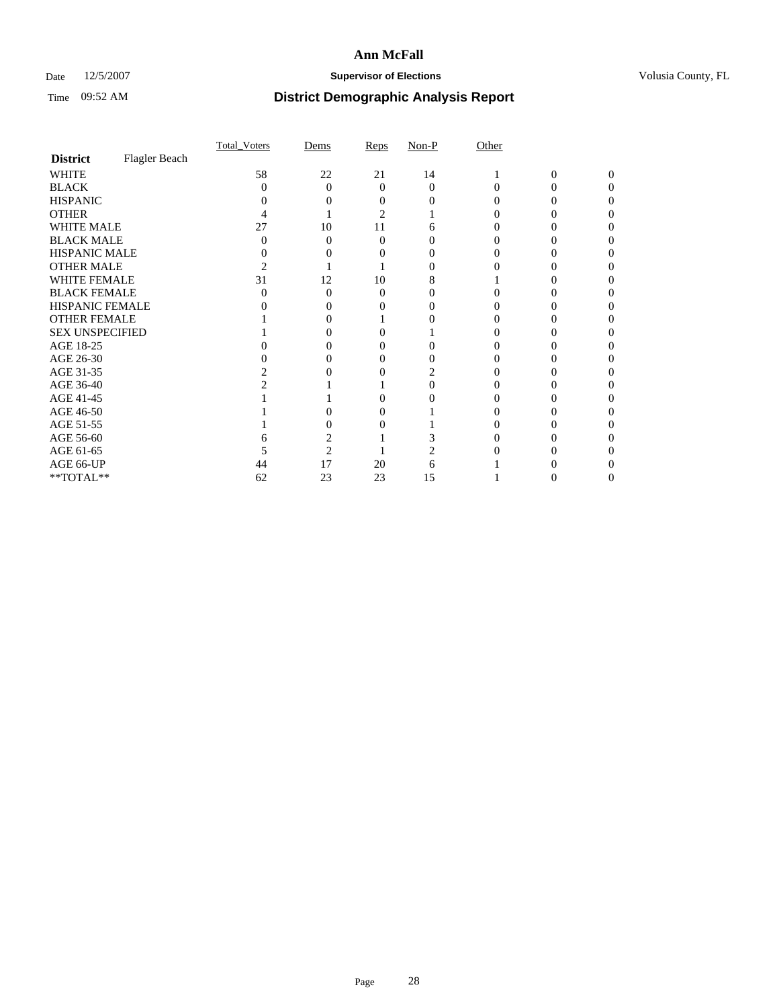### Date 12/5/2007 **Supervisor of Elections Supervisor of Elections** Volusia County, FL

|                                     |               | Total Voters | Dems           | Reps     | $Non-P$  | Other |   |          |
|-------------------------------------|---------------|--------------|----------------|----------|----------|-------|---|----------|
| <b>District</b>                     | Flagler Beach |              |                |          |          |       |   |          |
| <b>WHITE</b>                        |               | 58           | 22             | 21       | 14       |       | 0 | $\Omega$ |
| <b>BLACK</b>                        |               | 0            | $\Omega$       | $\Omega$ | $\Omega$ | 0     | 0 | 0        |
| <b>HISPANIC</b>                     |               |              |                |          |          |       |   |          |
| <b>OTHER</b>                        |               |              |                | 2        |          |       |   |          |
| <b>WHITE MALE</b>                   |               | 27           | 10             | 11       | 6        |       |   |          |
| <b>BLACK MALE</b>                   |               |              | $\Omega$       | 0        |          |       |   |          |
| HISPANIC MALE                       |               |              | $\theta$       |          |          |       |   |          |
| <b>OTHER MALE</b>                   |               |              |                |          |          |       |   |          |
| WHITE FEMALE                        |               | 31           | 12             | 10       |          |       |   |          |
| <b>BLACK FEMALE</b>                 |               |              | $\Omega$       | 0        |          |       |   |          |
| HISPANIC FEMALE                     |               |              |                |          |          |       |   |          |
| <b>OTHER FEMALE</b>                 |               |              | 0              |          |          |       |   |          |
| <b>SEX UNSPECIFIED</b>              |               |              | 0              |          |          |       |   |          |
| AGE 18-25                           |               |              | 0              |          |          |       |   |          |
| AGE 26-30                           |               |              |                |          |          |       |   |          |
| AGE 31-35                           |               |              |                |          |          |       |   |          |
| AGE 36-40                           |               |              |                |          |          |       |   |          |
| AGE 41-45                           |               |              |                |          |          |       |   |          |
| AGE 46-50                           |               |              | 0              | 0        |          |       |   |          |
| AGE 51-55                           |               |              |                |          |          |       |   |          |
| AGE 56-60                           |               |              |                |          |          |       |   |          |
| AGE 61-65                           |               |              | $\overline{c}$ |          |          |       |   |          |
| AGE 66-UP                           |               | 44           | 17             | 20       | 6        |       |   |          |
| $\rm ^{\ast \ast}TOTAL^{\ast \ast}$ |               | 62           | 23             | 23       | 15       |       | 0 | 0        |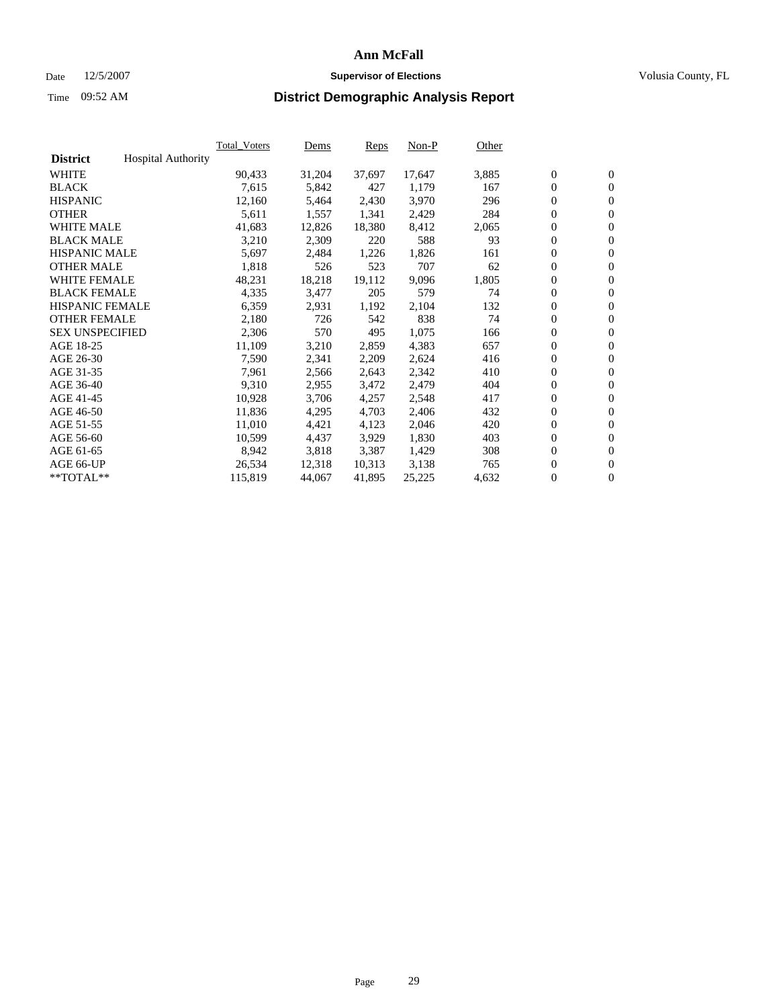#### Date  $12/5/2007$  **Supervisor of Elections** Volusia County, FL

|                        |                           | Total Voters | Dems   | <b>Reps</b> | Non-P  | Other |                  |                  |  |
|------------------------|---------------------------|--------------|--------|-------------|--------|-------|------------------|------------------|--|
| <b>District</b>        | <b>Hospital Authority</b> |              |        |             |        |       |                  |                  |  |
| <b>WHITE</b>           |                           | 90,433       | 31,204 | 37,697      | 17,647 | 3,885 | $\boldsymbol{0}$ | $\mathbf{0}$     |  |
| <b>BLACK</b>           |                           | 7,615        | 5,842  | 427         | 1,179  | 167   | $\overline{0}$   | $\mathbf{0}$     |  |
| <b>HISPANIC</b>        |                           | 12,160       | 5,464  | 2,430       | 3,970  | 296   | $\boldsymbol{0}$ | $\mathbf{0}$     |  |
| <b>OTHER</b>           |                           | 5,611        | 1,557  | 1,341       | 2,429  | 284   | $\boldsymbol{0}$ | $\mathbf{0}$     |  |
| <b>WHITE MALE</b>      |                           | 41,683       | 12,826 | 18,380      | 8,412  | 2,065 | 0                | $\mathbf{0}$     |  |
| <b>BLACK MALE</b>      |                           | 3,210        | 2,309  | 220         | 588    | 93    | $\boldsymbol{0}$ | $\boldsymbol{0}$ |  |
| <b>HISPANIC MALE</b>   |                           | 5,697        | 2,484  | 1,226       | 1,826  | 161   | $\overline{0}$   | $\mathbf{0}$     |  |
| <b>OTHER MALE</b>      |                           | 1,818        | 526    | 523         | 707    | 62    | $\overline{0}$   | $\mathbf{0}$     |  |
| <b>WHITE FEMALE</b>    |                           | 48,231       | 18,218 | 19,112      | 9,096  | 1,805 | $\mathbf{0}$     | $\mathbf{0}$     |  |
| <b>BLACK FEMALE</b>    |                           | 4,335        | 3,477  | 205         | 579    | 74    | $\boldsymbol{0}$ | $\mathbf{0}$     |  |
| <b>HISPANIC FEMALE</b> |                           | 6,359        | 2,931  | 1,192       | 2,104  | 132   | $\boldsymbol{0}$ | $\boldsymbol{0}$ |  |
| <b>OTHER FEMALE</b>    |                           | 2,180        | 726    | 542         | 838    | 74    | 0                | $\mathbf{0}$     |  |
| <b>SEX UNSPECIFIED</b> |                           | 2,306        | 570    | 495         | 1,075  | 166   | $\boldsymbol{0}$ | $\mathbf{0}$     |  |
| AGE 18-25              |                           | 11,109       | 3,210  | 2,859       | 4,383  | 657   | $\boldsymbol{0}$ | $\mathbf{0}$     |  |
| AGE 26-30              |                           | 7,590        | 2,341  | 2,209       | 2,624  | 416   | $\overline{0}$   | $\mathbf{0}$     |  |
| AGE 31-35              |                           | 7,961        | 2,566  | 2,643       | 2,342  | 410   | $\overline{0}$   | $\mathbf{0}$     |  |
| AGE 36-40              |                           | 9,310        | 2,955  | 3,472       | 2,479  | 404   | $\boldsymbol{0}$ | $\boldsymbol{0}$ |  |
| AGE 41-45              |                           | 10,928       | 3,706  | 4,257       | 2,548  | 417   | $\boldsymbol{0}$ | $\mathbf{0}$     |  |
| AGE 46-50              |                           | 11,836       | 4,295  | 4,703       | 2,406  | 432   | $\boldsymbol{0}$ | $\mathbf{0}$     |  |
| AGE 51-55              |                           | 11,010       | 4,421  | 4,123       | 2,046  | 420   | $\boldsymbol{0}$ | $\boldsymbol{0}$ |  |
| AGE 56-60              |                           | 10,599       | 4,437  | 3,929       | 1,830  | 403   | $\overline{0}$   | $\mathbf{0}$     |  |
| AGE 61-65              |                           | 8,942        | 3,818  | 3,387       | 1,429  | 308   | $\mathbf{0}$     | $\boldsymbol{0}$ |  |
| AGE 66-UP              |                           | 26,534       | 12,318 | 10,313      | 3,138  | 765   | $\boldsymbol{0}$ | $\boldsymbol{0}$ |  |
| **TOTAL**              |                           | 115,819      | 44,067 | 41,895      | 25,225 | 4,632 | 0                | $\overline{0}$   |  |
|                        |                           |              |        |             |        |       |                  |                  |  |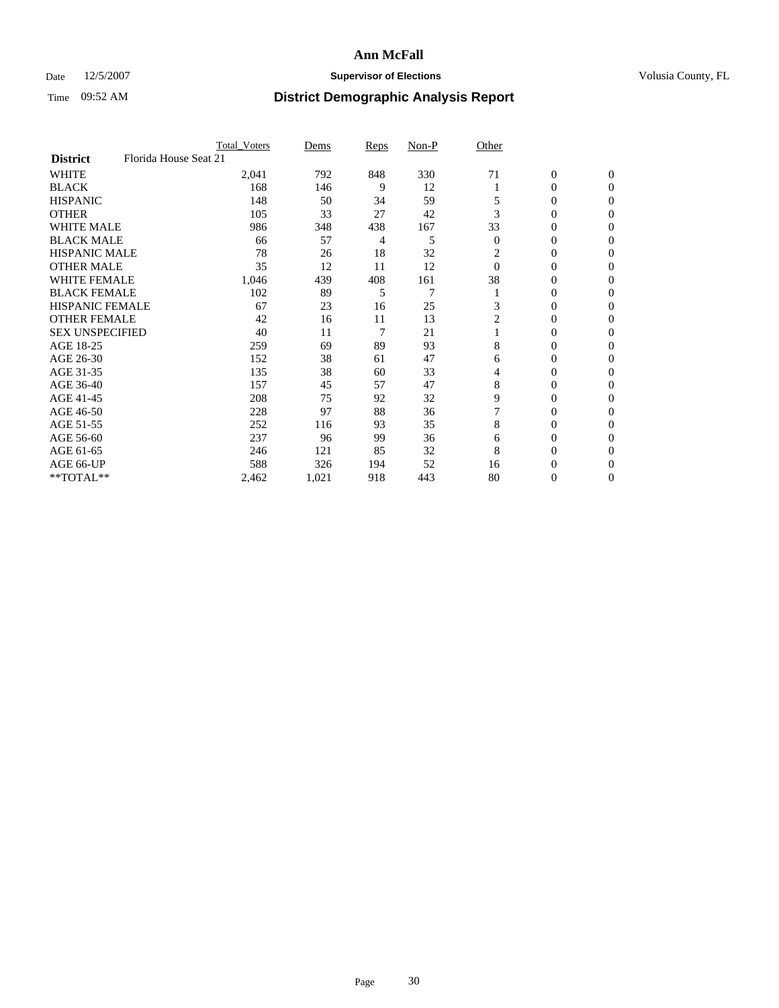### Date 12/5/2007 **Supervisor of Elections Supervisor of Elections** Volusia County, FL

|                                          | <b>Total Voters</b> | Dems  | Reps | Non-P | Other          |                  |                  |  |
|------------------------------------------|---------------------|-------|------|-------|----------------|------------------|------------------|--|
| Florida House Seat 21<br><b>District</b> |                     |       |      |       |                |                  |                  |  |
| <b>WHITE</b>                             | 2,041               | 792   | 848  | 330   | 71             | $\boldsymbol{0}$ | $\mathbf{0}$     |  |
| <b>BLACK</b>                             | 168                 | 146   | 9    | 12    |                | 0                | $\mathbf{0}$     |  |
| <b>HISPANIC</b>                          | 148                 | 50    | 34   | 59    |                | 0                | $\mathbf{0}$     |  |
| <b>OTHER</b>                             | 105                 | 33    | 27   | 42    | 3              | 0                | $\boldsymbol{0}$ |  |
| <b>WHITE MALE</b>                        | 986                 | 348   | 438  | 167   | 33             | 0                | $\theta$         |  |
| <b>BLACK MALE</b>                        | 66                  | 57    | 4    | 5     | $\overline{0}$ | 0                | $\Omega$         |  |
| <b>HISPANIC MALE</b>                     | 78                  | 26    | 18   | 32    | 2              | 0                | $\theta$         |  |
| <b>OTHER MALE</b>                        | 35                  | 12    | 11   | 12    | $\Omega$       | 0                | 0                |  |
| <b>WHITE FEMALE</b>                      | 1,046               | 439   | 408  | 161   | 38             | 0                | 0                |  |
| <b>BLACK FEMALE</b>                      | 102                 | 89    | 5    | 7     |                | 0                | $\overline{0}$   |  |
| <b>HISPANIC FEMALE</b>                   | 67                  | 23    | 16   | 25    | 3              | 0                | $\Omega$         |  |
| <b>OTHER FEMALE</b>                      | 42                  | 16    | 11   | 13    | $\overline{2}$ | 0                | $\boldsymbol{0}$ |  |
| <b>SEX UNSPECIFIED</b>                   | 40                  | 11    | 7    | 21    |                | 0                | $\Omega$         |  |
| AGE 18-25                                | 259                 | 69    | 89   | 93    | 8              | 0                | 0                |  |
| AGE 26-30                                | 152                 | 38    | 61   | 47    | 6              | 0                | $\Omega$         |  |
| AGE 31-35                                | 135                 | 38    | 60   | 33    | 4              | 0                | 0                |  |
| AGE 36-40                                | 157                 | 45    | 57   | 47    | 8              | 0                | $\overline{0}$   |  |
| AGE 41-45                                | 208                 | 75    | 92   | 32    | 9              | 0                | 0                |  |
| AGE 46-50                                | 228                 | 97    | 88   | 36    |                | 0                | $\overline{0}$   |  |
| AGE 51-55                                | 252                 | 116   | 93   | 35    | 8              | 0                | $\Omega$         |  |
| AGE 56-60                                | 237                 | 96    | 99   | 36    | 6              | 0                | $\theta$         |  |
| AGE 61-65                                | 246                 | 121   | 85   | 32    | 8              | 0                | 0                |  |
| AGE 66-UP                                | 588                 | 326   | 194  | 52    | 16             | 0                | $_{0}$           |  |
| **TOTAL**                                | 2,462               | 1,021 | 918  | 443   | 80             | 0                | $\overline{0}$   |  |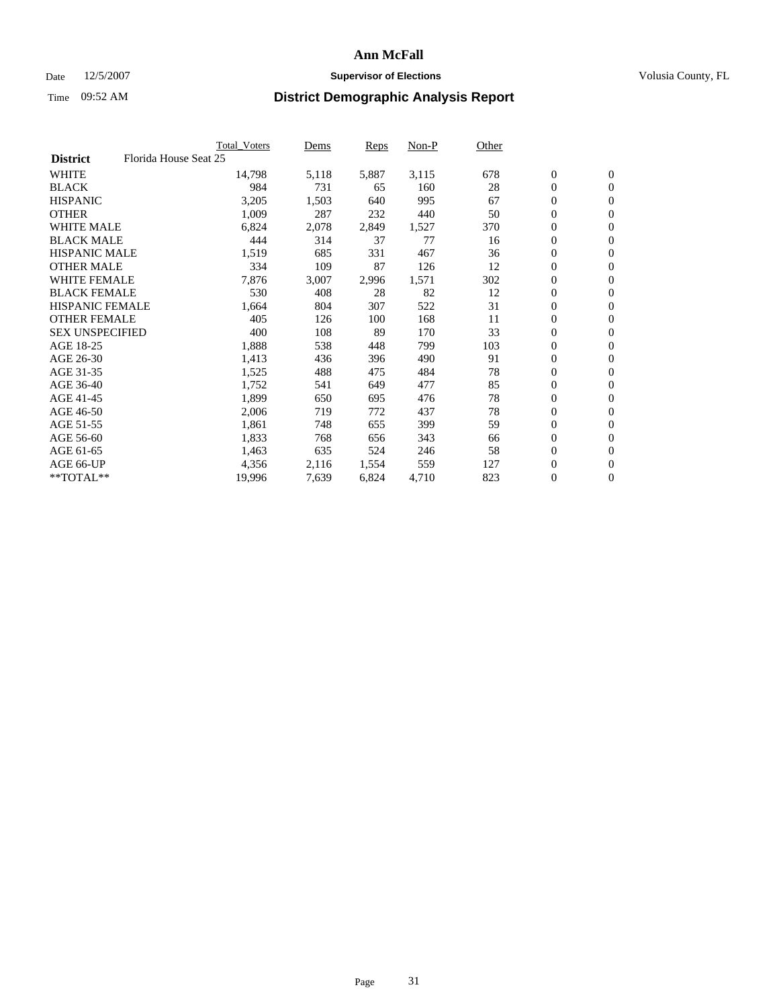#### Date  $12/5/2007$  **Supervisor of Elections** Volusia County, FL

|                                          | <b>Total Voters</b> | Dems  | Reps  | Non-P | Other |                  |                  |  |
|------------------------------------------|---------------------|-------|-------|-------|-------|------------------|------------------|--|
| Florida House Seat 25<br><b>District</b> |                     |       |       |       |       |                  |                  |  |
| <b>WHITE</b>                             | 14,798              | 5,118 | 5,887 | 3,115 | 678   | $\boldsymbol{0}$ | $\mathbf{0}$     |  |
| <b>BLACK</b>                             | 984                 | 731   | 65    | 160   | 28    | $\mathbf{0}$     | $\mathbf{0}$     |  |
| <b>HISPANIC</b>                          | 3,205               | 1,503 | 640   | 995   | 67    | 0                | $\mathbf{0}$     |  |
| <b>OTHER</b>                             | 1,009               | 287   | 232   | 440   | 50    | $\boldsymbol{0}$ | $\mathbf{0}$     |  |
| <b>WHITE MALE</b>                        | 6,824               | 2,078 | 2,849 | 1,527 | 370   | 0                | $\mathbf{0}$     |  |
| <b>BLACK MALE</b>                        | 444                 | 314   | 37    | 77    | 16    | 0                | $\boldsymbol{0}$ |  |
| <b>HISPANIC MALE</b>                     | 1,519               | 685   | 331   | 467   | 36    | 0                | $\mathbf{0}$     |  |
| <b>OTHER MALE</b>                        | 334                 | 109   | 87    | 126   | 12    | $\boldsymbol{0}$ | $\mathbf{0}$     |  |
| <b>WHITE FEMALE</b>                      | 7,876               | 3,007 | 2,996 | 1,571 | 302   | 0                | $\mathbf{0}$     |  |
| <b>BLACK FEMALE</b>                      | 530                 | 408   | 28    | 82    | 12    | $\boldsymbol{0}$ | $\mathbf{0}$     |  |
| <b>HISPANIC FEMALE</b>                   | 1,664               | 804   | 307   | 522   | 31    | $\boldsymbol{0}$ | $\boldsymbol{0}$ |  |
| <b>OTHER FEMALE</b>                      | 405                 | 126   | 100   | 168   | 11    | 0                | $\overline{0}$   |  |
| <b>SEX UNSPECIFIED</b>                   | 400                 | 108   | 89    | 170   | 33    | 0                | $\mathbf{0}$     |  |
| AGE 18-25                                | 1,888               | 538   | 448   | 799   | 103   | 0                | $\mathbf{0}$     |  |
| AGE 26-30                                | 1,413               | 436   | 396   | 490   | 91    | $\mathbf{0}$     | $\mathbf{0}$     |  |
| AGE 31-35                                | 1,525               | 488   | 475   | 484   | 78    | 0                | $\mathbf{0}$     |  |
| AGE 36-40                                | 1,752               | 541   | 649   | 477   | 85    | $\boldsymbol{0}$ | $\mathbf{0}$     |  |
| AGE 41-45                                | 1,899               | 650   | 695   | 476   | 78    | $\boldsymbol{0}$ | $\mathbf{0}$     |  |
| AGE 46-50                                | 2,006               | 719   | 772   | 437   | 78    | 0                | $\mathbf{0}$     |  |
| AGE 51-55                                | 1,861               | 748   | 655   | 399   | 59    | $\boldsymbol{0}$ | $\boldsymbol{0}$ |  |
| AGE 56-60                                | 1,833               | 768   | 656   | 343   | 66    | 0                | $\mathbf{0}$     |  |
| AGE 61-65                                | 1,463               | 635   | 524   | 246   | 58    | $\mathbf{0}$     | $\mathbf{0}$     |  |
| AGE 66-UP                                | 4,356               | 2,116 | 1,554 | 559   | 127   | $\boldsymbol{0}$ | $\boldsymbol{0}$ |  |
| **TOTAL**                                | 19,996              | 7,639 | 6,824 | 4,710 | 823   | 0                | $\overline{0}$   |  |
|                                          |                     |       |       |       |       |                  |                  |  |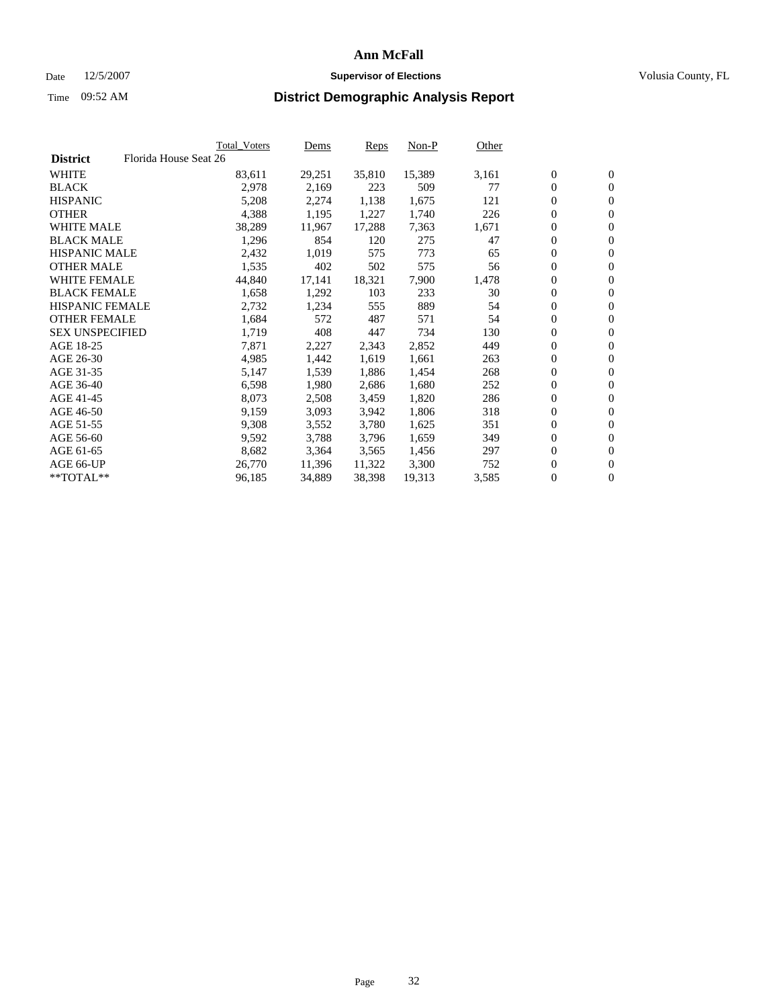#### Date  $12/5/2007$  **Supervisor of Elections** Volusia County, FL

|                        |                       | Total_Voters | Dems   | <b>Reps</b> | Non-P  | Other |                  |                  |  |
|------------------------|-----------------------|--------------|--------|-------------|--------|-------|------------------|------------------|--|
| <b>District</b>        | Florida House Seat 26 |              |        |             |        |       |                  |                  |  |
| <b>WHITE</b>           |                       | 83,611       | 29,251 | 35,810      | 15,389 | 3,161 | $\boldsymbol{0}$ | $\mathbf{0}$     |  |
| <b>BLACK</b>           |                       | 2,978        | 2,169  | 223         | 509    | 77    | $\overline{0}$   | $\mathbf{0}$     |  |
| <b>HISPANIC</b>        |                       | 5,208        | 2,274  | 1,138       | 1,675  | 121   | $\boldsymbol{0}$ | $\mathbf{0}$     |  |
| <b>OTHER</b>           |                       | 4,388        | 1,195  | 1,227       | 1,740  | 226   | 0                | $\mathbf{0}$     |  |
| <b>WHITE MALE</b>      |                       | 38,289       | 11,967 | 17,288      | 7,363  | 1,671 | 0                | $\mathbf{0}$     |  |
| <b>BLACK MALE</b>      |                       | 1,296        | 854    | 120         | 275    | 47    | $\boldsymbol{0}$ | $\boldsymbol{0}$ |  |
| <b>HISPANIC MALE</b>   |                       | 2,432        | 1,019  | 575         | 773    | 65    | $\overline{0}$   | $\mathbf{0}$     |  |
| <b>OTHER MALE</b>      |                       | 1,535        | 402    | 502         | 575    | 56    | $\overline{0}$   | $\mathbf{0}$     |  |
| <b>WHITE FEMALE</b>    |                       | 44,840       | 17,141 | 18,321      | 7,900  | 1,478 | $\mathbf{0}$     | $\mathbf{0}$     |  |
| <b>BLACK FEMALE</b>    |                       | 1,658        | 1,292  | 103         | 233    | 30    | $\boldsymbol{0}$ | $\mathbf{0}$     |  |
| <b>HISPANIC FEMALE</b> |                       | 2,732        | 1,234  | 555         | 889    | 54    | $\boldsymbol{0}$ | $\boldsymbol{0}$ |  |
| <b>OTHER FEMALE</b>    |                       | 1,684        | 572    | 487         | 571    | 54    | 0                | $\mathbf{0}$     |  |
| <b>SEX UNSPECIFIED</b> |                       | 1,719        | 408    | 447         | 734    | 130   | $\boldsymbol{0}$ | $\mathbf{0}$     |  |
| AGE 18-25              |                       | 7,871        | 2,227  | 2,343       | 2,852  | 449   | $\boldsymbol{0}$ | $\mathbf{0}$     |  |
| AGE 26-30              |                       | 4,985        | 1,442  | 1,619       | 1,661  | 263   | $\overline{0}$   | $\mathbf{0}$     |  |
| AGE 31-35              |                       | 5,147        | 1,539  | 1,886       | 1,454  | 268   | $\overline{0}$   | $\mathbf{0}$     |  |
| AGE 36-40              |                       | 6,598        | 1,980  | 2,686       | 1,680  | 252   | $\boldsymbol{0}$ | $\boldsymbol{0}$ |  |
| AGE 41-45              |                       | 8,073        | 2,508  | 3,459       | 1,820  | 286   | $\boldsymbol{0}$ | $\mathbf{0}$     |  |
| AGE 46-50              |                       | 9,159        | 3,093  | 3,942       | 1,806  | 318   | 0                | $\mathbf{0}$     |  |
| AGE 51-55              |                       | 9,308        | 3,552  | 3,780       | 1,625  | 351   | $\boldsymbol{0}$ | $\boldsymbol{0}$ |  |
| AGE 56-60              |                       | 9,592        | 3,788  | 3,796       | 1,659  | 349   | $\overline{0}$   | $\mathbf{0}$     |  |
| AGE 61-65              |                       | 8,682        | 3,364  | 3,565       | 1,456  | 297   | $\mathbf{0}$     | $\mathbf{0}$     |  |
| AGE 66-UP              |                       | 26,770       | 11,396 | 11,322      | 3,300  | 752   | $\boldsymbol{0}$ | $\boldsymbol{0}$ |  |
| **TOTAL**              |                       | 96,185       | 34,889 | 38,398      | 19,313 | 3,585 | 0                | $\overline{0}$   |  |
|                        |                       |              |        |             |        |       |                  |                  |  |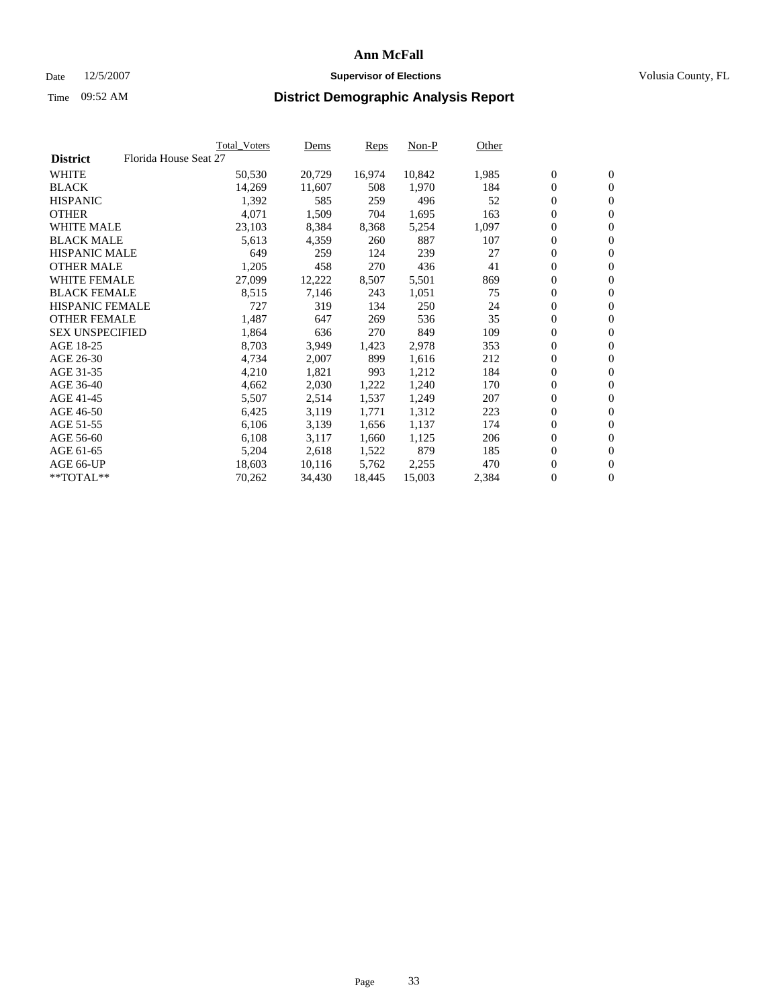#### Date  $12/5/2007$  **Supervisor of Elections** Volusia County, FL

|                        |                       | Total_Voters | Dems   | <b>Reps</b> | Non-P  | Other |                  |                  |  |
|------------------------|-----------------------|--------------|--------|-------------|--------|-------|------------------|------------------|--|
| <b>District</b>        | Florida House Seat 27 |              |        |             |        |       |                  |                  |  |
| <b>WHITE</b>           |                       | 50,530       | 20,729 | 16,974      | 10,842 | 1,985 | $\overline{0}$   | $\mathbf{0}$     |  |
| <b>BLACK</b>           |                       | 14,269       | 11,607 | 508         | 1,970  | 184   | $\overline{0}$   | $\mathbf{0}$     |  |
| <b>HISPANIC</b>        |                       | 1,392        | 585    | 259         | 496    | 52    | $\boldsymbol{0}$ | $\mathbf{0}$     |  |
| <b>OTHER</b>           |                       | 4,071        | 1,509  | 704         | 1,695  | 163   | $\boldsymbol{0}$ | $\mathbf{0}$     |  |
| <b>WHITE MALE</b>      |                       | 23,103       | 8,384  | 8,368       | 5,254  | 1,097 | 0                | $\mathbf{0}$     |  |
| <b>BLACK MALE</b>      |                       | 5,613        | 4,359  | 260         | 887    | 107   | $\boldsymbol{0}$ | $\boldsymbol{0}$ |  |
| <b>HISPANIC MALE</b>   |                       | 649          | 259    | 124         | 239    | 27    | $\overline{0}$   | $\mathbf{0}$     |  |
| <b>OTHER MALE</b>      |                       | 1,205        | 458    | 270         | 436    | 41    | $\overline{0}$   | $\mathbf{0}$     |  |
| <b>WHITE FEMALE</b>    |                       | 27,099       | 12,222 | 8,507       | 5,501  | 869   | $\mathbf{0}$     | $\mathbf{0}$     |  |
| <b>BLACK FEMALE</b>    |                       | 8,515        | 7,146  | 243         | 1,051  | 75    | $\boldsymbol{0}$ | $\mathbf{0}$     |  |
| HISPANIC FEMALE        |                       | 727          | 319    | 134         | 250    | 24    | $\boldsymbol{0}$ | $\boldsymbol{0}$ |  |
| <b>OTHER FEMALE</b>    |                       | 1,487        | 647    | 269         | 536    | 35    | 0                | $\mathbf{0}$     |  |
| <b>SEX UNSPECIFIED</b> |                       | 1,864        | 636    | 270         | 849    | 109   | $\boldsymbol{0}$ | $\mathbf{0}$     |  |
| AGE 18-25              |                       | 8,703        | 3,949  | 1,423       | 2,978  | 353   | $\boldsymbol{0}$ | $\mathbf{0}$     |  |
| AGE 26-30              |                       | 4,734        | 2,007  | 899         | 1,616  | 212   | $\overline{0}$   | $\mathbf{0}$     |  |
| AGE 31-35              |                       | 4,210        | 1,821  | 993         | 1,212  | 184   | $\boldsymbol{0}$ | $\mathbf{0}$     |  |
| AGE 36-40              |                       | 4,662        | 2,030  | 1,222       | 1,240  | 170   | $\boldsymbol{0}$ | $\boldsymbol{0}$ |  |
| AGE 41-45              |                       | 5,507        | 2,514  | 1,537       | 1,249  | 207   | $\boldsymbol{0}$ | $\mathbf{0}$     |  |
| AGE 46-50              |                       | 6,425        | 3,119  | 1,771       | 1,312  | 223   | 0                | $\mathbf{0}$     |  |
| AGE 51-55              |                       | 6,106        | 3,139  | 1,656       | 1,137  | 174   | $\boldsymbol{0}$ | $\boldsymbol{0}$ |  |
| AGE 56-60              |                       | 6,108        | 3,117  | 1,660       | 1,125  | 206   | $\overline{0}$   | $\mathbf{0}$     |  |
| AGE 61-65              |                       | 5,204        | 2,618  | 1,522       | 879    | 185   | $\mathbf{0}$     | $\mathbf{0}$     |  |
| AGE 66-UP              |                       | 18,603       | 10,116 | 5,762       | 2,255  | 470   | $\boldsymbol{0}$ | $\boldsymbol{0}$ |  |
| **TOTAL**              |                       | 70,262       | 34,430 | 18,445      | 15,003 | 2,384 | 0                | $\overline{0}$   |  |
|                        |                       |              |        |             |        |       |                  |                  |  |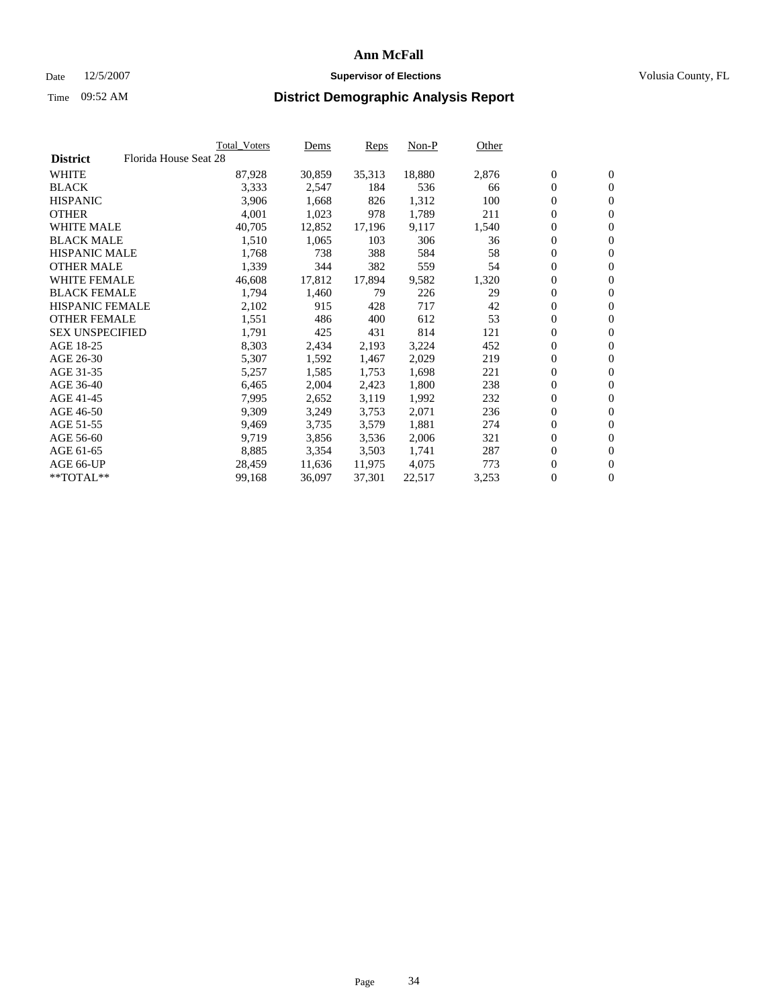#### Date  $12/5/2007$  **Supervisor of Elections** Volusia County, FL

|                        |                       | Total_Voters | Dems   | <b>Reps</b> | Non-P  | Other |                  |                  |
|------------------------|-----------------------|--------------|--------|-------------|--------|-------|------------------|------------------|
| <b>District</b>        | Florida House Seat 28 |              |        |             |        |       |                  |                  |
| <b>WHITE</b>           |                       | 87,928       | 30,859 | 35,313      | 18,880 | 2,876 | $\overline{0}$   | $\mathbf{0}$     |
| <b>BLACK</b>           |                       | 3,333        | 2,547  | 184         | 536    | 66    | $\overline{0}$   | $\mathbf{0}$     |
| <b>HISPANIC</b>        |                       | 3,906        | 1,668  | 826         | 1,312  | 100   | $\boldsymbol{0}$ | $\mathbf{0}$     |
| <b>OTHER</b>           |                       | 4,001        | 1,023  | 978         | 1,789  | 211   | 0                | $\mathbf{0}$     |
| <b>WHITE MALE</b>      |                       | 40,705       | 12,852 | 17,196      | 9,117  | 1,540 | 0                | $\mathbf{0}$     |
| <b>BLACK MALE</b>      |                       | 1,510        | 1,065  | 103         | 306    | 36    | $\boldsymbol{0}$ | $\boldsymbol{0}$ |
| <b>HISPANIC MALE</b>   |                       | 1,768        | 738    | 388         | 584    | 58    | $\overline{0}$   | $\mathbf{0}$     |
| <b>OTHER MALE</b>      |                       | 1,339        | 344    | 382         | 559    | 54    | $\overline{0}$   | $\mathbf{0}$     |
| <b>WHITE FEMALE</b>    |                       | 46,608       | 17,812 | 17,894      | 9,582  | 1,320 | $\mathbf{0}$     | $\mathbf{0}$     |
| <b>BLACK FEMALE</b>    |                       | 1,794        | 1,460  | 79          | 226    | 29    | $\overline{0}$   | $\mathbf{0}$     |
| HISPANIC FEMALE        |                       | 2,102        | 915    | 428         | 717    | 42    | $\boldsymbol{0}$ | $\boldsymbol{0}$ |
| <b>OTHER FEMALE</b>    |                       | 1,551        | 486    | 400         | 612    | 53    | 0                | $\mathbf{0}$     |
| <b>SEX UNSPECIFIED</b> |                       | 1,791        | 425    | 431         | 814    | 121   | $\boldsymbol{0}$ | $\mathbf{0}$     |
| AGE 18-25              |                       | 8,303        | 2,434  | 2,193       | 3,224  | 452   | $\boldsymbol{0}$ | $\mathbf{0}$     |
| AGE 26-30              |                       | 5,307        | 1,592  | 1,467       | 2,029  | 219   | $\overline{0}$   | $\mathbf{0}$     |
| AGE 31-35              |                       | 5,257        | 1,585  | 1,753       | 1,698  | 221   | $\overline{0}$   | $\mathbf{0}$     |
| AGE 36-40              |                       | 6,465        | 2,004  | 2,423       | 1,800  | 238   | $\boldsymbol{0}$ | $\mathbf{0}$     |
| AGE 41-45              |                       | 7,995        | 2,652  | 3,119       | 1,992  | 232   | $\boldsymbol{0}$ | $\mathbf{0}$     |
| AGE 46-50              |                       | 9,309        | 3,249  | 3,753       | 2,071  | 236   | 0                | $\mathbf{0}$     |
| AGE 51-55              |                       | 9,469        | 3,735  | 3,579       | 1,881  | 274   | $\boldsymbol{0}$ | $\boldsymbol{0}$ |
| AGE 56-60              |                       | 9,719        | 3,856  | 3,536       | 2,006  | 321   | $\overline{0}$   | $\mathbf{0}$     |
| AGE 61-65              |                       | 8,885        | 3,354  | 3,503       | 1,741  | 287   | $\mathbf{0}$     | $\mathbf{0}$     |
| AGE 66-UP              |                       | 28,459       | 11,636 | 11,975      | 4,075  | 773   | $\boldsymbol{0}$ | $\boldsymbol{0}$ |
| **TOTAL**              |                       | 99,168       | 36,097 | 37,301      | 22,517 | 3,253 | 0                | $\overline{0}$   |
|                        |                       |              |        |             |        |       |                  |                  |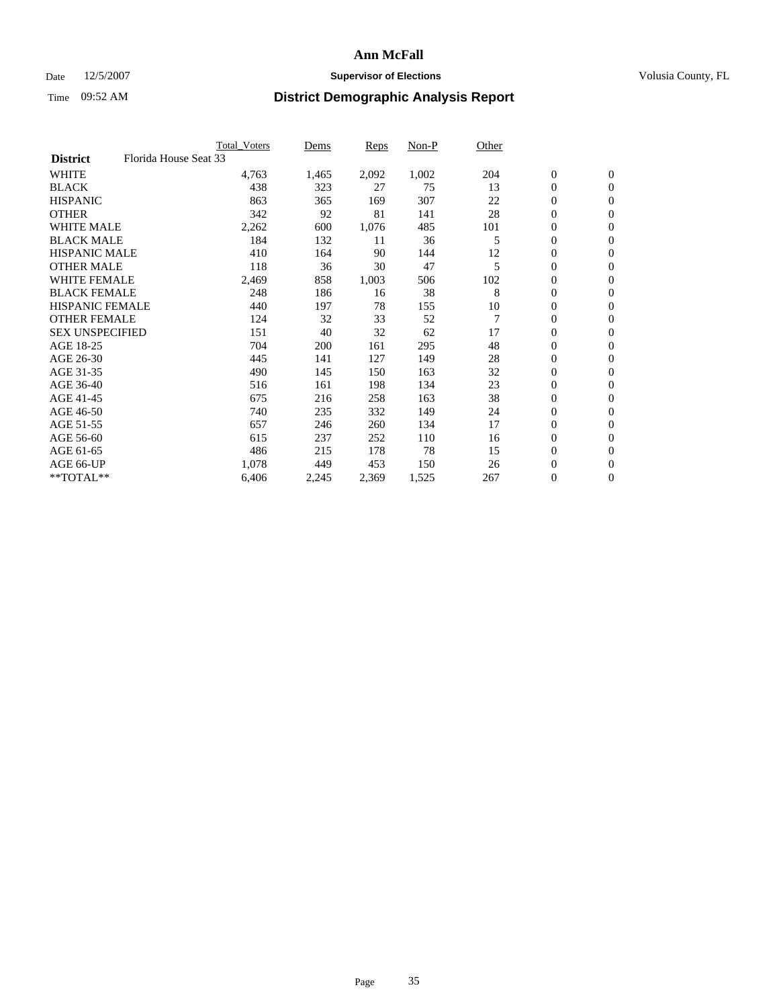### Date 12/5/2007 **Supervisor of Elections Supervisor of Elections** Volusia County, FL

|                                          | <b>Total Voters</b> | Dems  | Reps  | Non-P | Other |                  |                  |  |
|------------------------------------------|---------------------|-------|-------|-------|-------|------------------|------------------|--|
| Florida House Seat 33<br><b>District</b> |                     |       |       |       |       |                  |                  |  |
| <b>WHITE</b>                             | 4,763               | 1,465 | 2,092 | 1,002 | 204   | $\boldsymbol{0}$ | $\mathbf{0}$     |  |
| <b>BLACK</b>                             | 438                 | 323   | 27    | 75    | 13    | $\mathbf{0}$     | $\mathbf{0}$     |  |
| <b>HISPANIC</b>                          | 863                 | 365   | 169   | 307   | 22    | 0                | $\overline{0}$   |  |
| <b>OTHER</b>                             | 342                 | 92    | 81    | 141   | 28    | 0                | $\mathbf{0}$     |  |
| <b>WHITE MALE</b>                        | 2,262               | 600   | 1,076 | 485   | 101   | 0                | $\mathbf{0}$     |  |
| <b>BLACK MALE</b>                        | 184                 | 132   | 11    | 36    | 5     | 0                | $\boldsymbol{0}$ |  |
| <b>HISPANIC MALE</b>                     | 410                 | 164   | 90    | 144   | 12    | 0                | $\mathbf{0}$     |  |
| <b>OTHER MALE</b>                        | 118                 | 36    | 30    | 47    | 5     | $\mathbf{0}$     | $\mathbf{0}$     |  |
| <b>WHITE FEMALE</b>                      | 2,469               | 858   | 1,003 | 506   | 102   | 0                | $\mathbf{0}$     |  |
| <b>BLACK FEMALE</b>                      | 248                 | 186   | 16    | 38    | 8     | $\boldsymbol{0}$ | $\mathbf{0}$     |  |
| <b>HISPANIC FEMALE</b>                   | 440                 | 197   | 78    | 155   | 10    | 0                | $\boldsymbol{0}$ |  |
| <b>OTHER FEMALE</b>                      | 124                 | 32    | 33    | 52    | 7     | 0                | $\mathbf{0}$     |  |
| <b>SEX UNSPECIFIED</b>                   | 151                 | 40    | 32    | 62    | 17    | 0                | $\mathbf{0}$     |  |
| AGE 18-25                                | 704                 | 200   | 161   | 295   | 48    | 0                | $\mathbf{0}$     |  |
| AGE 26-30                                | 445                 | 141   | 127   | 149   | 28    | $\mathbf{0}$     | $\mathbf{0}$     |  |
| AGE 31-35                                | 490                 | 145   | 150   | 163   | 32    | 0                | $\mathbf{0}$     |  |
| AGE 36-40                                | 516                 | 161   | 198   | 134   | 23    | 0                | $\mathbf{0}$     |  |
| AGE 41-45                                | 675                 | 216   | 258   | 163   | 38    | 0                | $\mathbf{0}$     |  |
| AGE 46-50                                | 740                 | 235   | 332   | 149   | 24    | 0                | $\mathbf{0}$     |  |
| AGE 51-55                                | 657                 | 246   | 260   | 134   | 17    | $\boldsymbol{0}$ | $\boldsymbol{0}$ |  |
| AGE 56-60                                | 615                 | 237   | 252   | 110   | 16    | $\mathbf{0}$     | $\mathbf{0}$     |  |
| AGE 61-65                                | 486                 | 215   | 178   | 78    | 15    | $\mathbf{0}$     | $\mathbf{0}$     |  |
| AGE 66-UP                                | 1,078               | 449   | 453   | 150   | 26    | 0                | $\boldsymbol{0}$ |  |
| $*$ TOTAL $**$                           | 6,406               | 2,245 | 2,369 | 1,525 | 267   | 0                | $\overline{0}$   |  |
|                                          |                     |       |       |       |       |                  |                  |  |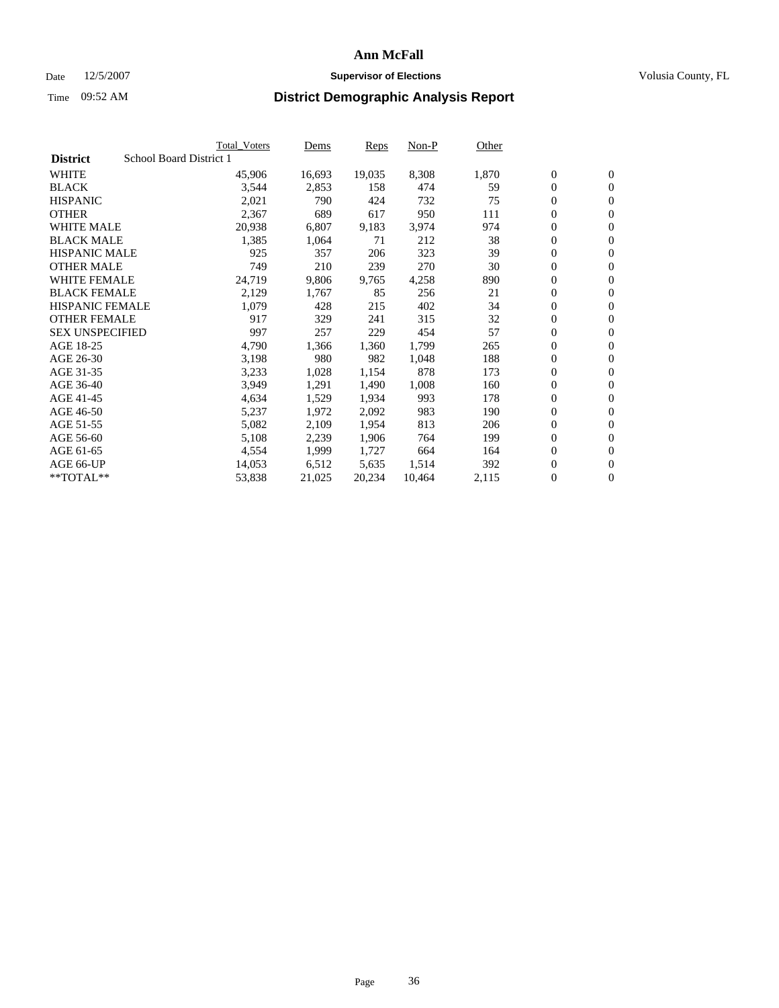#### Date  $12/5/2007$  **Supervisor of Elections** Volusia County, FL

|                        |                         | <b>Total_Voters</b> | Dems   | <b>Reps</b> | Non-P  | Other |                  |                  |
|------------------------|-------------------------|---------------------|--------|-------------|--------|-------|------------------|------------------|
| <b>District</b>        | School Board District 1 |                     |        |             |        |       |                  |                  |
| <b>WHITE</b>           |                         | 45,906              | 16,693 | 19,035      | 8,308  | 1,870 | $\overline{0}$   | $\mathbf{0}$     |
| <b>BLACK</b>           |                         | 3,544               | 2,853  | 158         | 474    | 59    | $\overline{0}$   | $\mathbf{0}$     |
| <b>HISPANIC</b>        |                         | 2,021               | 790    | 424         | 732    | 75    | $\boldsymbol{0}$ | $\mathbf{0}$     |
| <b>OTHER</b>           |                         | 2,367               | 689    | 617         | 950    | 111   | 0                | $\mathbf{0}$     |
| <b>WHITE MALE</b>      |                         | 20,938              | 6,807  | 9,183       | 3,974  | 974   | 0                | $\mathbf{0}$     |
| <b>BLACK MALE</b>      |                         | 1,385               | 1,064  | 71          | 212    | 38    | $\boldsymbol{0}$ | $\boldsymbol{0}$ |
| <b>HISPANIC MALE</b>   |                         | 925                 | 357    | 206         | 323    | 39    | $\overline{0}$   | $\mathbf{0}$     |
| <b>OTHER MALE</b>      |                         | 749                 | 210    | 239         | 270    | 30    | $\overline{0}$   | $\mathbf{0}$     |
| <b>WHITE FEMALE</b>    |                         | 24,719              | 9,806  | 9,765       | 4,258  | 890   | $\overline{0}$   | $\mathbf{0}$     |
| <b>BLACK FEMALE</b>    |                         | 2,129               | 1,767  | 85          | 256    | 21    | $\overline{0}$   | $\mathbf{0}$     |
| <b>HISPANIC FEMALE</b> |                         | 1,079               | 428    | 215         | 402    | 34    | $\boldsymbol{0}$ | $\boldsymbol{0}$ |
| <b>OTHER FEMALE</b>    |                         | 917                 | 329    | 241         | 315    | 32    | 0                | $\mathbf{0}$     |
| <b>SEX UNSPECIFIED</b> |                         | 997                 | 257    | 229         | 454    | 57    | $\boldsymbol{0}$ | $\mathbf{0}$     |
| AGE 18-25              |                         | 4,790               | 1,366  | 1,360       | 1,799  | 265   | $\boldsymbol{0}$ | $\mathbf{0}$     |
| AGE 26-30              |                         | 3,198               | 980    | 982         | 1,048  | 188   | $\overline{0}$   | $\mathbf{0}$     |
| AGE 31-35              |                         | 3,233               | 1,028  | 1,154       | 878    | 173   | $\overline{0}$   | $\mathbf{0}$     |
| AGE 36-40              |                         | 3,949               | 1,291  | 1,490       | 1,008  | 160   | $\boldsymbol{0}$ | $\mathbf{0}$     |
| AGE 41-45              |                         | 4,634               | 1,529  | 1,934       | 993    | 178   | $\boldsymbol{0}$ | $\mathbf{0}$     |
| AGE 46-50              |                         | 5,237               | 1,972  | 2,092       | 983    | 190   | 0                | $\mathbf{0}$     |
| AGE 51-55              |                         | 5,082               | 2,109  | 1,954       | 813    | 206   | $\boldsymbol{0}$ | $\boldsymbol{0}$ |
| AGE 56-60              |                         | 5,108               | 2,239  | 1,906       | 764    | 199   | $\overline{0}$   | $\mathbf{0}$     |
| AGE 61-65              |                         | 4,554               | 1,999  | 1,727       | 664    | 164   | $\mathbf{0}$     | $\mathbf{0}$     |
| AGE 66-UP              |                         | 14,053              | 6,512  | 5,635       | 1,514  | 392   | $\boldsymbol{0}$ | $\boldsymbol{0}$ |
| **TOTAL**              |                         | 53,838              | 21,025 | 20,234      | 10,464 | 2,115 | 0                | $\overline{0}$   |
|                        |                         |                     |        |             |        |       |                  |                  |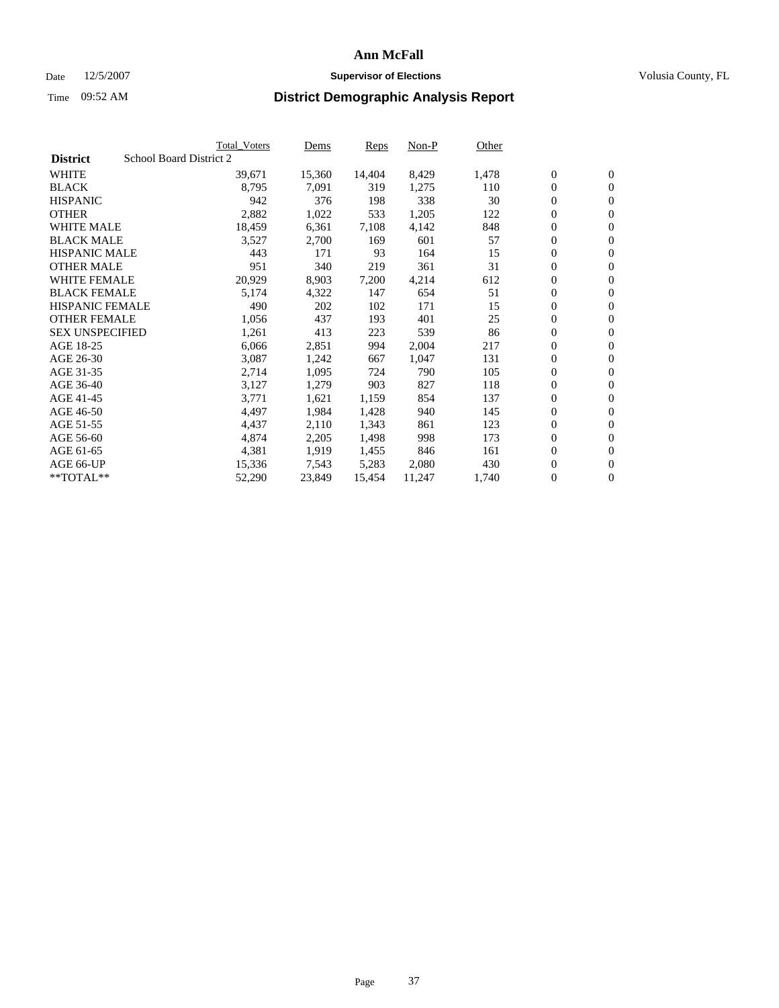#### Date  $12/5/2007$  **Supervisor of Elections** Volusia County, FL

|                                            | <b>Total Voters</b> | Dems   | Reps   | Non-P  | Other |                  |                  |  |
|--------------------------------------------|---------------------|--------|--------|--------|-------|------------------|------------------|--|
| School Board District 2<br><b>District</b> |                     |        |        |        |       |                  |                  |  |
| <b>WHITE</b>                               | 39,671              | 15,360 | 14,404 | 8,429  | 1,478 | $\boldsymbol{0}$ | $\mathbf{0}$     |  |
| <b>BLACK</b>                               | 8,795               | 7,091  | 319    | 1,275  | 110   | $\boldsymbol{0}$ | $\mathbf{0}$     |  |
| <b>HISPANIC</b>                            | 942                 | 376    | 198    | 338    | 30    | $\boldsymbol{0}$ | $\mathbf{0}$     |  |
| <b>OTHER</b>                               | 2,882               | 1,022  | 533    | 1,205  | 122   | 0                | $\mathbf{0}$     |  |
| <b>WHITE MALE</b>                          | 18,459              | 6,361  | 7,108  | 4,142  | 848   | 0                | $\mathbf{0}$     |  |
| <b>BLACK MALE</b>                          | 3,527               | 2,700  | 169    | 601    | 57    | $\boldsymbol{0}$ | $\boldsymbol{0}$ |  |
| <b>HISPANIC MALE</b>                       | 443                 | 171    | 93     | 164    | 15    | 0                | $\mathbf{0}$     |  |
| <b>OTHER MALE</b>                          | 951                 | 340    | 219    | 361    | 31    | $\boldsymbol{0}$ | $\mathbf{0}$     |  |
| <b>WHITE FEMALE</b>                        | 20,929              | 8,903  | 7,200  | 4,214  | 612   | 0                | $\mathbf{0}$     |  |
| <b>BLACK FEMALE</b>                        | 5,174               | 4,322  | 147    | 654    | 51    | $\boldsymbol{0}$ | $\mathbf{0}$     |  |
| <b>HISPANIC FEMALE</b>                     | 490                 | 202    | 102    | 171    | 15    | $\boldsymbol{0}$ | $\boldsymbol{0}$ |  |
| <b>OTHER FEMALE</b>                        | 1,056               | 437    | 193    | 401    | 25    | 0                | $\mathbf{0}$     |  |
| <b>SEX UNSPECIFIED</b>                     | 1,261               | 413    | 223    | 539    | 86    | 0                | $\mathbf{0}$     |  |
| AGE 18-25                                  | 6,066               | 2,851  | 994    | 2,004  | 217   | 0                | $\mathbf{0}$     |  |
| AGE 26-30                                  | 3,087               | 1,242  | 667    | 1,047  | 131   | $\mathbf{0}$     | $\mathbf{0}$     |  |
| AGE 31-35                                  | 2,714               | 1,095  | 724    | 790    | 105   | 0                | $\mathbf{0}$     |  |
| AGE 36-40                                  | 3,127               | 1,279  | 903    | 827    | 118   | $\boldsymbol{0}$ | $\boldsymbol{0}$ |  |
| AGE 41-45                                  | 3,771               | 1,621  | 1,159  | 854    | 137   | $\boldsymbol{0}$ | $\mathbf{0}$     |  |
| AGE 46-50                                  | 4,497               | 1,984  | 1,428  | 940    | 145   | 0                | $\mathbf{0}$     |  |
| AGE 51-55                                  | 4,437               | 2,110  | 1,343  | 861    | 123   | $\boldsymbol{0}$ | $\boldsymbol{0}$ |  |
| AGE 56-60                                  | 4,874               | 2,205  | 1,498  | 998    | 173   | 0                | $\mathbf{0}$     |  |
| AGE 61-65                                  | 4,381               | 1,919  | 1,455  | 846    | 161   | $\mathbf{0}$     | $\mathbf{0}$     |  |
| AGE 66-UP                                  | 15,336              | 7,543  | 5,283  | 2,080  | 430   | $\boldsymbol{0}$ | $\boldsymbol{0}$ |  |
| **TOTAL**                                  | 52,290              | 23,849 | 15,454 | 11,247 | 1,740 | 0                | $\overline{0}$   |  |
|                                            |                     |        |        |        |       |                  |                  |  |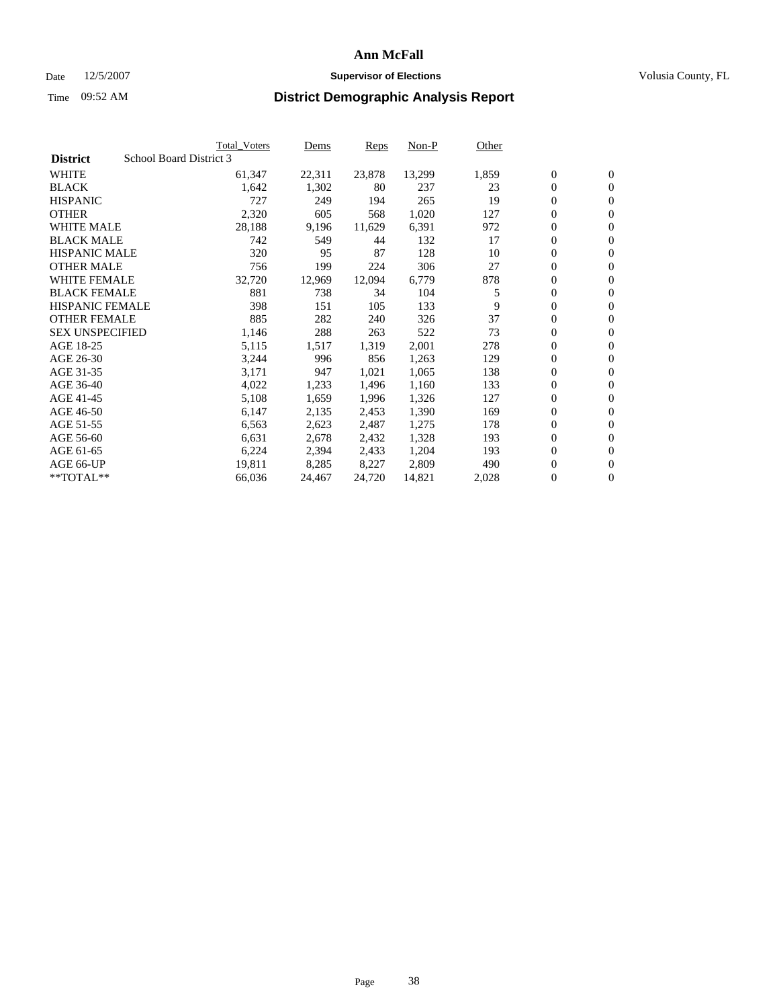#### Date  $12/5/2007$  **Supervisor of Elections** Volusia County, FL

|                        | <b>Total_Voters</b>     | Dems   | <b>Reps</b> | Non-P  | Other |                  |                  |  |
|------------------------|-------------------------|--------|-------------|--------|-------|------------------|------------------|--|
| <b>District</b>        | School Board District 3 |        |             |        |       |                  |                  |  |
| <b>WHITE</b>           | 61,347                  | 22,311 | 23,878      | 13,299 | 1,859 | $\overline{0}$   | $\mathbf{0}$     |  |
| <b>BLACK</b>           | 1,642                   | 1,302  | 80          | 237    | 23    | $\overline{0}$   | $\mathbf{0}$     |  |
| <b>HISPANIC</b>        | 727                     | 249    | 194         | 265    | 19    | $\boldsymbol{0}$ | $\mathbf{0}$     |  |
| <b>OTHER</b>           | 2,320                   | 605    | 568         | 1,020  | 127   | 0                | $\mathbf{0}$     |  |
| <b>WHITE MALE</b>      | 28,188                  | 9,196  | 11,629      | 6,391  | 972   | 0                | $\mathbf{0}$     |  |
| <b>BLACK MALE</b>      | 742                     | 549    | 44          | 132    | 17    | $\boldsymbol{0}$ | $\boldsymbol{0}$ |  |
| <b>HISPANIC MALE</b>   | 320                     | 95     | 87          | 128    | 10    | $\overline{0}$   | $\mathbf{0}$     |  |
| <b>OTHER MALE</b>      | 756                     | 199    | 224         | 306    | 27    | $\overline{0}$   | $\mathbf{0}$     |  |
| <b>WHITE FEMALE</b>    | 32,720                  | 12,969 | 12,094      | 6,779  | 878   | 0                | $\mathbf{0}$     |  |
| <b>BLACK FEMALE</b>    | 881                     | 738    | 34          | 104    | 5     | $\overline{0}$   | $\mathbf{0}$     |  |
| <b>HISPANIC FEMALE</b> | 398                     | 151    | 105         | 133    | 9     | $\boldsymbol{0}$ | $\boldsymbol{0}$ |  |
| <b>OTHER FEMALE</b>    | 885                     | 282    | 240         | 326    | 37    | 0                | $\mathbf{0}$     |  |
| <b>SEX UNSPECIFIED</b> | 1,146                   | 288    | 263         | 522    | 73    | $\boldsymbol{0}$ | $\mathbf{0}$     |  |
| AGE 18-25              | 5,115                   | 1,517  | 1,319       | 2,001  | 278   | 0                | $\mathbf{0}$     |  |
| AGE 26-30              | 3,244                   | 996    | 856         | 1,263  | 129   | $\overline{0}$   | $\mathbf{0}$     |  |
| AGE 31-35              | 3,171                   | 947    | 1,021       | 1,065  | 138   | $\overline{0}$   | $\mathbf{0}$     |  |
| AGE 36-40              | 4,022                   | 1,233  | 1,496       | 1,160  | 133   | $\boldsymbol{0}$ | $\mathbf{0}$     |  |
| AGE 41-45              | 5,108                   | 1,659  | 1,996       | 1,326  | 127   | $\boldsymbol{0}$ | $\mathbf{0}$     |  |
| AGE 46-50              | 6,147                   | 2,135  | 2,453       | 1,390  | 169   | 0                | $\mathbf{0}$     |  |
| AGE 51-55              | 6,563                   | 2,623  | 2,487       | 1,275  | 178   | $\boldsymbol{0}$ | $\boldsymbol{0}$ |  |
| AGE 56-60              | 6,631                   | 2,678  | 2,432       | 1,328  | 193   | $\overline{0}$   | $\mathbf{0}$     |  |
| AGE 61-65              | 6,224                   | 2,394  | 2,433       | 1,204  | 193   | $\mathbf{0}$     | $\mathbf{0}$     |  |
| AGE 66-UP              | 19,811                  | 8,285  | 8,227       | 2,809  | 490   | $\boldsymbol{0}$ | $\boldsymbol{0}$ |  |
| **TOTAL**              | 66,036                  | 24,467 | 24,720      | 14,821 | 2,028 | 0                | $\overline{0}$   |  |
|                        |                         |        |             |        |       |                  |                  |  |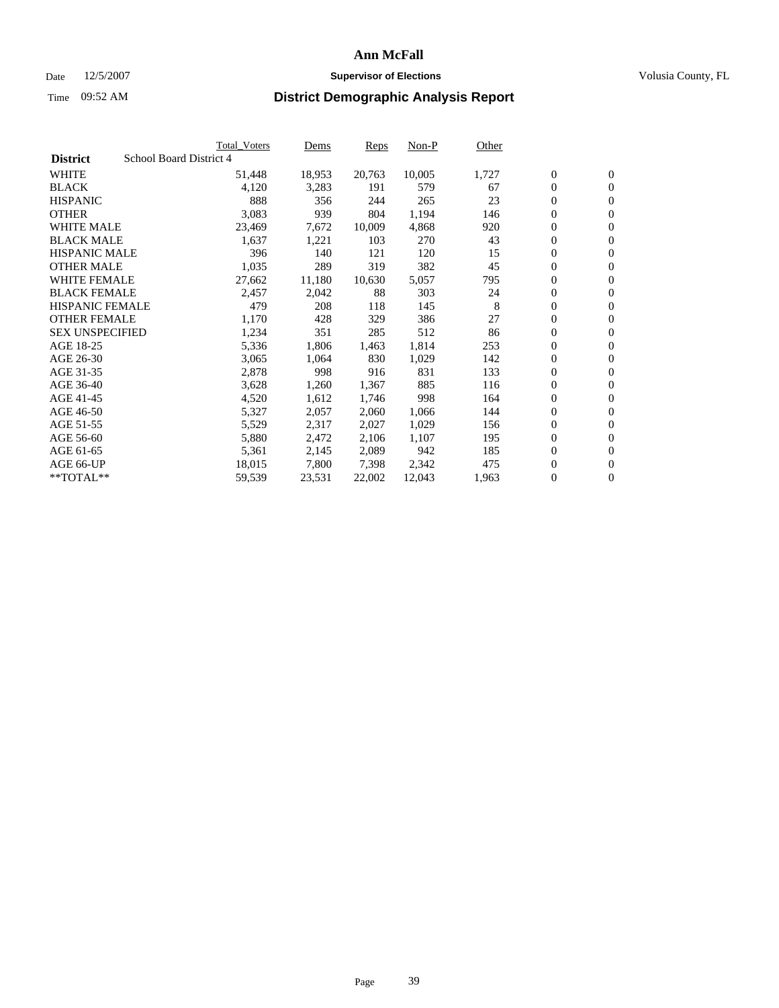#### Date  $12/5/2007$  **Supervisor of Elections** Volusia County, FL

|                        | <b>Total_Voters</b>     | Dems   | <b>Reps</b> | Non-P  | Other |                  |                  |  |
|------------------------|-------------------------|--------|-------------|--------|-------|------------------|------------------|--|
| <b>District</b>        | School Board District 4 |        |             |        |       |                  |                  |  |
| <b>WHITE</b>           | 51,448                  | 18,953 | 20,763      | 10,005 | 1,727 | $\overline{0}$   | $\mathbf{0}$     |  |
| <b>BLACK</b>           | 4,120                   | 3,283  | 191         | 579    | 67    | $\overline{0}$   | $\mathbf{0}$     |  |
| <b>HISPANIC</b>        | 888                     | 356    | 244         | 265    | 23    | $\boldsymbol{0}$ | $\mathbf{0}$     |  |
| <b>OTHER</b>           | 3,083                   | 939    | 804         | 1,194  | 146   | 0                | $\mathbf{0}$     |  |
| <b>WHITE MALE</b>      | 23,469                  | 7,672  | 10,009      | 4,868  | 920   | 0                | $\mathbf{0}$     |  |
| <b>BLACK MALE</b>      | 1,637                   | 1,221  | 103         | 270    | 43    | $\boldsymbol{0}$ | $\boldsymbol{0}$ |  |
| <b>HISPANIC MALE</b>   | 396                     | 140    | 121         | 120    | 15    | $\overline{0}$   | $\mathbf{0}$     |  |
| <b>OTHER MALE</b>      | 1,035                   | 289    | 319         | 382    | 45    | $\overline{0}$   | $\mathbf{0}$     |  |
| <b>WHITE FEMALE</b>    | 27,662                  | 11,180 | 10,630      | 5,057  | 795   | $\overline{0}$   | $\mathbf{0}$     |  |
| <b>BLACK FEMALE</b>    | 2,457                   | 2,042  | 88          | 303    | 24    | $\boldsymbol{0}$ | $\mathbf{0}$     |  |
| <b>HISPANIC FEMALE</b> | 479                     | 208    | 118         | 145    | 8     | $\boldsymbol{0}$ | $\boldsymbol{0}$ |  |
| <b>OTHER FEMALE</b>    | 1,170                   | 428    | 329         | 386    | 27    | 0                | $\mathbf{0}$     |  |
| <b>SEX UNSPECIFIED</b> | 1,234                   | 351    | 285         | 512    | 86    | $\boldsymbol{0}$ | $\mathbf{0}$     |  |
| AGE 18-25              | 5,336                   | 1,806  | 1,463       | 1,814  | 253   | $\boldsymbol{0}$ | $\mathbf{0}$     |  |
| AGE 26-30              | 3,065                   | 1,064  | 830         | 1,029  | 142   | $\overline{0}$   | $\mathbf{0}$     |  |
| AGE 31-35              | 2,878                   | 998    | 916         | 831    | 133   | $\overline{0}$   | $\mathbf{0}$     |  |
| AGE 36-40              | 3,628                   | 1,260  | 1,367       | 885    | 116   | $\boldsymbol{0}$ | $\mathbf{0}$     |  |
| AGE 41-45              | 4,520                   | 1,612  | 1,746       | 998    | 164   | $\boldsymbol{0}$ | $\mathbf{0}$     |  |
| AGE 46-50              | 5,327                   | 2,057  | 2,060       | 1,066  | 144   | 0                | $\mathbf{0}$     |  |
| AGE 51-55              | 5,529                   | 2,317  | 2,027       | 1,029  | 156   | $\boldsymbol{0}$ | $\boldsymbol{0}$ |  |
| AGE 56-60              | 5,880                   | 2,472  | 2,106       | 1,107  | 195   | $\overline{0}$   | $\mathbf{0}$     |  |
| AGE 61-65              | 5,361                   | 2,145  | 2,089       | 942    | 185   | $\mathbf{0}$     | $\mathbf{0}$     |  |
| AGE 66-UP              | 18,015                  | 7,800  | 7,398       | 2,342  | 475   | $\boldsymbol{0}$ | $\boldsymbol{0}$ |  |
| **TOTAL**              | 59,539                  | 23,531 | 22,002      | 12,043 | 1,963 | 0                | $\overline{0}$   |  |
|                        |                         |        |             |        |       |                  |                  |  |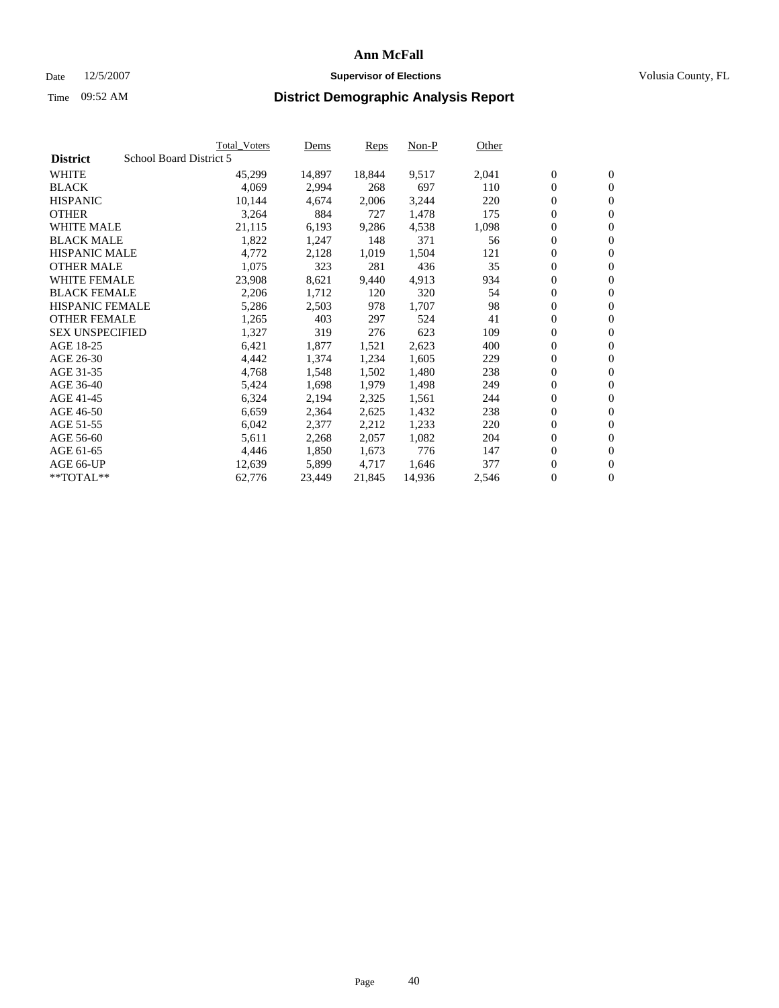#### Date  $12/5/2007$  **Supervisor of Elections** Volusia County, FL

|                                            | <b>Total Voters</b> | Dems   | Reps   | Non-P  | Other |                  |                  |
|--------------------------------------------|---------------------|--------|--------|--------|-------|------------------|------------------|
| School Board District 5<br><b>District</b> |                     |        |        |        |       |                  |                  |
| <b>WHITE</b>                               | 45,299              | 14,897 | 18,844 | 9,517  | 2,041 | $\mathbf{0}$     | $\mathbf{0}$     |
| <b>BLACK</b>                               | 4,069               | 2,994  | 268    | 697    | 110   | $\mathbf{0}$     | $\mathbf{0}$     |
| <b>HISPANIC</b>                            | 10,144              | 4,674  | 2,006  | 3,244  | 220   | $\boldsymbol{0}$ | $\mathbf{0}$     |
| <b>OTHER</b>                               | 3,264               | 884    | 727    | 1,478  | 175   | $\boldsymbol{0}$ | $\mathbf{0}$     |
| <b>WHITE MALE</b>                          | 21,115              | 6,193  | 9,286  | 4,538  | 1,098 | 0                | $\mathbf{0}$     |
| <b>BLACK MALE</b>                          | 1,822               | 1,247  | 148    | 371    | 56    | $\boldsymbol{0}$ | $\boldsymbol{0}$ |
| <b>HISPANIC MALE</b>                       | 4,772               | 2,128  | 1,019  | 1,504  | 121   | 0                | $\mathbf{0}$     |
| <b>OTHER MALE</b>                          | 1,075               | 323    | 281    | 436    | 35    | $\mathbf{0}$     | $\mathbf{0}$     |
| <b>WHITE FEMALE</b>                        | 23,908              | 8,621  | 9,440  | 4,913  | 934   | 0                | $\mathbf{0}$     |
| <b>BLACK FEMALE</b>                        | 2,206               | 1,712  | 120    | 320    | 54    | $\boldsymbol{0}$ | $\mathbf{0}$     |
| <b>HISPANIC FEMALE</b>                     | 5,286               | 2,503  | 978    | 1,707  | 98    | $\boldsymbol{0}$ | $\boldsymbol{0}$ |
| <b>OTHER FEMALE</b>                        | 1,265               | 403    | 297    | 524    | 41    | 0                | $\mathbf{0}$     |
| <b>SEX UNSPECIFIED</b>                     | 1,327               | 319    | 276    | 623    | 109   | 0                | $\mathbf{0}$     |
| AGE 18-25                                  | 6,421               | 1,877  | 1,521  | 2,623  | 400   | 0                | $\mathbf{0}$     |
| AGE 26-30                                  | 4,442               | 1,374  | 1,234  | 1,605  | 229   | $\mathbf{0}$     | $\mathbf{0}$     |
| AGE 31-35                                  | 4,768               | 1,548  | 1,502  | 1,480  | 238   | 0                | $\mathbf{0}$     |
| AGE 36-40                                  | 5,424               | 1,698  | 1,979  | 1,498  | 249   | $\boldsymbol{0}$ | $\boldsymbol{0}$ |
| AGE 41-45                                  | 6,324               | 2,194  | 2,325  | 1,561  | 244   | $\boldsymbol{0}$ | $\mathbf{0}$     |
| AGE 46-50                                  | 6,659               | 2,364  | 2,625  | 1,432  | 238   | $\boldsymbol{0}$ | $\mathbf{0}$     |
| AGE 51-55                                  | 6,042               | 2,377  | 2,212  | 1,233  | 220   | $\boldsymbol{0}$ | $\boldsymbol{0}$ |
| AGE 56-60                                  | 5,611               | 2,268  | 2,057  | 1,082  | 204   | 0                | $\mathbf{0}$     |
| AGE 61-65                                  | 4,446               | 1,850  | 1,673  | 776    | 147   | $\mathbf{0}$     | $\mathbf{0}$     |
| AGE 66-UP                                  | 12,639              | 5,899  | 4,717  | 1,646  | 377   | $\boldsymbol{0}$ | $\boldsymbol{0}$ |
| **TOTAL**                                  | 62,776              | 23,449 | 21,845 | 14,936 | 2,546 | 0                | $\overline{0}$   |
|                                            |                     |        |        |        |       |                  |                  |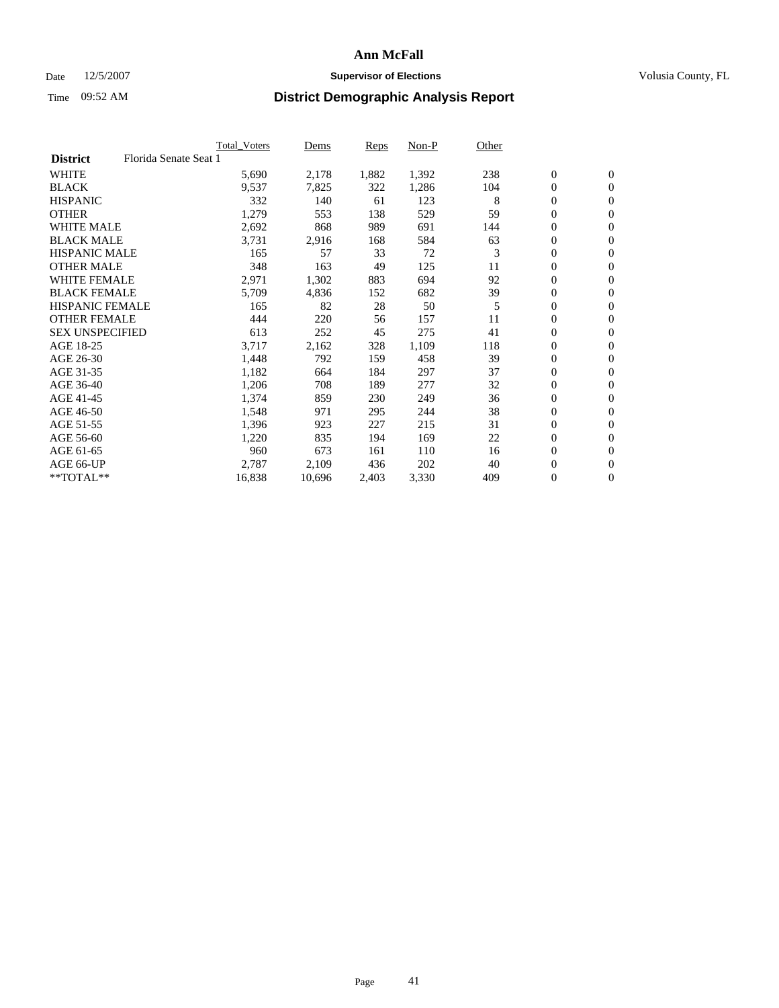### Date 12/5/2007 **Supervisor of Elections Supervisor of Elections** Volusia County, FL

|                        |                       | <b>Total Voters</b> | Dems   | Reps  | Non-P | Other |                  |                  |
|------------------------|-----------------------|---------------------|--------|-------|-------|-------|------------------|------------------|
| <b>District</b>        | Florida Senate Seat 1 |                     |        |       |       |       |                  |                  |
| <b>WHITE</b>           |                       | 5,690               | 2,178  | 1,882 | 1,392 | 238   | $\mathbf{0}$     | $\mathbf{0}$     |
| <b>BLACK</b>           |                       | 9,537               | 7,825  | 322   | 1,286 | 104   | 0                | $\mathbf{0}$     |
| <b>HISPANIC</b>        |                       | 332                 | 140    | 61    | 123   | 8     | 0                | $\overline{0}$   |
| <b>OTHER</b>           |                       | 1,279               | 553    | 138   | 529   | 59    | 0                | $\mathbf{0}$     |
| <b>WHITE MALE</b>      |                       | 2,692               | 868    | 989   | 691   | 144   | 0                | $\mathbf{0}$     |
| <b>BLACK MALE</b>      |                       | 3,731               | 2,916  | 168   | 584   | 63    | 0                | $\boldsymbol{0}$ |
| <b>HISPANIC MALE</b>   |                       | 165                 | 57     | 33    | 72    | 3     | 0                | $\mathbf{0}$     |
| <b>OTHER MALE</b>      |                       | 348                 | 163    | 49    | 125   | 11    | $\mathbf{0}$     | $\mathbf{0}$     |
| <b>WHITE FEMALE</b>    |                       | 2,971               | 1,302  | 883   | 694   | 92    | 0                | $\mathbf{0}$     |
| <b>BLACK FEMALE</b>    |                       | 5,709               | 4,836  | 152   | 682   | 39    | $\boldsymbol{0}$ | $\mathbf{0}$     |
| <b>HISPANIC FEMALE</b> |                       | 165                 | 82     | 28    | 50    | 5     | $\boldsymbol{0}$ | $\boldsymbol{0}$ |
| <b>OTHER FEMALE</b>    |                       | 444                 | 220    | 56    | 157   | 11    | 0                | $\mathbf{0}$     |
| <b>SEX UNSPECIFIED</b> |                       | 613                 | 252    | 45    | 275   | 41    | 0                | $\mathbf{0}$     |
| AGE 18-25              |                       | 3,717               | 2,162  | 328   | 1,109 | 118   | 0                | $\mathbf{0}$     |
| AGE 26-30              |                       | 1,448               | 792    | 159   | 458   | 39    | $\mathbf{0}$     | $\mathbf{0}$     |
| AGE 31-35              |                       | 1,182               | 664    | 184   | 297   | 37    | 0                | $\mathbf{0}$     |
| AGE 36-40              |                       | 1,206               | 708    | 189   | 277   | 32    | 0                | $\mathbf{0}$     |
| AGE 41-45              |                       | 1,374               | 859    | 230   | 249   | 36    | $\boldsymbol{0}$ | $\mathbf{0}$     |
| AGE 46-50              |                       | 1,548               | 971    | 295   | 244   | 38    | 0                | $\mathbf{0}$     |
| AGE 51-55              |                       | 1,396               | 923    | 227   | 215   | 31    | $\boldsymbol{0}$ | $\boldsymbol{0}$ |
| AGE 56-60              |                       | 1,220               | 835    | 194   | 169   | 22    | 0                | $\mathbf{0}$     |
| AGE 61-65              |                       | 960                 | 673    | 161   | 110   | 16    | $\mathbf{0}$     | $\mathbf{0}$     |
| AGE 66-UP              |                       | 2,787               | 2,109  | 436   | 202   | 40    | 0                | $\boldsymbol{0}$ |
| **TOTAL**              |                       | 16,838              | 10,696 | 2,403 | 3,330 | 409   | 0                | $\mathbf{0}$     |
|                        |                       |                     |        |       |       |       |                  |                  |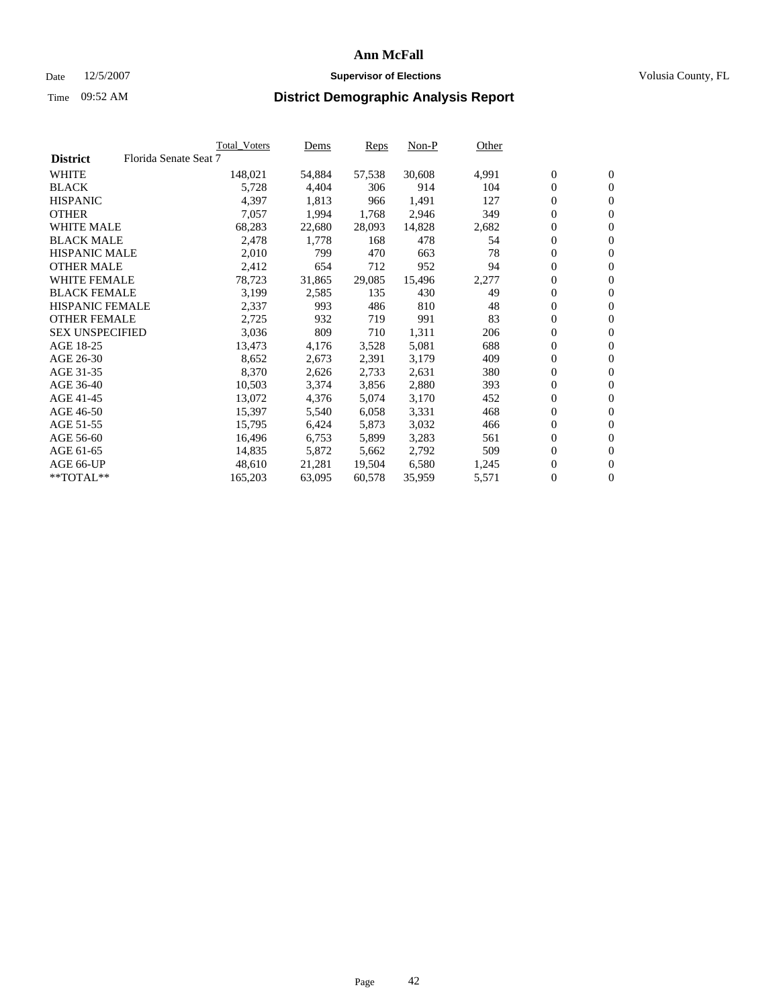#### Date  $12/5/2007$  **Supervisor of Elections** Volusia County, FL

|                        |                       | Total_Voters | Dems   | <b>Reps</b> | Non-P  | Other |                  |                  |  |
|------------------------|-----------------------|--------------|--------|-------------|--------|-------|------------------|------------------|--|
| <b>District</b>        | Florida Senate Seat 7 |              |        |             |        |       |                  |                  |  |
| <b>WHITE</b>           |                       | 148,021      | 54,884 | 57,538      | 30,608 | 4,991 | $\overline{0}$   | $\mathbf{0}$     |  |
| <b>BLACK</b>           |                       | 5,728        | 4,404  | 306         | 914    | 104   | $\overline{0}$   | $\mathbf{0}$     |  |
| <b>HISPANIC</b>        |                       | 4,397        | 1,813  | 966         | 1,491  | 127   | $\boldsymbol{0}$ | $\boldsymbol{0}$ |  |
| <b>OTHER</b>           |                       | 7,057        | 1,994  | 1,768       | 2,946  | 349   | $\boldsymbol{0}$ | $\mathbf{0}$     |  |
| <b>WHITE MALE</b>      |                       | 68,283       | 22,680 | 28,093      | 14,828 | 2,682 | 0                | $\mathbf{0}$     |  |
| <b>BLACK MALE</b>      |                       | 2,478        | 1,778  | 168         | 478    | 54    | $\boldsymbol{0}$ | $\boldsymbol{0}$ |  |
| <b>HISPANIC MALE</b>   |                       | 2,010        | 799    | 470         | 663    | 78    | $\overline{0}$   | $\mathbf{0}$     |  |
| <b>OTHER MALE</b>      |                       | 2,412        | 654    | 712         | 952    | 94    | $\overline{0}$   | $\mathbf{0}$     |  |
| <b>WHITE FEMALE</b>    |                       | 78,723       | 31,865 | 29,085      | 15,496 | 2,277 | $\overline{0}$   | $\mathbf{0}$     |  |
| <b>BLACK FEMALE</b>    |                       | 3,199        | 2,585  | 135         | 430    | 49    | $\boldsymbol{0}$ | $\mathbf{0}$     |  |
| <b>HISPANIC FEMALE</b> |                       | 2,337        | 993    | 486         | 810    | 48    | $\boldsymbol{0}$ | $\boldsymbol{0}$ |  |
| <b>OTHER FEMALE</b>    |                       | 2,725        | 932    | 719         | 991    | 83    | 0                | $\mathbf{0}$     |  |
| <b>SEX UNSPECIFIED</b> |                       | 3,036        | 809    | 710         | 1,311  | 206   | $\boldsymbol{0}$ | $\mathbf{0}$     |  |
| AGE 18-25              |                       | 13,473       | 4,176  | 3,528       | 5,081  | 688   | $\boldsymbol{0}$ | $\mathbf{0}$     |  |
| AGE 26-30              |                       | 8,652        | 2,673  | 2,391       | 3,179  | 409   | $\overline{0}$   | $\mathbf{0}$     |  |
| AGE 31-35              |                       | 8,370        | 2,626  | 2,733       | 2,631  | 380   | $\overline{0}$   | $\mathbf{0}$     |  |
| AGE 36-40              |                       | 10,503       | 3,374  | 3,856       | 2,880  | 393   | $\boldsymbol{0}$ | $\boldsymbol{0}$ |  |
| AGE 41-45              |                       | 13,072       | 4,376  | 5,074       | 3,170  | 452   | $\boldsymbol{0}$ | $\mathbf{0}$     |  |
| AGE 46-50              |                       | 15,397       | 5,540  | 6,058       | 3,331  | 468   | 0                | $\mathbf{0}$     |  |
| AGE 51-55              |                       | 15,795       | 6,424  | 5,873       | 3,032  | 466   | $\boldsymbol{0}$ | $\boldsymbol{0}$ |  |
| AGE 56-60              |                       | 16,496       | 6,753  | 5,899       | 3,283  | 561   | $\overline{0}$   | $\mathbf{0}$     |  |
| AGE 61-65              |                       | 14,835       | 5,872  | 5,662       | 2,792  | 509   | $\mathbf{0}$     | $\boldsymbol{0}$ |  |
| AGE 66-UP              |                       | 48,610       | 21,281 | 19,504      | 6,580  | 1,245 | $\boldsymbol{0}$ | $\boldsymbol{0}$ |  |
| **TOTAL**              |                       | 165,203      | 63,095 | 60,578      | 35,959 | 5,571 | 0                | $\overline{0}$   |  |
|                        |                       |              |        |             |        |       |                  |                  |  |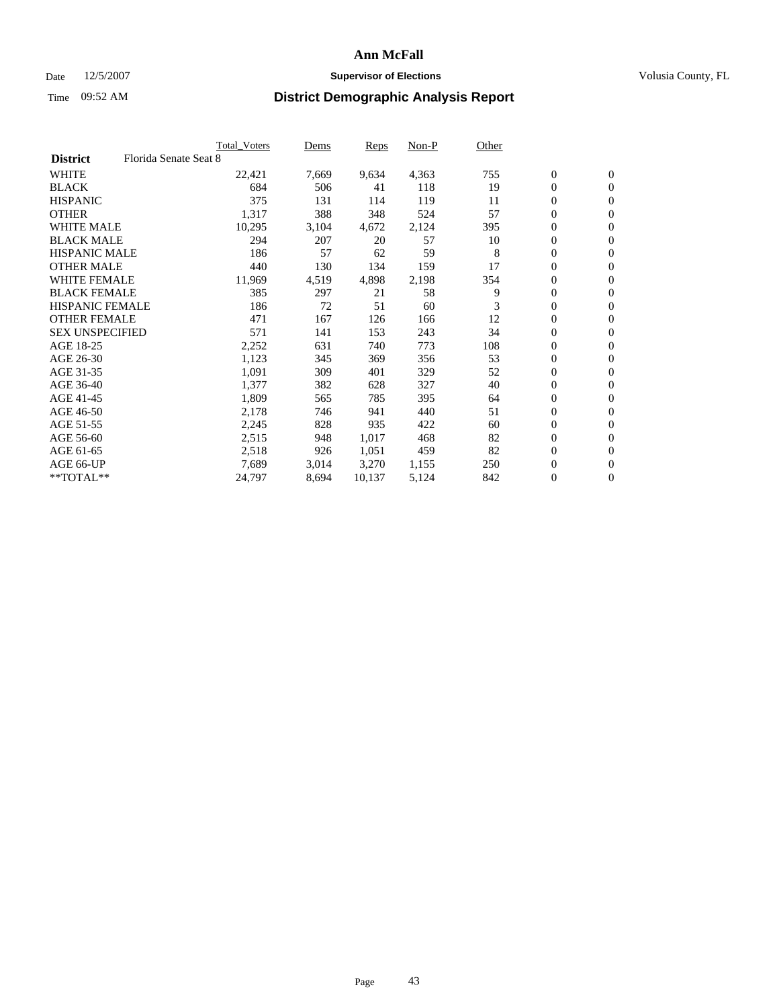### Date 12/5/2007 **Supervisor of Elections Supervisor of Elections** Volusia County, FL

|                        |                       | <b>Total Voters</b> | Dems  | Reps   | Non-P | Other |                  |                  |
|------------------------|-----------------------|---------------------|-------|--------|-------|-------|------------------|------------------|
| <b>District</b>        | Florida Senate Seat 8 |                     |       |        |       |       |                  |                  |
| <b>WHITE</b>           |                       | 22,421              | 7,669 | 9,634  | 4,363 | 755   | $\boldsymbol{0}$ | $\mathbf{0}$     |
| <b>BLACK</b>           |                       | 684                 | 506   | 41     | 118   | 19    | $\mathbf{0}$     | $\mathbf{0}$     |
| <b>HISPANIC</b>        |                       | 375                 | 131   | 114    | 119   | 11    | 0                | $\overline{0}$   |
| <b>OTHER</b>           |                       | 1,317               | 388   | 348    | 524   | 57    | 0                | $\mathbf{0}$     |
| <b>WHITE MALE</b>      |                       | 10,295              | 3,104 | 4,672  | 2,124 | 395   | 0                | $\mathbf{0}$     |
| <b>BLACK MALE</b>      |                       | 294                 | 207   | 20     | 57    | 10    | 0                | $\boldsymbol{0}$ |
| <b>HISPANIC MALE</b>   |                       | 186                 | 57    | 62     | 59    | 8     | 0                | $\mathbf{0}$     |
| <b>OTHER MALE</b>      |                       | 440                 | 130   | 134    | 159   | 17    | $\mathbf{0}$     | $\mathbf{0}$     |
| <b>WHITE FEMALE</b>    |                       | 11,969              | 4,519 | 4,898  | 2,198 | 354   | 0                | $\mathbf{0}$     |
| <b>BLACK FEMALE</b>    |                       | 385                 | 297   | 21     | 58    | 9     | $\boldsymbol{0}$ | $\mathbf{0}$     |
| <b>HISPANIC FEMALE</b> |                       | 186                 | 72    | 51     | 60    | 3     | 0                | $\boldsymbol{0}$ |
| <b>OTHER FEMALE</b>    |                       | 471                 | 167   | 126    | 166   | 12    | 0                | $\mathbf{0}$     |
| <b>SEX UNSPECIFIED</b> |                       | 571                 | 141   | 153    | 243   | 34    | 0                | $\mathbf{0}$     |
| AGE 18-25              |                       | 2,252               | 631   | 740    | 773   | 108   | 0                | $\mathbf{0}$     |
| AGE 26-30              |                       | 1,123               | 345   | 369    | 356   | 53    | $\mathbf{0}$     | $\mathbf{0}$     |
| AGE 31-35              |                       | 1,091               | 309   | 401    | 329   | 52    | 0                | $\mathbf{0}$     |
| AGE 36-40              |                       | 1,377               | 382   | 628    | 327   | 40    | 0                | $\mathbf{0}$     |
| AGE 41-45              |                       | 1,809               | 565   | 785    | 395   | 64    | 0                | $\mathbf{0}$     |
| AGE 46-50              |                       | 2,178               | 746   | 941    | 440   | 51    | 0                | $\mathbf{0}$     |
| AGE 51-55              |                       | 2,245               | 828   | 935    | 422   | 60    | $\boldsymbol{0}$ | $\boldsymbol{0}$ |
| AGE 56-60              |                       | 2,515               | 948   | 1,017  | 468   | 82    | 0                | $\mathbf{0}$     |
| AGE 61-65              |                       | 2,518               | 926   | 1,051  | 459   | 82    | $\mathbf{0}$     | $\mathbf{0}$     |
| AGE 66-UP              |                       | 7,689               | 3,014 | 3,270  | 1,155 | 250   | 0                | $\boldsymbol{0}$ |
| **TOTAL**              |                       | 24,797              | 8,694 | 10,137 | 5,124 | 842   | 0                | $\mathbf{0}$     |
|                        |                       |                     |       |        |       |       |                  |                  |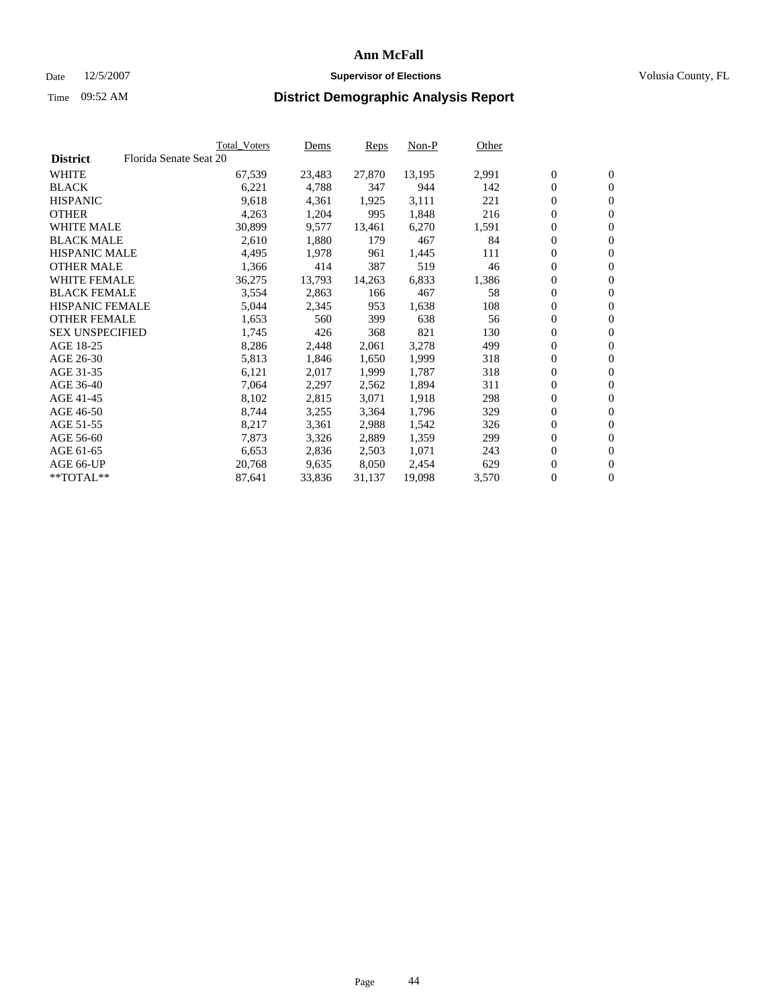#### Date  $12/5/2007$  **Supervisor of Elections** Volusia County, FL

|                        |                        | Total_Voters | Dems   | <b>Reps</b> | Non-P  | Other |                  |                  |
|------------------------|------------------------|--------------|--------|-------------|--------|-------|------------------|------------------|
| <b>District</b>        | Florida Senate Seat 20 |              |        |             |        |       |                  |                  |
| <b>WHITE</b>           |                        | 67,539       | 23,483 | 27,870      | 13,195 | 2,991 | $\overline{0}$   | $\mathbf{0}$     |
| <b>BLACK</b>           |                        | 6,221        | 4,788  | 347         | 944    | 142   | $\overline{0}$   | $\mathbf{0}$     |
| <b>HISPANIC</b>        |                        | 9,618        | 4,361  | 1,925       | 3,111  | 221   | $\boldsymbol{0}$ | $\mathbf{0}$     |
| <b>OTHER</b>           |                        | 4,263        | 1,204  | 995         | 1,848  | 216   | $\boldsymbol{0}$ | $\mathbf{0}$     |
| <b>WHITE MALE</b>      |                        | 30,899       | 9,577  | 13,461      | 6,270  | 1,591 | 0                | $\mathbf{0}$     |
| <b>BLACK MALE</b>      |                        | 2,610        | 1,880  | 179         | 467    | 84    | $\boldsymbol{0}$ | $\boldsymbol{0}$ |
| <b>HISPANIC MALE</b>   |                        | 4,495        | 1,978  | 961         | 1,445  | 111   | $\overline{0}$   | $\mathbf{0}$     |
| <b>OTHER MALE</b>      |                        | 1,366        | 414    | 387         | 519    | 46    | $\overline{0}$   | $\mathbf{0}$     |
| <b>WHITE FEMALE</b>    |                        | 36,275       | 13,793 | 14,263      | 6,833  | 1,386 | $\mathbf{0}$     | $\mathbf{0}$     |
| <b>BLACK FEMALE</b>    |                        | 3,554        | 2,863  | 166         | 467    | 58    | $\boldsymbol{0}$ | $\mathbf{0}$     |
| <b>HISPANIC FEMALE</b> |                        | 5,044        | 2,345  | 953         | 1,638  | 108   | $\boldsymbol{0}$ | $\boldsymbol{0}$ |
| <b>OTHER FEMALE</b>    |                        | 1,653        | 560    | 399         | 638    | 56    | 0                | $\mathbf{0}$     |
| <b>SEX UNSPECIFIED</b> |                        | 1,745        | 426    | 368         | 821    | 130   | $\boldsymbol{0}$ | $\mathbf{0}$     |
| AGE 18-25              |                        | 8,286        | 2,448  | 2,061       | 3,278  | 499   | $\boldsymbol{0}$ | $\mathbf{0}$     |
| AGE 26-30              |                        | 5,813        | 1,846  | 1,650       | 1,999  | 318   | $\overline{0}$   | $\mathbf{0}$     |
| AGE 31-35              |                        | 6,121        | 2,017  | 1.999       | 1,787  | 318   | $\overline{0}$   | $\mathbf{0}$     |
| AGE 36-40              |                        | 7,064        | 2,297  | 2,562       | 1,894  | 311   | $\boldsymbol{0}$ | $\boldsymbol{0}$ |
| AGE 41-45              |                        | 8,102        | 2,815  | 3,071       | 1,918  | 298   | $\boldsymbol{0}$ | $\mathbf{0}$     |
| AGE 46-50              |                        | 8,744        | 3,255  | 3,364       | 1,796  | 329   | 0                | $\mathbf{0}$     |
| AGE 51-55              |                        | 8,217        | 3,361  | 2,988       | 1,542  | 326   | $\boldsymbol{0}$ | $\boldsymbol{0}$ |
| AGE 56-60              |                        | 7,873        | 3,326  | 2,889       | 1,359  | 299   | $\overline{0}$   | $\mathbf{0}$     |
| AGE 61-65              |                        | 6,653        | 2,836  | 2,503       | 1,071  | 243   | $\mathbf{0}$     | $\boldsymbol{0}$ |
| AGE 66-UP              |                        | 20,768       | 9,635  | 8,050       | 2,454  | 629   | $\boldsymbol{0}$ | $\boldsymbol{0}$ |
| **TOTAL**              |                        | 87,641       | 33,836 | 31,137      | 19,098 | 3,570 | 0                | $\overline{0}$   |
|                        |                        |              |        |             |        |       |                  |                  |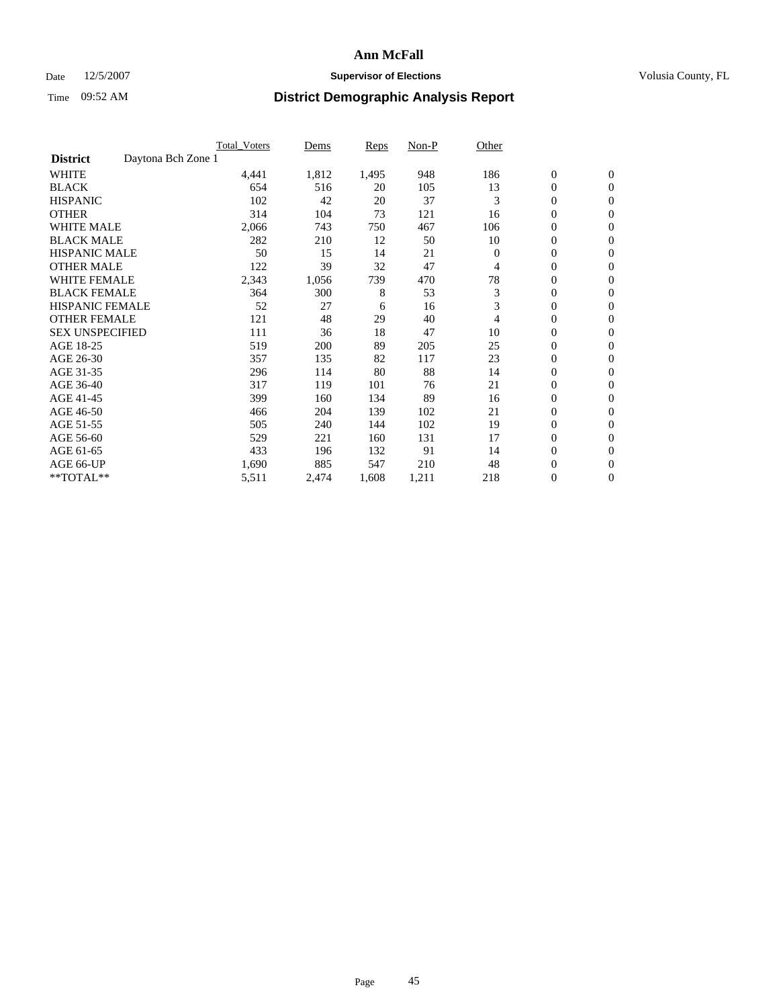### Date 12/5/2007 **Supervisor of Elections Supervisor of Elections** Volusia County, FL

|                        |                    | <b>Total Voters</b> | Dems  | <b>Reps</b> | Non-P | Other    |                  |                  |  |
|------------------------|--------------------|---------------------|-------|-------------|-------|----------|------------------|------------------|--|
| <b>District</b>        | Daytona Bch Zone 1 |                     |       |             |       |          |                  |                  |  |
| <b>WHITE</b>           |                    | 4,441               | 1,812 | 1,495       | 948   | 186      | $\boldsymbol{0}$ | $\mathbf{0}$     |  |
| <b>BLACK</b>           |                    | 654                 | 516   | 20          | 105   | 13       | $\mathbf{0}$     | $\mathbf{0}$     |  |
| <b>HISPANIC</b>        |                    | 102                 | 42    | 20          | 37    | 3        | 0                | $\overline{0}$   |  |
| <b>OTHER</b>           |                    | 314                 | 104   | 73          | 121   | 16       | 0                | $\mathbf{0}$     |  |
| <b>WHITE MALE</b>      |                    | 2,066               | 743   | 750         | 467   | 106      | 0                | $\mathbf{0}$     |  |
| <b>BLACK MALE</b>      |                    | 282                 | 210   | 12          | 50    | 10       | 0                | $\boldsymbol{0}$ |  |
| <b>HISPANIC MALE</b>   |                    | 50                  | 15    | 14          | 21    | $\Omega$ | 0                | $\mathbf{0}$     |  |
| <b>OTHER MALE</b>      |                    | 122                 | 39    | 32          | 47    | 4        | $\mathbf{0}$     | $\mathbf{0}$     |  |
| <b>WHITE FEMALE</b>    |                    | 2,343               | 1,056 | 739         | 470   | 78       | 0                | $\mathbf{0}$     |  |
| <b>BLACK FEMALE</b>    |                    | 364                 | 300   | 8           | 53    | 3        | $\boldsymbol{0}$ | $\mathbf{0}$     |  |
| <b>HISPANIC FEMALE</b> |                    | 52                  | 27    | 6           | 16    | 3        | $\boldsymbol{0}$ | $\boldsymbol{0}$ |  |
| <b>OTHER FEMALE</b>    |                    | 121                 | 48    | 29          | 40    | 4        | 0                | $\mathbf{0}$     |  |
| <b>SEX UNSPECIFIED</b> |                    | 111                 | 36    | 18          | 47    | 10       | 0                | $\mathbf{0}$     |  |
| AGE 18-25              |                    | 519                 | 200   | 89          | 205   | 25       | 0                | $\mathbf{0}$     |  |
| AGE 26-30              |                    | 357                 | 135   | 82          | 117   | 23       | $\mathbf{0}$     | $\mathbf{0}$     |  |
| AGE 31-35              |                    | 296                 | 114   | 80          | 88    | 14       | 0                | $\mathbf{0}$     |  |
| AGE 36-40              |                    | 317                 | 119   | 101         | 76    | 21       | 0                | $\mathbf{0}$     |  |
| AGE 41-45              |                    | 399                 | 160   | 134         | 89    | 16       | $\boldsymbol{0}$ | $\mathbf{0}$     |  |
| AGE 46-50              |                    | 466                 | 204   | 139         | 102   | 21       | 0                | $\mathbf{0}$     |  |
| AGE 51-55              |                    | 505                 | 240   | 144         | 102   | 19       | $\boldsymbol{0}$ | $\boldsymbol{0}$ |  |
| AGE 56-60              |                    | 529                 | 221   | 160         | 131   | 17       | $\mathbf{0}$     | $\mathbf{0}$     |  |
| AGE 61-65              |                    | 433                 | 196   | 132         | 91    | 14       | $\mathbf{0}$     | $\mathbf{0}$     |  |
| AGE 66-UP              |                    | 1,690               | 885   | 547         | 210   | 48       | $\boldsymbol{0}$ | $\boldsymbol{0}$ |  |
| **TOTAL**              |                    | 5,511               | 2,474 | 1,608       | 1,211 | 218      | 0                | $\boldsymbol{0}$ |  |
|                        |                    |                     |       |             |       |          |                  |                  |  |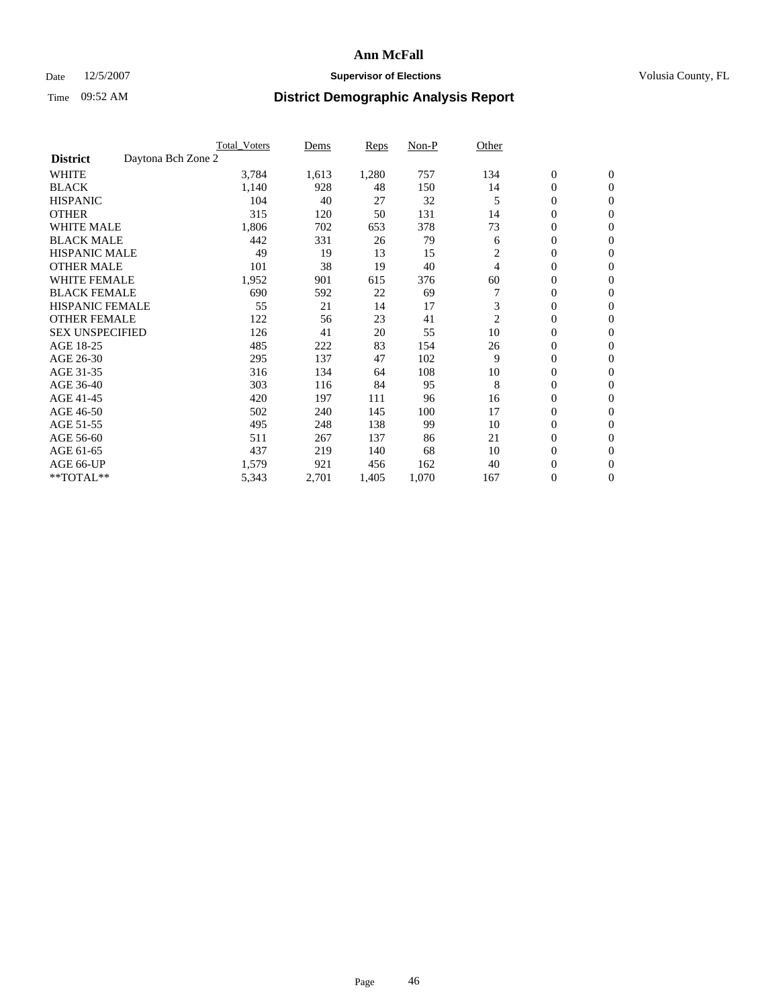### Date 12/5/2007 **Supervisor of Elections Supervisor of Elections** Volusia County, FL

|                                       | <b>Total Voters</b> | Dems  | <b>Reps</b> | Non-P | Other          |                  |                  |  |
|---------------------------------------|---------------------|-------|-------------|-------|----------------|------------------|------------------|--|
| Daytona Bch Zone 2<br><b>District</b> |                     |       |             |       |                |                  |                  |  |
| <b>WHITE</b>                          | 3,784               | 1,613 | 1,280       | 757   | 134            | $\boldsymbol{0}$ | $\boldsymbol{0}$ |  |
| <b>BLACK</b>                          | 1,140               | 928   | 48          | 150   | 14             | $\mathbf{0}$     | $\mathbf{0}$     |  |
| <b>HISPANIC</b>                       | 104                 | 40    | 27          | 32    | 5              | $\mathbf{0}$     | $\mathbf{0}$     |  |
| <b>OTHER</b>                          | 315                 | 120   | 50          | 131   | 14             | 0                | $\mathbf{0}$     |  |
| <b>WHITE MALE</b>                     | 1,806               | 702   | 653         | 378   | 73             | 0                | $\mathbf{0}$     |  |
| <b>BLACK MALE</b>                     | 442                 | 331   | 26          | 79    | 6              | 0                | 0                |  |
| <b>HISPANIC MALE</b>                  | 49                  | 19    | 13          | 15    | $\overline{c}$ | 0                | $\mathbf{0}$     |  |
| <b>OTHER MALE</b>                     | 101                 | 38    | 19          | 40    | 4              | 0                | $\mathbf{0}$     |  |
| <b>WHITE FEMALE</b>                   | 1,952               | 901   | 615         | 376   | 60             | 0                | $\mathbf{0}$     |  |
| <b>BLACK FEMALE</b>                   | 690                 | 592   | 22          | 69    |                | $\mathbf{0}$     | $\mathbf{0}$     |  |
| <b>HISPANIC FEMALE</b>                | 55                  | 21    | 14          | 17    | 3              | 0                | $\mathbf{0}$     |  |
| <b>OTHER FEMALE</b>                   | 122                 | 56    | 23          | 41    | $\overline{c}$ | $\overline{0}$   | $\mathbf{0}$     |  |
| <b>SEX UNSPECIFIED</b>                | 126                 | 41    | 20          | 55    | 10             | 0                | $\mathbf{0}$     |  |
| AGE 18-25                             | 485                 | 222   | 83          | 154   | 26             | 0                | $\mathbf{0}$     |  |
| AGE 26-30                             | 295                 | 137   | 47          | 102   | 9              | 0                | $\mathbf{0}$     |  |
| AGE 31-35                             | 316                 | 134   | 64          | 108   | 10             | 0                | $\mathbf{0}$     |  |
| AGE 36-40                             | 303                 | 116   | 84          | 95    | 8              | $\boldsymbol{0}$ | $\mathbf{0}$     |  |
| AGE 41-45                             | 420                 | 197   | 111         | 96    | 16             | 0                | $\mathbf{0}$     |  |
| AGE 46-50                             | 502                 | 240   | 145         | 100   | 17             | $\mathbf{0}$     | $\mathbf{0}$     |  |
| AGE 51-55                             | 495                 | 248   | 138         | 99    | 10             | $\overline{0}$   | $\mathbf{0}$     |  |
| AGE 56-60                             | 511                 | 267   | 137         | 86    | 21             | 0                | $\mathbf{0}$     |  |
| AGE 61-65                             | 437                 | 219   | 140         | 68    | 10             | 0                | $\mathbf{0}$     |  |
| AGE 66-UP                             | 1,579               | 921   | 456         | 162   | 40             | 0                | 0                |  |
| **TOTAL**                             | 5,343               | 2,701 | 1,405       | 1,070 | 167            | $\boldsymbol{0}$ | $\boldsymbol{0}$ |  |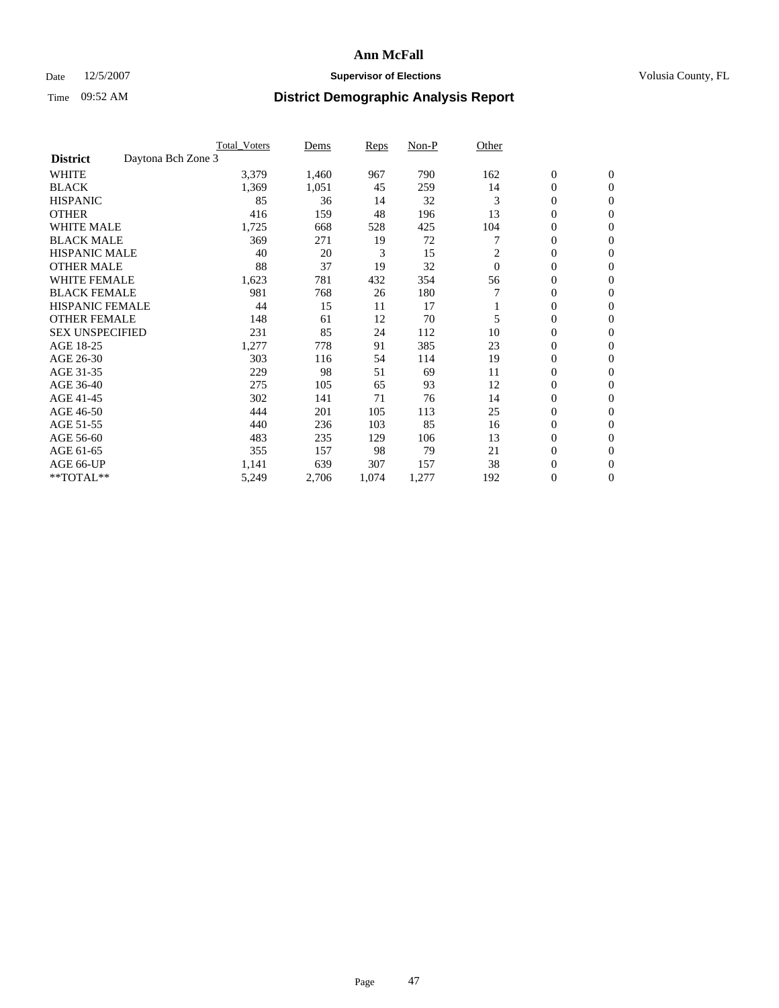### Date 12/5/2007 **Supervisor of Elections Supervisor of Elections** Volusia County, FL

|                                       | <b>Total Voters</b> | Dems  | Reps  | Non-P | Other          |                  |                  |  |
|---------------------------------------|---------------------|-------|-------|-------|----------------|------------------|------------------|--|
| Daytona Bch Zone 3<br><b>District</b> |                     |       |       |       |                |                  |                  |  |
| <b>WHITE</b>                          | 3,379               | 1,460 | 967   | 790   | 162            | $\boldsymbol{0}$ | $\boldsymbol{0}$ |  |
| <b>BLACK</b>                          | 1,369               | 1,051 | 45    | 259   | 14             | $\mathbf{0}$     | $\mathbf{0}$     |  |
| <b>HISPANIC</b>                       | 85                  | 36    | 14    | 32    | 3              | $\mathbf{0}$     | $\mathbf{0}$     |  |
| <b>OTHER</b>                          | 416                 | 159   | 48    | 196   | 13             | 0                | $\overline{0}$   |  |
| <b>WHITE MALE</b>                     | 1,725               | 668   | 528   | 425   | 104            | 0                | $\mathbf{0}$     |  |
| <b>BLACK MALE</b>                     | 369                 | 271   | 19    | 72    |                | 0                | 0                |  |
| <b>HISPANIC MALE</b>                  | 40                  | 20    | 3     | 15    | 2              | 0                | $\mathbf{0}$     |  |
| <b>OTHER MALE</b>                     | 88                  | 37    | 19    | 32    | $\overline{0}$ | 0                | $\mathbf{0}$     |  |
| <b>WHITE FEMALE</b>                   | 1,623               | 781   | 432   | 354   | 56             | 0                | $\mathbf{0}$     |  |
| <b>BLACK FEMALE</b>                   | 981                 | 768   | 26    | 180   |                | $\mathbf{0}$     | $\mathbf{0}$     |  |
| <b>HISPANIC FEMALE</b>                | 44                  | 15    | 11    | 17    |                | 0                | $\mathbf{0}$     |  |
| <b>OTHER FEMALE</b>                   | 148                 | 61    | 12    | 70    | 5              | 0                | $\mathbf{0}$     |  |
| <b>SEX UNSPECIFIED</b>                | 231                 | 85    | 24    | 112   | 10             | 0                | $\mathbf{0}$     |  |
| AGE 18-25                             | 1,277               | 778   | 91    | 385   | 23             | 0                | $\mathbf{0}$     |  |
| AGE 26-30                             | 303                 | 116   | 54    | 114   | 19             | 0                | $\mathbf{0}$     |  |
| AGE 31-35                             | 229                 | 98    | 51    | 69    | 11             | 0                | $\mathbf{0}$     |  |
| AGE 36-40                             | 275                 | 105   | 65    | 93    | 12             | $\boldsymbol{0}$ | $\mathbf{0}$     |  |
| AGE 41-45                             | 302                 | 141   | 71    | 76    | 14             | 0                | $\mathbf{0}$     |  |
| AGE 46-50                             | 444                 | 201   | 105   | 113   | 25             | $\mathbf{0}$     | $\mathbf{0}$     |  |
| AGE 51-55                             | 440                 | 236   | 103   | 85    | 16             | 0                | $\mathbf{0}$     |  |
| AGE 56-60                             | 483                 | 235   | 129   | 106   | 13             | $\boldsymbol{0}$ | $\mathbf{0}$     |  |
| AGE 61-65                             | 355                 | 157   | 98    | 79    | 21             | 0                | $\mathbf{0}$     |  |
| AGE 66-UP                             | 1,141               | 639   | 307   | 157   | 38             | 0                | 0                |  |
| **TOTAL**                             | 5,249               | 2,706 | 1,074 | 1,277 | 192            | 0                | $\boldsymbol{0}$ |  |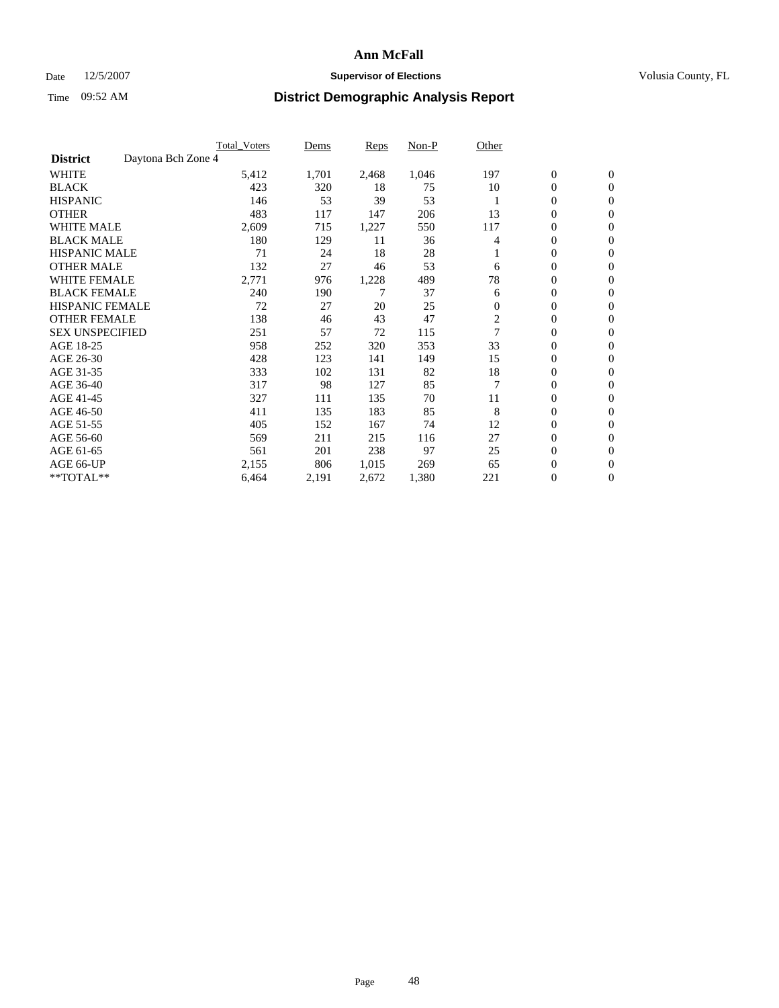### Date 12/5/2007 **Supervisor of Elections Supervisor of Elections** Volusia County, FL

|                                       | <b>Total Voters</b> | Dems  | <b>Reps</b> | Non-P | Other                   |                  |                  |  |
|---------------------------------------|---------------------|-------|-------------|-------|-------------------------|------------------|------------------|--|
| Daytona Bch Zone 4<br><b>District</b> |                     |       |             |       |                         |                  |                  |  |
| <b>WHITE</b>                          | 5,412               | 1,701 | 2,468       | 1,046 | 197                     | $\boldsymbol{0}$ | $\mathbf{0}$     |  |
| <b>BLACK</b>                          | 423                 | 320   | 18          | 75    | 10                      | 0                | $\mathbf{0}$     |  |
| <b>HISPANIC</b>                       | 146                 | 53    | 39          | 53    |                         | 0                | $\mathbf{0}$     |  |
| <b>OTHER</b>                          | 483                 | 117   | 147         | 206   | 13                      | 0                | $\mathbf{0}$     |  |
| <b>WHITE MALE</b>                     | 2,609               | 715   | 1,227       | 550   | 117                     | 0                | $\mathbf{0}$     |  |
| <b>BLACK MALE</b>                     | 180                 | 129   | 11          | 36    | 4                       | 0                | $\mathbf{0}$     |  |
| <b>HISPANIC MALE</b>                  | 71                  | 24    | 18          | 28    |                         | 0                | $\mathbf{0}$     |  |
| <b>OTHER MALE</b>                     | 132                 | 27    | 46          | 53    | 6                       | $\mathbf{0}$     | $\mathbf{0}$     |  |
| <b>WHITE FEMALE</b>                   | 2,771               | 976   | 1,228       | 489   | 78                      | 0                | $\mathbf{0}$     |  |
| <b>BLACK FEMALE</b>                   | 240                 | 190   | 7           | 37    | 6                       | $\mathbf{0}$     | $\mathbf{0}$     |  |
| <b>HISPANIC FEMALE</b>                | 72                  | 27    | 20          | 25    | $\mathbf{0}$            | 0                | $\mathbf{0}$     |  |
| <b>OTHER FEMALE</b>                   | 138                 | 46    | 43          | 47    | $\overline{\mathbf{c}}$ | 0                | $\mathbf{0}$     |  |
| <b>SEX UNSPECIFIED</b>                | 251                 | 57    | 72          | 115   |                         | 0                | 0                |  |
| AGE 18-25                             | 958                 | 252   | 320         | 353   | 33                      | 0                | $\Omega$         |  |
| AGE 26-30                             | 428                 | 123   | 141         | 149   | 15                      | $\mathbf{0}$     | $\mathbf{0}$     |  |
| AGE 31-35                             | 333                 | 102   | 131         | 82    | 18                      | 0                | $\mathbf{0}$     |  |
| AGE 36-40                             | 317                 | 98    | 127         | 85    | $\overline{7}$          | 0                | $\mathbf{0}$     |  |
| AGE 41-45                             | 327                 | 111   | 135         | 70    | 11                      | 0                | $\mathbf{0}$     |  |
| AGE 46-50                             | 411                 | 135   | 183         | 85    | 8                       | 0                | $\Omega$         |  |
| AGE 51-55                             | 405                 | 152   | 167         | 74    | 12                      | $\boldsymbol{0}$ | $\mathbf{0}$     |  |
| AGE 56-60                             | 569                 | 211   | 215         | 116   | 27                      | 0                | $\mathbf{0}$     |  |
| AGE 61-65                             | 561                 | 201   | 238         | 97    | 25                      | $\mathbf{0}$     | $\mathbf{0}$     |  |
| AGE 66-UP                             | 2,155               | 806   | 1,015       | 269   | 65                      | 0                | $\boldsymbol{0}$ |  |
| **TOTAL**                             | 6,464               | 2,191 | 2,672       | 1,380 | 221                     | 0                | $\boldsymbol{0}$ |  |
|                                       |                     |       |             |       |                         |                  |                  |  |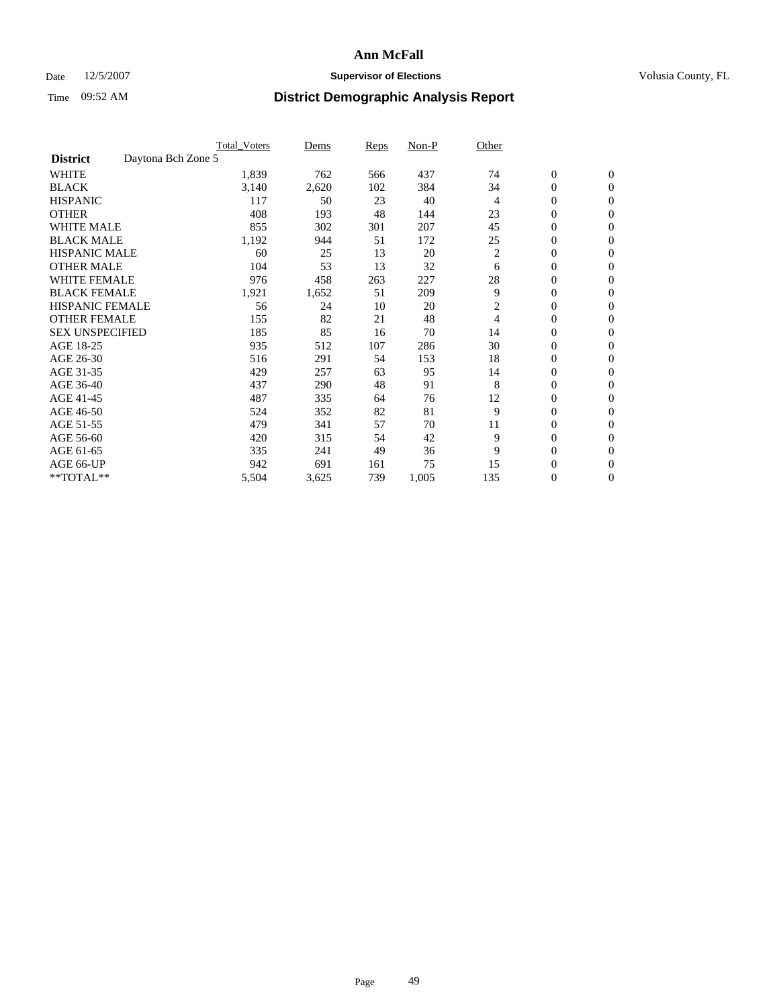### Date 12/5/2007 **Supervisor of Elections Supervisor of Elections** Volusia County, FL

|                        |                    | <b>Total Voters</b> | Dems  | Reps | Non-P | Other          |                  |                  |  |
|------------------------|--------------------|---------------------|-------|------|-------|----------------|------------------|------------------|--|
| <b>District</b>        | Daytona Bch Zone 5 |                     |       |      |       |                |                  |                  |  |
| <b>WHITE</b>           |                    | 1,839               | 762   | 566  | 437   | 74             | $\boldsymbol{0}$ | $\mathbf{0}$     |  |
| <b>BLACK</b>           |                    | 3,140               | 2,620 | 102  | 384   | 34             | 0                | $\mathbf{0}$     |  |
| <b>HISPANIC</b>        |                    | 117                 | 50    | 23   | 40    | 4              | 0                | $\mathbf{0}$     |  |
| <b>OTHER</b>           |                    | 408                 | 193   | 48   | 144   | 23             | 0                | $\mathbf{0}$     |  |
| <b>WHITE MALE</b>      |                    | 855                 | 302   | 301  | 207   | 45             | 0                | $\mathbf{0}$     |  |
| <b>BLACK MALE</b>      |                    | 1,192               | 944   | 51   | 172   | 25             | 0                | $\boldsymbol{0}$ |  |
| <b>HISPANIC MALE</b>   |                    | 60                  | 25    | 13   | 20    | $\overline{c}$ | 0                | $\mathbf{0}$     |  |
| <b>OTHER MALE</b>      |                    | 104                 | 53    | 13   | 32    | 6              | $\mathbf{0}$     | $\mathbf{0}$     |  |
| <b>WHITE FEMALE</b>    |                    | 976                 | 458   | 263  | 227   | 28             | 0                | $\mathbf{0}$     |  |
| <b>BLACK FEMALE</b>    |                    | 1,921               | 1,652 | 51   | 209   | 9              | $\mathbf{0}$     | $\mathbf{0}$     |  |
| <b>HISPANIC FEMALE</b> |                    | 56                  | 24    | 10   | 20    | 2              | 0                | $\mathbf{0}$     |  |
| <b>OTHER FEMALE</b>    |                    | 155                 | 82    | 21   | 48    | 4              | 0                | $\mathbf{0}$     |  |
| <b>SEX UNSPECIFIED</b> |                    | 185                 | 85    | 16   | 70    | 14             | 0                | $\mathbf{0}$     |  |
| AGE 18-25              |                    | 935                 | 512   | 107  | 286   | 30             | 0                | $\mathbf{0}$     |  |
| AGE 26-30              |                    | 516                 | 291   | 54   | 153   | 18             | $\mathbf{0}$     | $\mathbf{0}$     |  |
| AGE 31-35              |                    | 429                 | 257   | 63   | 95    | 14             | 0                | $\mathbf{0}$     |  |
| AGE 36-40              |                    | 437                 | 290   | 48   | 91    | 8              | 0                | $\mathbf{0}$     |  |
| AGE 41-45              |                    | 487                 | 335   | 64   | 76    | 12             | 0                | $\mathbf{0}$     |  |
| AGE 46-50              |                    | 524                 | 352   | 82   | 81    | 9              | 0                | $\mathbf{0}$     |  |
| AGE 51-55              |                    | 479                 | 341   | 57   | 70    | 11             | $\boldsymbol{0}$ | $\boldsymbol{0}$ |  |
| AGE 56-60              |                    | 420                 | 315   | 54   | 42    | 9              | 0                | $\mathbf{0}$     |  |
| AGE 61-65              |                    | 335                 | 241   | 49   | 36    | 9              | $\mathbf{0}$     | $\mathbf{0}$     |  |
| AGE 66-UP              |                    | 942                 | 691   | 161  | 75    | 15             | 0                | $\boldsymbol{0}$ |  |
| **TOTAL**              |                    | 5,504               | 3,625 | 739  | 1,005 | 135            | 0                | $\boldsymbol{0}$ |  |
|                        |                    |                     |       |      |       |                |                  |                  |  |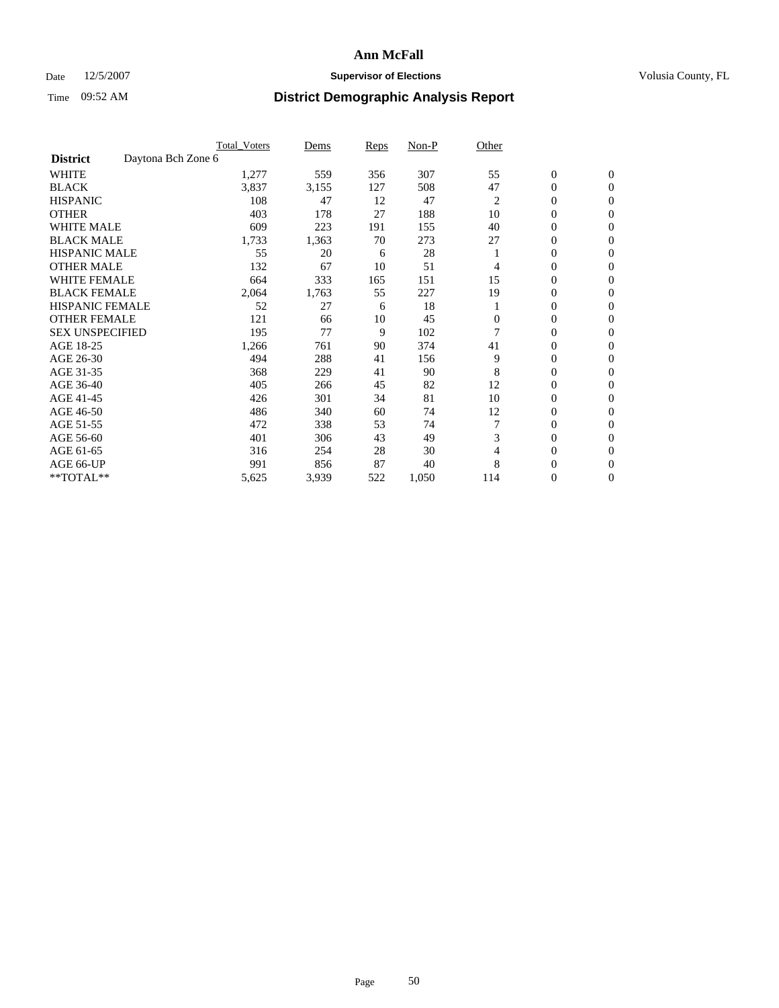### Date 12/5/2007 **Supervisor of Elections Supervisor of Elections** Volusia County, FL

|                        |                    | <b>Total Voters</b> | Dems  | Reps | Non-P | Other          |                  |                  |  |
|------------------------|--------------------|---------------------|-------|------|-------|----------------|------------------|------------------|--|
| <b>District</b>        | Daytona Bch Zone 6 |                     |       |      |       |                |                  |                  |  |
| <b>WHITE</b>           |                    | 1,277               | 559   | 356  | 307   | 55             | $\boldsymbol{0}$ | $\mathbf{0}$     |  |
| <b>BLACK</b>           |                    | 3,837               | 3,155 | 127  | 508   | 47             | 0                | $\mathbf{0}$     |  |
| <b>HISPANIC</b>        |                    | 108                 | 47    | 12   | 47    | $\overline{c}$ | 0                | $\mathbf{0}$     |  |
| <b>OTHER</b>           |                    | 403                 | 178   | 27   | 188   | 10             | 0                | $\mathbf{0}$     |  |
| <b>WHITE MALE</b>      |                    | 609                 | 223   | 191  | 155   | 40             | 0                | $\mathbf{0}$     |  |
| <b>BLACK MALE</b>      |                    | 1,733               | 1,363 | 70   | 273   | 27             | 0                | $\mathbf{0}$     |  |
| <b>HISPANIC MALE</b>   |                    | 55                  | 20    | 6    | 28    |                | 0                | $\mathbf{0}$     |  |
| <b>OTHER MALE</b>      |                    | 132                 | 67    | 10   | 51    | 4              | $\mathbf{0}$     | $\mathbf{0}$     |  |
| <b>WHITE FEMALE</b>    |                    | 664                 | 333   | 165  | 151   | 15             | 0                | $\mathbf{0}$     |  |
| <b>BLACK FEMALE</b>    |                    | 2,064               | 1,763 | 55   | 227   | 19             | 0                | $\mathbf{0}$     |  |
| <b>HISPANIC FEMALE</b> |                    | 52                  | 27    | 6    | 18    |                | 0                | $\mathbf{0}$     |  |
| <b>OTHER FEMALE</b>    |                    | 121                 | 66    | 10   | 45    | $\overline{0}$ | 0                | $\mathbf{0}$     |  |
| <b>SEX UNSPECIFIED</b> |                    | 195                 | 77    | 9    | 102   |                | 0                | 0                |  |
| AGE 18-25              |                    | 1,266               | 761   | 90   | 374   | 41             | 0                | $\Omega$         |  |
| AGE 26-30              |                    | 494                 | 288   | 41   | 156   | 9              | $\mathbf{0}$     | $\mathbf{0}$     |  |
| AGE 31-35              |                    | 368                 | 229   | 41   | 90    | 8              | 0                | $\mathbf{0}$     |  |
| AGE 36-40              |                    | 405                 | 266   | 45   | 82    | 12             | 0                | $\mathbf{0}$     |  |
| AGE 41-45              |                    | 426                 | 301   | 34   | 81    | 10             | 0                | $\mathbf{0}$     |  |
| AGE 46-50              |                    | 486                 | 340   | 60   | 74    | 12             | 0                | $\Omega$         |  |
| AGE 51-55              |                    | 472                 | 338   | 53   | 74    |                | $\boldsymbol{0}$ | $\mathbf{0}$     |  |
| AGE 56-60              |                    | 401                 | 306   | 43   | 49    | 3              | 0                | $\mathbf{0}$     |  |
| AGE 61-65              |                    | 316                 | 254   | 28   | 30    | 4              | $\overline{0}$   | $\mathbf{0}$     |  |
| AGE 66-UP              |                    | 991                 | 856   | 87   | 40    | 8              | 0                | $\boldsymbol{0}$ |  |
| **TOTAL**              |                    | 5,625               | 3,939 | 522  | 1,050 | 114            | 0                | $\boldsymbol{0}$ |  |
|                        |                    |                     |       |      |       |                |                  |                  |  |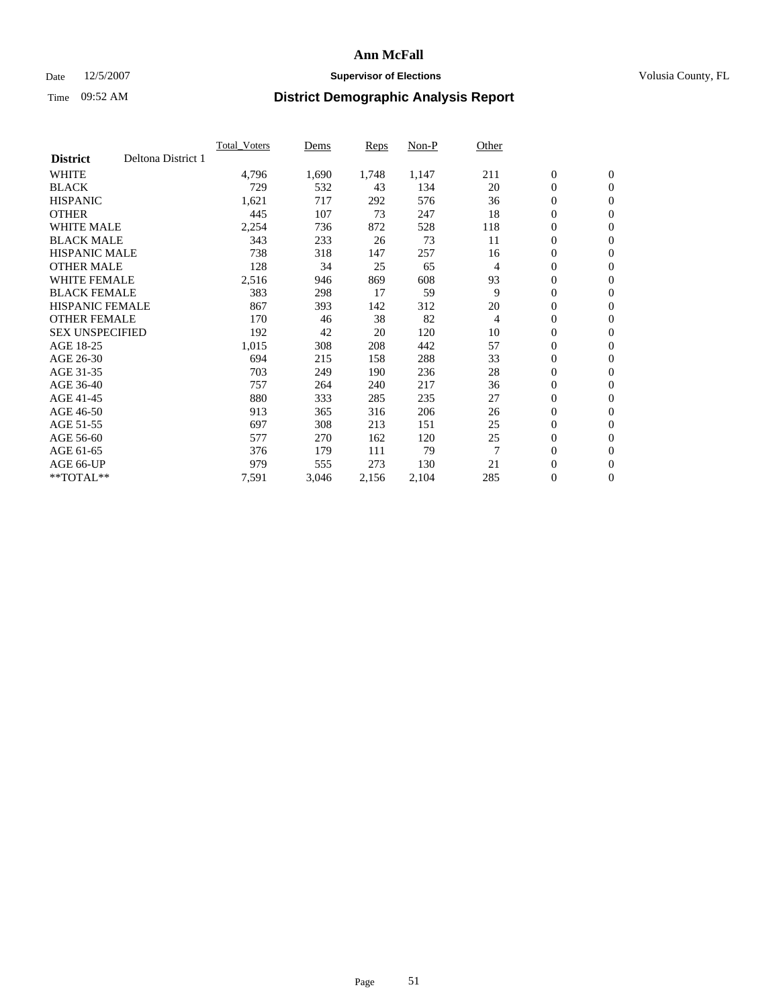### Date 12/5/2007 **Supervisor of Elections Supervisor of Elections** Volusia County, FL

|                        |                    | <b>Total Voters</b> | Dems  | Reps  | Non-P | Other |                  |                  |  |
|------------------------|--------------------|---------------------|-------|-------|-------|-------|------------------|------------------|--|
| <b>District</b>        | Deltona District 1 |                     |       |       |       |       |                  |                  |  |
| <b>WHITE</b>           |                    | 4,796               | 1,690 | 1,748 | 1,147 | 211   | $\boldsymbol{0}$ | $\boldsymbol{0}$ |  |
| <b>BLACK</b>           |                    | 729                 | 532   | 43    | 134   | 20    | $\mathbf{0}$     | $\mathbf{0}$     |  |
| <b>HISPANIC</b>        |                    | 1,621               | 717   | 292   | 576   | 36    | $\mathbf{0}$     | $\mathbf{0}$     |  |
| <b>OTHER</b>           |                    | 445                 | 107   | 73    | 247   | 18    | 0                | $\mathbf{0}$     |  |
| <b>WHITE MALE</b>      |                    | 2,254               | 736   | 872   | 528   | 118   | 0                | $\mathbf{0}$     |  |
| <b>BLACK MALE</b>      |                    | 343                 | 233   | 26    | 73    | 11    | 0                | $\boldsymbol{0}$ |  |
| <b>HISPANIC MALE</b>   |                    | 738                 | 318   | 147   | 257   | 16    | 0                | $\mathbf{0}$     |  |
| <b>OTHER MALE</b>      |                    | 128                 | 34    | 25    | 65    | 4     | 0                | $\boldsymbol{0}$ |  |
| <b>WHITE FEMALE</b>    |                    | 2,516               | 946   | 869   | 608   | 93    | 0                | $\mathbf{0}$     |  |
| <b>BLACK FEMALE</b>    |                    | 383                 | 298   | 17    | 59    | 9     | $\mathbf{0}$     | $\mathbf{0}$     |  |
| <b>HISPANIC FEMALE</b> |                    | 867                 | 393   | 142   | 312   | 20    | $\overline{0}$   | $\mathbf{0}$     |  |
| <b>OTHER FEMALE</b>    |                    | 170                 | 46    | 38    | 82    | 4     | $\mathbf{0}$     | $\mathbf{0}$     |  |
| <b>SEX UNSPECIFIED</b> |                    | 192                 | 42    | 20    | 120   | 10    | $\boldsymbol{0}$ | $\boldsymbol{0}$ |  |
| AGE 18-25              |                    | 1,015               | 308   | 208   | 442   | 57    | 0                | $\mathbf{0}$     |  |
| AGE 26-30              |                    | 694                 | 215   | 158   | 288   | 33    | 0                | $\mathbf{0}$     |  |
| AGE 31-35              |                    | 703                 | 249   | 190   | 236   | 28    | 0                | $\mathbf{0}$     |  |
| AGE 36-40              |                    | 757                 | 264   | 240   | 217   | 36    | $\boldsymbol{0}$ | $\mathbf{0}$     |  |
| AGE 41-45              |                    | 880                 | 333   | 285   | 235   | 27    | 0                | $\mathbf{0}$     |  |
| AGE 46-50              |                    | 913                 | 365   | 316   | 206   | 26    | $\mathbf{0}$     | $\mathbf{0}$     |  |
| AGE 51-55              |                    | 697                 | 308   | 213   | 151   | 25    | $\overline{0}$   | $\mathbf{0}$     |  |
| AGE 56-60              |                    | 577                 | 270   | 162   | 120   | 25    | $\boldsymbol{0}$ | $\mathbf{0}$     |  |
| AGE 61-65              |                    | 376                 | 179   | 111   | 79    | 7     | 0                | $\boldsymbol{0}$ |  |
| AGE 66-UP              |                    | 979                 | 555   | 273   | 130   | 21    | 0                | 0                |  |
| $*$ TOTAL $**$         |                    | 7,591               | 3,046 | 2,156 | 2,104 | 285   | $\boldsymbol{0}$ | $\boldsymbol{0}$ |  |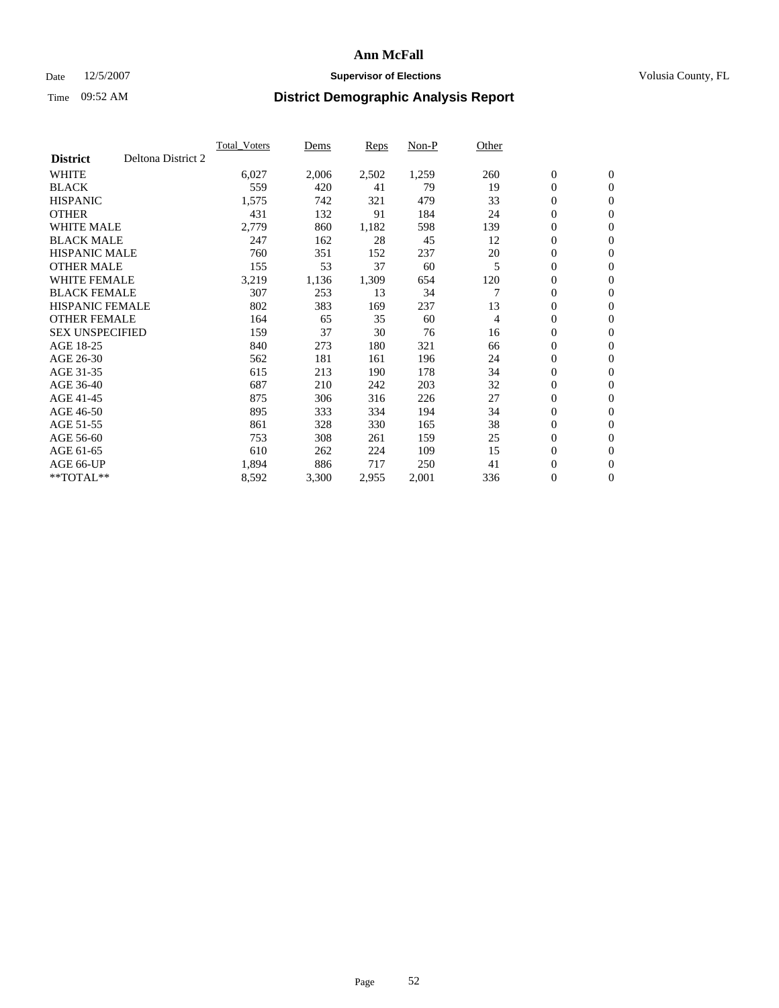### Date 12/5/2007 **Supervisor of Elections Supervisor of Elections** Volusia County, FL

|                        |                    | <b>Total Voters</b> | Dems  | Reps  | Non-P | Other |                  |                  |  |
|------------------------|--------------------|---------------------|-------|-------|-------|-------|------------------|------------------|--|
| <b>District</b>        | Deltona District 2 |                     |       |       |       |       |                  |                  |  |
| <b>WHITE</b>           |                    | 6,027               | 2,006 | 2,502 | 1,259 | 260   | $\boldsymbol{0}$ | $\mathbf{0}$     |  |
| <b>BLACK</b>           |                    | 559                 | 420   | 41    | 79    | 19    | $\mathbf{0}$     | $\mathbf{0}$     |  |
| <b>HISPANIC</b>        |                    | 1,575               | 742   | 321   | 479   | 33    | 0                | $\mathbf{0}$     |  |
| <b>OTHER</b>           |                    | 431                 | 132   | 91    | 184   | 24    | 0                | $\mathbf{0}$     |  |
| <b>WHITE MALE</b>      |                    | 2,779               | 860   | 1,182 | 598   | 139   | 0                | $\mathbf{0}$     |  |
| <b>BLACK MALE</b>      |                    | 247                 | 162   | 28    | 45    | 12    | 0                | $\boldsymbol{0}$ |  |
| <b>HISPANIC MALE</b>   |                    | 760                 | 351   | 152   | 237   | 20    | 0                | $\mathbf{0}$     |  |
| <b>OTHER MALE</b>      |                    | 155                 | 53    | 37    | 60    | 5     | $\mathbf{0}$     | $\mathbf{0}$     |  |
| <b>WHITE FEMALE</b>    |                    | 3,219               | 1,136 | 1,309 | 654   | 120   | 0                | $\mathbf{0}$     |  |
| <b>BLACK FEMALE</b>    |                    | 307                 | 253   | 13    | 34    | 7     | $\mathbf{0}$     | $\mathbf{0}$     |  |
| <b>HISPANIC FEMALE</b> |                    | 802                 | 383   | 169   | 237   | 13    | 0                | $\mathbf{0}$     |  |
| <b>OTHER FEMALE</b>    |                    | 164                 | 65    | 35    | 60    | 4     | 0                | $\mathbf{0}$     |  |
| <b>SEX UNSPECIFIED</b> |                    | 159                 | 37    | 30    | 76    | 16    | 0                | $\mathbf{0}$     |  |
| AGE 18-25              |                    | 840                 | 273   | 180   | 321   | 66    | 0                | $\mathbf{0}$     |  |
| AGE 26-30              |                    | 562                 | 181   | 161   | 196   | 24    | $\mathbf{0}$     | $\mathbf{0}$     |  |
| AGE 31-35              |                    | 615                 | 213   | 190   | 178   | 34    | 0                | $\mathbf{0}$     |  |
| AGE 36-40              |                    | 687                 | 210   | 242   | 203   | 32    | 0                | $\mathbf{0}$     |  |
| AGE 41-45              |                    | 875                 | 306   | 316   | 226   | 27    | $\boldsymbol{0}$ | $\mathbf{0}$     |  |
| AGE 46-50              |                    | 895                 | 333   | 334   | 194   | 34    | 0                | $\mathbf{0}$     |  |
| AGE 51-55              |                    | 861                 | 328   | 330   | 165   | 38    | $\boldsymbol{0}$ | $\mathbf{0}$     |  |
| AGE 56-60              |                    | 753                 | 308   | 261   | 159   | 25    | 0                | $\mathbf{0}$     |  |
| AGE 61-65              |                    | 610                 | 262   | 224   | 109   | 15    | $\mathbf{0}$     | $\mathbf{0}$     |  |
| AGE 66-UP              |                    | 1,894               | 886   | 717   | 250   | 41    | $\boldsymbol{0}$ | $\mathbf{0}$     |  |
| $*$ TOTAL $**$         |                    | 8,592               | 3,300 | 2,955 | 2,001 | 336   | 0                | $\overline{0}$   |  |
|                        |                    |                     |       |       |       |       |                  |                  |  |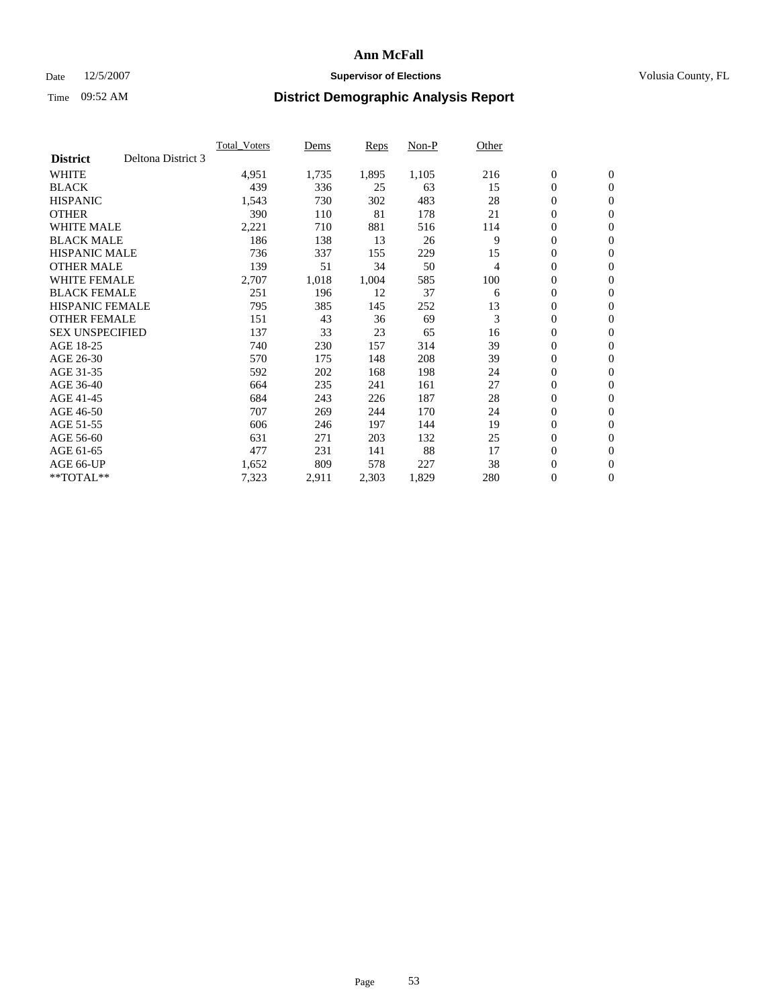### Date 12/5/2007 **Supervisor of Elections Supervisor of Elections** Volusia County, FL

|                        |                    | <b>Total Voters</b> | Dems  | Reps  | Non-P | Other |                  |                  |  |
|------------------------|--------------------|---------------------|-------|-------|-------|-------|------------------|------------------|--|
| <b>District</b>        | Deltona District 3 |                     |       |       |       |       |                  |                  |  |
| <b>WHITE</b>           |                    | 4,951               | 1,735 | 1,895 | 1,105 | 216   | $\boldsymbol{0}$ | $\mathbf{0}$     |  |
| <b>BLACK</b>           |                    | 439                 | 336   | 25    | 63    | 15    | $\mathbf{0}$     | $\mathbf{0}$     |  |
| <b>HISPANIC</b>        |                    | 1,543               | 730   | 302   | 483   | 28    | 0                | $\mathbf{0}$     |  |
| <b>OTHER</b>           |                    | 390                 | 110   | 81    | 178   | 21    | 0                | $\mathbf{0}$     |  |
| <b>WHITE MALE</b>      |                    | 2,221               | 710   | 881   | 516   | 114   | 0                | $\mathbf{0}$     |  |
| <b>BLACK MALE</b>      |                    | 186                 | 138   | 13    | 26    | 9     | $\boldsymbol{0}$ | $\mathbf{0}$     |  |
| <b>HISPANIC MALE</b>   |                    | 736                 | 337   | 155   | 229   | 15    | 0                | $\mathbf{0}$     |  |
| <b>OTHER MALE</b>      |                    | 139                 | 51    | 34    | 50    | 4     | $\mathbf{0}$     | $\mathbf{0}$     |  |
| <b>WHITE FEMALE</b>    |                    | 2,707               | 1,018 | 1,004 | 585   | 100   | 0                | $\mathbf{0}$     |  |
| <b>BLACK FEMALE</b>    |                    | 251                 | 196   | 12    | 37    | 6     | $\boldsymbol{0}$ | $\mathbf{0}$     |  |
| <b>HISPANIC FEMALE</b> |                    | 795                 | 385   | 145   | 252   | 13    | $\boldsymbol{0}$ | $\mathbf{0}$     |  |
| <b>OTHER FEMALE</b>    |                    | 151                 | 43    | 36    | 69    | 3     | 0                | $\mathbf{0}$     |  |
| <b>SEX UNSPECIFIED</b> |                    | 137                 | 33    | 23    | 65    | 16    | 0                | $\mathbf{0}$     |  |
| AGE 18-25              |                    | 740                 | 230   | 157   | 314   | 39    | 0                | $\mathbf{0}$     |  |
| AGE 26-30              |                    | 570                 | 175   | 148   | 208   | 39    | $\mathbf{0}$     | $\mathbf{0}$     |  |
| AGE 31-35              |                    | 592                 | 202   | 168   | 198   | 24    | 0                | $\mathbf{0}$     |  |
| AGE 36-40              |                    | 664                 | 235   | 241   | 161   | 27    | 0                | $\mathbf{0}$     |  |
| AGE 41-45              |                    | 684                 | 243   | 226   | 187   | 28    | $\boldsymbol{0}$ | $\mathbf{0}$     |  |
| AGE 46-50              |                    | 707                 | 269   | 244   | 170   | 24    | 0                | $\mathbf{0}$     |  |
| AGE 51-55              |                    | 606                 | 246   | 197   | 144   | 19    | $\boldsymbol{0}$ | $\boldsymbol{0}$ |  |
| AGE 56-60              |                    | 631                 | 271   | 203   | 132   | 25    | 0                | $\mathbf{0}$     |  |
| AGE 61-65              |                    | 477                 | 231   | 141   | 88    | 17    | $\mathbf{0}$     | $\mathbf{0}$     |  |
| AGE 66-UP              |                    | 1,652               | 809   | 578   | 227   | 38    | $\boldsymbol{0}$ | $\boldsymbol{0}$ |  |
| $*$ TOTAL $**$         |                    | 7,323               | 2,911 | 2,303 | 1,829 | 280   | 0                | $\overline{0}$   |  |
|                        |                    |                     |       |       |       |       |                  |                  |  |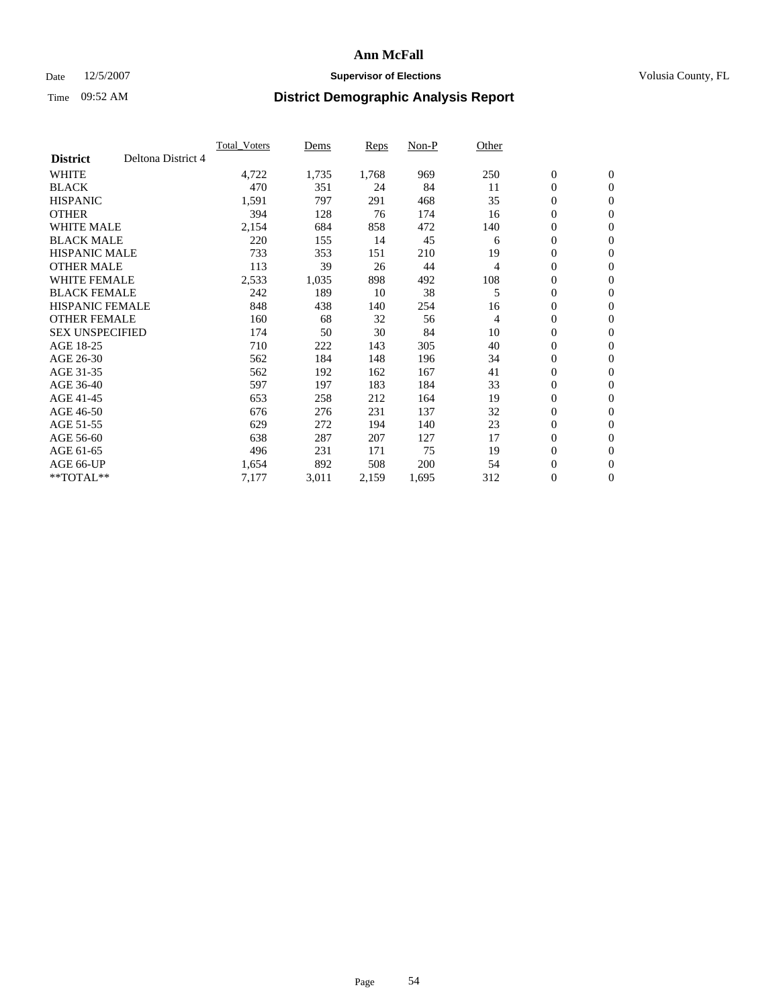### Date 12/5/2007 **Supervisor of Elections Supervisor of Elections** Volusia County, FL

|                        |                    | <b>Total Voters</b> | Dems  | Reps  | Non-P | Other |                  |                  |  |
|------------------------|--------------------|---------------------|-------|-------|-------|-------|------------------|------------------|--|
| <b>District</b>        | Deltona District 4 |                     |       |       |       |       |                  |                  |  |
| <b>WHITE</b>           |                    | 4,722               | 1,735 | 1,768 | 969   | 250   | $\boldsymbol{0}$ | $\mathbf{0}$     |  |
| <b>BLACK</b>           |                    | 470                 | 351   | 24    | 84    | 11    | $\mathbf{0}$     | $\mathbf{0}$     |  |
| <b>HISPANIC</b>        |                    | 1,591               | 797   | 291   | 468   | 35    | 0                | $\mathbf{0}$     |  |
| <b>OTHER</b>           |                    | 394                 | 128   | 76    | 174   | 16    | 0                | $\mathbf{0}$     |  |
| <b>WHITE MALE</b>      |                    | 2,154               | 684   | 858   | 472   | 140   | 0                | $\mathbf{0}$     |  |
| <b>BLACK MALE</b>      |                    | 220                 | 155   | 14    | 45    | 6     | 0                | $\boldsymbol{0}$ |  |
| <b>HISPANIC MALE</b>   |                    | 733                 | 353   | 151   | 210   | 19    | 0                | $\mathbf{0}$     |  |
| <b>OTHER MALE</b>      |                    | 113                 | 39    | 26    | 44    | 4     | $\mathbf{0}$     | $\mathbf{0}$     |  |
| <b>WHITE FEMALE</b>    |                    | 2,533               | 1,035 | 898   | 492   | 108   | 0                | $\mathbf{0}$     |  |
| <b>BLACK FEMALE</b>    |                    | 242                 | 189   | 10    | 38    | 5     | $\boldsymbol{0}$ | $\mathbf{0}$     |  |
| <b>HISPANIC FEMALE</b> |                    | 848                 | 438   | 140   | 254   | 16    | 0                | $\boldsymbol{0}$ |  |
| <b>OTHER FEMALE</b>    |                    | 160                 | 68    | 32    | 56    | 4     | 0                | $\mathbf{0}$     |  |
| <b>SEX UNSPECIFIED</b> |                    | 174                 | 50    | 30    | 84    | 10    | $\boldsymbol{0}$ | $\mathbf{0}$     |  |
| AGE 18-25              |                    | 710                 | 222   | 143   | 305   | 40    | 0                | $\mathbf{0}$     |  |
| AGE 26-30              |                    | 562                 | 184   | 148   | 196   | 34    | $\mathbf{0}$     | $\mathbf{0}$     |  |
| AGE 31-35              |                    | 562                 | 192   | 162   | 167   | 41    | 0                | $\mathbf{0}$     |  |
| AGE 36-40              |                    | 597                 | 197   | 183   | 184   | 33    | 0                | $\mathbf{0}$     |  |
| AGE 41-45              |                    | 653                 | 258   | 212   | 164   | 19    | $\boldsymbol{0}$ | $\mathbf{0}$     |  |
| AGE 46-50              |                    | 676                 | 276   | 231   | 137   | 32    | 0                | $\mathbf{0}$     |  |
| AGE 51-55              |                    | 629                 | 272   | 194   | 140   | 23    | $\boldsymbol{0}$ | $\mathbf{0}$     |  |
| AGE 56-60              |                    | 638                 | 287   | 207   | 127   | 17    | $\mathbf{0}$     | $\mathbf{0}$     |  |
| AGE 61-65              |                    | 496                 | 231   | 171   | 75    | 19    | $\mathbf{0}$     | $\mathbf{0}$     |  |
| AGE 66-UP              |                    | 1,654               | 892   | 508   | 200   | 54    | $\boldsymbol{0}$ | $\mathbf{0}$     |  |
| $*$ TOTAL $**$         |                    | 7,177               | 3,011 | 2,159 | 1,695 | 312   | 0                | $\overline{0}$   |  |
|                        |                    |                     |       |       |       |       |                  |                  |  |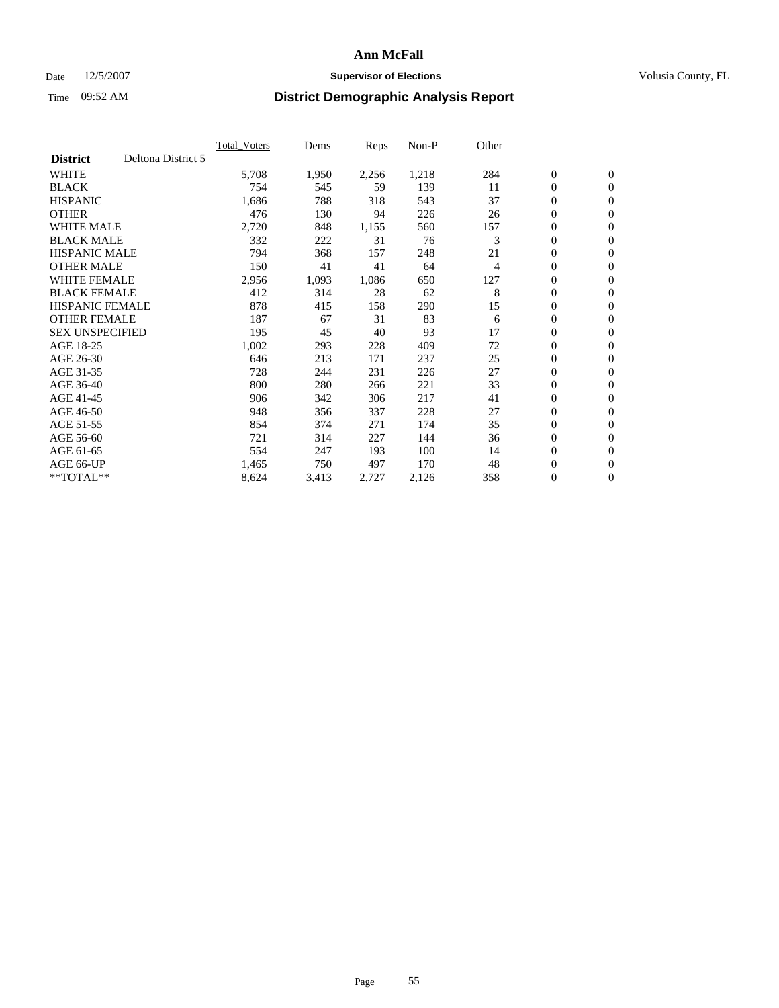### Date 12/5/2007 **Supervisor of Elections Supervisor of Elections** Volusia County, FL

|                        |                    | <b>Total Voters</b> | Dems  | Reps  | Non-P | Other |                  |                  |  |
|------------------------|--------------------|---------------------|-------|-------|-------|-------|------------------|------------------|--|
| <b>District</b>        | Deltona District 5 |                     |       |       |       |       |                  |                  |  |
| <b>WHITE</b>           |                    | 5,708               | 1,950 | 2,256 | 1,218 | 284   | $\boldsymbol{0}$ | $\boldsymbol{0}$ |  |
| <b>BLACK</b>           |                    | 754                 | 545   | 59    | 139   | 11    | $\mathbf{0}$     | $\mathbf{0}$     |  |
| <b>HISPANIC</b>        |                    | 1,686               | 788   | 318   | 543   | 37    | $\mathbf{0}$     | $\mathbf{0}$     |  |
| <b>OTHER</b>           |                    | 476                 | 130   | 94    | 226   | 26    | 0                | $\mathbf{0}$     |  |
| <b>WHITE MALE</b>      |                    | 2,720               | 848   | 1,155 | 560   | 157   | 0                | $\mathbf{0}$     |  |
| <b>BLACK MALE</b>      |                    | 332                 | 222   | 31    | 76    | 3     | 0                | $\mathbf{0}$     |  |
| <b>HISPANIC MALE</b>   |                    | 794                 | 368   | 157   | 248   | 21    | 0                | $\mathbf{0}$     |  |
| <b>OTHER MALE</b>      |                    | 150                 | 41    | 41    | 64    | 4     | 0                | $\mathbf{0}$     |  |
| <b>WHITE FEMALE</b>    |                    | 2,956               | 1,093 | 1,086 | 650   | 127   | 0                | $\mathbf{0}$     |  |
| <b>BLACK FEMALE</b>    |                    | 412                 | 314   | 28    | 62    | 8     | $\mathbf{0}$     | $\mathbf{0}$     |  |
| <b>HISPANIC FEMALE</b> |                    | 878                 | 415   | 158   | 290   | 15    | 0                | $\mathbf{0}$     |  |
| <b>OTHER FEMALE</b>    |                    | 187                 | 67    | 31    | 83    | 6     | $\mathbf{0}$     | $\mathbf{0}$     |  |
| <b>SEX UNSPECIFIED</b> |                    | 195                 | 45    | 40    | 93    | 17    | $\boldsymbol{0}$ | $\mathbf{0}$     |  |
| AGE 18-25              |                    | 1,002               | 293   | 228   | 409   | 72    | 0                | $\mathbf{0}$     |  |
| AGE 26-30              |                    | 646                 | 213   | 171   | 237   | 25    | 0                | $\mathbf{0}$     |  |
| AGE 31-35              |                    | 728                 | 244   | 231   | 226   | 27    | 0                | $\mathbf{0}$     |  |
| AGE 36-40              |                    | 800                 | 280   | 266   | 221   | 33    | $\boldsymbol{0}$ | $\mathbf{0}$     |  |
| AGE 41-45              |                    | 906                 | 342   | 306   | 217   | 41    | 0                | $\mathbf{0}$     |  |
| AGE 46-50              |                    | 948                 | 356   | 337   | 228   | 27    | $\mathbf{0}$     | $\mathbf{0}$     |  |
| AGE 51-55              |                    | 854                 | 374   | 271   | 174   | 35    | $\overline{0}$   | $\mathbf{0}$     |  |
| AGE 56-60              |                    | 721                 | 314   | 227   | 144   | 36    | 0                | $\mathbf{0}$     |  |
| AGE 61-65              |                    | 554                 | 247   | 193   | 100   | 14    | 0                | $\mathbf{0}$     |  |
| AGE 66-UP              |                    | 1,465               | 750   | 497   | 170   | 48    | 0                | 0                |  |
| $*$ TOTAL $**$         |                    | 8,624               | 3,413 | 2,727 | 2,126 | 358   | 0                | $\boldsymbol{0}$ |  |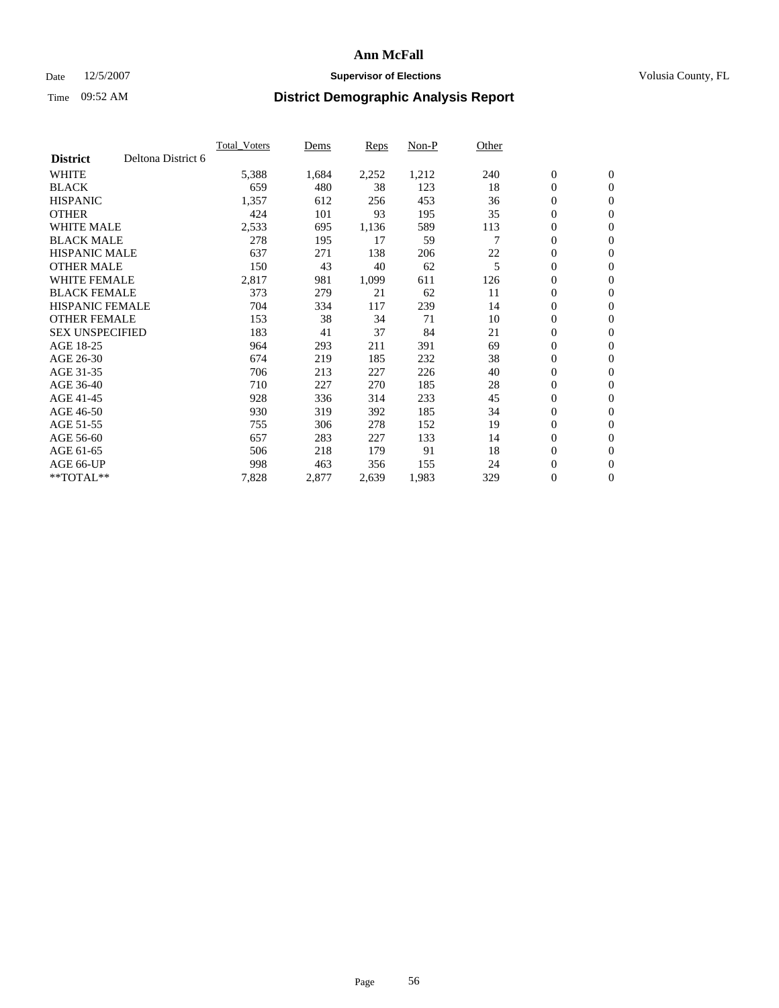### Date 12/5/2007 **Supervisor of Elections Supervisor of Elections** Volusia County, FL

|                        |                    | <b>Total Voters</b> | Dems  | Reps  | Non-P | Other |                  |                |  |
|------------------------|--------------------|---------------------|-------|-------|-------|-------|------------------|----------------|--|
| <b>District</b>        | Deltona District 6 |                     |       |       |       |       |                  |                |  |
| <b>WHITE</b>           |                    | 5,388               | 1,684 | 2,252 | 1,212 | 240   | $\boldsymbol{0}$ | $\mathbf{0}$   |  |
| <b>BLACK</b>           |                    | 659                 | 480   | 38    | 123   | 18    | $\mathbf{0}$     | $\mathbf{0}$   |  |
| <b>HISPANIC</b>        |                    | 1,357               | 612   | 256   | 453   | 36    | 0                | $\mathbf{0}$   |  |
| <b>OTHER</b>           |                    | 424                 | 101   | 93    | 195   | 35    | $\boldsymbol{0}$ | $\mathbf{0}$   |  |
| <b>WHITE MALE</b>      |                    | 2,533               | 695   | 1,136 | 589   | 113   | 0                | $\mathbf{0}$   |  |
| <b>BLACK MALE</b>      |                    | 278                 | 195   | 17    | 59    |       | $\boldsymbol{0}$ | $\mathbf{0}$   |  |
| <b>HISPANIC MALE</b>   |                    | 637                 | 271   | 138   | 206   | 22    | 0                | $\mathbf{0}$   |  |
| <b>OTHER MALE</b>      |                    | 150                 | 43    | 40    | 62    | 5     | $\mathbf{0}$     | $\mathbf{0}$   |  |
| <b>WHITE FEMALE</b>    |                    | 2,817               | 981   | 1,099 | 611   | 126   | 0                | $\mathbf{0}$   |  |
| <b>BLACK FEMALE</b>    |                    | 373                 | 279   | 21    | 62    | 11    | $\boldsymbol{0}$ | $\mathbf{0}$   |  |
| <b>HISPANIC FEMALE</b> |                    | 704                 | 334   | 117   | 239   | 14    | $\boldsymbol{0}$ | $\mathbf{0}$   |  |
| <b>OTHER FEMALE</b>    |                    | 153                 | 38    | 34    | 71    | 10    | 0                | $\mathbf{0}$   |  |
| <b>SEX UNSPECIFIED</b> |                    | 183                 | 41    | 37    | 84    | 21    | 0                | $\mathbf{0}$   |  |
| AGE 18-25              |                    | 964                 | 293   | 211   | 391   | 69    | 0                | $\mathbf{0}$   |  |
| AGE 26-30              |                    | 674                 | 219   | 185   | 232   | 38    | $\mathbf{0}$     | $\mathbf{0}$   |  |
| AGE 31-35              |                    | 706                 | 213   | 227   | 226   | 40    | 0                | $\mathbf{0}$   |  |
| AGE 36-40              |                    | 710                 | 227   | 270   | 185   | 28    | 0                | $\mathbf{0}$   |  |
| AGE 41-45              |                    | 928                 | 336   | 314   | 233   | 45    | $\boldsymbol{0}$ | $\mathbf{0}$   |  |
| AGE 46-50              |                    | 930                 | 319   | 392   | 185   | 34    | 0                | $\mathbf{0}$   |  |
| AGE 51-55              |                    | 755                 | 306   | 278   | 152   | 19    | $\boldsymbol{0}$ | $\mathbf{0}$   |  |
| AGE 56-60              |                    | 657                 | 283   | 227   | 133   | 14    | $\mathbf{0}$     | $\mathbf{0}$   |  |
| AGE 61-65              |                    | 506                 | 218   | 179   | 91    | 18    | $\mathbf{0}$     | $\mathbf{0}$   |  |
| AGE 66-UP              |                    | 998                 | 463   | 356   | 155   | 24    | $\boldsymbol{0}$ | $\mathbf{0}$   |  |
| $*$ TOTAL $**$         |                    | 7,828               | 2,877 | 2,639 | 1,983 | 329   | 0                | $\overline{0}$ |  |
|                        |                    |                     |       |       |       |       |                  |                |  |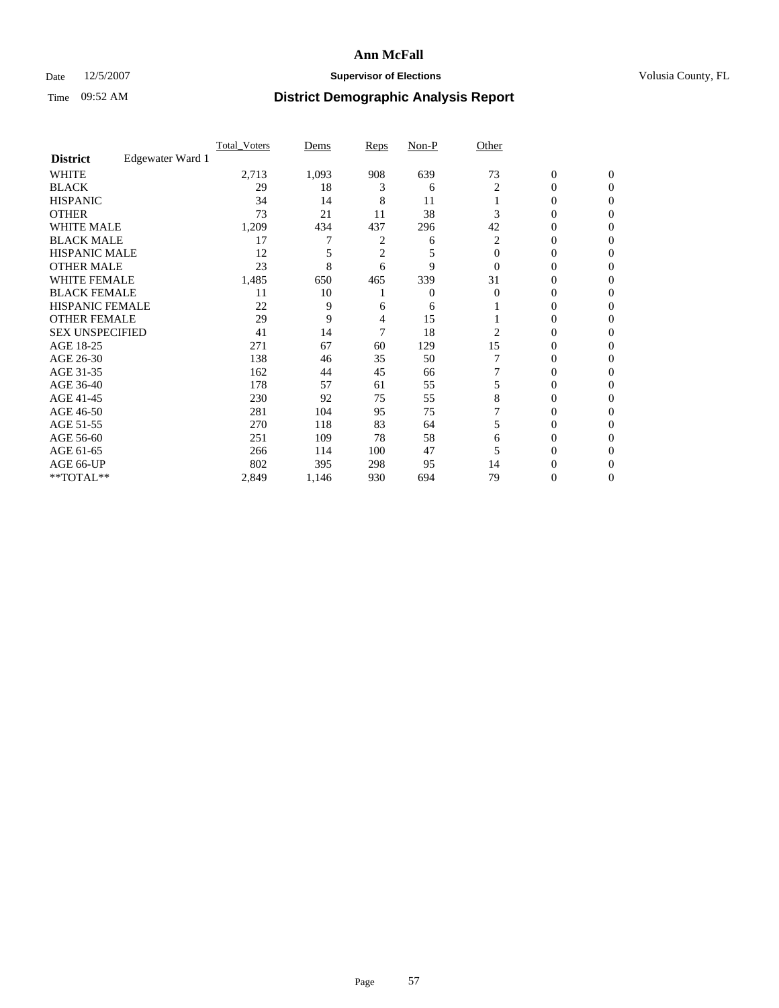### Date 12/5/2007 **Supervisor of Elections Supervisor of Elections** Volusia County, FL

|                        |                  | <b>Total Voters</b> | Dems  | Reps           | Non-P | Other    |                  |              |  |
|------------------------|------------------|---------------------|-------|----------------|-------|----------|------------------|--------------|--|
| <b>District</b>        | Edgewater Ward 1 |                     |       |                |       |          |                  |              |  |
| <b>WHITE</b>           |                  | 2,713               | 1,093 | 908            | 639   | 73       | $\boldsymbol{0}$ | $\mathbf{0}$ |  |
| <b>BLACK</b>           |                  | 29                  | 18    | 3              | 6     | 2        | 0                | $\mathbf{0}$ |  |
| <b>HISPANIC</b>        |                  | 34                  | 14    | 8              | 11    |          | 0                | $\Omega$     |  |
| <b>OTHER</b>           |                  | 73                  | 21    | 11             | 38    |          | $\overline{0}$   | $\theta$     |  |
| <b>WHITE MALE</b>      |                  | 1,209               | 434   | 437            | 296   | 42       | 0                | 0            |  |
| <b>BLACK MALE</b>      |                  | 17                  | 7     | 2              | 6     | 2        | 0                | 0            |  |
| <b>HISPANIC MALE</b>   |                  | 12                  |       | $\overline{c}$ | 5     | $\Omega$ | 0                |              |  |
| <b>OTHER MALE</b>      |                  | 23                  | 8     | 6              | 9     | $\Omega$ | 0                | 0            |  |
| WHITE FEMALE           |                  | 1,485               | 650   | 465            | 339   | 31       | 0                | 0            |  |
| <b>BLACK FEMALE</b>    |                  | 11                  | 10    |                | 0     | $\Omega$ | 0                | 0            |  |
| <b>HISPANIC FEMALE</b> |                  | 22                  | 9     | 6              | 6     |          | 0                | $\Omega$     |  |
| <b>OTHER FEMALE</b>    |                  | 29                  | 9     | 4              | 15    |          | 0                | $\theta$     |  |
| <b>SEX UNSPECIFIED</b> |                  | 41                  | 14    | 7              | 18    | 2        | 0                | $\theta$     |  |
| AGE 18-25              |                  | 271                 | 67    | 60             | 129   | 15       | 0                | $_{0}$       |  |
| AGE 26-30              |                  | 138                 | 46    | 35             | 50    |          | 0                | 0            |  |
| AGE 31-35              |                  | 162                 | 44    | 45             | 66    |          | 0                | 0            |  |
| AGE 36-40              |                  | 178                 | 57    | 61             | 55    |          | 0                | 0            |  |
| AGE 41-45              |                  | 230                 | 92    | 75             | 55    | 8        | 0                | 0            |  |
| AGE 46-50              |                  | 281                 | 104   | 95             | 75    |          | 0                | $\Omega$     |  |
| AGE 51-55              |                  | 270                 | 118   | 83             | 64    | 5        | 0                | $\theta$     |  |
| AGE 56-60              |                  | 251                 | 109   | 78             | 58    | 6        | 0                | $\theta$     |  |
| AGE 61-65              |                  | 266                 | 114   | 100            | 47    |          | 0                | 0            |  |
| AGE 66-UP              |                  | 802                 | 395   | 298            | 95    | 14       | 0                |              |  |
| **TOTAL**              |                  | 2,849               | 1,146 | 930            | 694   | 79       | 0                | 0            |  |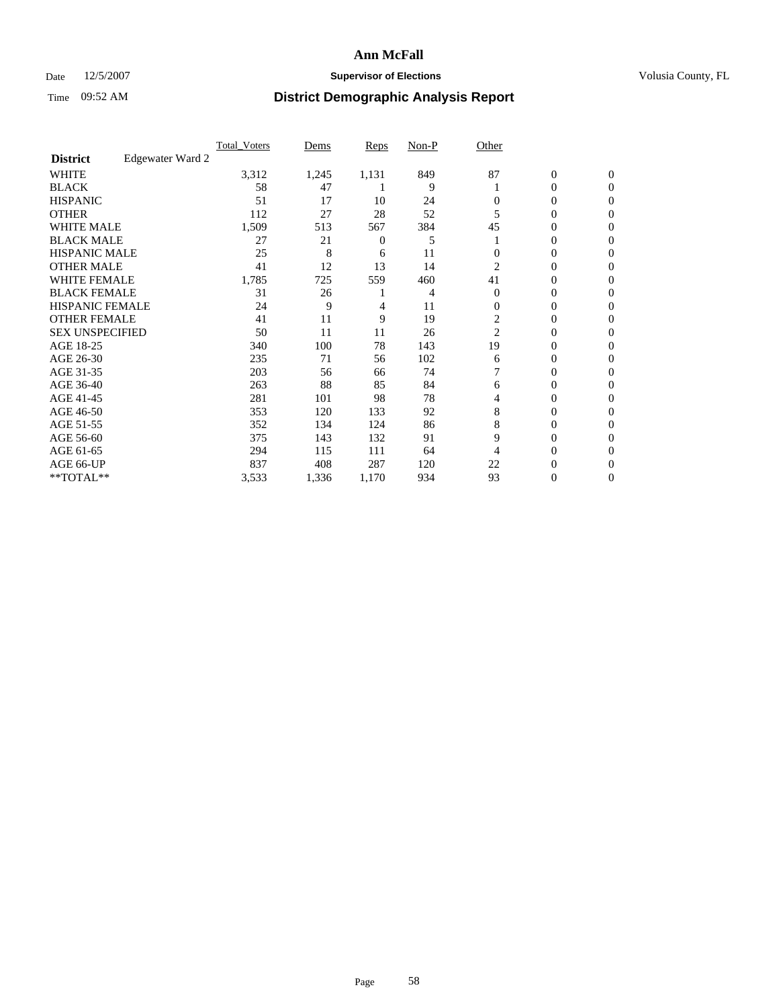### Date 12/5/2007 **Supervisor of Elections Supervisor of Elections** Volusia County, FL

|                        |                  | <b>Total Voters</b> | Dems  | Reps           | Non-P | Other          |                  |                  |  |
|------------------------|------------------|---------------------|-------|----------------|-------|----------------|------------------|------------------|--|
| <b>District</b>        | Edgewater Ward 2 |                     |       |                |       |                |                  |                  |  |
| <b>WHITE</b>           |                  | 3,312               | 1,245 | 1,131          | 849   | 87             | $\boldsymbol{0}$ | $\mathbf{0}$     |  |
| <b>BLACK</b>           |                  | 58                  | 47    |                | 9     |                | 0                | $\mathbf{0}$     |  |
| <b>HISPANIC</b>        |                  | 51                  | 17    | 10             | 24    | 0              | 0                | $\mathbf{0}$     |  |
| <b>OTHER</b>           |                  | 112                 | 27    | 28             | 52    |                | 0                | $\boldsymbol{0}$ |  |
| <b>WHITE MALE</b>      |                  | 1,509               | 513   | 567            | 384   | 45             | 0                | $\theta$         |  |
| <b>BLACK MALE</b>      |                  | 27                  | 21    | $\overline{0}$ | 5     |                | 0                | 0                |  |
| <b>HISPANIC MALE</b>   |                  | 25                  | 8     | 6              | 11    |                | 0                | 0                |  |
| <b>OTHER MALE</b>      |                  | 41                  | 12    | 13             | 14    | 2              | 0                | 0                |  |
| WHITE FEMALE           |                  | 1,785               | 725   | 559            | 460   | 41             | 0                | 0                |  |
| <b>BLACK FEMALE</b>    |                  | 31                  | 26    |                | 4     | $\Omega$       | 0                | $\overline{0}$   |  |
| <b>HISPANIC FEMALE</b> |                  | 24                  | 9     | 4              | 11    | $\Omega$       | 0                | $\Omega$         |  |
| <b>OTHER FEMALE</b>    |                  | 41                  | 11    | 9              | 19    | $\overline{c}$ | 0                | $\theta$         |  |
| <b>SEX UNSPECIFIED</b> |                  | 50                  | 11    | 11             | 26    | 2              | 0                | $\Omega$         |  |
| AGE 18-25              |                  | 340                 | 100   | 78             | 143   | 19             | 0                | 0                |  |
| AGE 26-30              |                  | 235                 | 71    | 56             | 102   | 6              | 0                | $\Omega$         |  |
| AGE 31-35              |                  | 203                 | 56    | 66             | 74    |                | 0                | 0                |  |
| AGE 36-40              |                  | 263                 | 88    | 85             | 84    | 6              | 0                | 0                |  |
| AGE 41-45              |                  | 281                 | 101   | 98             | 78    | 4              | 0                | 0                |  |
| AGE 46-50              |                  | 353                 | 120   | 133            | 92    | 8              | 0                | $\overline{0}$   |  |
| AGE 51-55              |                  | 352                 | 134   | 124            | 86    | 8              | 0                | $\Omega$         |  |
| AGE 56-60              |                  | 375                 | 143   | 132            | 91    | 9              | 0                | $\theta$         |  |
| AGE 61-65              |                  | 294                 | 115   | 111            | 64    | 4              | 0                | 0                |  |
| AGE 66-UP              |                  | 837                 | 408   | 287            | 120   | 22             | 0                |                  |  |
| **TOTAL**              |                  | 3,533               | 1,336 | 1,170          | 934   | 93             | 0                | $\overline{0}$   |  |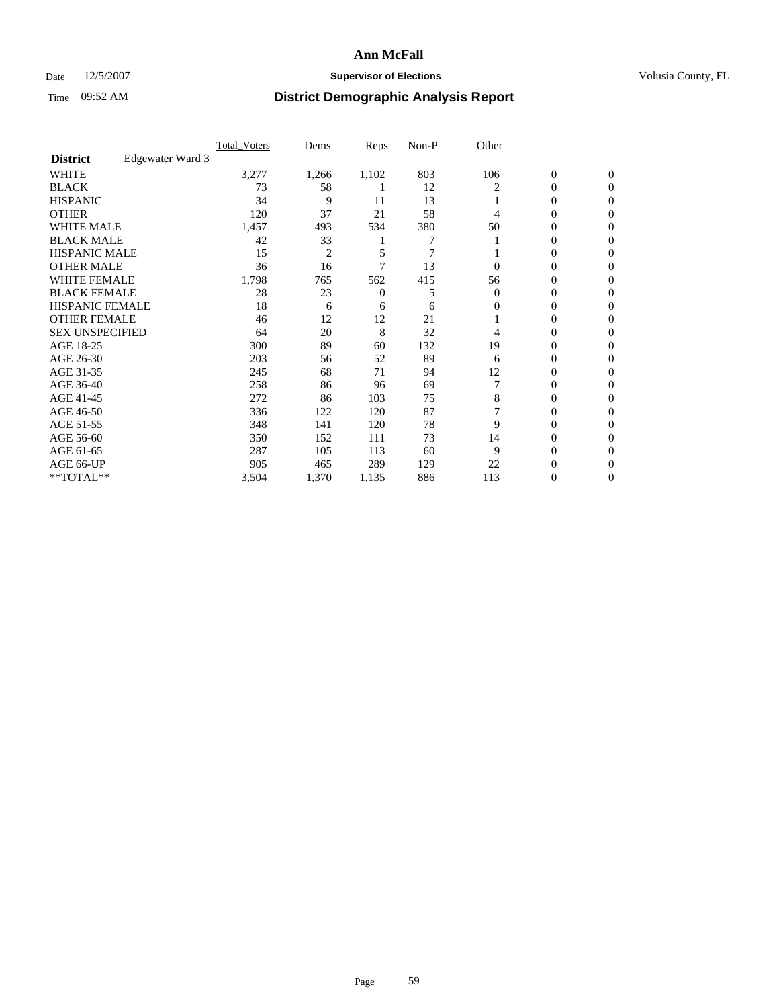### Date 12/5/2007 **Supervisor of Elections Supervisor of Elections** Volusia County, FL

|                        |                  | <b>Total Voters</b> | Dems           | Reps  | Non-P | Other    |                  |                  |  |
|------------------------|------------------|---------------------|----------------|-------|-------|----------|------------------|------------------|--|
| <b>District</b>        | Edgewater Ward 3 |                     |                |       |       |          |                  |                  |  |
| <b>WHITE</b>           |                  | 3,277               | 1,266          | 1,102 | 803   | 106      | $\boldsymbol{0}$ | $\mathbf{0}$     |  |
| <b>BLACK</b>           |                  | 73                  | 58             |       | 12    | 2        | 0                | $\mathbf{0}$     |  |
| <b>HISPANIC</b>        |                  | 34                  | 9              | 11    | 13    |          | 0                | $\overline{0}$   |  |
| <b>OTHER</b>           |                  | 120                 | 37             | 21    | 58    | 4        | $\overline{0}$   | $\boldsymbol{0}$ |  |
| <b>WHITE MALE</b>      |                  | 1,457               | 493            | 534   | 380   | 50       | 0                | $\theta$         |  |
| <b>BLACK MALE</b>      |                  | 42                  | 33             |       | 7     |          | 0                | 0                |  |
| <b>HISPANIC MALE</b>   |                  | 15                  | $\overline{2}$ | 5     | 7     |          | 0                | 0                |  |
| <b>OTHER MALE</b>      |                  | 36                  | 16             |       | 13    | 0        | 0                | 0                |  |
| WHITE FEMALE           |                  | 1,798               | 765            | 562   | 415   | 56       | 0                | 0                |  |
| <b>BLACK FEMALE</b>    |                  | 28                  | 23             | 0     | 5     | $\Omega$ | 0                | $\mathbf{0}$     |  |
| <b>HISPANIC FEMALE</b> |                  | 18                  | 6              | 6     | 6     | 0        | 0                | $\Omega$         |  |
| <b>OTHER FEMALE</b>    |                  | 46                  | 12             | 12    | 21    |          | 0                | $\theta$         |  |
| <b>SEX UNSPECIFIED</b> |                  | 64                  | 20             | 8     | 32    | 4        | 0                | $\theta$         |  |
| AGE 18-25              |                  | 300                 | 89             | 60    | 132   | 19       | 0                | 0                |  |
| AGE 26-30              |                  | 203                 | 56             | 52    | 89    | 6        | 0                | $\Omega$         |  |
| AGE 31-35              |                  | 245                 | 68             | 71    | 94    | 12       | 0                | 0                |  |
| AGE 36-40              |                  | 258                 | 86             | 96    | 69    |          | 0                | 0                |  |
| AGE 41-45              |                  | 272                 | 86             | 103   | 75    | 8        | 0                | 0                |  |
| AGE 46-50              |                  | 336                 | 122            | 120   | 87    |          | 0                | $\mathbf{0}$     |  |
| AGE 51-55              |                  | 348                 | 141            | 120   | 78    | 9        | 0                | $\Omega$         |  |
| AGE 56-60              |                  | 350                 | 152            | 111   | 73    | 14       | 0                | $\theta$         |  |
| AGE 61-65              |                  | 287                 | 105            | 113   | 60    | 9        | 0                | 0                |  |
| AGE 66-UP              |                  | 905                 | 465            | 289   | 129   | 22       | 0                |                  |  |
| **TOTAL**              |                  | 3,504               | 1,370          | 1,135 | 886   | 113      | 0                | $\mathbf{0}$     |  |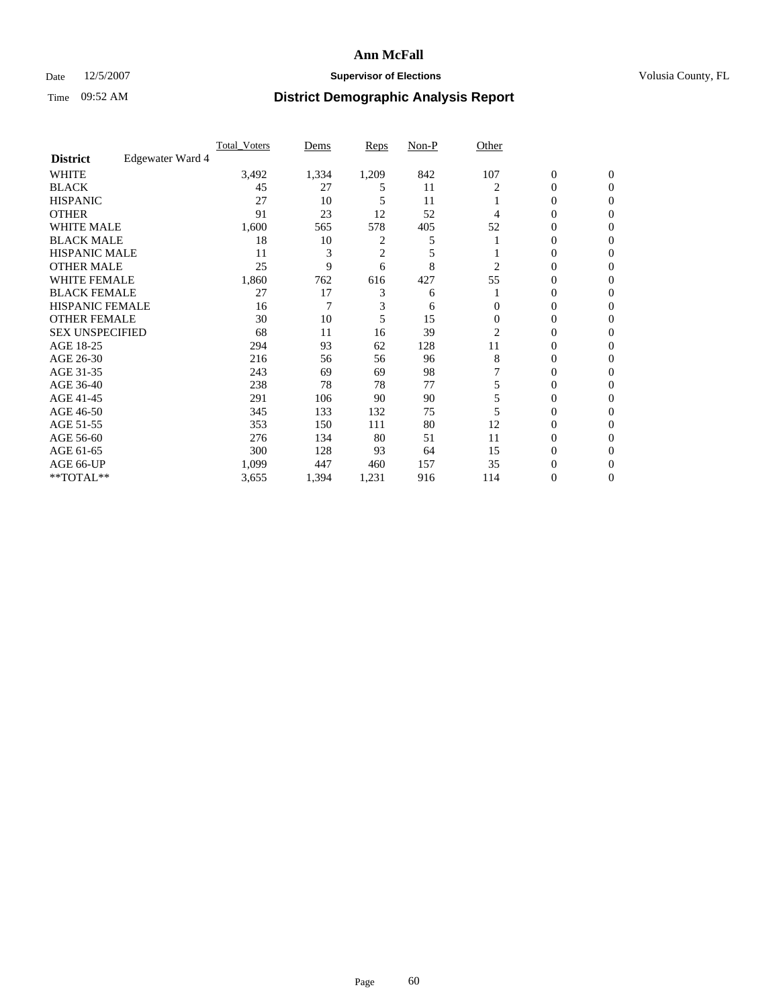### Date 12/5/2007 **Supervisor of Elections Supervisor of Elections** Volusia County, FL

|                        |                  | <b>Total Voters</b> | Dems  | Reps           | Non-P | Other    |                  |              |  |
|------------------------|------------------|---------------------|-------|----------------|-------|----------|------------------|--------------|--|
| <b>District</b>        | Edgewater Ward 4 |                     |       |                |       |          |                  |              |  |
| <b>WHITE</b>           |                  | 3,492               | 1,334 | 1,209          | 842   | 107      | $\boldsymbol{0}$ | $\mathbf{0}$ |  |
| <b>BLACK</b>           |                  | 45                  | 27    | 5              | 11    |          | 0                | $\mathbf{0}$ |  |
| <b>HISPANIC</b>        |                  | 27                  | 10    | 5              | 11    |          | 0                | $\mathbf{0}$ |  |
| <b>OTHER</b>           |                  | 91                  | 23    | 12             | 52    | 4        | $\overline{0}$   | $\theta$     |  |
| <b>WHITE MALE</b>      |                  | 1,600               | 565   | 578            | 405   | 52       | 0                | $\theta$     |  |
| <b>BLACK MALE</b>      |                  | 18                  | 10    | 2              | 5     |          | 0                | 0            |  |
| <b>HISPANIC MALE</b>   |                  | 11                  | 3     | $\overline{c}$ | 5     |          | 0                | 0            |  |
| <b>OTHER MALE</b>      |                  | 25                  | 9     | 6              | 8     | 2        | 0                | 0            |  |
| WHITE FEMALE           |                  | 1,860               | 762   | 616            | 427   | 55       | 0                | 0            |  |
| <b>BLACK FEMALE</b>    |                  | 27                  | 17    | 3              | 6     |          | 0                | 0            |  |
| <b>HISPANIC FEMALE</b> |                  | 16                  | 7     | 3              | 6     | 0        | 0                | $\Omega$     |  |
| <b>OTHER FEMALE</b>    |                  | 30                  | 10    | 5              | 15    | $\Omega$ | 0                | $\theta$     |  |
| <b>SEX UNSPECIFIED</b> |                  | 68                  | 11    | 16             | 39    | 2        | 0                | $\theta$     |  |
| AGE 18-25              |                  | 294                 | 93    | 62             | 128   | 11       | 0                | 0            |  |
| AGE 26-30              |                  | 216                 | 56    | 56             | 96    | 8        | 0                | $\Omega$     |  |
| AGE 31-35              |                  | 243                 | 69    | 69             | 98    |          | 0                | 0            |  |
| AGE 36-40              |                  | 238                 | 78    | 78             | 77    |          | 0                | 0            |  |
| AGE 41-45              |                  | 291                 | 106   | 90             | 90    |          | 0                | 0            |  |
| AGE 46-50              |                  | 345                 | 133   | 132            | 75    |          | 0                | $\mathbf{0}$ |  |
| AGE 51-55              |                  | 353                 | 150   | 111            | 80    | 12       | 0                | $\Omega$     |  |
| AGE 56-60              |                  | 276                 | 134   | 80             | 51    | 11       | 0                | $\theta$     |  |
| AGE 61-65              |                  | 300                 | 128   | 93             | 64    | 15       | 0                | 0            |  |
| AGE 66-UP              |                  | 1,099               | 447   | 460            | 157   | 35       | 0                |              |  |
| **TOTAL**              |                  | 3,655               | 1,394 | 1,231          | 916   | 114      | 0                | $\mathbf{0}$ |  |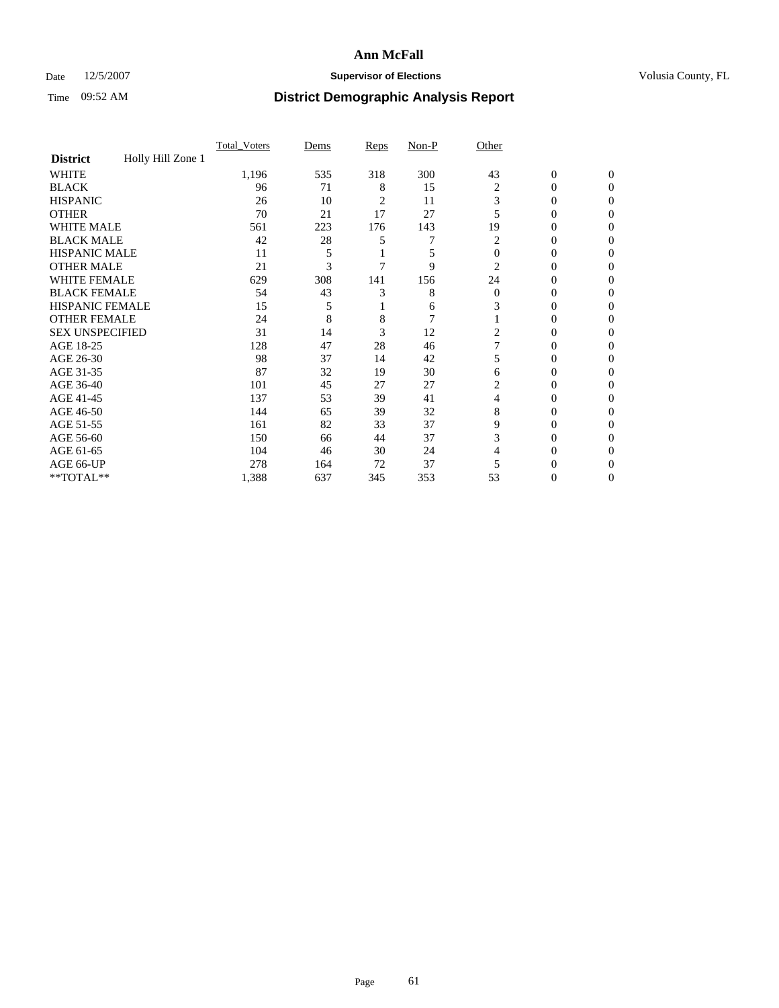### Date 12/5/2007 **Supervisor of Elections Supervisor of Elections** Volusia County, FL

|                        |                   | Total Voters | Dems | Reps | Non-P          | Other          |                  |                  |
|------------------------|-------------------|--------------|------|------|----------------|----------------|------------------|------------------|
| <b>District</b>        | Holly Hill Zone 1 |              |      |      |                |                |                  |                  |
| <b>WHITE</b>           |                   | 1,196        | 535  | 318  | 300            | 43             | $\boldsymbol{0}$ | $\mathbf{0}$     |
| <b>BLACK</b>           |                   | 96           | 71   | 8    | 15             | 2              | $\theta$         | $\Omega$         |
| <b>HISPANIC</b>        |                   | 26           | 10   | 2    | 11             | 3              | 0                | $\mathbf{0}$     |
| <b>OTHER</b>           |                   | 70           | 21   | 17   | 27             | 5              | $\overline{0}$   | $\theta$         |
| WHITE MALE             |                   | 561          | 223  | 176  | 143            | 19             | 0                | $\theta$         |
| <b>BLACK MALE</b>      |                   | 42           | 28   | 5    | 7              | 2              | 0                | 0                |
| <b>HISPANIC MALE</b>   |                   | 11           | 5    |      | 5              | $\theta$       | 0                | 0                |
| <b>OTHER MALE</b>      |                   | 21           | 3    |      | 9              | 2              | 0                | 0                |
| <b>WHITE FEMALE</b>    |                   | 629          | 308  | 141  | 156            | 24             | 0                | $\Omega$         |
| <b>BLACK FEMALE</b>    |                   | 54           | 43   | 3    | 8              | $\overline{0}$ | $\overline{0}$   | $\theta$         |
| <b>HISPANIC FEMALE</b> |                   | 15           | 5    |      | 6              | 3              | 0                | 0                |
| <b>OTHER FEMALE</b>    |                   | 24           | 8    | 8    | $\overline{7}$ |                | 0                | 0                |
| <b>SEX UNSPECIFIED</b> |                   | 31           | 14   | 3    | 12             | 2              | $\theta$         | 0                |
| AGE 18-25              |                   | 128          | 47   | 28   | 46             |                | 0                | $\mathbf{0}$     |
| AGE 26-30              |                   | 98           | 37   | 14   | 42             | 5              | 0                | $\Omega$         |
| AGE 31-35              |                   | 87           | 32   | 19   | 30             | 6              | 0                | $\boldsymbol{0}$ |
| AGE 36-40              |                   | 101          | 45   | 27   | 27             | 2              | 0                | $\mathbf{0}$     |
| AGE 41-45              |                   | 137          | 53   | 39   | 41             | 4              | 0                | 0                |
| AGE 46-50              |                   | 144          | 65   | 39   | 32             | 8              | 0                | $\mathbf{0}$     |
| AGE 51-55              |                   | 161          | 82   | 33   | 37             | 9              | 0                | $\Omega$         |
| AGE 56-60              |                   | 150          | 66   | 44   | 37             | 3              | 0                | $\mathbf{0}$     |
| AGE 61-65              |                   | 104          | 46   | 30   | 24             | 4              | 0                | $\boldsymbol{0}$ |
| AGE 66-UP              |                   | 278          | 164  | 72   | 37             | 5              | 0                | 0                |
| **TOTAL**              |                   | 1,388        | 637  | 345  | 353            | 53             | 0                | $\mathbf{0}$     |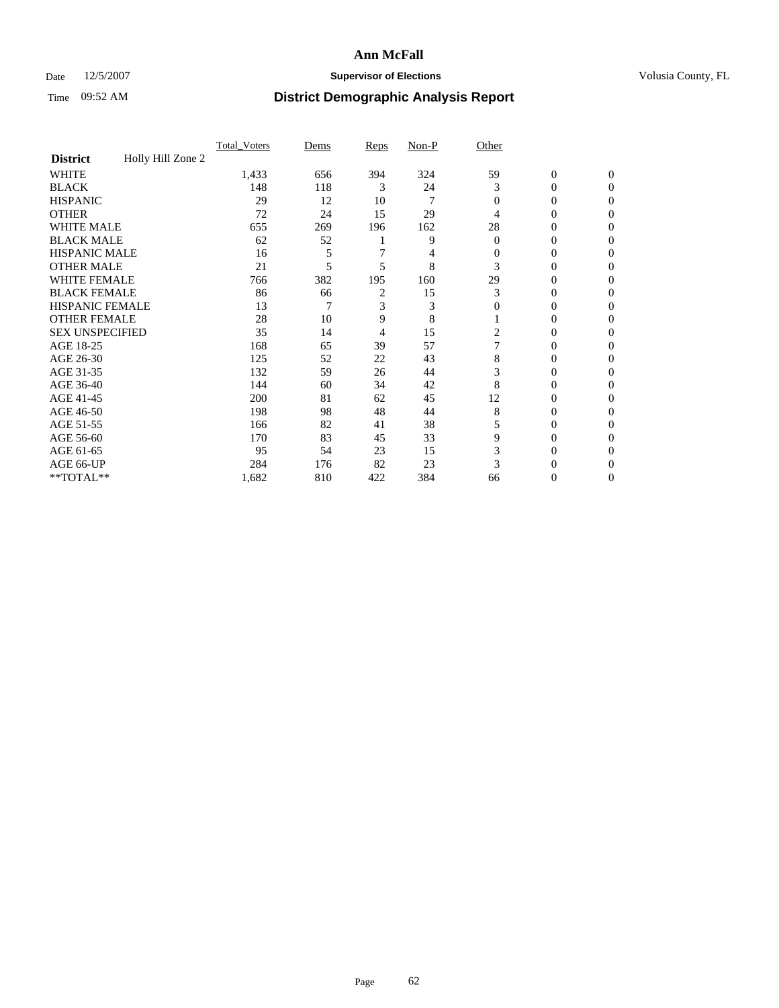### Date 12/5/2007 **Supervisor of Elections Supervisor of Elections** Volusia County, FL

|                        |                   | Total Voters | Dems | Reps | Non-P | Other        |                  |                  |
|------------------------|-------------------|--------------|------|------|-------|--------------|------------------|------------------|
| <b>District</b>        | Holly Hill Zone 2 |              |      |      |       |              |                  |                  |
| <b>WHITE</b>           |                   | 1,433        | 656  | 394  | 324   | 59           | $\boldsymbol{0}$ | $\mathbf{0}$     |
| <b>BLACK</b>           |                   | 148          | 118  | 3    | 24    | 3            | 0                | $\Omega$         |
| <b>HISPANIC</b>        |                   | 29           | 12   | 10   | 7     | $\Omega$     | 0                | $\mathbf{0}$     |
| <b>OTHER</b>           |                   | 72           | 24   | 15   | 29    | 4            | $\overline{0}$   | $\theta$         |
| WHITE MALE             |                   | 655          | 269  | 196  | 162   | 28           | 0                | $\theta$         |
| <b>BLACK MALE</b>      |                   | 62           | 52   |      | 9     | $\theta$     | 0                | 0                |
| <b>HISPANIC MALE</b>   |                   | 16           | 5    |      | 4     | $\Omega$     | 0                | 0                |
| <b>OTHER MALE</b>      |                   | 21           | 5    | 5    | 8     | 3            | 0                | $\Omega$         |
| <b>WHITE FEMALE</b>    |                   | 766          | 382  | 195  | 160   | 29           | 0                | $\Omega$         |
| <b>BLACK FEMALE</b>    |                   | 86           | 66   | 2    | 15    | 3            | $\overline{0}$   | $\overline{0}$   |
| <b>HISPANIC FEMALE</b> |                   | 13           | 7    | 3    | 3     | $\mathbf{0}$ | 0                | 0                |
| <b>OTHER FEMALE</b>    |                   | 28           | 10   | 9    | 8     |              | 0                | 0                |
| <b>SEX UNSPECIFIED</b> |                   | 35           | 14   | 4    | 15    | 2            | 0                | 0                |
| AGE 18-25              |                   | 168          | 65   | 39   | 57    |              | 0                | $\mathbf{0}$     |
| AGE 26-30              |                   | 125          | 52   | 22   | 43    | 8            | 0                | $\Omega$         |
| AGE 31-35              |                   | 132          | 59   | 26   | 44    | 3            | 0                | $\boldsymbol{0}$ |
| AGE 36-40              |                   | 144          | 60   | 34   | 42    | 8            | 0                | $\mathbf{0}$     |
| AGE 41-45              |                   | 200          | 81   | 62   | 45    | 12           | 0                | 0                |
| AGE 46-50              |                   | 198          | 98   | 48   | 44    | 8            | 0                | $\mathbf{0}$     |
| AGE 51-55              |                   | 166          | 82   | 41   | 38    | 5            | 0                | $\Omega$         |
| AGE 56-60              |                   | 170          | 83   | 45   | 33    | 9            | 0                | $\mathbf{0}$     |
| AGE 61-65              |                   | 95           | 54   | 23   | 15    | 3            | $\overline{0}$   | $\boldsymbol{0}$ |
| AGE 66-UP              |                   | 284          | 176  | 82   | 23    | 3            | 0                | 0                |
| **TOTAL**              |                   | 1,682        | 810  | 422  | 384   | 66           | 0                | $\mathbf{0}$     |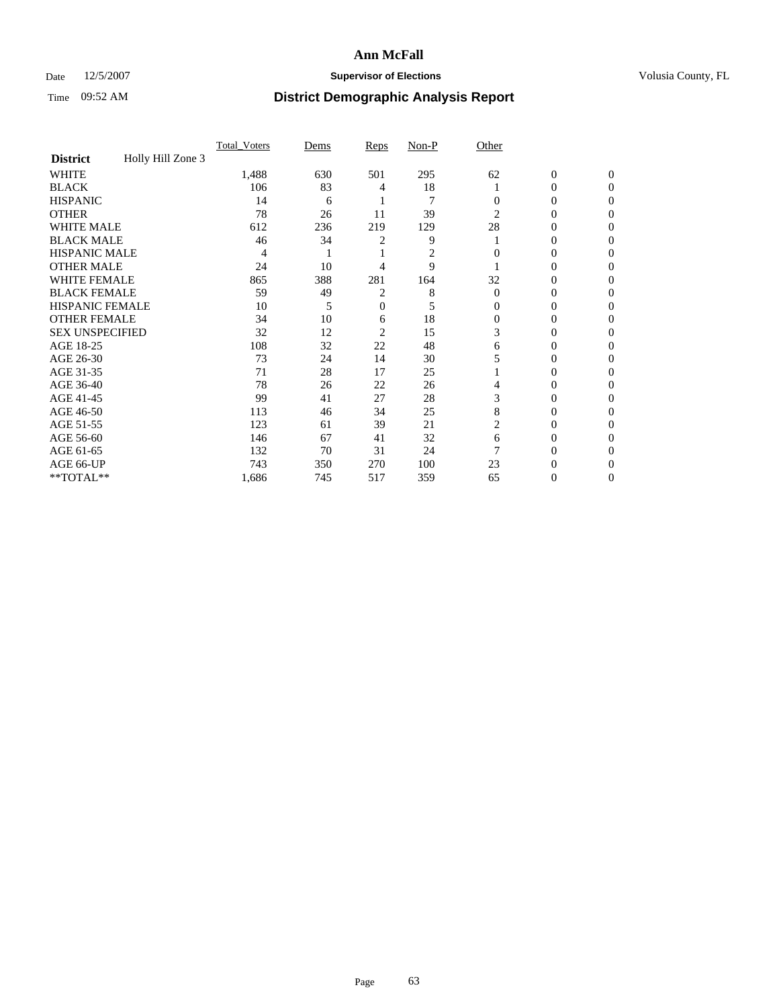### Date 12/5/2007 **Supervisor of Elections Supervisor of Elections** Volusia County, FL

|                        |                   | <b>Total Voters</b> | Dems | Reps | Non-P          | Other    |                  |              |  |
|------------------------|-------------------|---------------------|------|------|----------------|----------|------------------|--------------|--|
| <b>District</b>        | Holly Hill Zone 3 |                     |      |      |                |          |                  |              |  |
| <b>WHITE</b>           |                   | 1,488               | 630  | 501  | 295            | 62       | $\boldsymbol{0}$ | $\mathbf{0}$ |  |
| <b>BLACK</b>           |                   | 106                 | 83   | 4    | 18             |          | 0                | $\mathbf{0}$ |  |
| <b>HISPANIC</b>        |                   | 14                  | 6    |      | $\overline{7}$ | 0        | 0                | $\Omega$     |  |
| <b>OTHER</b>           |                   | 78                  | 26   | 11   | 39             | 2        | 0                | $\theta$     |  |
| <b>WHITE MALE</b>      |                   | 612                 | 236  | 219  | 129            | 28       | 0                | 0            |  |
| <b>BLACK MALE</b>      |                   | 46                  | 34   | 2    | 9              |          | 0                | 0            |  |
| <b>HISPANIC MALE</b>   |                   | 4                   |      |      | 2              |          | 0                |              |  |
| <b>OTHER MALE</b>      |                   | 24                  | 10   | 4    | 9              |          | 0                | 0            |  |
| WHITE FEMALE           |                   | 865                 | 388  | 281  | 164            | 32       | 0                | 0            |  |
| <b>BLACK FEMALE</b>    |                   | 59                  | 49   | 2    | 8              | $\Omega$ | 0                | 0            |  |
| <b>HISPANIC FEMALE</b> |                   | 10                  | 5    | 0    | 5              | 0        | 0                | $\Omega$     |  |
| <b>OTHER FEMALE</b>    |                   | 34                  | 10   | 6    | 18             | $\Omega$ | 0                | $\theta$     |  |
| <b>SEX UNSPECIFIED</b> |                   | 32                  | 12   | 2    | 15             | 3        | 0                | $\theta$     |  |
| AGE 18-25              |                   | 108                 | 32   | 22   | 48             | 6        | 0                | $_{0}$       |  |
| AGE 26-30              |                   | 73                  | 24   | 14   | 30             |          | 0                | 0            |  |
| AGE 31-35              |                   | 71                  | 28   | 17   | 25             |          | 0                |              |  |
| AGE 36-40              |                   | 78                  | 26   | 22   | 26             | 4        | 0                | 0            |  |
| AGE 41-45              |                   | 99                  | 41   | 27   | 28             | 3        | 0                | 0            |  |
| AGE 46-50              |                   | 113                 | 46   | 34   | 25             | 8        | 0                | $\Omega$     |  |
| AGE 51-55              |                   | 123                 | 61   | 39   | 21             | 2        | 0                | $\theta$     |  |
| AGE 56-60              |                   | 146                 | 67   | 41   | 32             | 6        | 0                | $\theta$     |  |
| AGE 61-65              |                   | 132                 | 70   | 31   | 24             |          | 0                | 0            |  |
| AGE 66-UP              |                   | 743                 | 350  | 270  | 100            | 23       | 0                |              |  |
| **TOTAL**              |                   | 1,686               | 745  | 517  | 359            | 65       | 0                | 0            |  |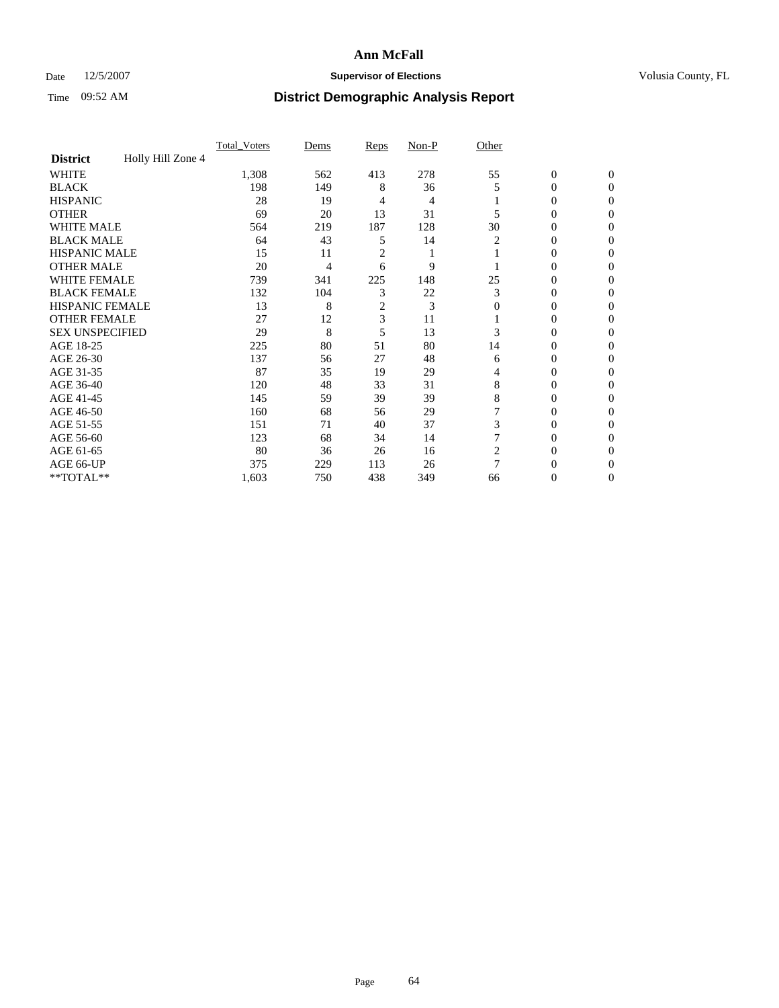### Date 12/5/2007 **Supervisor of Elections Supervisor of Elections** Volusia County, FL

|                                      | Total Voters | Dems | <b>Reps</b> | Non-P | Other    |                  |                |  |
|--------------------------------------|--------------|------|-------------|-------|----------|------------------|----------------|--|
| Holly Hill Zone 4<br><b>District</b> |              |      |             |       |          |                  |                |  |
| <b>WHITE</b>                         | 1,308        | 562  | 413         | 278   | 55       | $\boldsymbol{0}$ | $\mathbf{0}$   |  |
| <b>BLACK</b>                         | 198          | 149  | 8           | 36    | 5        | 0                | $\mathbf{0}$   |  |
| <b>HISPANIC</b>                      | 28           | 19   | 4           | 4     |          | 0                | $\Omega$       |  |
| <b>OTHER</b>                         | 69           | 20   | 13          | 31    |          | $\overline{0}$   | $\Omega$       |  |
| <b>WHITE MALE</b>                    | 564          | 219  | 187         | 128   | 30       | 0                | 0              |  |
| <b>BLACK MALE</b>                    | 64           | 43   | 5           | 14    | 2        | 0                | 0              |  |
| <b>HISPANIC MALE</b>                 | 15           | 11   | 2           |       |          | 0                | 0              |  |
| <b>OTHER MALE</b>                    | 20           | 4    | 6           | 9     |          | $\overline{0}$   | 0              |  |
| WHITE FEMALE                         | 739          | 341  | 225         | 148   | 25       | 0                | 0              |  |
| <b>BLACK FEMALE</b>                  | 132          | 104  | 3           | 22    | 3        | 0                | 0              |  |
| <b>HISPANIC FEMALE</b>               | 13           | 8    | 2           | 3     | $\Omega$ | 0                | $\Omega$       |  |
| <b>OTHER FEMALE</b>                  | 27           | 12   | 3           | 11    |          | 0                | $\Omega$       |  |
| <b>SEX UNSPECIFIED</b>               | 29           | 8    | 5           | 13    | 3        | 0                | $\Omega$       |  |
| AGE 18-25                            | 225          | 80   | 51          | 80    | 14       | 0                | $_{0}$         |  |
| AGE 26-30                            | 137          | 56   | 27          | 48    | 6        | 0                | 0              |  |
| AGE 31-35                            | 87           | 35   | 19          | 29    | 4        | 0                | 0              |  |
| AGE 36-40                            | 120          | 48   | 33          | 31    | 8        | 0                | 0              |  |
| AGE 41-45                            | 145          | 59   | 39          | 39    | 8        | 0                | 0              |  |
| AGE 46-50                            | 160          | 68   | 56          | 29    |          | 0                | $\Omega$       |  |
| AGE 51-55                            | 151          | 71   | 40          | 37    | 3        | 0                | $\Omega$       |  |
| AGE 56-60                            | 123          | 68   | 34          | 14    |          | 0                | $\Omega$       |  |
| AGE 61-65                            | 80           | 36   | 26          | 16    | 2        | 0                | 0              |  |
| AGE 66-UP                            | 375          | 229  | 113         | 26    | 7        | 0                |                |  |
| **TOTAL**                            | 1,603        | 750  | 438         | 349   | 66       | 0                | $\overline{0}$ |  |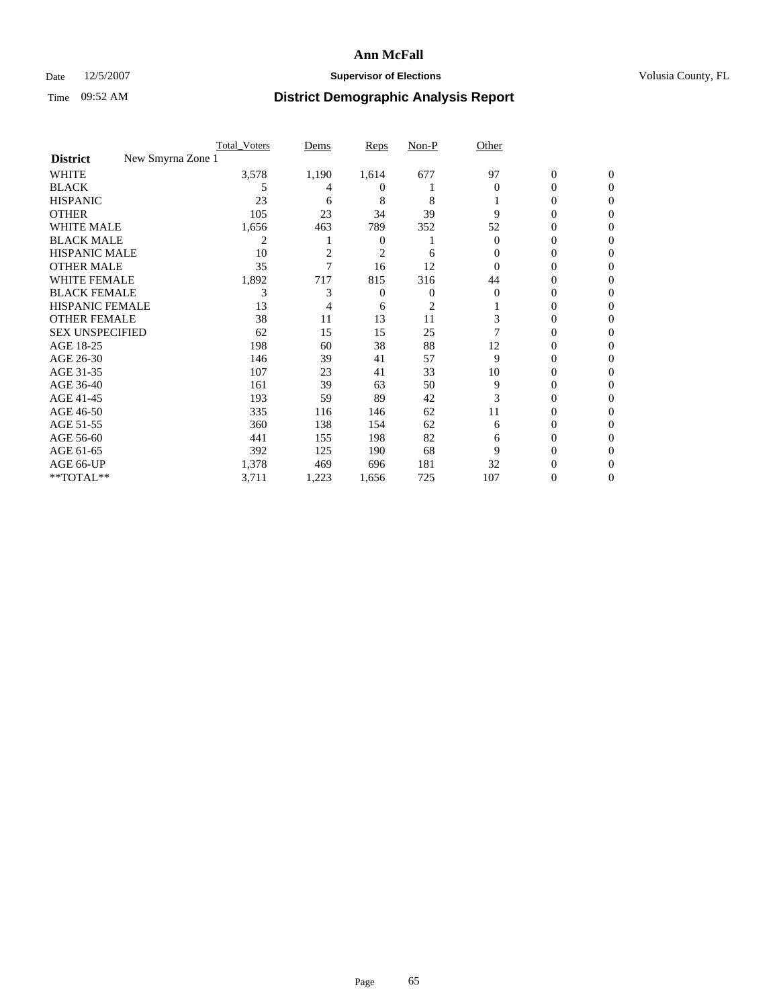### Date 12/5/2007 **Supervisor of Elections Supervisor of Elections** Volusia County, FL

|                                      | <b>Total Voters</b> | Dems  | Reps           | Non-P          | Other    |                  |                |  |
|--------------------------------------|---------------------|-------|----------------|----------------|----------|------------------|----------------|--|
| New Smyrna Zone 1<br><b>District</b> |                     |       |                |                |          |                  |                |  |
| <b>WHITE</b>                         | 3,578               | 1,190 | 1,614          | 677            | 97       | $\boldsymbol{0}$ | $\mathbf{0}$   |  |
| <b>BLACK</b>                         | 5                   | 4     | $^{(1)}$       |                | $\Omega$ | 0                | $\overline{0}$ |  |
| <b>HISPANIC</b>                      | 23                  | 6     | 8              | 8              |          | 0                | $\Omega$       |  |
| <b>OTHER</b>                         | 105                 | 23    | 34             | 39             | 9        | 0                | $\theta$       |  |
| <b>WHITE MALE</b>                    | 1,656               | 463   | 789            | 352            | 52       | 0                |                |  |
| <b>BLACK MALE</b>                    | 2                   |       | $\overline{0}$ |                | 0        | 0                | 0              |  |
| <b>HISPANIC MALE</b>                 | 10                  | 2     | 2              | 6              | 0        | 0                |                |  |
| <b>OTHER MALE</b>                    | 35                  |       | 16             | 12             | 0        | 0                | 0              |  |
| WHITE FEMALE                         | 1,892               | 717   | 815            | 316            | 44       | 0                | 0              |  |
| <b>BLACK FEMALE</b>                  | 3                   | 3     | 0              | 0              | $\Omega$ | 0                | 0              |  |
| <b>HISPANIC FEMALE</b>               | 13                  |       | 6              | $\overline{c}$ |          | 0                | 0              |  |
| <b>OTHER FEMALE</b>                  | 38                  | 11    | 13             | 11             | 3        | 0                | 0              |  |
| <b>SEX UNSPECIFIED</b>               | 62                  | 15    | 15             | 25             |          | 0                | 0              |  |
| AGE 18-25                            | 198                 | 60    | 38             | 88             | 12       | 0                |                |  |
| AGE 26-30                            | 146                 | 39    | 41             | 57             | 9        | 0                | 0              |  |
| AGE 31-35                            | 107                 | 23    | 41             | 33             | 10       | 0                |                |  |
| AGE 36-40                            | 161                 | 39    | 63             | 50             | 9        | 0                | 0              |  |
| AGE 41-45                            | 193                 | 59    | 89             | 42             | 3        | 0                | 0              |  |
| AGE 46-50                            | 335                 | 116   | 146            | 62             | 11       | 0                | 0              |  |
| AGE 51-55                            | 360                 | 138   | 154            | 62             | 6        | 0                | $\theta$       |  |
| AGE 56-60                            | 441                 | 155   | 198            | 82             | 6        | 0                | 0              |  |
| AGE 61-65                            | 392                 | 125   | 190            | 68             | 9        | 0                |                |  |
| AGE 66-UP                            | 1,378               | 469   | 696            | 181            | 32       | 0                |                |  |
| **TOTAL**                            | 3,711               | 1,223 | 1,656          | 725            | 107      | 0                | 0              |  |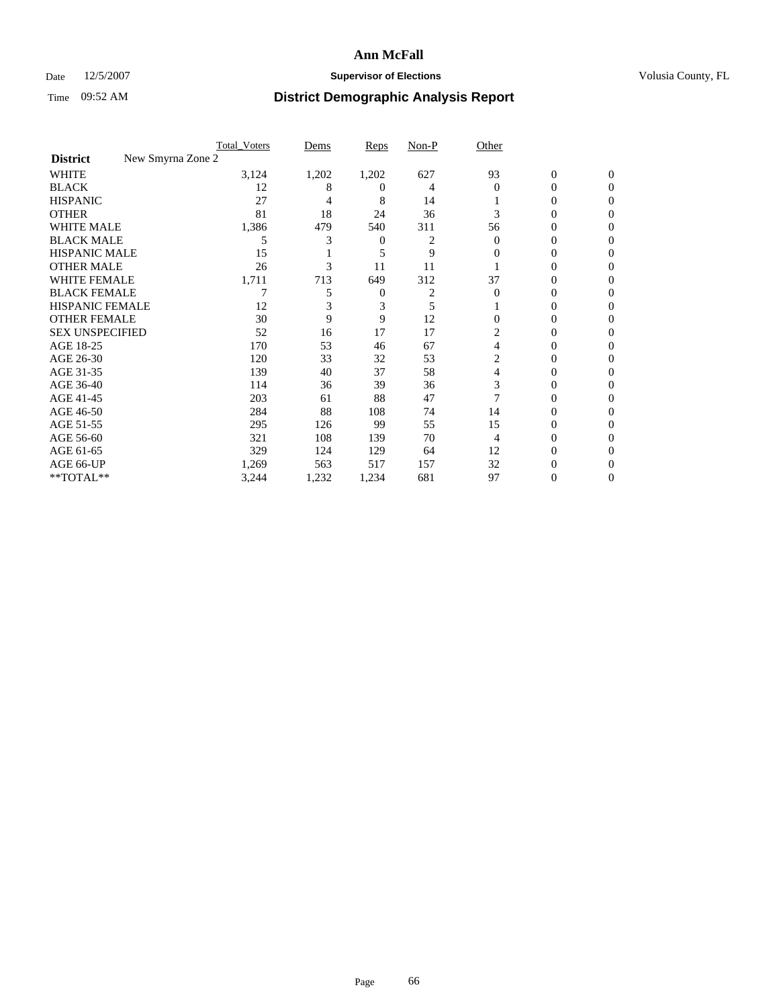### Date 12/5/2007 **Supervisor of Elections Supervisor of Elections** Volusia County, FL

|                                      | <b>Total Voters</b> | Dems  | Reps     | Non-P | Other    |                  |              |  |
|--------------------------------------|---------------------|-------|----------|-------|----------|------------------|--------------|--|
| New Smyrna Zone 2<br><b>District</b> |                     |       |          |       |          |                  |              |  |
| <b>WHITE</b>                         | 3,124               | 1,202 | 1,202    | 627   | 93       | $\boldsymbol{0}$ | $\mathbf{0}$ |  |
| <b>BLACK</b>                         | 12                  | 8     | $^{(1)}$ | 4     | $\Omega$ | 0                | $\Omega$     |  |
| <b>HISPANIC</b>                      | 27                  | 4     | 8        | 14    |          | 0                | $\Omega$     |  |
| <b>OTHER</b>                         | 81                  | 18    | 24       | 36    | 3        | $\overline{0}$   | $\theta$     |  |
| <b>WHITE MALE</b>                    | 1,386               | 479   | 540      | 311   | 56       | 0                |              |  |
| <b>BLACK MALE</b>                    | 5                   | 3     | 0        | 2     | $\Omega$ | 0                | 0            |  |
| <b>HISPANIC MALE</b>                 | 15                  |       | 5        | 9     | 0        | 0                |              |  |
| <b>OTHER MALE</b>                    | 26                  | 3     | 11       | 11    |          | 0                | 0            |  |
| WHITE FEMALE                         | 1,711               | 713   | 649      | 312   | 37       | 0                | 0            |  |
| <b>BLACK FEMALE</b>                  |                     | 5     | 0        | 2     | $\Omega$ | 0                | 0            |  |
| <b>HISPANIC FEMALE</b>               | 12                  |       | 3        | 5     |          | 0                | $\Omega$     |  |
| <b>OTHER FEMALE</b>                  | 30                  | 9     | 9        | 12    | $\Omega$ | 0                | 0            |  |
| <b>SEX UNSPECIFIED</b>               | 52                  | 16    | 17       | 17    | 2        | 0                | 0            |  |
| AGE 18-25                            | 170                 | 53    | 46       | 67    | 4        | 0                |              |  |
| AGE 26-30                            | 120                 | 33    | 32       | 53    | 2        | 0                | 0            |  |
| AGE 31-35                            | 139                 | 40    | 37       | 58    | 4        | 0                |              |  |
| AGE 36-40                            | 114                 | 36    | 39       | 36    | 3        | 0                | 0            |  |
| AGE 41-45                            | 203                 | 61    | 88       | 47    |          | 0                | 0            |  |
| AGE 46-50                            | 284                 | 88    | 108      | 74    | 14       | 0                | 0            |  |
| AGE 51-55                            | 295                 | 126   | 99       | 55    | 15       | 0                | $\theta$     |  |
| AGE 56-60                            | 321                 | 108   | 139      | 70    | 4        | 0                | 0            |  |
| AGE 61-65                            | 329                 | 124   | 129      | 64    | 12       | 0                |              |  |
| AGE 66-UP                            | 1,269               | 563   | 517      | 157   | 32       | 0                |              |  |
| **TOTAL**                            | 3,244               | 1,232 | 1,234    | 681   | 97       | 0                | 0            |  |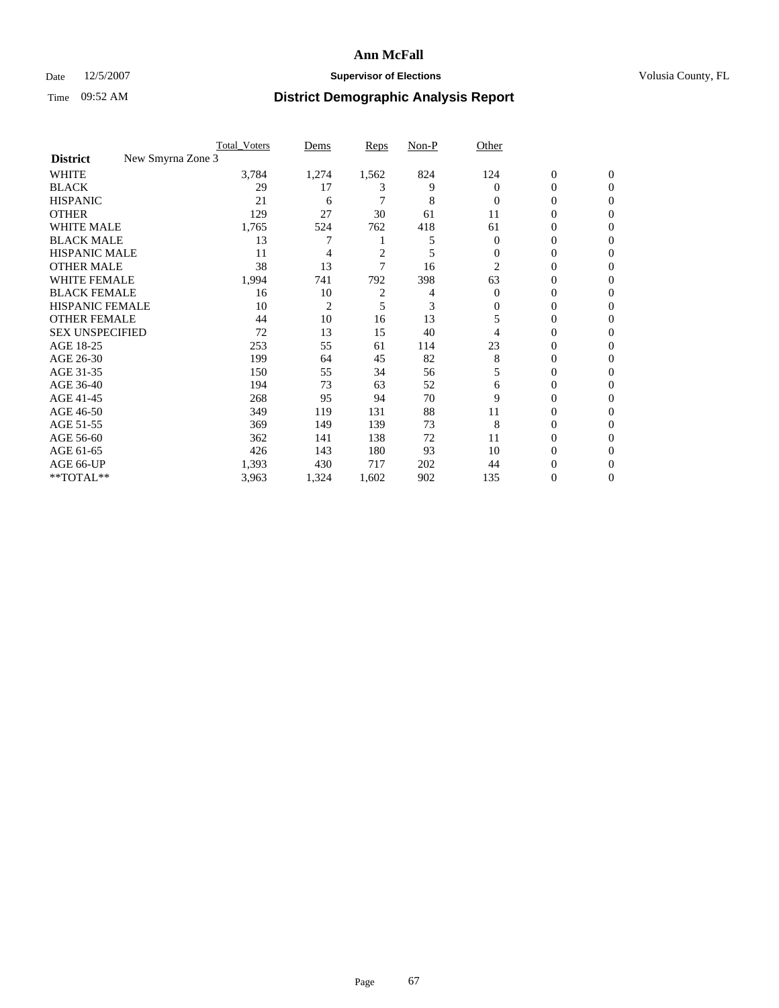### Date 12/5/2007 **Supervisor of Elections Supervisor of Elections** Volusia County, FL

|                                      | <b>Total Voters</b> | Dems           | Reps           | Non-P | Other    |                  |              |  |
|--------------------------------------|---------------------|----------------|----------------|-------|----------|------------------|--------------|--|
| New Smyrna Zone 3<br><b>District</b> |                     |                |                |       |          |                  |              |  |
| <b>WHITE</b>                         | 3,784               | 1,274          | 1,562          | 824   | 124      | $\boldsymbol{0}$ | $\mathbf{0}$ |  |
| <b>BLACK</b>                         | 29                  | 17             | 3              | 9     | 0        | 0                | $\mathbf{0}$ |  |
| <b>HISPANIC</b>                      | 21                  | 6              |                | 8     | $\Omega$ | 0                | $\mathbf{0}$ |  |
| <b>OTHER</b>                         | 129                 | 27             | 30             | 61    | 11       | 0                | $\theta$     |  |
| <b>WHITE MALE</b>                    | 1,765               | 524            | 762            | 418   | 61       | 0                | $\theta$     |  |
| <b>BLACK MALE</b>                    | 13                  | 7              |                | 5     | 0        | 0                | 0            |  |
| <b>HISPANIC MALE</b>                 | 11                  | 4              | $\overline{c}$ | 5     | $\Omega$ | 0                | 0            |  |
| <b>OTHER MALE</b>                    | 38                  | 13             | 7              | 16    | 2        | 0                | 0            |  |
| WHITE FEMALE                         | 1,994               | 741            | 792            | 398   | 63       | 0                | 0            |  |
| <b>BLACK FEMALE</b>                  | 16                  | 10             | $\overline{c}$ | 4     | $\Omega$ | 0                | 0            |  |
| <b>HISPANIC FEMALE</b>               | 10                  | $\overline{2}$ | 5              | 3     | 0        | 0                | $\Omega$     |  |
| <b>OTHER FEMALE</b>                  | 44                  | 10             | 16             | 13    | 5        | 0                | $\theta$     |  |
| <b>SEX UNSPECIFIED</b>               | 72                  | 13             | 15             | 40    |          | 0                | $\theta$     |  |
| AGE 18-25                            | 253                 | 55             | 61             | 114   | 23       | 0                | $_{0}$       |  |
| AGE 26-30                            | 199                 | 64             | 45             | 82    | 8        | 0                | 0            |  |
| AGE 31-35                            | 150                 | 55             | 34             | 56    | 5        | 0                | 0            |  |
| AGE 36-40                            | 194                 | 73             | 63             | 52    | 6        | 0                | 0            |  |
| AGE 41-45                            | 268                 | 95             | 94             | 70    | 9        | 0                | 0            |  |
| AGE 46-50                            | 349                 | 119            | 131            | 88    | 11       | 0                | $\mathbf{0}$ |  |
| AGE 51-55                            | 369                 | 149            | 139            | 73    | 8        | 0                | $\Omega$     |  |
| AGE 56-60                            | 362                 | 141            | 138            | 72    | 11       | 0                | $\theta$     |  |
| AGE 61-65                            | 426                 | 143            | 180            | 93    | 10       | 0                | 0            |  |
| AGE 66-UP                            | 1,393               | 430            | 717            | 202   | 44       | 0                |              |  |
| **TOTAL**                            | 3,963               | 1,324          | 1,602          | 902   | 135      | 0                | $\mathbf{0}$ |  |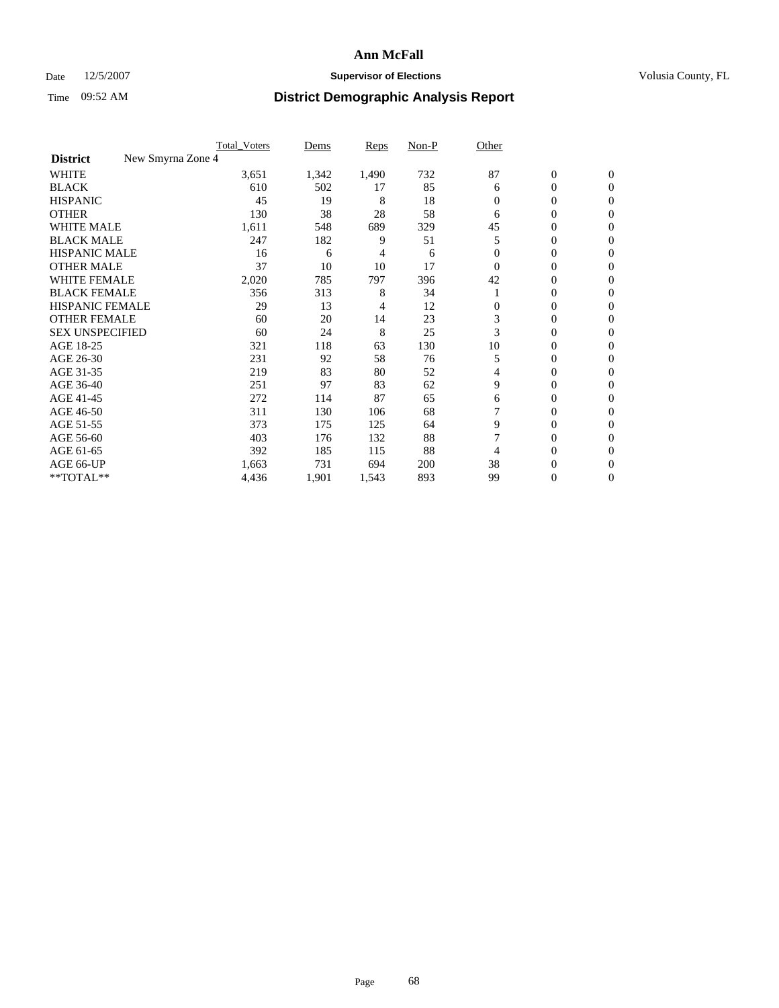### Date 12/5/2007 **Supervisor of Elections Supervisor of Elections** Volusia County, FL

|                                      | <b>Total Voters</b> | Dems  | Reps  | Non-P | Other    |                  |                  |  |
|--------------------------------------|---------------------|-------|-------|-------|----------|------------------|------------------|--|
| New Smyrna Zone 4<br><b>District</b> |                     |       |       |       |          |                  |                  |  |
| <b>WHITE</b>                         | 3,651               | 1,342 | 1,490 | 732   | 87       | $\boldsymbol{0}$ | $\mathbf{0}$     |  |
| <b>BLACK</b>                         | 610                 | 502   | 17    | 85    | 6        | 0                | $\mathbf{0}$     |  |
| <b>HISPANIC</b>                      | 45                  | 19    | 8     | 18    | $\Omega$ | 0                | $\mathbf{0}$     |  |
| <b>OTHER</b>                         | 130                 | 38    | 28    | 58    | 6        | 0                | $\overline{0}$   |  |
| <b>WHITE MALE</b>                    | 1,611               | 548   | 689   | 329   | 45       | 0                | $\theta$         |  |
| <b>BLACK MALE</b>                    | 247                 | 182   | 9     | 51    | 5        | 0                | $\Omega$         |  |
| <b>HISPANIC MALE</b>                 | 16                  | 6     | 4     | 6     | 0        | 0                | 0                |  |
| <b>OTHER MALE</b>                    | 37                  | 10    | 10    | 17    | $\Omega$ | 0                | 0                |  |
| WHITE FEMALE                         | 2,020               | 785   | 797   | 396   | 42       | 0                | 0                |  |
| <b>BLACK FEMALE</b>                  | 356                 | 313   | 8     | 34    |          | 0                | $\mathbf{0}$     |  |
| <b>HISPANIC FEMALE</b>               | 29                  | 13    | 4     | 12    | $\Omega$ | 0                | $\Omega$         |  |
| <b>OTHER FEMALE</b>                  | 60                  | 20    | 14    | 23    | 3        | 0                | $\boldsymbol{0}$ |  |
| <b>SEX UNSPECIFIED</b>               | 60                  | 24    | 8     | 25    | 3        | 0                | $\Omega$         |  |
| AGE 18-25                            | 321                 | 118   | 63    | 130   | 10       | 0                | 0                |  |
| AGE 26-30                            | 231                 | 92    | 58    | 76    | 5        | 0                | $\Omega$         |  |
| AGE 31-35                            | 219                 | 83    | 80    | 52    | 4        | 0                | 0                |  |
| AGE 36-40                            | 251                 | 97    | 83    | 62    | 9        | 0                | $\mathbf{0}$     |  |
| AGE 41-45                            | 272                 | 114   | 87    | 65    | 6        | 0                | $\Omega$         |  |
| AGE 46-50                            | 311                 | 130   | 106   | 68    |          | 0                | $\mathbf{0}$     |  |
| AGE 51-55                            | 373                 | 175   | 125   | 64    | 9        | 0                | $\Omega$         |  |
| AGE 56-60                            | 403                 | 176   | 132   | 88    |          | 0                | $\Omega$         |  |
| AGE 61-65                            | 392                 | 185   | 115   | 88    | 4        | 0                | 0                |  |
| AGE 66-UP                            | 1,663               | 731   | 694   | 200   | 38       | 0                | $_{0}$           |  |
| **TOTAL**                            | 4,436               | 1,901 | 1,543 | 893   | 99       | 0                | 0                |  |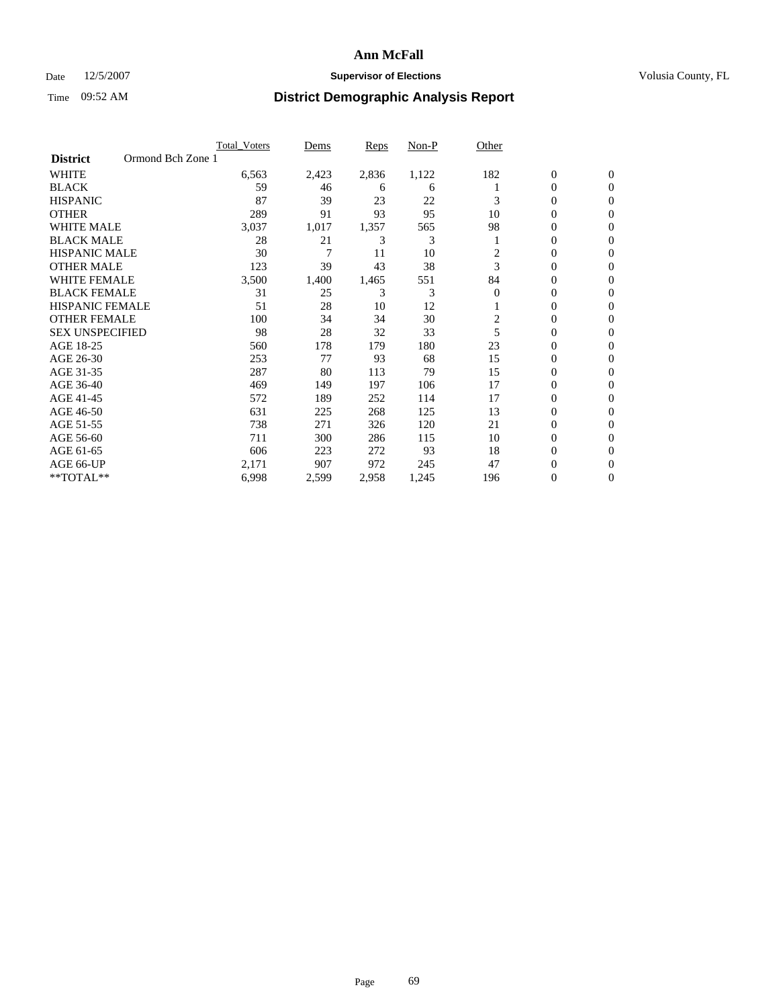### Date 12/5/2007 **Supervisor of Elections Supervisor of Elections** Volusia County, FL

|                                      | <b>Total Voters</b> | Dems  | Reps  | Non-P | Other    |                  |                |  |
|--------------------------------------|---------------------|-------|-------|-------|----------|------------------|----------------|--|
| Ormond Bch Zone 1<br><b>District</b> |                     |       |       |       |          |                  |                |  |
| <b>WHITE</b>                         | 6,563               | 2,423 | 2,836 | 1,122 | 182      | $\boldsymbol{0}$ | $\mathbf{0}$   |  |
| <b>BLACK</b>                         | 59                  | 46    | 6     | 6     |          | $\mathbf{0}$     | $\mathbf{0}$   |  |
| <b>HISPANIC</b>                      | 87                  | 39    | 23    | 22    | 3        | 0                | $\mathbf{0}$   |  |
| <b>OTHER</b>                         | 289                 | 91    | 93    | 95    | 10       | 0                | $\overline{0}$ |  |
| <b>WHITE MALE</b>                    | 3,037               | 1,017 | 1,357 | 565   | 98       | 0                | $\mathbf{0}$   |  |
| <b>BLACK MALE</b>                    | 28                  | 21    | 3     | 3     |          | 0                | $\mathbf{0}$   |  |
| <b>HISPANIC MALE</b>                 | 30                  | 7     | 11    | 10    | 2        | 0                | $\Omega$       |  |
| <b>OTHER MALE</b>                    | 123                 | 39    | 43    | 38    | 3        | 0                | 0              |  |
| <b>WHITE FEMALE</b>                  | 3,500               | 1,400 | 1,465 | 551   | 84       | 0                | $\Omega$       |  |
| <b>BLACK FEMALE</b>                  | 31                  | 25    | 3     | 3     | $\Omega$ | 0                | $\mathbf{0}$   |  |
| <b>HISPANIC FEMALE</b>               | 51                  | 28    | 10    | 12    |          | 0                | $\mathbf{0}$   |  |
| <b>OTHER FEMALE</b>                  | 100                 | 34    | 34    | 30    | 2        | 0                | $\mathbf{0}$   |  |
| <b>SEX UNSPECIFIED</b>               | 98                  | 28    | 32    | 33    | 5        | 0                | $\mathbf{0}$   |  |
| AGE 18-25                            | 560                 | 178   | 179   | 180   | 23       | 0                | 0              |  |
| AGE 26-30                            | 253                 | 77    | 93    | 68    | 15       | 0                | $\Omega$       |  |
| AGE 31-35                            | 287                 | 80    | 113   | 79    | 15       | 0                | 0              |  |
| AGE 36-40                            | 469                 | 149   | 197   | 106   | 17       | 0                | $\mathbf{0}$   |  |
| AGE 41-45                            | 572                 | 189   | 252   | 114   | 17       | 0                | $\mathbf{0}$   |  |
| AGE 46-50                            | 631                 | 225   | 268   | 125   | 13       | 0                | $\mathbf{0}$   |  |
| AGE 51-55                            | 738                 | 271   | 326   | 120   | 21       | 0                | $\mathbf{0}$   |  |
| AGE 56-60                            | 711                 | 300   | 286   | 115   | 10       | 0                | $\mathbf{0}$   |  |
| AGE 61-65                            | 606                 | 223   | 272   | 93    | 18       | 0                | $\Omega$       |  |
| AGE 66-UP                            | 2,171               | 907   | 972   | 245   | 47       | 0                | 0              |  |
| **TOTAL**                            | 6,998               | 2,599 | 2,958 | 1,245 | 196      | 0                | 0              |  |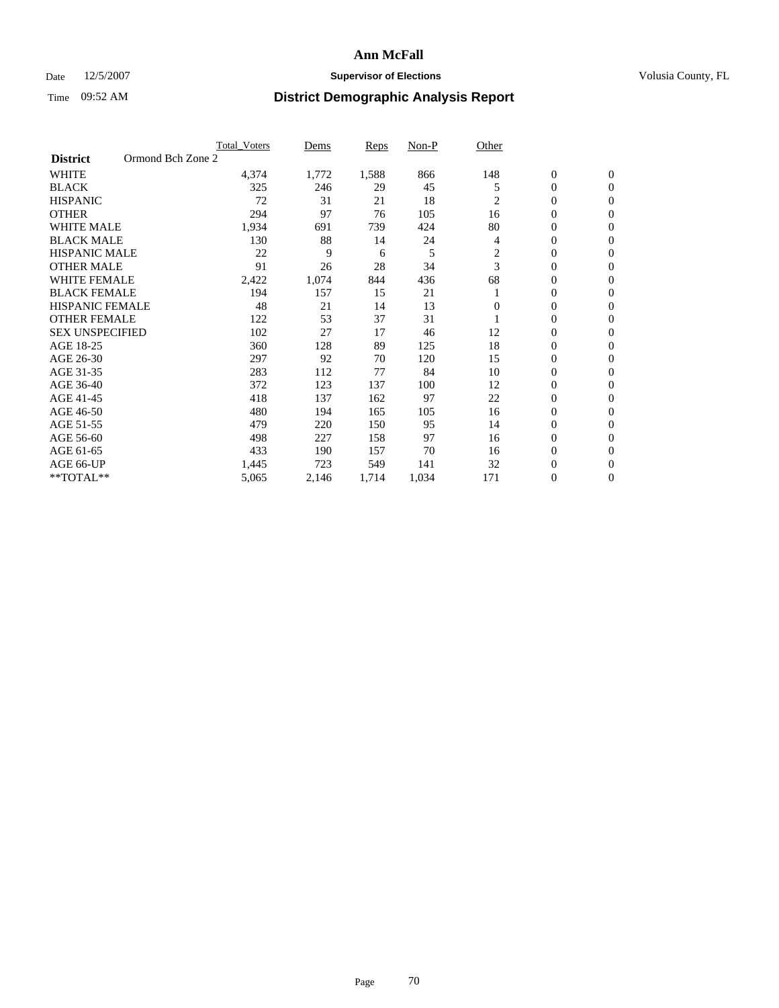### Date 12/5/2007 **Supervisor of Elections Supervisor of Elections** Volusia County, FL

|                        | <b>Total Voters</b> | Dems  | Reps  | Non-P | Other    |                  |                  |  |
|------------------------|---------------------|-------|-------|-------|----------|------------------|------------------|--|
| <b>District</b>        | Ormond Bch Zone 2   |       |       |       |          |                  |                  |  |
| <b>WHITE</b>           | 4,374               | 1,772 | 1,588 | 866   | 148      | $\boldsymbol{0}$ | $\mathbf{0}$     |  |
| <b>BLACK</b>           | 325                 | 246   | 29    | 45    | 5        | $\mathbf{0}$     | $\mathbf{0}$     |  |
| <b>HISPANIC</b>        | 72                  | 31    | 21    | 18    | 2        | $\mathbf{0}$     | $\mathbf{0}$     |  |
| <b>OTHER</b>           | 294                 | 97    | 76    | 105   | 16       | 0                | $\overline{0}$   |  |
| <b>WHITE MALE</b>      | 1,934               | 691   | 739   | 424   | 80       | 0                | $\mathbf{0}$     |  |
| <b>BLACK MALE</b>      | 130                 | 88    | 14    | 24    | 4        | 0                | $\mathbf{0}$     |  |
| <b>HISPANIC MALE</b>   | 22                  | 9     | 6     | 5     | 2        | 0                | $\Omega$         |  |
| <b>OTHER MALE</b>      | 91                  | 26    | 28    | 34    | 3        | 0                | $\mathbf{0}$     |  |
| <b>WHITE FEMALE</b>    | 2,422               | 1,074 | 844   | 436   | 68       | 0                | $\Omega$         |  |
| <b>BLACK FEMALE</b>    | 194                 | 157   | 15    | 21    |          | $\mathbf{0}$     | $\mathbf{0}$     |  |
| <b>HISPANIC FEMALE</b> | 48                  | 21    | 14    | 13    | $\Omega$ | 0                | $\mathbf{0}$     |  |
| <b>OTHER FEMALE</b>    | 122                 | 53    | 37    | 31    |          | 0                | $\overline{0}$   |  |
| <b>SEX UNSPECIFIED</b> | 102                 | 27    | 17    | 46    | 12       | 0                | $\overline{0}$   |  |
| AGE 18-25              | 360                 | 128   | 89    | 125   | 18       | 0                | $\overline{0}$   |  |
| AGE 26-30              | 297                 | 92    | 70    | 120   | 15       | 0                | $\overline{0}$   |  |
| AGE 31-35              | 283                 | 112   | 77    | 84    | 10       | 0                | $\overline{0}$   |  |
| AGE 36-40              | 372                 | 123   | 137   | 100   | 12       | $\boldsymbol{0}$ | $\mathbf{0}$     |  |
| AGE 41-45              | 418                 | 137   | 162   | 97    | 22       | 0                | $\overline{0}$   |  |
| AGE 46-50              | 480                 | 194   | 165   | 105   | 16       | $\mathbf{0}$     | $\mathbf{0}$     |  |
| AGE 51-55              | 479                 | 220   | 150   | 95    | 14       | 0                | $\mathbf{0}$     |  |
| AGE 56-60              | 498                 | 227   | 158   | 97    | 16       | 0                | $\overline{0}$   |  |
| AGE 61-65              | 433                 | 190   | 157   | 70    | 16       | 0                | $\overline{0}$   |  |
| AGE 66-UP              | 1,445               | 723   | 549   | 141   | 32       | 0                | 0                |  |
| **TOTAL**              | 5,065               | 2,146 | 1,714 | 1,034 | 171      | 0                | $\boldsymbol{0}$ |  |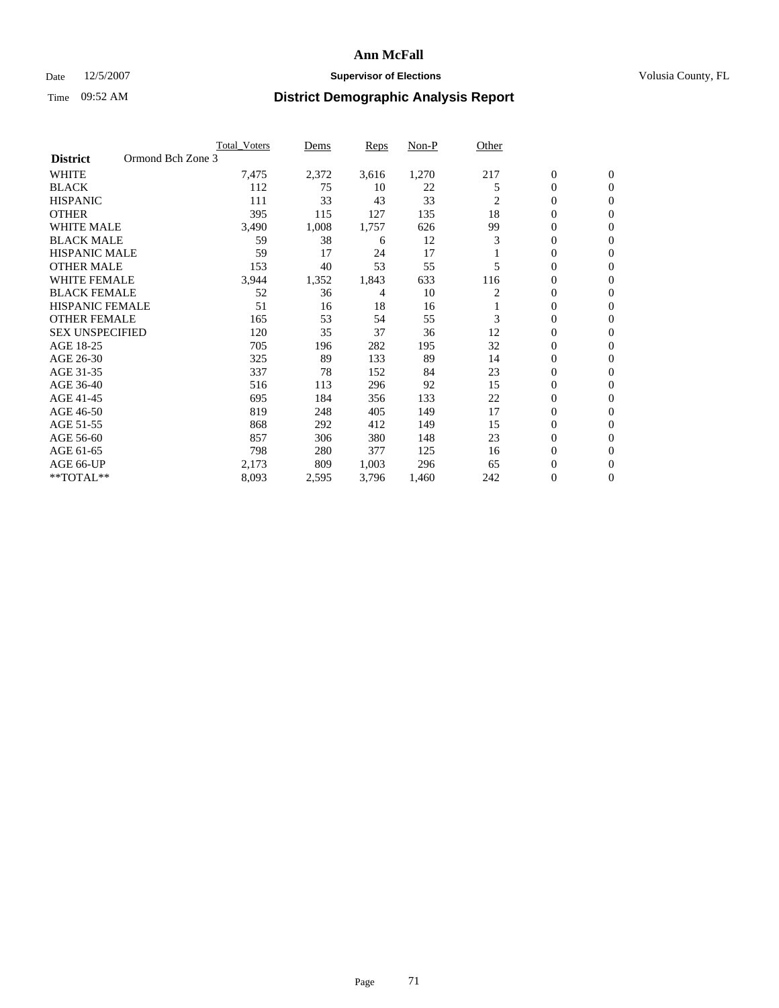### Date 12/5/2007 **Supervisor of Elections Supervisor of Elections** Volusia County, FL

|                        | <b>Total Voters</b> | Dems  | Reps  | Non-P | Other          |                  |                  |  |
|------------------------|---------------------|-------|-------|-------|----------------|------------------|------------------|--|
| <b>District</b>        | Ormond Bch Zone 3   |       |       |       |                |                  |                  |  |
| <b>WHITE</b>           | 7,475               | 2,372 | 3,616 | 1,270 | 217            | $\boldsymbol{0}$ | $\mathbf{0}$     |  |
| <b>BLACK</b>           | 112                 | 75    | 10    | 22    | 5              | $\mathbf{0}$     | $\mathbf{0}$     |  |
| <b>HISPANIC</b>        | 111                 | 33    | 43    | 33    | $\overline{2}$ | 0                | $\mathbf{0}$     |  |
| <b>OTHER</b>           | 395                 | 115   | 127   | 135   | 18             | 0                | $\overline{0}$   |  |
| <b>WHITE MALE</b>      | 3,490               | 1,008 | 1,757 | 626   | 99             | 0                | $\overline{0}$   |  |
| <b>BLACK MALE</b>      | 59                  | 38    | 6     | 12    | 3              | 0                | $\overline{0}$   |  |
| <b>HISPANIC MALE</b>   | 59                  | 17    | 24    | 17    |                | 0                | $\Omega$         |  |
| <b>OTHER MALE</b>      | 153                 | 40    | 53    | 55    | 5              | 0                | 0                |  |
| <b>WHITE FEMALE</b>    | 3,944               | 1,352 | 1,843 | 633   | 116            | 0                | $\Omega$         |  |
| <b>BLACK FEMALE</b>    | 52                  | 36    | 4     | 10    | 2              | 0                | $\mathbf{0}$     |  |
| <b>HISPANIC FEMALE</b> | 51                  | 16    | 18    | 16    |                | 0                | $\mathbf{0}$     |  |
| <b>OTHER FEMALE</b>    | 165                 | 53    | 54    | 55    | 3              | 0                | $\overline{0}$   |  |
| <b>SEX UNSPECIFIED</b> | 120                 | 35    | 37    | 36    | 12             | 0                | $\overline{0}$   |  |
| AGE 18-25              | 705                 | 196   | 282   | 195   | 32             | 0                | $\overline{0}$   |  |
| AGE 26-30              | 325                 | 89    | 133   | 89    | 14             | 0                | $\overline{0}$   |  |
| AGE 31-35              | 337                 | 78    | 152   | 84    | 23             | 0                | $\overline{0}$   |  |
| AGE 36-40              | 516                 | 113   | 296   | 92    | 15             | $\boldsymbol{0}$ | $\mathbf{0}$     |  |
| AGE 41-45              | 695                 | 184   | 356   | 133   | 22             | 0                | $\overline{0}$   |  |
| AGE 46-50              | 819                 | 248   | 405   | 149   | 17             | $\mathbf{0}$     | $\mathbf{0}$     |  |
| AGE 51-55              | 868                 | 292   | 412   | 149   | 15             | 0                | $\mathbf{0}$     |  |
| AGE 56-60              | 857                 | 306   | 380   | 148   | 23             | 0                | $\overline{0}$   |  |
| AGE 61-65              | 798                 | 280   | 377   | 125   | 16             | 0                | $\overline{0}$   |  |
| AGE 66-UP              | 2,173               | 809   | 1,003 | 296   | 65             | 0                | 0                |  |
| **TOTAL**              | 8,093               | 2,595 | 3,796 | 1,460 | 242            | 0                | $\boldsymbol{0}$ |  |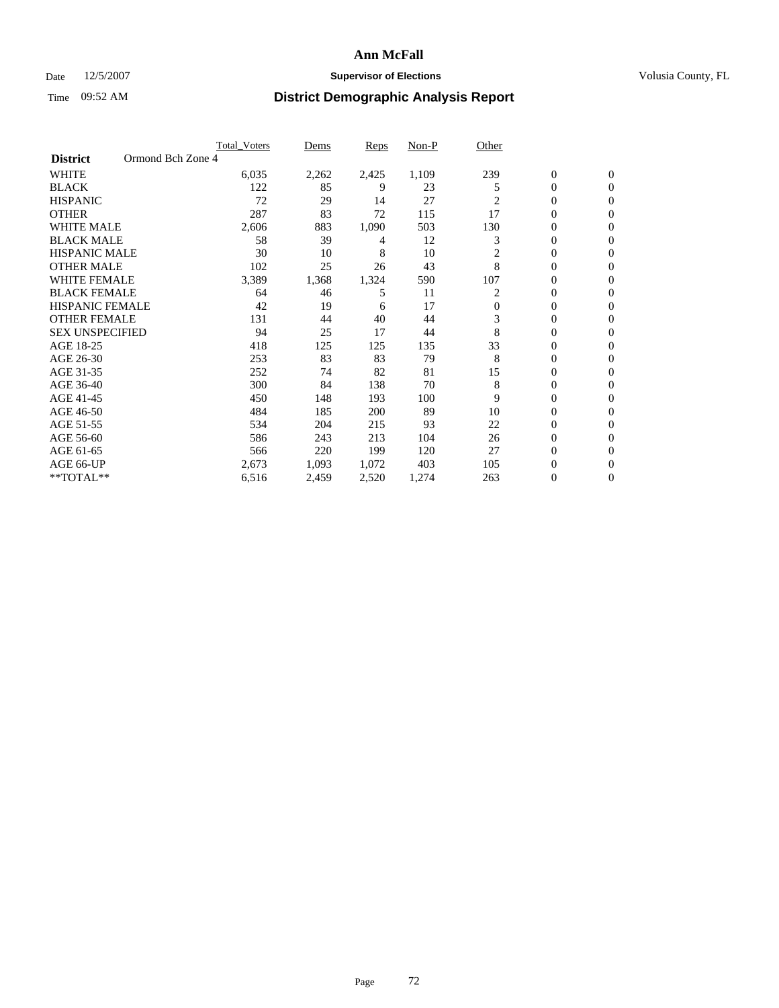### Date 12/5/2007 **Supervisor of Elections Supervisor of Elections** Volusia County, FL

|                        |                   | <b>Total Voters</b> | Dems  | Reps  | Non-P | Other          |                |                  |  |
|------------------------|-------------------|---------------------|-------|-------|-------|----------------|----------------|------------------|--|
| <b>District</b>        | Ormond Bch Zone 4 |                     |       |       |       |                |                |                  |  |
| <b>WHITE</b>           |                   | 6,035               | 2,262 | 2,425 | 1,109 | 239            | $\mathbf{0}$   | $\mathbf{0}$     |  |
| <b>BLACK</b>           |                   | 122                 | 85    | 9     | 23    | 5              | 0              | $\mathbf{0}$     |  |
| <b>HISPANIC</b>        |                   | 72                  | 29    | 14    | 27    | $\overline{c}$ | 0              | $\mathbf{0}$     |  |
| <b>OTHER</b>           |                   | 287                 | 83    | 72    | 115   | 17             | 0              | $\mathbf{0}$     |  |
| <b>WHITE MALE</b>      |                   | 2,606               | 883   | 1,090 | 503   | 130            | 0              | $\mathbf{0}$     |  |
| <b>BLACK MALE</b>      |                   | 58                  | 39    | 4     | 12    | 3              | 0              | $\mathbf{0}$     |  |
| <b>HISPANIC MALE</b>   |                   | 30                  | 10    | 8     | 10    | 2              | 0              | $\mathbf{0}$     |  |
| <b>OTHER MALE</b>      |                   | 102                 | 25    | 26    | 43    | 8              | $\mathbf{0}$   | $\mathbf{0}$     |  |
| <b>WHITE FEMALE</b>    |                   | 3,389               | 1,368 | 1,324 | 590   | 107            | 0              | $\mathbf{0}$     |  |
| <b>BLACK FEMALE</b>    |                   | 64                  | 46    | 5     | 11    | 2              | 0              | $\mathbf{0}$     |  |
| <b>HISPANIC FEMALE</b> |                   | 42                  | 19    | 6     | 17    | $\mathbf{0}$   | 0              | $\mathbf{0}$     |  |
| <b>OTHER FEMALE</b>    |                   | 131                 | 44    | 40    | 44    | 3              | 0              | $\Omega$         |  |
| <b>SEX UNSPECIFIED</b> |                   | 94                  | 25    | 17    | 44    | 8              | 0              | 0                |  |
| AGE 18-25              |                   | 418                 | 125   | 125   | 135   | 33             | 0              | $\Omega$         |  |
| AGE 26-30              |                   | 253                 | 83    | 83    | 79    | 8              | $\mathbf{0}$   | $\mathbf{0}$     |  |
| AGE 31-35              |                   | 252                 | 74    | 82    | 81    | 15             | 0              | $\mathbf{0}$     |  |
| AGE 36-40              |                   | 300                 | 84    | 138   | 70    | 8              | 0              | $\Omega$         |  |
| AGE 41-45              |                   | 450                 | 148   | 193   | 100   | 9              | 0              | $\mathbf{0}$     |  |
| AGE 46-50              |                   | 484                 | 185   | 200   | 89    | 10             | 0              | $\Omega$         |  |
| AGE 51-55              |                   | 534                 | 204   | 215   | 93    | 22             | 0              | $\mathbf{0}$     |  |
| AGE 56-60              |                   | 586                 | 243   | 213   | 104   | 26             | 0              | $\mathbf{0}$     |  |
| AGE 61-65              |                   | 566                 | 220   | 199   | 120   | 27             | $\overline{0}$ | $\mathbf{0}$     |  |
| AGE 66-UP              |                   | 2,673               | 1,093 | 1,072 | 403   | 105            | 0              | $\mathbf{0}$     |  |
| **TOTAL**              |                   | 6,516               | 2,459 | 2,520 | 1,274 | 263            | 0              | $\boldsymbol{0}$ |  |
|                        |                   |                     |       |       |       |                |                |                  |  |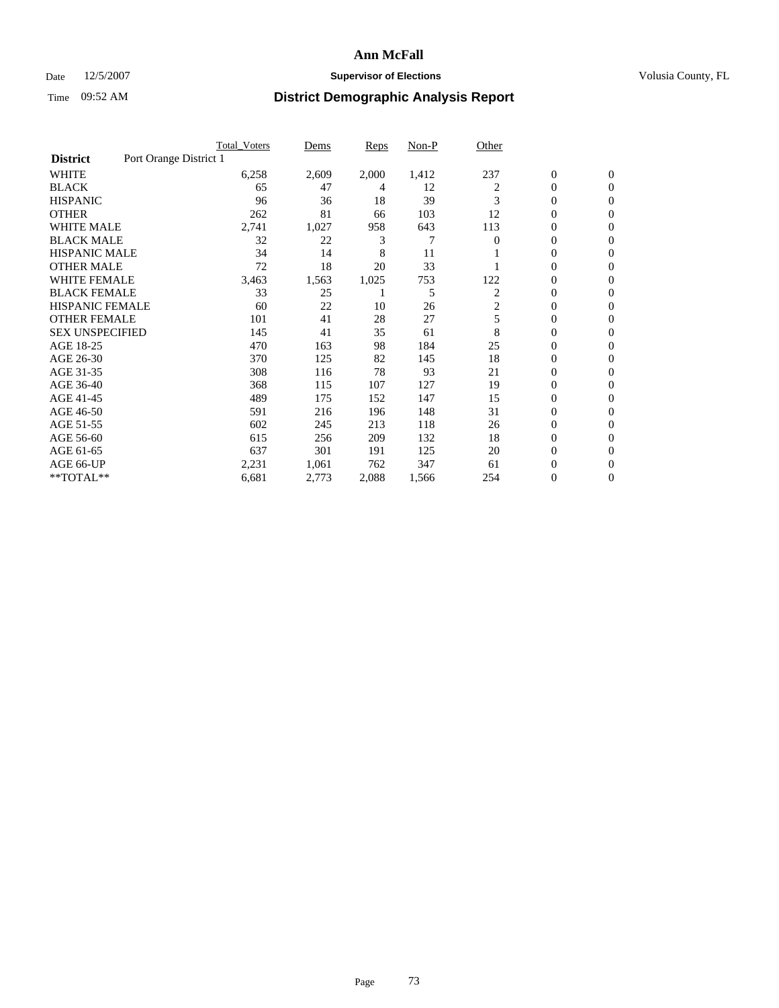### Date 12/5/2007 **Supervisor of Elections Supervisor of Elections** Volusia County, FL

|                                           | <b>Total Voters</b> | Dems  | <b>Reps</b> | Non-P | Other          |                  |                  |  |
|-------------------------------------------|---------------------|-------|-------------|-------|----------------|------------------|------------------|--|
| Port Orange District 1<br><b>District</b> |                     |       |             |       |                |                  |                  |  |
| <b>WHITE</b>                              | 6,258               | 2,609 | 2,000       | 1,412 | 237            | $\boldsymbol{0}$ | $\mathbf{0}$     |  |
| <b>BLACK</b>                              | 65                  | 47    | 4           | 12    | 2              | $\mathbf{0}$     | $\mathbf{0}$     |  |
| <b>HISPANIC</b>                           | 96                  | 36    | 18          | 39    | 3              | 0                | $\mathbf{0}$     |  |
| <b>OTHER</b>                              | 262                 | 81    | 66          | 103   | 12             | 0                | $\overline{0}$   |  |
| <b>WHITE MALE</b>                         | 2,741               | 1,027 | 958         | 643   | 113            | 0                | $\overline{0}$   |  |
| <b>BLACK MALE</b>                         | 32                  | 22    | 3           | 7     | $\overline{0}$ | 0                | $\mathbf{0}$     |  |
| <b>HISPANIC MALE</b>                      | 34                  | 14    | 8           | 11    |                | 0                | $\Omega$         |  |
| <b>OTHER MALE</b>                         | 72                  | 18    | 20          | 33    |                | 0                | 0                |  |
| <b>WHITE FEMALE</b>                       | 3,463               | 1,563 | 1,025       | 753   | 122            | 0                | $\Omega$         |  |
| <b>BLACK FEMALE</b>                       | 33                  | 25    |             | 5     | 2              | $\mathbf{0}$     | $\mathbf{0}$     |  |
| <b>HISPANIC FEMALE</b>                    | 60                  | 22    | 10          | 26    | 2              | 0                | $\mathbf{0}$     |  |
| <b>OTHER FEMALE</b>                       | 101                 | 41    | 28          | 27    | 5              | 0                | $\mathbf{0}$     |  |
| <b>SEX UNSPECIFIED</b>                    | 145                 | 41    | 35          | 61    | 8              | 0                | $\mathbf{0}$     |  |
| AGE 18-25                                 | 470                 | 163   | 98          | 184   | 25             | 0                | $\Omega$         |  |
| AGE 26-30                                 | 370                 | 125   | 82          | 145   | 18             | 0                | $\mathbf{0}$     |  |
| AGE 31-35                                 | 308                 | 116   | 78          | 93    | 21             | 0                | 0                |  |
| AGE 36-40                                 | 368                 | 115   | 107         | 127   | 19             | $\mathbf{0}$     | $\mathbf{0}$     |  |
| AGE 41-45                                 | 489                 | 175   | 152         | 147   | 15             | 0                | $\mathbf{0}$     |  |
| AGE 46-50                                 | 591                 | 216   | 196         | 148   | 31             | 0                | $\mathbf{0}$     |  |
| AGE 51-55                                 | 602                 | 245   | 213         | 118   | 26             | 0                | $\mathbf{0}$     |  |
| AGE 56-60                                 | 615                 | 256   | 209         | 132   | 18             | 0                | $\mathbf{0}$     |  |
| AGE 61-65                                 | 637                 | 301   | 191         | 125   | 20             | 0                | $\mathbf{0}$     |  |
| AGE 66-UP                                 | 2,231               | 1,061 | 762         | 347   | 61             | 0                | 0                |  |
| **TOTAL**                                 | 6,681               | 2,773 | 2,088       | 1,566 | 254            | 0                | $\boldsymbol{0}$ |  |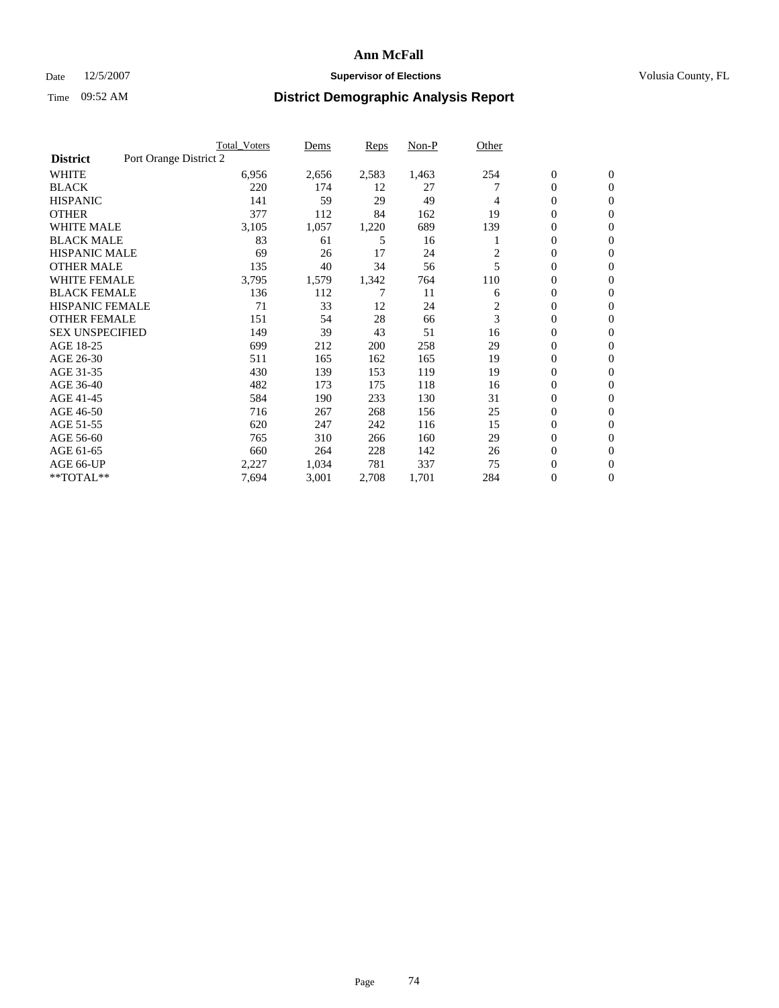### Date 12/5/2007 **Supervisor of Elections Supervisor of Elections** Volusia County, FL

|                        |                        | Total Voters | Dems  | <b>Reps</b> | Non-P | Other |                  |                  |
|------------------------|------------------------|--------------|-------|-------------|-------|-------|------------------|------------------|
| <b>District</b>        | Port Orange District 2 |              |       |             |       |       |                  |                  |
| <b>WHITE</b>           |                        | 6,956        | 2,656 | 2,583       | 1,463 | 254   | $\boldsymbol{0}$ | $\boldsymbol{0}$ |
| <b>BLACK</b>           |                        | 220          | 174   | 12          | 27    |       | $\boldsymbol{0}$ | $\mathbf{0}$     |
| <b>HISPANIC</b>        |                        | 141          | 59    | 29          | 49    | 4     | 0                | $\mathbf{0}$     |
| <b>OTHER</b>           |                        | 377          | 112   | 84          | 162   | 19    | 0                | $\mathbf{0}$     |
| WHITE MALE             |                        | 3,105        | 1,057 | 1,220       | 689   | 139   | 0                | $\mathbf{0}$     |
| <b>BLACK MALE</b>      |                        | 83           | 61    | 5           | 16    |       | 0                | $\mathbf{0}$     |
| <b>HISPANIC MALE</b>   |                        | 69           | 26    | 17          | 24    | 2     | 0                | $\boldsymbol{0}$ |
| <b>OTHER MALE</b>      |                        | 135          | 40    | 34          | 56    | 5     | 0                | $\mathbf{0}$     |
| WHITE FEMALE           |                        | 3,795        | 1,579 | 1,342       | 764   | 110   | 0                | $\mathbf{0}$     |
| <b>BLACK FEMALE</b>    |                        | 136          | 112   | 7           | 11    | 6     | 0                | $\mathbf{0}$     |
| <b>HISPANIC FEMALE</b> |                        | 71           | 33    | 12          | 24    | 2     | 0                | $\mathbf{0}$     |
| <b>OTHER FEMALE</b>    |                        | 151          | 54    | 28          | 66    | 3     | 0                | $\mathbf{0}$     |
| <b>SEX UNSPECIFIED</b> |                        | 149          | 39    | 43          | 51    | 16    | 0                | $\mathbf{0}$     |
| AGE 18-25              |                        | 699          | 212   | 200         | 258   | 29    | $\mathbf{0}$     | $\mathbf{0}$     |
| AGE 26-30              |                        | 511          | 165   | 162         | 165   | 19    | $\mathbf{0}$     | $\mathbf{0}$     |
| AGE 31-35              |                        | 430          | 139   | 153         | 119   | 19    | $\mathbf{0}$     | $\mathbf{0}$     |
| AGE 36-40              |                        | 482          | 173   | 175         | 118   | 16    | $\boldsymbol{0}$ | $\mathbf{0}$     |
| AGE 41-45              |                        | 584          | 190   | 233         | 130   | 31    | 0                | $\mathbf{0}$     |
| AGE 46-50              |                        | 716          | 267   | 268         | 156   | 25    | $\boldsymbol{0}$ | $\mathbf{0}$     |
| AGE 51-55              |                        | 620          | 247   | 242         | 116   | 15    | $\mathbf{0}$     | $\mathbf{0}$     |
| AGE 56-60              |                        | 765          | 310   | 266         | 160   | 29    | $\mathbf{0}$     | $\mathbf{0}$     |
| AGE 61-65              |                        | 660          | 264   | 228         | 142   | 26    | $\boldsymbol{0}$ | $\mathbf{0}$     |
| AGE 66-UP              |                        | 2,227        | 1,034 | 781         | 337   | 75    | 0                | $\mathbf{0}$     |
| **TOTAL**              |                        | 7,694        | 3,001 | 2,708       | 1,701 | 284   | $\boldsymbol{0}$ | $\boldsymbol{0}$ |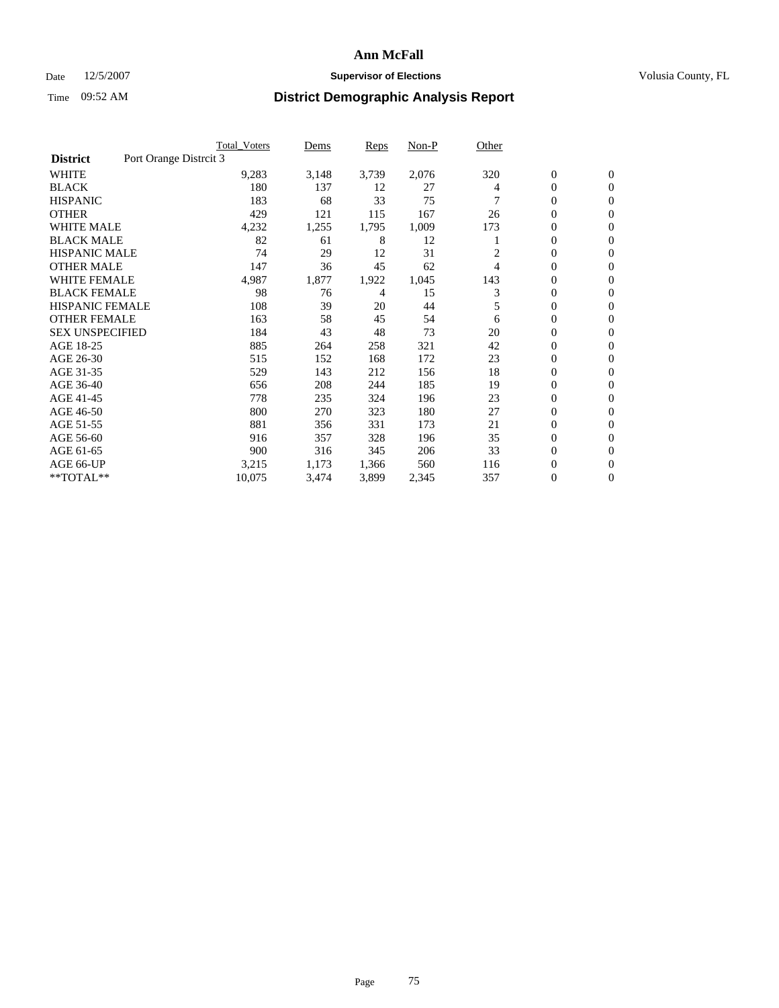#### Date  $12/5/2007$  **Supervisor of Elections** Volusia County, FL

|                        | <b>Total Voters</b>    | Dems  | Reps  | Non-P | Other |                  |                  |
|------------------------|------------------------|-------|-------|-------|-------|------------------|------------------|
| <b>District</b>        | Port Orange Distrcit 3 |       |       |       |       |                  |                  |
| <b>WHITE</b>           | 9,283                  | 3,148 | 3,739 | 2,076 | 320   | $\boldsymbol{0}$ | $\mathbf{0}$     |
| <b>BLACK</b>           | 180                    | 137   | 12    | 27    | 4     | 0                | $\mathbf{0}$     |
| <b>HISPANIC</b>        | 183                    | 68    | 33    | 75    |       | 0                | $\mathbf{0}$     |
| <b>OTHER</b>           | 429                    | 121   | 115   | 167   | 26    | 0                | $\mathbf{0}$     |
| <b>WHITE MALE</b>      | 4,232                  | 1,255 | 1,795 | 1,009 | 173   | 0                | $\mathbf{0}$     |
| <b>BLACK MALE</b>      | 82                     | 61    | 8     | 12    |       | 0                | $\mathbf{0}$     |
| <b>HISPANIC MALE</b>   | 74                     | 29    | 12    | 31    | 2     | 0                | $\mathbf{0}$     |
| <b>OTHER MALE</b>      | 147                    | 36    | 45    | 62    | 4     | $\mathbf{0}$     | $\mathbf{0}$     |
| <b>WHITE FEMALE</b>    | 4,987                  | 1,877 | 1,922 | 1,045 | 143   | 0                | $\mathbf{0}$     |
| <b>BLACK FEMALE</b>    | 98                     | 76    | 4     | 15    | 3     | $\boldsymbol{0}$ | $\mathbf{0}$     |
| <b>HISPANIC FEMALE</b> | 108                    | 39    | 20    | 44    | 5     | 0                | $\mathbf{0}$     |
| <b>OTHER FEMALE</b>    | 163                    | 58    | 45    | 54    | 6     | 0                | $\mathbf{0}$     |
| <b>SEX UNSPECIFIED</b> | 184                    | 43    | 48    | 73    | 20    | 0                | $\mathbf{0}$     |
| AGE 18-25              | 885                    | 264   | 258   | 321   | 42    | 0                | $\mathbf{0}$     |
| AGE 26-30              | 515                    | 152   | 168   | 172   | 23    | $\mathbf{0}$     | $\mathbf{0}$     |
| AGE 31-35              | 529                    | 143   | 212   | 156   | 18    | 0                | $\mathbf{0}$     |
| AGE 36-40              | 656                    | 208   | 244   | 185   | 19    | 0                | $\mathbf{0}$     |
| AGE 41-45              | 778                    | 235   | 324   | 196   | 23    | 0                | $\mathbf{0}$     |
| AGE 46-50              | 800                    | 270   | 323   | 180   | 27    | 0                | $\mathbf{0}$     |
| AGE 51-55              | 881                    | 356   | 331   | 173   | 21    | $\boldsymbol{0}$ | $\mathbf{0}$     |
| AGE 56-60              | 916                    | 357   | 328   | 196   | 35    | 0                | $\mathbf{0}$     |
| AGE 61-65              | 900                    | 316   | 345   | 206   | 33    | $\mathbf{0}$     | $\mathbf{0}$     |
| AGE 66-UP              | 3,215                  | 1,173 | 1,366 | 560   | 116   | 0                | $\mathbf{0}$     |
| **TOTAL**              | 10,075                 | 3,474 | 3,899 | 2,345 | 357   | 0                | $\boldsymbol{0}$ |
|                        |                        |       |       |       |       |                  |                  |